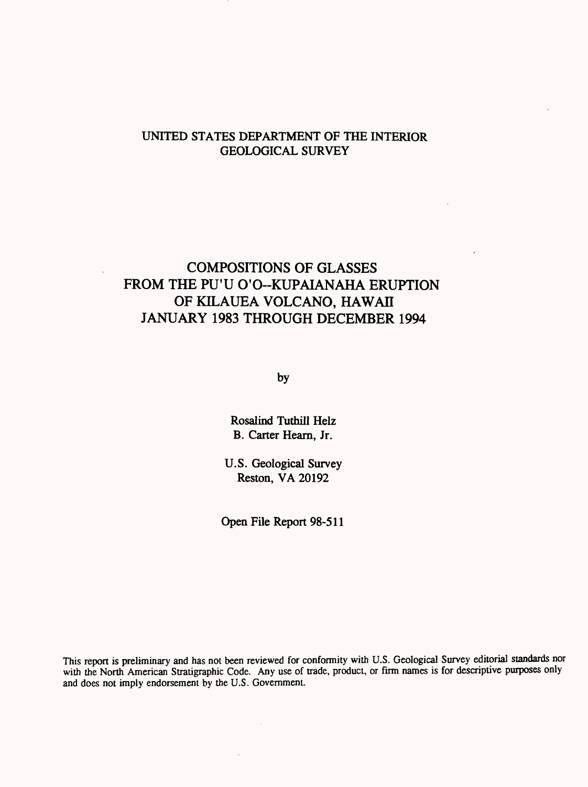## UNITED STATES DEPARTMENT OF THE INTERIOR GEOLOGICAL SURVEY

## COMPOSITIONS OF GLASSES FROM THE PU'U O'O-KUPAIANAHA ERUPTION OF KILAUEA VOLCANO, HAWAII JANUARY 1983 THROUGH DECEMBER 1994

by

Rosalind Tuthill Helz B. Carter Hearn, Jr.

U.S. Geological Survey Reston, VA 20192

Open File Report 98-511

This report is preliminary and has not been reviewed for conformity with U.S. Geological Survey editorial standards nor with the North American Stratigraphic Code. Any use of trade, product, or firm names is for descriptive purposes only and does not imply endorsement by the U.S. Government.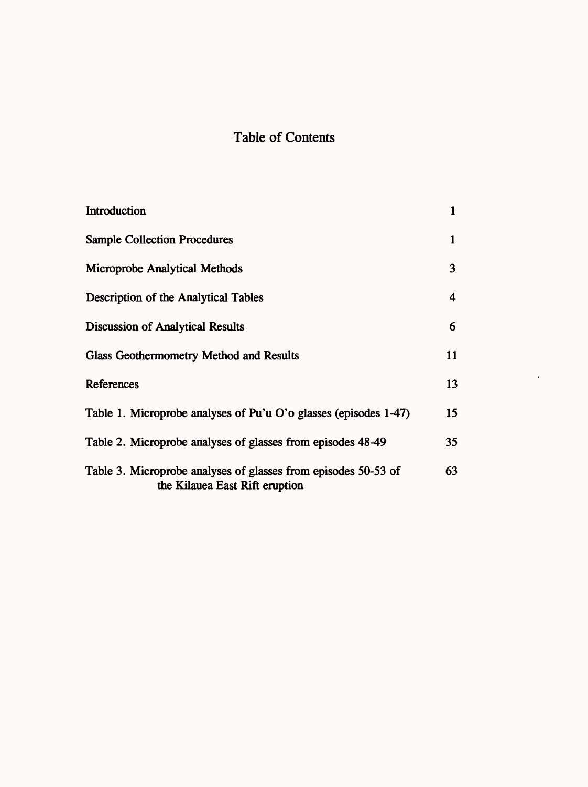# Table of Contents

| Introduction                                                                                     | 1  |
|--------------------------------------------------------------------------------------------------|----|
| <b>Sample Collection Procedures</b>                                                              | 1  |
| <b>Microprobe Analytical Methods</b>                                                             | 3  |
| Description of the Analytical Tables                                                             | 4  |
| <b>Discussion of Analytical Results</b>                                                          | 6  |
| <b>Glass Geothermometry Method and Results</b>                                                   | 11 |
| References                                                                                       | 13 |
| Table 1. Microprobe analyses of Pu'u O'o glasses (episodes 1-47)                                 | 15 |
| Table 2. Microprobe analyses of glasses from episodes 48-49                                      | 35 |
| Table 3. Microprobe analyses of glasses from episodes 50-53 of<br>the Kilauea East Rift eruption | 63 |

 $\langle \cdot \rangle$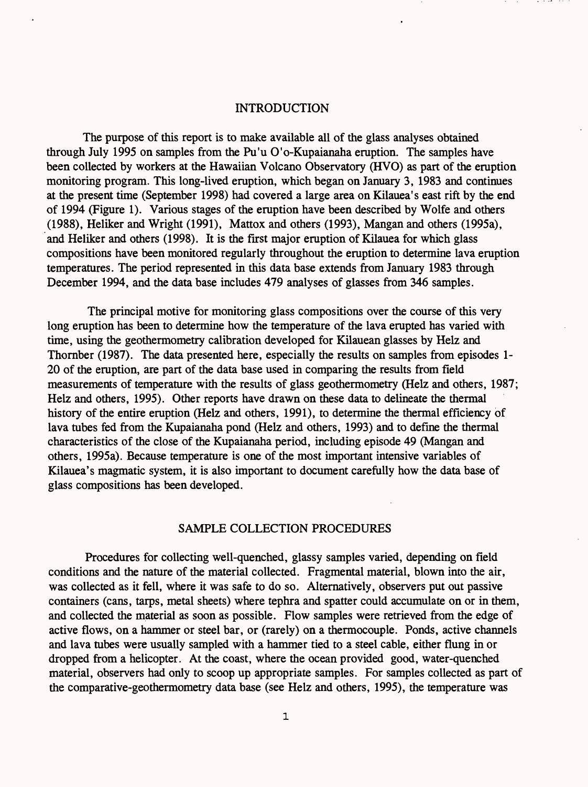## INTRODUCTION

The purpose of this report is to make available all of the glass analyses obtained through July 1995 on samples from the Pu'u O'o-Kupaianaha eruption. The samples have been collected by workers at the Hawaiian Volcano Observatory (HVO) as part of the eruption monitoring program. This long-lived eruption, which began on January 3, 1983 and continues at the present time (September 1998) had covered a large area on Kilauea's east rift by the end of 1994 (Figure 1). Various stages of the eruption have been described by Wolfe and others (1988), Heliker and Wright (1991), Mattox and others (1993), Mangan and others (1995a), and Heliker and others (1998). It is the first major eruption of Kilauea for which glass compositions have been monitored regularly throughout the eruption to determine lava eruption temperatures. The period represented in this data base extends from January 1983 through December 1994, and the data base includes 479 analyses of glasses from 346 samples.

The principal motive for monitoring glass compositions over the course of this very long eruption has been to determine how the temperature of the lava erupted has varied with time, using the geothermometry calibration developed for Kilauean glasses by Helz and Thornber (1987). The data presented here, especially the results on samples from episodes 1- 20 of the eruption, are part of the data base used in comparing the results from field measurements of temperature with the results of glass geothermometry (Helz and others, 1987; Helz and others, 1995). Other reports have drawn on these data to delineate the thermal history of the entire eruption (Helz and others, 1991), to determine the thermal efficiency of lava tubes fed from the Kupaianaha pond (Helz and others, 1993) and to define the thermal characteristics of the close of the Kupaianaha period, including episode 49 (Mangan and others, 1995a). Because temperature is one of the most important intensive variables of Kilauea's magmatic system, it is also important to document carefully how the data base of glass compositions has been developed.

#### SAMPLE COLLECTION PROCEDURES

Procedures for collecting well-quenched, glassy samples varied, depending on field conditions and the nature of the material collected. Fragmental material, blown into the air, was collected as it fell, where it was safe to do so. Alternatively, observers put out passive containers (cans, tarps, metal sheets) where tephra and spatter could accumulate on or in them, and collected the material as soon as possible. Flow samples were retrieved from the edge of active flows, on a hammer or steel bar, or (rarely) on a thermocouple. Ponds, active channels and lava tubes were usually sampled with a hammer tied to a steel cable, either flung in or dropped from a helicopter. At the coast, where the ocean provided good, water-quenched material, observers had only to scoop up appropriate samples. For samples collected as part of the comparative-geothermometry data base (see Helz and others, 1995), the temperature was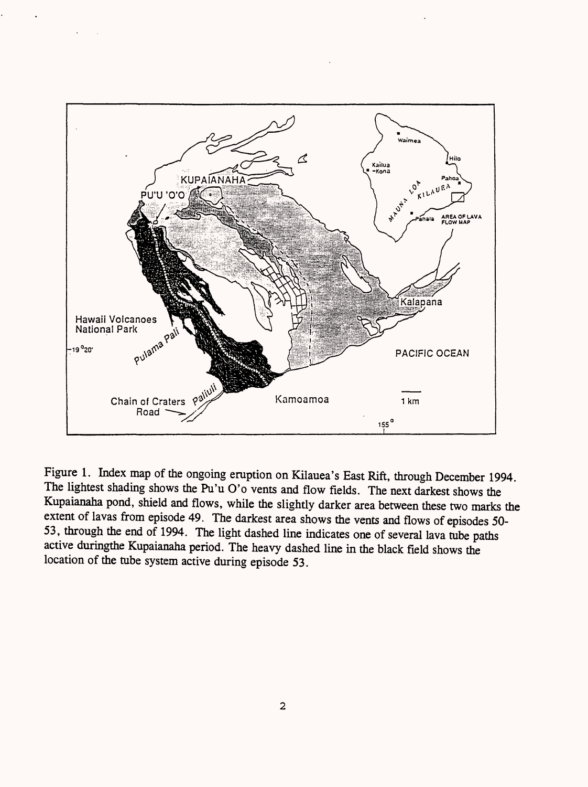

Figure 1. Index map of the ongoing eruption on Kilauea's East Rift, through December 1994. The lightest shading shows the Pu'u O'o vents and flow fields. The next darkest shows the Kupaianaha pond, shield and flows, while the slightly darker area between these two marks the extent of lavas from episode 49. The darkest area shows the vents and flows of episodes 50- 53, through the end of 1994. The light dashed line indicates one of several lava tube paths active duringthe Kupaianaha period. The heavy dashed line in the black field shows the location of the tube system active during episode 53.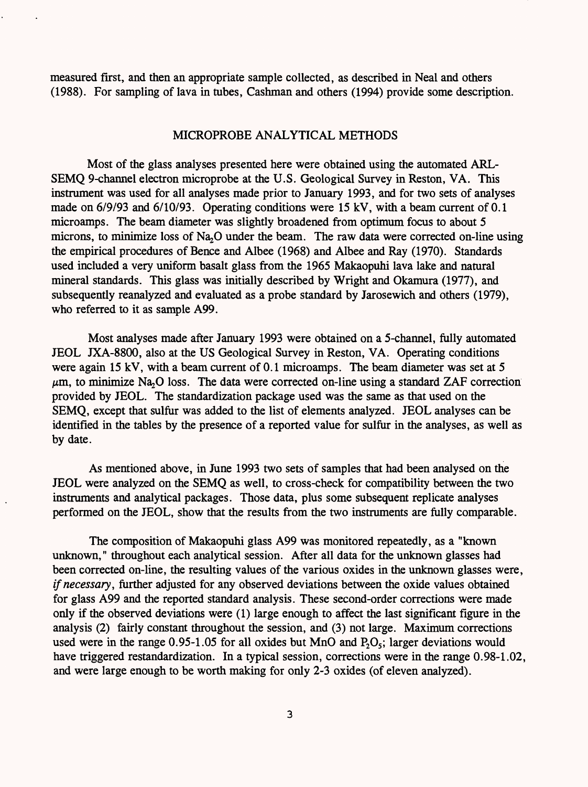measured first, and then an appropriate sample collected, as described in Neal and others (1988). For sampling of lava in tubes, Cashman and others (1994) provide some description.

## MICROPROBE ANALYTICAL METHODS

Most of the glass analyses presented here were obtained using the automated ARL-SEMQ 9-channel electron microprobe at the U.S. Geological Survey in Reston, VA. This instrument was used for all analyses made prior to January 1993, and for two sets of analyses made on 6/9/93 and 6/10/93. Operating conditions were 15 kV, with a beam current of 0.1 microamps. The beam diameter was slightly broadened from optimum focus to about 5 microns, to minimize loss of Na<sub>2</sub>O under the beam. The raw data were corrected on-line using the empirical procedures of Bence and Albee (1968) and Albee and Ray (1970). Standards used included a very uniform basalt glass from the 1965 Makaopuhi lava lake and natural mineral standards. This glass was initially described by Wright and Okamura (1977), and subsequently reanalyzed and evaluated as a probe standard by Jarosewich and others (1979), who referred to it as sample A99.

Most analyses made after January 1993 were obtained on a 5-channel, fully automated JEOL JXA-8800, also at the US Geological Survey in Reston, VA. Operating conditions were again 15 kV, with a beam current of 0.1 microamps. The beam diameter was set at 5  $\mu$ m, to minimize Na<sub>2</sub>O loss. The data were corrected on-line using a standard ZAF correction provided by JEOL. The standardization package used was the same as that used on the SEMQ, except that sulfur was added to the list of elements analyzed. JEOL analyses can be identified in the tables by the presence of a reported value for sulfur in the analyses, as well as by date.

As mentioned above, in June 1993 two sets of samples that had been analysed on the JEOL were analyzed on the SEMQ as well, to cross-check for compatibility between the two instruments and analytical packages. Those data, plus some subsequent replicate analyses performed on the JEOL, show that the results from the two instruments are fully comparable.

The composition of Makaopuhi glass A99 was monitored repeatedly, as a "known unknown," throughout each analytical session. After all data for the unknown glasses had been corrected on-line, the resulting values of the various oxides in the unknown glasses were, *if necessary,* further adjusted for any observed deviations between the oxide values obtained for glass A99 and the reported standard analysis. These second-order corrections were made only if the observed deviations were (1) large enough to affect the last significant figure in the analysis (2) fairly constant throughout the session, and (3) not large. Maximum corrections used were in the range 0.95-1.05 for all oxides but MnO and  $P_2O_5$ ; larger deviations would have triggered restandardization. In a typical session, corrections were in the range 0.98-1.02, and were large enough to be worth making for only 2-3 oxides (of eleven analyzed).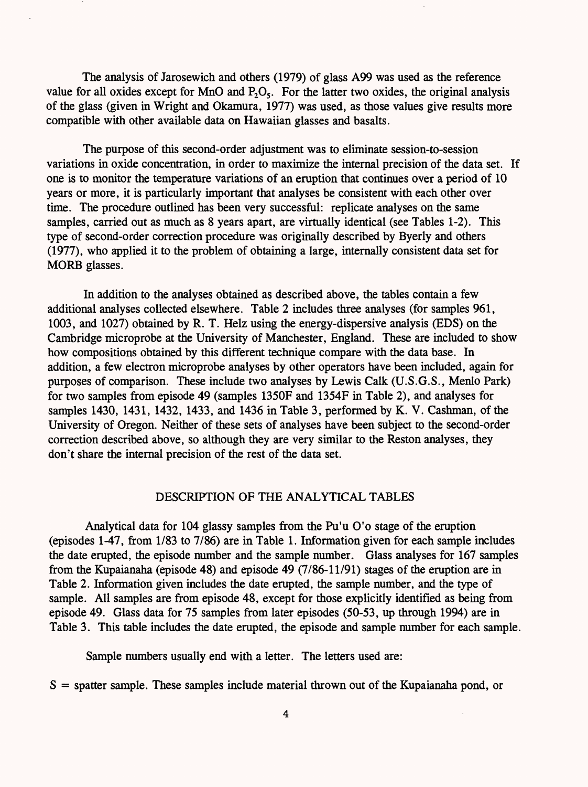The analysis of Jarosewich and others (1979) of glass A99 was used as the reference value for all oxides except for MnO and  $P_2O_5$ . For the latter two oxides, the original analysis of the glass (given in Wright and Okamura, 1977) was used, as those values give results more compatible with other available data on Hawaiian glasses and basalts.

The purpose of this second-order adjustment was to eliminate session-to-session variations in oxide concentration, in order to maximize the internal precision of the data set. If one is to monitor the temperature variations of an eruption that continues over a period of 10 years or more, it is particularly important that analyses be consistent with each other over time. The procedure outlined has been very successful: replicate analyses on the same samples, carried out as much as 8 years apart, are virtually identical (see Tables 1-2). This type of second-order correction procedure was originally described by Byerly and others (1977), who applied it to the problem of obtaining a large, internally consistent data set for MORE glasses.

In addition to the analyses obtained as described above, the tables contain a few additional analyses collected elsewhere. Table 2 includes three analyses (for samples 961, 1003, and 1027) obtained by R. T. Helz using the energy-dispersive analysis (EDS) on the Cambridge microprobe at the University of Manchester, England. These are included to show how compositions obtained by this different technique compare with the data base. In addition, a few electron microprobe analyses by other operators have been included, again for purposes of comparison. These include two analyses by Lewis Calk (U.S.G.S., Menlo Park) for two samples from episode 49 (samples 1350F and 1354F in Table 2), and analyses for samples 1430, 1431, 1432, 1433, and 1436 in Table 3, performed by K. V. Cashman, of the University of Oregon. Neither of these sets of analyses have been subject to the second-order correction described above, so although they are very similar to the Reston analyses, they don't share the internal precision of the rest of the data set.

#### DESCRIPTION OF THE ANALYTICAL TABLES

Analytical data for 104 glassy samples from the Pu'u O'o stage of the eruption (episodes 1-47, from 1/83 to 7/86) are in Table 1. Information given for each sample includes the date erupted, the episode number and the sample number. Glass analyses for 167 samples from the Kupaianaha (episode 48) and episode 49 (7/86-11/91) stages of the eruption are in Table 2. Information given includes the date erupted, the sample number, and the type of sample. All samples are from episode 48, except for those explicitly identified as being from episode 49. Glass data for 75 samples from later episodes (50-53, up through 1994) are in Table 3. This table includes the date erupted, the episode and sample number for each sample.

Sample numbers usually end with a letter. The letters used are:

 $S =$  spatter sample. These samples include material thrown out of the Kupaianaha pond, or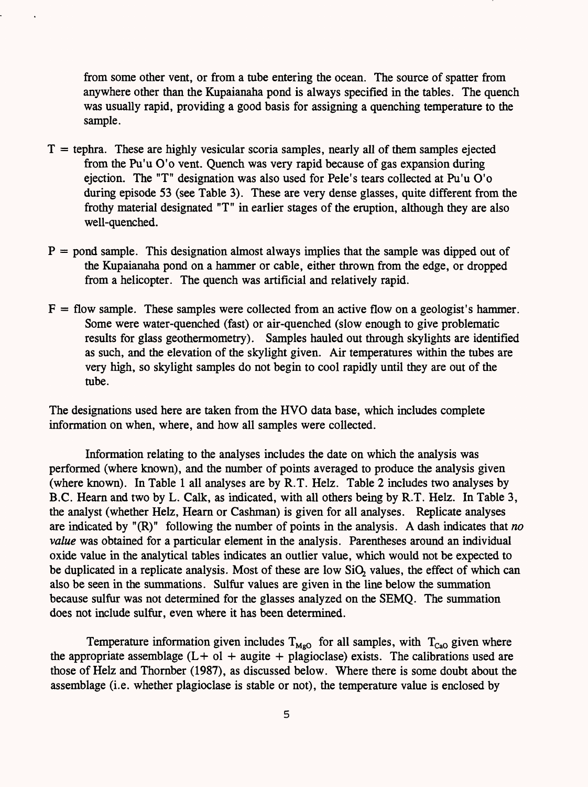from some other vent, or from a tube entering the ocean. The source of spatter from anywhere other than the Kupaianaha pond is always specified in the tables. The quench was usually rapid, providing a good basis for assigning a quenching temperature to the sample.

- $T =$  tephra. These are highly vesicular scoria samples, nearly all of them samples ejected from the Pu'u O'o vent. Quench was very rapid because of gas expansion during ejection. The "T" designation was also used for Pele's tears collected at Pu'u O'o during episode 53 (see Table 3). These are very dense glasses, quite different from the frothy material designated "T" in earlier stages of the eruption, although they are also well-quenched.
- $P =$  pond sample. This designation almost always implies that the sample was dipped out of the Kupaianaha pond on a hammer or cable, either thrown from the edge, or dropped from a helicopter. The quench was artificial and relatively rapid.
- $F =$  flow sample. These samples were collected from an active flow on a geologist's hammer. Some were water-quenched (fast) or air-quenched (slow enough to give problematic results for glass geothermometry). Samples hauled out through skylights are identified as such, and the elevation of the skylight given. Air temperatures within the tubes are very high, so skylight samples do not begin to cool rapidly until they are out of the tube.

The designations used here are taken from the HVO data base, which includes complete information on when, where, and how all samples were collected.

Information relating to the analyses includes the date on which the analysis was performed (where known), and the number of points averaged to produce the analysis given (where known). In Table 1 all analyses are by R.T. Helz. Table 2 includes two analyses by B.C. Heara and two by L. Calk, as indicated, with all others being by R.T. Helz. In Table 3, the analyst (whether Helz, Hearn or Cashman) is given for all analyses. Replicate analyses are indicated by "(R)" following the number of points in the analysis. A dash indicates that *no value* was obtained for a particular element in the analysis. Parentheses around an individual oxide value in the analytical tables indicates an outlier value, which would not be expected to be duplicated in a replicate analysis. Most of these are low SiO, values, the effect of which can also be seen in the summations. Sulfur values are given in the line below the summation because sulfur was not determined for the glasses analyzed on the SEMQ. The summation does not include sulfur, even where it has been determined.

Temperature information given includes  $T_{Mg0}$  for all samples, with  $T_{CaO}$  given where the appropriate assemblage  $(L + o1 + a$ ugite + plagioclase) exists. The calibrations used are those of Helz and Thornber (1987), as discussed below. Where there is some doubt about the assemblage (i.e. whether plagioclase is stable or not), the temperature value is enclosed by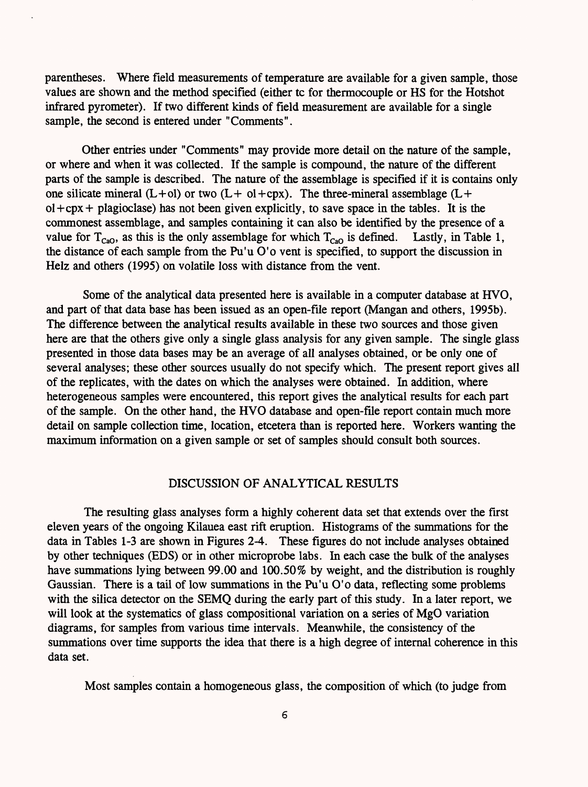parentheses. Where field measurements of temperature are available for a given sample, those values are shown and the method specified (either tc for thermocouple or HS for the Hotshot infrared pyrometer). If two different kinds of field measurement are available for a single sample, the second is entered under "Comments".

Other entries under "Comments" may provide more detail on the nature of the sample, or where and when it was collected. If the sample is compound, the nature of the different parts of the sample is described. The nature of the assemblage is specified if it is contains only one silicate mineral  $(L+ol)$  or two  $(L+ol+cpx)$ . The three-mineral assemblage  $(L+ol+cpx)$  $ol+cpx + plagioclase$ ) has not been given explicitly, to save space in the tables. It is the commonest assemblage, and samples containing it can also be identified by the presence of a value for  $T_{CaO}$ , as this is the only assemblage for which  $T_{CaO}$  is defined. Lastly, in Table 1, the distance of each sample from the Pu'u O'o vent is specified, to support the discussion in Helz and others (1995) on volatile loss with distance from the vent.

Some of the analytical data presented here is available in a computer database at HVO, and part of that data base has been issued as an open-file report (Mangan and others, 1995b). The difference between the analytical results available in these two sources and those given here are that the others give only a single glass analysis for any given sample. The single glass presented in those data bases may be an average of all analyses obtained, or be only one of several analyses; these other sources usually do not specify which. The present report gives all of the replicates, with the dates on which the analyses were obtained. In addition, where heterogeneous samples were encountered, this report gives the analytical results for each part of the sample. On the other hand, the HVO database and open-file report contain much more detail on sample collection time, location, etcetera than is reported here. Workers wanting the maximum information on a given sample or set of samples should consult both sources.

#### DISCUSSION OF ANALYTICAL RESULTS

The resulting glass analyses form a highly coherent data set that extends over the first eleven years of the ongoing Kilauea east rift eruption. Histograms of the summations for the data in Tables 1-3 are shown in Figures 2-4. These figures do not include analyses obtained by other techniques (EDS) or in other microprobe labs. In each case the bulk of the analyses have summations lying between 99.00 and 100.50% by weight, and the distribution is roughly Gaussian. There is a tail of low summations in the Pu'u O'o data, reflecting some problems with the silica detector on the SEMQ during the early part of this study. In a later report, we will look at the systematics of glass compositional variation on a series of MgO variation diagrams, for samples from various time intervals. Meanwhile, the consistency of the summations over time supports the idea that there is a high degree of internal coherence in this data set.

Most samples contain a homogeneous glass, the composition of which (to judge from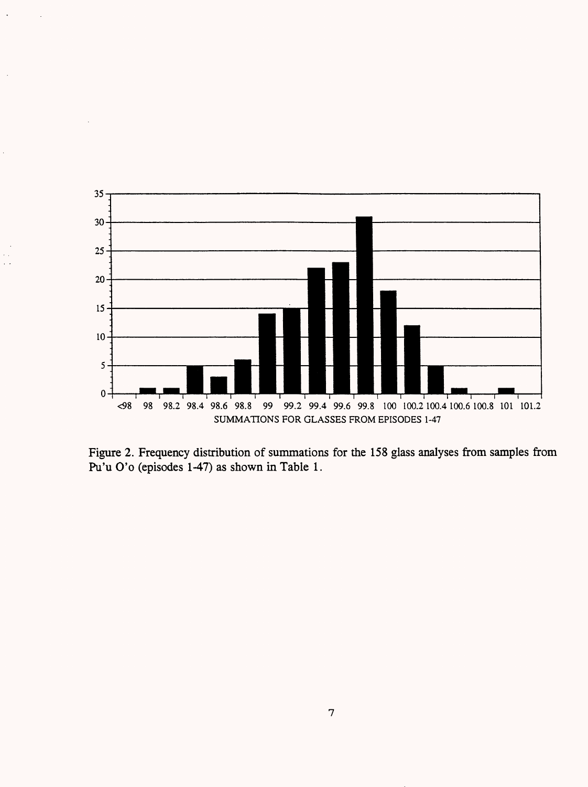

Figure 2. Frequency distribution of summations for the 158 glass analyses from samples from Pu'u O'o (episodes 1-47) as shown in Table 1.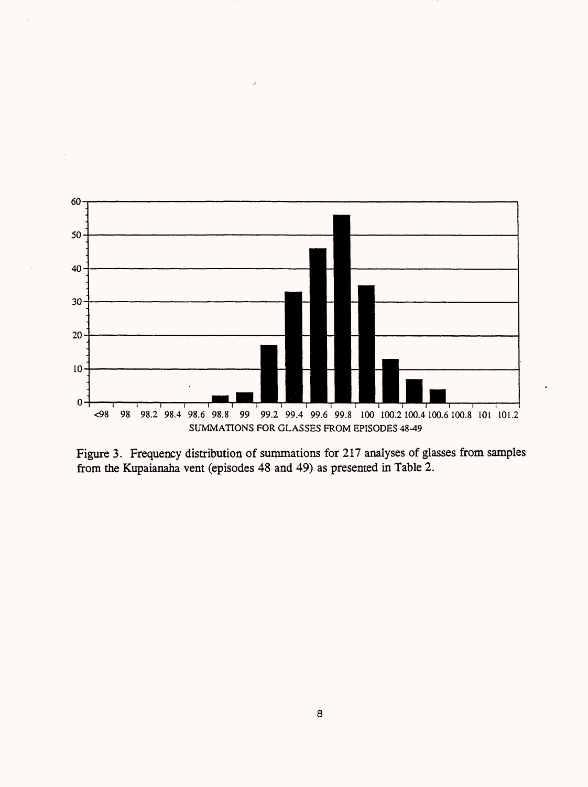

Figure 3. Frequency distribution of summations for 217 analyses of glasses from samples from the Kupaianaha vent (episodes 48 and 49) as presented in Table 2.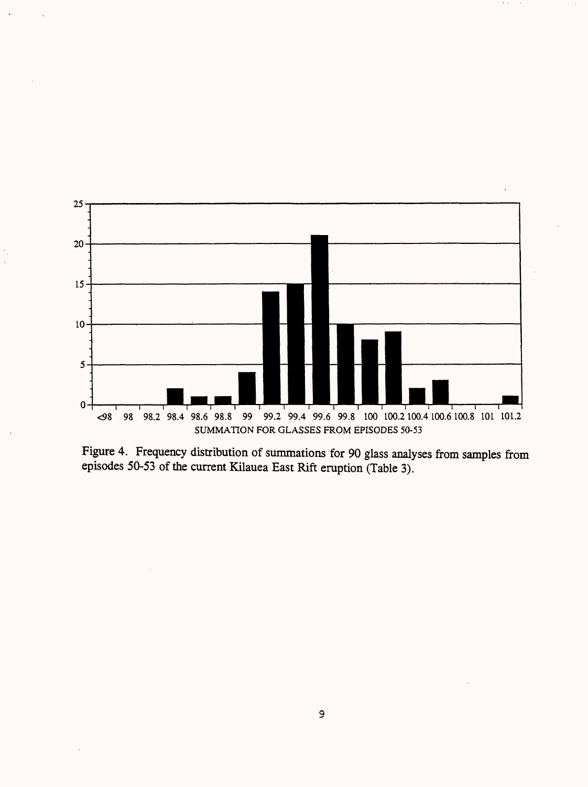

Figure 4. Frequency distribution of summations for 90 glass analyses from samples from episodes 50-53 of the current Kilauea East Rift eruption (Table 3).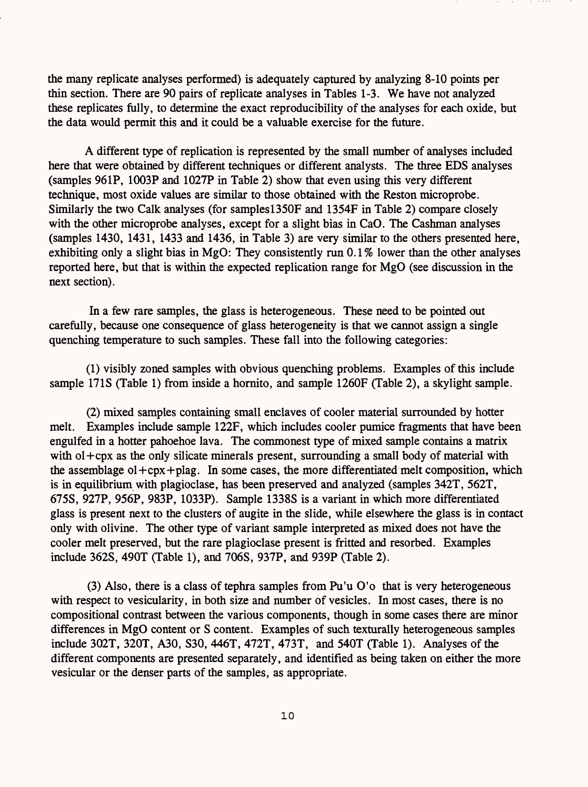the many replicate analyses performed) is adequately captured by analyzing 8-10 points per thin section. There are 90 pairs of replicate analyses in Tables 1-3. We have not analyzed these replicates fully, to determine the exact reproducibility of the analyses for each oxide, but the data would permit this and it could be a valuable exercise for the future.

A different type of replication is represented by the small number of analyses included here that were obtained by different techniques or different analysts. The three EDS analyses (samples 961P, 1003P and 1027P in Table 2) show that even using this very different technique, most oxide values are similar to those obtained with the Reston microprobe. Similarly the two Calk analyses (for samples 1350F and 1354F in Table 2) compare closely with the other microprobe analyses, except for a slight bias in CaO. The Cashman analyses  $(samples 1430, 1431, 1433, and 1436, in Table 3)$  are very similar to the others presented here, exhibiting only a slight bias in MgO: They consistently run  $0.1\%$  lower than the other analyses reported here, but that is within the expected replication range for MgO (see discussion in the next section).

In a few rare samples, the glass is heterogeneous. These need to be pointed out carefully, because one consequence of glass heterogeneity is that we cannot assign a single quenching temperature to such samples. These fall into the following categories:

(1) visibly zoned samples with obvious quenching problems. Examples of this include sample 17IS (Table 1) from inside a hornito, and sample 1260F (Table 2), a skylight sample.

(2) mixed samples containing small enclaves of cooler material surrounded by hotter melt. Examples include sample 122F, which includes cooler pumice fragments that have been engulfed in a hotter pahoehoe lava. The commonest type of mixed sample contains a matrix with ol+cpx as the only silicate minerals present, surrounding a small body of material with the assemblage  $ol + cpx + play$ . In some cases, the more differentiated melt composition, which is in equilibrium with plagioclase, has been preserved and analyzed (samples 342T, 562T, 675S, 927P, 956P, 983P, 1033P). Sample 1338S is a variant in which more differentiated glass is present next to the clusters of augite in the slide, while elsewhere the glass is in contact only with olivine. The other type of variant sample interpreted as mixed does not have the cooler melt preserved, but the rare plagioclase present is fritted and resorbed. Examples include 362S, 490T (Table 1), and 706S, 937P, and 939P (Table 2).

(3) Also, there is a class of tephra samples from Pu'u O'o that is very heterogeneous with respect to vesicularity, in both size and number of vesicles. In most cases, there is no compositional contrast between the various components, though in some cases there are minor differences in MgO content or S content. Examples of such texturally heterogeneous samples include 302T, 320T, A30, S30, 446T, 472T, 473T, and 540T (Table 1). Analyses of the different components are presented separately, and identified as being taken on either the more vesicular or the denser parts of the samples, as appropriate.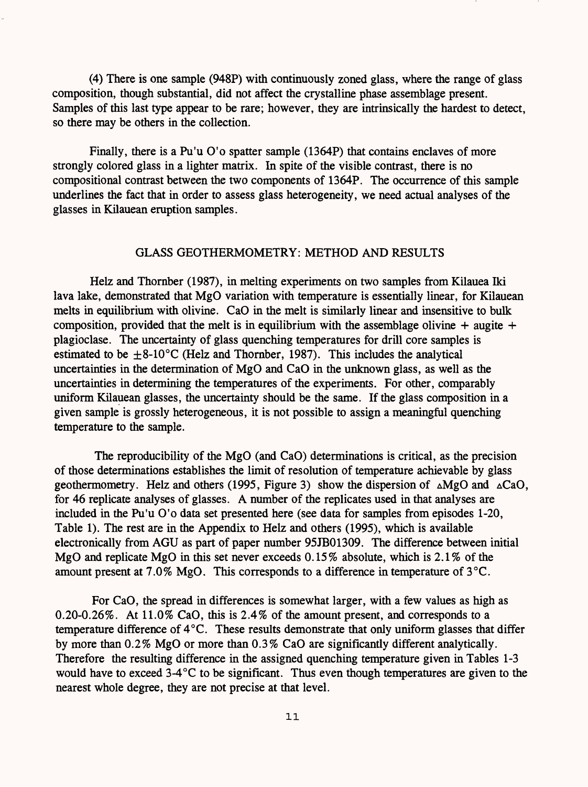(4) There is one sample (948P) with continuously zoned glass, where the range of glass composition, though substantial, did not affect the crystalline phase assemblage present. Samples of this last type appear to be rare; however, they are intrinsically the hardest to detect, so there may be others in the collection.

Finally, there is a Pu'u O'o spatter sample (1364P) that contains enclaves of more strongly colored glass in a lighter matrix. In spite of the visible contrast, there is no compositional contrast between the two components of 1364P. The occurrence of this sample underlines the fact that in order to assess glass heterogeneity, we need actual analyses of the glasses in Kilauean eruption samples.

## GLASS GEOTHERMOMETRY: METHOD AND RESULTS

Helz and Thornber (1987), in melting experiments on two samples from Kilauea Iki lava lake, demonstrated that MgO variation with temperature is essentially linear, for Kilauean melts in equilibrium with olivine. CaO in the melt is similarly linear and insensitive to bulk composition, provided that the melt is in equilibrium with the assemblage olivine  $+$  augite  $+$ plagioclase. The uncertainty of glass quenching temperatures for drill core samples is estimated to be  $\pm$ 8-10°C (Helz and Thornber, 1987). This includes the analytical uncertainties in the determination of MgO and CaO in the unknown glass, as well as the uncertainties in determining the temperatures of the experiments. For other, comparably uniform Kilauean glasses, the uncertainty should be the same. If the glass composition in a given sample is grossly heterogeneous, it is not possible to assign a meaningful quenching temperature to the sample.

The reproducibility of the MgO (and CaO) determinations is critical, as the precision of those determinations establishes the limit of resolution of temperature achievable by glass geothermometry. Helz and others (1995, Figure 3) show the dispersion of  $\triangle MgO$  and  $\triangle CaO$ , for 46 replicate analyses of glasses. A number of the replicates used in that analyses are included in the Pu'u O'o data set presented here (see data for samples from episodes 1-20, Table 1). The rest are in the Appendix to Helz and others (1995), which is available electronically from AGU as part of paper number 95JB01309. The difference between initial MgO and replicate MgO in this set never exceeds 0.15% absolute, which is 2.1% of the amount present at 7.0% MgO. This corresponds to a difference in temperature of 3°C.

For CaO, the spread in differences is somewhat larger, with a few values as high as 0.20-0.26%. At 11.0% CaO, this is 2.4% of the amount present, and corresponds to a temperature difference of 4°C. These results demonstrate that only uniform glasses that differ by more than 0.2% MgO or more than 0.3% CaO are significantly different analytically. Therefore the resulting difference in the assigned quenching temperature given in Tables 1-3 would have to exceed 3-4°C to be significant. Thus even though temperatures are given to the nearest whole degree, they are not precise at that level.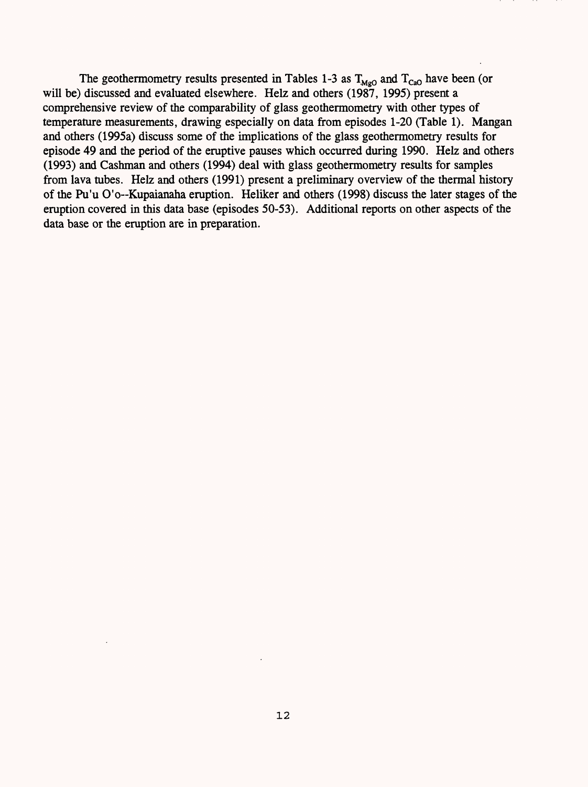The geothermometry results presented in Tables 1-3 as  $T_{\text{MeO}}$  and  $T_{\text{CaO}}$  have been (or will be) discussed and evaluated elsewhere. Helz and others (1987, 1995) present a comprehensive review of the comparability of glass geothermometry with other types of temperature measurements, drawing especially on data from episodes 1-20 (Table 1). Mangan and others (1995a) discuss some of the implications of the glass geothermometry results for episode 49 and the period of the eruptive pauses which occurred during 1990. Helz and others (1993) and Cashman and others (1994) deal with glass geothermometry results for samples from lava tubes. Helz and others (1991) present a preliminary overview of the thermal history of the Pu'u O'o--Kupaianaha eruption. Heliker and others (1998) discuss the later stages of the eruption covered in this data base (episodes 50-53). Additional reports on other aspects of the data base or the eruption are in preparation.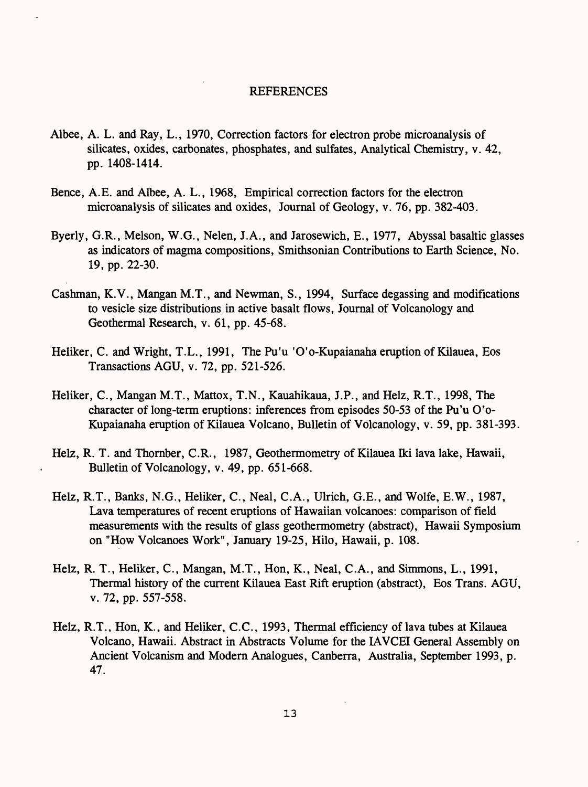#### REFERENCES

- Albee, A. L. and Ray, L., 1970, Correction factors for electron probe microanalysis of silicates, oxides, carbonates, phosphates, and sulfates, Analytical Chemistry, v. 42, pp. 1408-1414.
- Bence, A.E. and Albee, A. L., 1968, Empirical correction factors for the electron microanalysis of silicates and oxides, Journal of Geology, v. 76, pp. 382-403.
- Byerly, G.R., Melson, W.G., Nelen, J.A., and Jarosewich, E., 1977, Abyssal basaltic glasses as indicators of magma compositions, Smithsonian Contributions to Earth Science, No. 19, pp. 22-30.
- Cashman, K.V., Mangan M.T., and Newman, S., 1994, Surface degassing and modifications to vesicle size distributions in active basalt flows, Journal of Volcanology and Geothermal Research, v. 61, pp. 45-68.
- Heliker, C. and Wright, T.L., 1991, The Pu'u 'O'o-Kupaianaha eruption of Kilauea, Eos Transactions AGU, v. 72, pp. 521-526.
- Heliker, C., Mangan M.T., Mattox, T.N., Kauahikaua, J.P., and Helz, R.T., 1998, The character of long-term eruptions: inferences from episodes 50-53 of the Pu'u O'o-Kupaianaha eruption of Kilauea Volcano, Bulletin of Volcanology, v. 59, pp. 381-393.
- Helz, R. T. and Thornber, C.R., 1987, Geothermometry of Kilauea Iki lava lake, Hawaii, Bulletin of Volcanology, v. 49, pp. 651-668.
- Helz, R.T., Banks, N.G., Heliker, C., Neal, C.A., Ulrich, G.E., and Wolfe, E.W., 1987, Lava temperatures of recent eruptions of Hawaiian volcanoes: comparison of field measurements with the results of glass geothermometry (abstract), Hawaii Symposium on "How Volcanoes Work", January 19-25, Hilo, Hawaii, p. 108.
- Helz, R. T., Heliker, C., Mangan, M.T., Hon, K., Neal, C.A., and Simmons, L., 1991, Thermal history of the current Kilauea East Rift eruption (abstract), Eos Trans. AGU, v. 72, pp. 557-558.
- Helz, R.T., Hon, K., and Heliker, C.C., 1993, Thermal efficiency of lava tubes at Kilauea Volcano, Hawaii. Abstract in Abstracts Volume for the IAVCEI General Assembly on Ancient Volcanism and Modern Analogues, Canberra, Australia, September 1993, p. 47.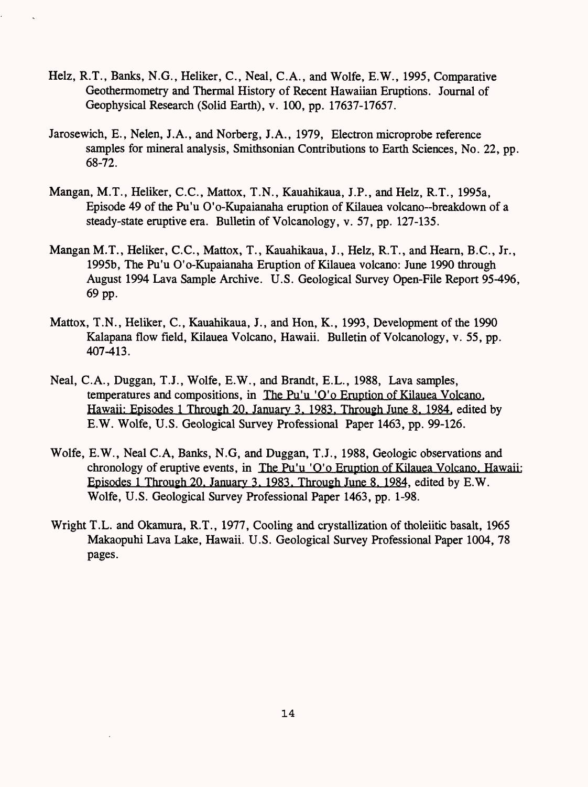- Helz, R.T., Banks, N.G., Heliker, C., Neal, C.A., and Wolfe, E.W., 1995, Comparative Geothermometry and Thermal History of Recent Hawaiian Eruptions. Journal of Geophysical Research (Solid Earth), v. 100, pp. 17637-17657.
- Jarosewich, E., Nelen, J.A., and Norberg, J.A., 1979, Electron microprobe reference samples for mineral analysis, Smithsonian Contributions to Earth Sciences, No. 22, pp. 68-72.
- Mangan, M.T., Heliker, C.C., Mattox, T.N., Kauahikaua, J.P., and Helz, R.T., 1995a, Episode 49 of the Pu'u O'o-Kupaianaha eruption of Kilauea volcano--breakdown of a steady-state eruptive era. Bulletin of Volcanology, v. 57, pp. 127-135.
- Mangan M.T., Heliker, C.C., Mattox, T., Kauahikaua, J., Helz, R.T., and Heara, B.C., Jr., 1995b, The Pu'u O'o-Kupaianaha Eruption of Kilauea volcano: June 1990 through August 1994 Lava Sample Archive. U.S. Geological Survey Open-File Report 95-496, 69 pp.
- Mattox, T.N., Heliker, C., Kauahikaua, J., and Hon, K., 1993, Development of the 1990 Kalapana flow field, Kilauea Volcano, Hawaii. Bulletin of Volcanology, v. 55, pp. 407-413.
- Neal, C.A., Duggan, T.J., Wolfe, E.W., and Brandt, E.L., 1988, Lava samples, temperatures and compositions, in The Pu'u 'O'o Eruption of Kilauea Volcano. Hawaii: Episodes 1 Through 20. January 3. 1983. Through June 8. 1984. edited by E.W. Wolfe, U.S. Geological Survey Professional Paper 1463, pp. 99-126.
- Wolfe, E.W., Neal C.A, Banks, N.G, and Duggan, T.J., 1988, Geologic observations and chronology of eruptive events, in The Pu'u 'O'o Eruption of Kilauea Volcano. Hawaii: Episodes 1 Through 20. January 3. 1983. Through June 8. 1984. edited by E.W. Wolfe, U.S. Geological Survey Professional Paper 1463, pp. 1-98.
- Wright T.L. and Okamura, R.T., 1977, Cooling and crystallization of tholeiitic basalt, 1965 Makaopuhi Lava Lake, Hawaii. U.S. Geological Survey Professional Paper 1004, 78 pages.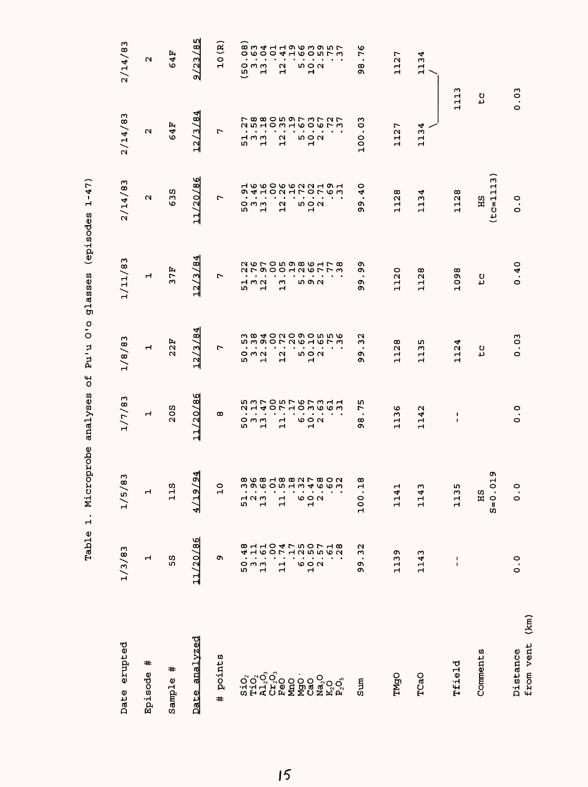| Date erupted                                                                      | 1/3/83                                                                                                                                                                                                                                                                                                                                                                                                                                                                                                                                        | 83<br>1/5/                                   | 1/7/83                        | 1/8/83                                                   | 1/11/83                         | 2/14/83                                    | 2/14/83                                                                                                                                                                                                                                                                                                                                                                                                                                                                        | 2/14/83                                                        |
|-----------------------------------------------------------------------------------|-----------------------------------------------------------------------------------------------------------------------------------------------------------------------------------------------------------------------------------------------------------------------------------------------------------------------------------------------------------------------------------------------------------------------------------------------------------------------------------------------------------------------------------------------|----------------------------------------------|-------------------------------|----------------------------------------------------------|---------------------------------|--------------------------------------------|--------------------------------------------------------------------------------------------------------------------------------------------------------------------------------------------------------------------------------------------------------------------------------------------------------------------------------------------------------------------------------------------------------------------------------------------------------------------------------|----------------------------------------------------------------|
| #<br>Episode                                                                      | $\mathbf{\mathbf{H}}$                                                                                                                                                                                                                                                                                                                                                                                                                                                                                                                         | $\mathbf{r}$                                 | $\mathbf{\mathbf{r}}$         | $\mathbf{\mathbf{r}}$                                    | Н                               | $\sim$                                     | $\sim$                                                                                                                                                                                                                                                                                                                                                                                                                                                                         | u                                                              |
| #<br>Sample                                                                       | 55                                                                                                                                                                                                                                                                                                                                                                                                                                                                                                                                            | <b>11S</b>                                   | 20S                           | 22F                                                      | 37F                             | 638                                        | 64F                                                                                                                                                                                                                                                                                                                                                                                                                                                                            | 64F                                                            |
| analvzed<br>Date                                                                  | 11/20/86                                                                                                                                                                                                                                                                                                                                                                                                                                                                                                                                      | $\frac{194}{2}$<br>$\frac{4/19}{1}$          | 11/20/86                      | 12/3/8                                                   | 12/3/8                          | 11/20/86                                   | 12/3/8                                                                                                                                                                                                                                                                                                                                                                                                                                                                         | 9/23/85                                                        |
| points<br>#                                                                       | Q,                                                                                                                                                                                                                                                                                                                                                                                                                                                                                                                                            | $\overline{a}$                               | œ                             | L                                                        | r                               | L                                          | r                                                                                                                                                                                                                                                                                                                                                                                                                                                                              | 10(R)                                                          |
|                                                                                   |                                                                                                                                                                                                                                                                                                                                                                                                                                                                                                                                               |                                              |                               |                                                          |                                 |                                            |                                                                                                                                                                                                                                                                                                                                                                                                                                                                                |                                                                |
|                                                                                   | $50 - 1$                                                                                                                                                                                                                                                                                                                                                                                                                                                                                                                                      | 52<br>52<br>52                               | $\frac{1}{2}$ $\frac{1}{2}$   | 5 m 1<br>5<br>1                                          | 5<br>1<br>2<br>1                | $5 - 1$                                    | 5<br>5<br>5<br>5<br>5                                                                                                                                                                                                                                                                                                                                                                                                                                                          | $\bullet$<br>$\bullet$<br>(5 ຕ<br>1<br>1<br>1                  |
|                                                                                   |                                                                                                                                                                                                                                                                                                                                                                                                                                                                                                                                               |                                              | ÷                             |                                                          |                                 |                                            |                                                                                                                                                                                                                                                                                                                                                                                                                                                                                | $\bullet$                                                      |
|                                                                                   |                                                                                                                                                                                                                                                                                                                                                                                                                                                                                                                                               | $\mathbf{1}$                                 | Н<br>$\mathbf{\mathbf{r}}$    | 12                                                       | $\blacksquare$<br>13            | $\overline{12}$                            | 12.                                                                                                                                                                                                                                                                                                                                                                                                                                                                            | $\bullet$<br>12                                                |
|                                                                                   |                                                                                                                                                                                                                                                                                                                                                                                                                                                                                                                                               |                                              |                               |                                                          | $\bullet$                       |                                            |                                                                                                                                                                                                                                                                                                                                                                                                                                                                                |                                                                |
|                                                                                   |                                                                                                                                                                                                                                                                                                                                                                                                                                                                                                                                               |                                              | e a u                         | $\begin{smallmatrix} 1 & 0 \\ 1 & 0 \end{smallmatrix}$   | $\blacksquare$<br>ທ ທ N         |                                            | $\frac{5}{10}$                                                                                                                                                                                                                                                                                                                                                                                                                                                                 | $\blacksquare$<br>$\begin{array}{c}\n5 \\ 0 \\ 1\n\end{array}$ |
|                                                                                   |                                                                                                                                                                                                                                                                                                                                                                                                                                                                                                                                               | 60.4                                         |                               |                                                          | $\bullet$<br>$\blacksquare$     | $\frac{5}{10}$ .                           |                                                                                                                                                                                                                                                                                                                                                                                                                                                                                | $\blacksquare$                                                 |
| $\begin{array}{l} \mathbf{Na_2O} \\ \mathbf{K_2O} \\ \mathbf{P_2O_3} \end{array}$ | $\begin{array}{cc} {\mathbb C} & {\mathbb C} & {\mathbb C} & {\mathbb C} & {\mathbb C} \\ {\mathbb C} & {\mathbb C} & {\mathbb C} & {\mathbb C} & {\mathbb C} \\ {\mathbb C} & {\mathbb C} & {\mathbb C} & {\mathbb C} & {\mathbb C} \\ {\mathbb C} & {\mathbb C} & {\mathbb C} & {\mathbb C} & {\mathbb C} \\ {\mathbb C} & {\mathbb C} & {\mathbb C} & {\mathbb C} & {\mathbb C} \\ {\mathbb C} & {\mathbb C} & {\mathbb C} & {\mathbb C} & {\mathbb C} \\ {\mathbb C} & {\mathbb C} & {\mathbb C} & {\mathbb C} & {\mathbb C} \\ {\mathbb$ | 8981882178023                                | sidaorionen<br>Mutonracuen    |                                                          | 267059861782 700012 8118        | NANONALOLONI<br>PAHONHLOLONI<br>TUDOOONING | $\begin{array}{cccccccccc} . & . & . & . & . & . & . & . \\ . & . & . & . & . & . & . & . \\ . & . & . & . & . & . & . & . \\ . & . & . & . & . & . & . & . \\ . & . & . & . & . & . & . & . \\ . & . & . & . & . & . & . & . \\ . & . & . & . & . & . & . & . \\ . & . & . & . & . & . & . & . \\ . & . & . & . & . & . & . & . \\ . & . & . & . & . & . & . & . \\ . & . & . & . & . & . & . & . \\ . & . & . & . & . & . & . & . \\ . & . & . & . & . & . & . & . \\ . & .$ | 8 m 4 H H 9 6 m 9 m F<br>O WO O 4 H WO W L W                   |
| Sum                                                                               | 32<br>$\bullet$<br>თ<br>თ                                                                                                                                                                                                                                                                                                                                                                                                                                                                                                                     | œ<br>$\mathbf{\vec{a}}$<br>$\bullet$<br>100. | n<br>٣<br>$\bullet$<br>œ<br>ጣ | 32<br>o۱<br>ጣ                                            | ጣ<br>Q,<br>$\bullet$<br>o,<br>ጣ | 0<br>4<br>$\bullet$<br>Q,<br>ጣ             | C <sub>3</sub><br>$\bullet$<br>100.                                                                                                                                                                                                                                                                                                                                                                                                                                            | 76<br>$\bullet$<br>ω<br>Q,                                     |
| TMgO                                                                              | 1139                                                                                                                                                                                                                                                                                                                                                                                                                                                                                                                                          | 1141                                         | 1136                          | .128<br>$\mathbf{\mathbf{r}}$                            | 1120                            | 1128                                       | 1127                                                                                                                                                                                                                                                                                                                                                                                                                                                                           | 1127                                                           |
| TCaO                                                                              | 1143                                                                                                                                                                                                                                                                                                                                                                                                                                                                                                                                          | ω<br>114                                     | 1142                          | m<br>w<br>$\mathbf{\mathbf{r}}$<br>$\mathbf{\mathbf{r}}$ | 1128                            | 1134                                       | 1134                                                                                                                                                                                                                                                                                                                                                                                                                                                                           | 1134                                                           |
|                                                                                   |                                                                                                                                                                                                                                                                                                                                                                                                                                                                                                                                               |                                              |                               |                                                          |                                 |                                            |                                                                                                                                                                                                                                                                                                                                                                                                                                                                                |                                                                |
| Tfield                                                                            | $\frac{1}{1}$                                                                                                                                                                                                                                                                                                                                                                                                                                                                                                                                 | 1135                                         | $\frac{1}{1}$                 | 1124                                                     | 1098                            | 1128                                       | 1113                                                                                                                                                                                                                                                                                                                                                                                                                                                                           |                                                                |
| Comments                                                                          |                                                                                                                                                                                                                                                                                                                                                                                                                                                                                                                                               | $\frac{9}{1}$<br>$\circ$<br>НS<br>$S = 0$ .  |                               | to                                                       | to                              | ω<br>$(tc=111$<br>НS                       | t c                                                                                                                                                                                                                                                                                                                                                                                                                                                                            |                                                                |
| (km)<br>from vent<br>Distance                                                     | $\ddot{o}$ .                                                                                                                                                                                                                                                                                                                                                                                                                                                                                                                                  | $\circ$<br>$\overline{a}$                    | $\frac{1}{2}$                 | 0.03                                                     | 0.40                            | $\frac{0}{0}$                              | 0.03                                                                                                                                                                                                                                                                                                                                                                                                                                                                           |                                                                |

Table 1. Microprobe analyses of Pu'u O'o glasses (episodes 1-47) Table 1. Microprobe analyses of Pu'u O'o glasses (episodes 1-47)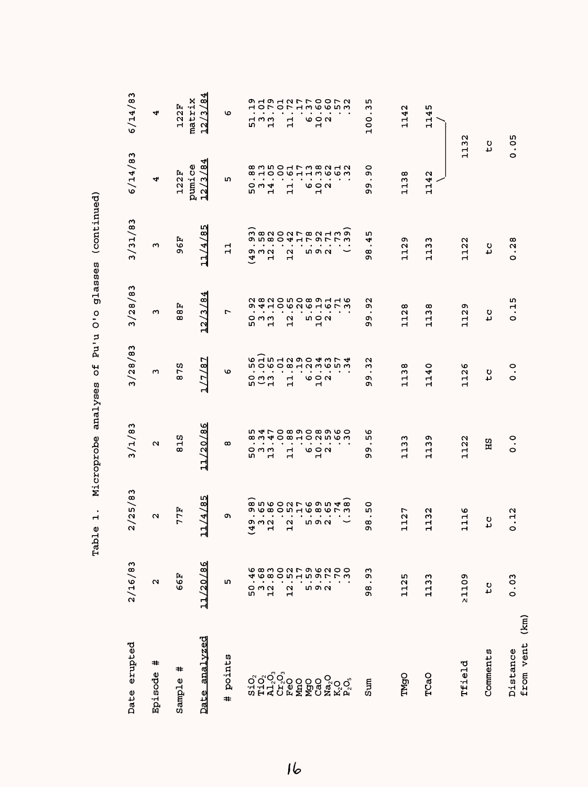| Date erupted                                | 2/16/83                                                   | 2/25/83                                     | 3/1/83                                                     | 3/28/83                                            | 3/28/83                                                 | 3/31/83                                       | 6/14/83                                              | 6/14/83                           |
|---------------------------------------------|-----------------------------------------------------------|---------------------------------------------|------------------------------------------------------------|----------------------------------------------------|---------------------------------------------------------|-----------------------------------------------|------------------------------------------------------|-----------------------------------|
| ≠<br>Episode                                | $\mathbf{\Omega}$                                         | $\sim$                                      | N                                                          | S                                                  | ო                                                       | m                                             | 4                                                    | 4                                 |
| #<br>Sample                                 | 66F                                                       | 77F                                         | 25<br>$\infty$                                             | 78<br>$\infty$                                     | 88F                                                     | 96F                                           | 122F                                                 | matrix<br>122F                    |
| analvzed<br>Date                            | $\frac{8}{6}$<br>11/20                                    | r.<br>ლ<br>$\overline{z}$<br>$\overline{1}$ | ဖ<br>্ছ<br>11/20                                           | $\overline{\mathbf{8}}$<br>$\sqrt{7}$<br>ᆏ         | ঐ<br>$\overline{c}$<br>$\overline{12}$                  | ഗ<br>৺<br>11/4                                | 41<br>œΙ<br>pumice<br>S<br>$\overline{12}$           | 184<br><u>ી</u><br>$\overline{2}$ |
| points<br>#                                 | ഥ                                                         | o                                           | œ                                                          | ৩                                                  | r                                                       | $\mathbf{1}$                                  | m                                                    | ৩                                 |
| $S1O_2$                                     | ი<br>ნ                                                    | $\overline{4}$                              | $^\infty$<br>m                                             |                                                    | m                                                       | $\overline{4}$                                | LΩ,                                                  | m                                 |
|                                             |                                                           | ໑ ຟ ຟ                                       | $\sim$<br>೦೧೧                                              | 5<br>0<br>0<br>1<br>1                              | $\circ$ m m                                             | $\sigma$ $\sigma$ $\alpha$                    | $\sim$ $\sim$ $\sim$                                 | $\overline{a}$ m                  |
|                                             | $\frac{3}{12}$                                            | ۳                                           | 4<br>$\mathbf{\mathbf{r}}$                                 |                                                    | $\mathbf{r}$                                            | ٠<br>$\blacksquare$                           | $\overline{\phantom{0}}$                             | $\mathbf{\mathbf{r}}$             |
|                                             |                                                           |                                             | $\circ$                                                    |                                                    |                                                         |                                               |                                                      |                                   |
|                                             | 12                                                        | $\mathbf{\Omega}$<br>$\mathbf{\mathbf{r}}$  | $\infty$<br>$\mathbf{\mathbf{r}}$<br>$\mathbf{\mathbf{r}}$ | $\bullet$<br>$\mathbf{\mathbf{r}}$<br>$\mathbf{d}$ | 12                                                      | $\mathbf{\Omega}$<br>$\overline{\phantom{a}}$ | $\overline{\phantom{a}}$<br>$\blacksquare$           | $\mathbf{1}$                      |
|                                             |                                                           |                                             |                                                            |                                                    |                                                         |                                               |                                                      |                                   |
|                                             | ທດດ                                                       | $\bullet$<br>ທດດ                            |                                                            | ७००<br>ч                                           | n 0 u<br>1 0                                            | <b>50 N</b>                                   | s<br>a<br>a                                          | s<br>a<br>a<br>a                  |
| ូតិ<br>ដូងស្ថិត<br>ស្ថិត្តិ ដូច្នួន ម៉ូតូតូ | A 6 8 0 0 1 1 1 1 2 2 2 4 0 8 0 1 1 2 2 2 2 4 4 6 8 7 2 4 | 8560276954885800000000000                   | <b>LALCOOCOOOOO</b><br><b>HONNOM</b>                       |                                                    | 282050891162 820508 10                                  | condo de Horongo<br>Na contra de Ma           | 8 10 0 10 11 10 10 10 11<br>8 10 0 10 11 11 10 10 11 | AOLOLHWOODW<br>WAOHOLU            |
|                                             |                                                           |                                             |                                                            |                                                    |                                                         |                                               |                                                      |                                   |
| Sum                                         | ω<br>٥ï<br>$\bullet$<br>98                                | 0<br>LO,<br>œ<br>σ١                         | ৩<br>m<br>٠<br>o۱<br>ጣ                                     | $\sim$<br>Μ<br>$\bullet$<br>ጣ<br>ጣ                 | N<br>o۱<br>ጣ<br>c                                       | ഗ<br>4<br>$\bullet$<br>œ<br>c                 | 0<br>Ō<br>σ١<br>ወነ                                   | m<br>m<br>$\bullet$<br>100        |
| TMgO                                        | 1125                                                      | r<br>$\frac{1}{2}$<br>ᆏ                     | ო<br>113                                                   | ထ<br>113                                           | 128<br>$\mathbf{\mathbf{r}}$                            | ጣ<br>112                                      | 1138                                                 | 1142                              |
| TCaO                                        | ო<br>113                                                  | 32<br>Н                                     | ጣ<br>113                                                   | 0<br>114                                           | $\frac{8}{3}$<br>Н<br>$\mathbf{r}$                      | ო<br>113                                      | 1142                                                 | 1145                              |
| Tfield                                      | 21109                                                     | ৩<br>$\mathbf{\mathbf{r}}$<br>H<br>ᆏ        | 1122                                                       | 1126                                               | ጣ<br>$\tilde{\mathbf{v}}$<br>$\mathbf{\mathbf{r}}$<br>Н | 1122                                          | 1132                                                 |                                   |
| Comments                                    | ς                                                         | υ<br>ى                                      | HS                                                         | t C                                                | ς                                                       | ς                                             | to                                                   |                                   |
| (km)<br>from vent<br>Distance               | 0.03                                                      | N<br><u>ب</u><br>$\circ$                    | $\ddot{\circ}$                                             | $\ddot{\circ}$                                     | $\frac{15}{1}$<br>$\circ$                               | .28<br>$\circ$                                | 0.05                                                 |                                   |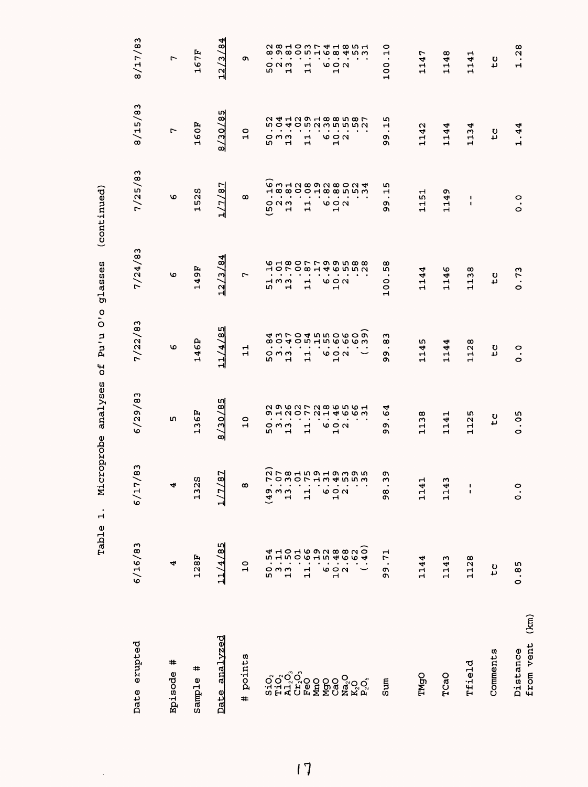| えんてん にんこく<br>ı                         |
|----------------------------------------|
| $\frac{1}{2}$                          |
| ļ<br>j<br>ί                            |
| I<br>$\frac{1}{\zeta}$<br>$\mathbf{1}$ |
| í                                      |
| I<br>ı<br>ļ                            |
| ĺ<br>$\frac{1}{2}$                     |

 $\ddot{\phantom{0}}$ 

| Date erupted                  | 6/16/83                                                                                                                                                                                                                                                                                                                     | $\frac{3}{8}$<br>6/17                                     | 6/29/83                                                                                                                                                                                                                                                                                                                                               | 7/22/83                                         | 7/24/83                                          | 7/25/83                                   | 8/15/83                                                       | 8/17/83                                 |
|-------------------------------|-----------------------------------------------------------------------------------------------------------------------------------------------------------------------------------------------------------------------------------------------------------------------------------------------------------------------------|-----------------------------------------------------------|-------------------------------------------------------------------------------------------------------------------------------------------------------------------------------------------------------------------------------------------------------------------------------------------------------------------------------------------------------|-------------------------------------------------|--------------------------------------------------|-------------------------------------------|---------------------------------------------------------------|-----------------------------------------|
| #<br>Episode                  | 4                                                                                                                                                                                                                                                                                                                           | 4                                                         | m                                                                                                                                                                                                                                                                                                                                                     | ৩                                               | O                                                | O                                         | L                                                             | ٣                                       |
| #<br>Sample                   | 128F                                                                                                                                                                                                                                                                                                                        | S<br>132                                                  | 136F                                                                                                                                                                                                                                                                                                                                                  | 146P                                            | 149F                                             | w<br>52<br>$\mathbf{\mathbf{r}}$          | 160F                                                          | 167F                                    |
| analvzed<br>Date              | 11/4/85                                                                                                                                                                                                                                                                                                                     | 87<br>$1/7$ ,                                             | 8/30/85                                                                                                                                                                                                                                                                                                                                               | 11/4/85                                         | 12/3/84                                          | 1/7/8                                     | 8/30/85                                                       | 12/3/84                                 |
| points<br>#                   | $\frac{0}{1}$                                                                                                                                                                                                                                                                                                               | œ                                                         | $\circ$<br>Н                                                                                                                                                                                                                                                                                                                                          | ᆏ<br>$\mathbf{r}$                               | 1                                                | $\infty$                                  | $\circ$<br>$\mathbf{H}$                                       | ጣ                                       |
|                               |                                                                                                                                                                                                                                                                                                                             |                                                           | $\sim$ $\sim$<br>r                                                                                                                                                                                                                                                                                                                                    | $\bullet$<br>w                                  | w                                                | m                                         | $\bullet$<br>w                                                | r                                       |
|                               |                                                                                                                                                                                                                                                                                                                             | $(49 - 1)$                                                | $\blacksquare$<br>$\circ$ m $\circ$<br>$\blacksquare$                                                                                                                                                                                                                                                                                                 | $\bullet$<br>$\bullet$<br>っぃぃ<br>$\blacksquare$ | ႕ ო ო<br>$\mathbf{\mathbf{r}}$                   | $\circ$ $\circ$ $\circ$<br>$\blacksquare$ | $\blacksquare$<br>$\bullet$<br>o m m<br>$\mathbf{\mathbf{r}}$ | $\circ$ $\circ$ $\circ$<br>$\mathbf{H}$ |
|                               |                                                                                                                                                                                                                                                                                                                             | $\frac{1}{11}$                                            | $\bullet$<br>$\mathbf{1}$                                                                                                                                                                                                                                                                                                                             | $\cdot$<br>$\mathbf{1}$                         | $\mathbf{1}$                                     | $\mathbf{\mathbf{H}}$<br>$\blacksquare$   | $\bullet$<br>11                                               | $\frac{1}{11}$                          |
|                               |                                                                                                                                                                                                                                                                                                                             |                                                           | $\bullet$<br>$\bullet$                                                                                                                                                                                                                                                                                                                                | $\bullet$<br>$\bullet$                          |                                                  |                                           | $\cdot$<br>$\bullet$                                          |                                         |
|                               |                                                                                                                                                                                                                                                                                                                             |                                                           | $\bullet$                                                                                                                                                                                                                                                                                                                                             | $\bullet$                                       |                                                  |                                           | $\bullet$                                                     | ÷,                                      |
|                               |                                                                                                                                                                                                                                                                                                                             | $\frac{1}{2}$ $\frac{1}{2}$ $\frac{1}{2}$                 | e a u                                                                                                                                                                                                                                                                                                                                                 | $\bullet$<br>$\bullet$<br>e a u                 | 6000                                             | ७००<br>$\mathbf{r}$                       | ٠<br>$\bullet$<br>e a u                                       | 692                                     |
| ៜ៰៓៰៓<br>ៜ៓៓៰៓៓               | $\begin{array}{ccc} 2 & 1 & 1 & 0 & 1 & 0 \\ 0 & 0 & 1 & 1 & 0 & 0 \\ 0 & 0 & 0 & 0 & 0 & 0 \\ 0 & 0 & 0 & 0 & 0 & 0 \\ 0 & 0 & 0 & 0 & 0 & 0 \\ 0 & 0 & 0 & 0 & 0 & 0 \\ 0 & 0 & 0 & 0 & 0 & 0 \\ 0 & 0 & 0 & 0 & 0 & 0 \\ 0 & 0 & 0 & 0 & 0 & 0 \\ 0 & 0 & 0 & 0 & 0 & 0 \\ 0 & 0 & 0 & 0 & 0 & 0 \\ 0 & 0 & 0 & 0 & 0 &$ | フワ 8 ユ 5 0 ユ 5 カ 4 0 0 0 0 0<br>フ 0 0 0 フ ユ 3 4 0 0 0 0 0 | 2 9 9 9 7 7 9 9 9 9 9 9 9<br>2 9 9 9 7 9 9 9 9 9 9 9<br>$\ddot{a}$ , $\ddot{a}$ , $\ddot{a}$ , $\ddot{a}$ , $\ddot{a}$ , $\ddot{a}$ , $\ddot{a}$ , $\ddot{a}$ , $\ddot{a}$ , $\ddot{a}$ , $\ddot{a}$ , $\ddot{a}$ , $\ddot{a}$ , $\ddot{a}$ , $\ddot{a}$ , $\ddot{a}$ , $\ddot{a}$ , $\ddot{a}$ , $\ddot{a}$ , $\ddot{a}$ , $\ddot{a}$ , $\ddot{a}$ , | Outrooou<br>Outrooou                            | 101001465561616<br>horomi4651616                 |                                           | <b>241291885872412918858</b>                                  |                                         |
| Sum                           | 99.71                                                                                                                                                                                                                                                                                                                       | c<br>Μ<br>.<br>თ                                          | ↤<br>ف<br>÷,<br>o,<br>c                                                                                                                                                                                                                                                                                                                               | w<br>œ<br>$\bullet$<br>ጣ<br>ጣ                   | œ<br>w<br>$\bullet$<br>100                       | w<br>Н<br>$\bullet$<br>o<br>c             | w<br>Н<br>$\bullet$<br>Q)<br>c                                | 0<br>100.1                              |
|                               |                                                                                                                                                                                                                                                                                                                             |                                                           |                                                                                                                                                                                                                                                                                                                                                       |                                                 |                                                  |                                           |                                                               |                                         |
| TMgO                          | 1144                                                                                                                                                                                                                                                                                                                        | H<br>114                                                  | 1138                                                                                                                                                                                                                                                                                                                                                  | w<br>114                                        | 1144                                             | 1151                                      | 1142                                                          | 1147                                    |
| TCaO                          | 1143                                                                                                                                                                                                                                                                                                                        | ω<br>114                                                  | 1141                                                                                                                                                                                                                                                                                                                                                  | ٣<br>114.                                       | G<br>$\overline{14}$<br>$\overline{\phantom{0}}$ | ጣ<br>114                                  | 1144                                                          | œ<br>114                                |
| Tfield                        | 1128                                                                                                                                                                                                                                                                                                                        | $\frac{1}{1}$                                             | w<br>112                                                                                                                                                                                                                                                                                                                                              | œ<br>112                                        | œ<br>$\sim$<br>$\mathbf{H}$<br>$\mathbf{H}$      | J.<br>$\mathbf I$                         | 1134                                                          | 1141                                    |
| Comments                      | to<br>C                                                                                                                                                                                                                                                                                                                     |                                                           | t c                                                                                                                                                                                                                                                                                                                                                   | tc                                              | t c                                              |                                           | $\mathbf{r}$                                                  | t C                                     |
| (km)<br>from vent<br>Distance | 0.85                                                                                                                                                                                                                                                                                                                        | $\frac{0}{0}$                                             | 0.05                                                                                                                                                                                                                                                                                                                                                  | $\frac{0}{0}$                                   | 0.73                                             | $\frac{0}{0}$                             | 1.44                                                          | 1.28                                    |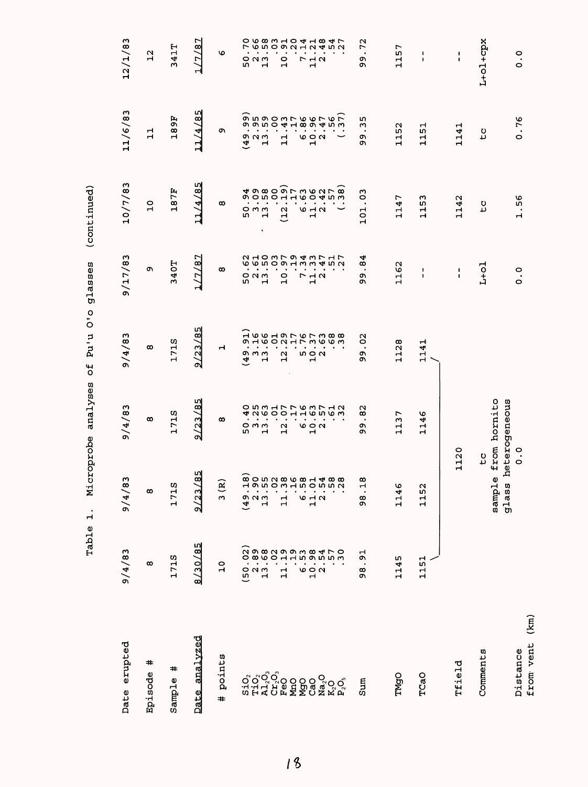| Date erupted        | 9/4/83                                       | ω<br>9/4/8                         | 9/4/83                                                                                                                                                                                                                                                                                                                                                                                                                                                                         | 9/4/83        | 9/17/83                                                                                                                                                                                                                                                                                                                                                                                                                                                                         | 10/7/83               | 11/6/83            | 12/1/83                                                                           |
|---------------------|----------------------------------------------|------------------------------------|--------------------------------------------------------------------------------------------------------------------------------------------------------------------------------------------------------------------------------------------------------------------------------------------------------------------------------------------------------------------------------------------------------------------------------------------------------------------------------|---------------|---------------------------------------------------------------------------------------------------------------------------------------------------------------------------------------------------------------------------------------------------------------------------------------------------------------------------------------------------------------------------------------------------------------------------------------------------------------------------------|-----------------------|--------------------|-----------------------------------------------------------------------------------|
| #<br>Episode        | $\infty$                                     | $\infty$                           | $\infty$                                                                                                                                                                                                                                                                                                                                                                                                                                                                       | $\infty$      | c                                                                                                                                                                                                                                                                                                                                                                                                                                                                               | $\overline{10}$       | 급                  | $\frac{2}{1}$                                                                     |
| #<br>Sample         | 171S                                         | 171S                               | 171S                                                                                                                                                                                                                                                                                                                                                                                                                                                                           | 171S          | 340T                                                                                                                                                                                                                                                                                                                                                                                                                                                                            | 187F                  | 189F               | 341T                                                                              |
| Date analvzed       | 8/30/85                                      | $\frac{5}{8}$<br>9/23              | 9/23/85                                                                                                                                                                                                                                                                                                                                                                                                                                                                        | 9/23/85       | 1/7/87                                                                                                                                                                                                                                                                                                                                                                                                                                                                          | 11/4/85               | ru)<br>11/4/8      | 1/7/87                                                                            |
| points<br>$\ddot{}$ | $\overline{a}$                               | 3(R)                               | $\infty$                                                                                                                                                                                                                                                                                                                                                                                                                                                                       | ᆏ             | $\infty$                                                                                                                                                                                                                                                                                                                                                                                                                                                                        | $\infty$              | o,                 | O                                                                                 |
|                     |                                              | ਼∺                                 |                                                                                                                                                                                                                                                                                                                                                                                                                                                                                |               |                                                                                                                                                                                                                                                                                                                                                                                                                                                                                 |                       |                    |                                                                                   |
|                     | $\begin{array}{c}\n0 \\ 0 \\ 1\n\end{array}$ | $49$ $13$                          | 5 m m<br>5 m                                                                                                                                                                                                                                                                                                                                                                                                                                                                   | $49 - 13$     | 52<br>13                                                                                                                                                                                                                                                                                                                                                                                                                                                                        |                       | 901.4              | 523<br>52                                                                         |
|                     |                                              |                                    | $\bullet$                                                                                                                                                                                                                                                                                                                                                                                                                                                                      |               |                                                                                                                                                                                                                                                                                                                                                                                                                                                                                 |                       |                    |                                                                                   |
|                     | ၎                                            | $\frac{1}{11}$                     | $\frac{1}{2}$ .                                                                                                                                                                                                                                                                                                                                                                                                                                                                | $\frac{1}{2}$ | $\overline{10}$                                                                                                                                                                                                                                                                                                                                                                                                                                                                 | (12.                  | $\mathbf{1}$       | $\frac{0}{1}$                                                                     |
|                     |                                              |                                    |                                                                                                                                                                                                                                                                                                                                                                                                                                                                                |               |                                                                                                                                                                                                                                                                                                                                                                                                                                                                                 |                       |                    |                                                                                   |
|                     | 6920                                         | $0.000$<br>$0.0000$<br>$0.0000$    | $6.7$<br>$10.2$                                                                                                                                                                                                                                                                                                                                                                                                                                                                | $\frac{1}{2}$ | $\begin{array}{c}\n7 \\ 1\n\end{array}$                                                                                                                                                                                                                                                                                                                                                                                                                                         | $6.6$<br>$12.2$       | 694                | $\begin{array}{c}\n7 \\ 1\n\end{array}$                                           |
|                     |                                              | <b><u>gonvader 488</u></b>         | $\begin{array}{cccccccccc} . & . & . & . & . & . & . & . \\ . & . & . & . & . & . & . & . \\ . & . & . & . & . & . & . & . \\ . & . & . & . & . & . & . & . \\ . & . & . & . & . & . & . & . \\ . & . & . & . & . & . & . & . \\ . & . & . & . & . & . & . & . \\ . & . & . & . & . & . & . & . \\ . & . & . & . & . & . & . & . \\ . & . & . & . & . & . & . & . \\ . & . & . & . & . & . & . & . \\ . & . & . & . & . & . & . & . \\ . & . & . & . & . & . & . & . \\ . & .$ |               | $\begin{array}{cccccccccc} . & . & . & . & . & . & . & . \\ . & . & . & . & . & . & . & . \\ . & . & . & . & . & . & . \\ . & . & . & . & . & . & . \\ . & . & . & . & . & . & . \\ . & . & . & . & . & . & . \\ . & . & . & . & . & . & . \\ . & . & . & . & . & . & . \\ . & . & . & . & . & . & . \\ . & . & . & . & . & . & . \\ . & . & . & . & . & . & . \\ . & . & . & . & . & . & . \\ . & . & . & . & . & . & . \\ . & . & . & . & . & . & . \\ . & . & . & . & . & .$ |                       |                    | <b>ひら83104184706831041847</b><br>$\begin{array}{c}\n 0 \\  0 \\  0\n \end{array}$ |
| sum                 | $\overline{5}$<br>98                         | $\infty$<br>Ļ<br>98                | $\frac{2}{8}$<br>$\bullet$<br>o۱<br>Ō                                                                                                                                                                                                                                                                                                                                                                                                                                          | S<br>99       | $\overline{8}$<br>$\bullet$<br>o۱<br>ጣ                                                                                                                                                                                                                                                                                                                                                                                                                                          | C <sub>2</sub><br>101 | m<br>w<br>o۱<br>ዕነ | 72<br>$\cdot$<br>o۱<br>o۱                                                         |
| TMgO                | 1145                                         | 1146                               | 1137                                                                                                                                                                                                                                                                                                                                                                                                                                                                           | 1128          | 1162                                                                                                                                                                                                                                                                                                                                                                                                                                                                            | 1147                  | 1152               | 1157                                                                              |
| TCaO                | 1151                                         | 1152                               | 1146                                                                                                                                                                                                                                                                                                                                                                                                                                                                           | 1141          | ı<br>$\mathbf{I}$                                                                                                                                                                                                                                                                                                                                                                                                                                                               | 1153                  | 1151               | 1<br>$\blacksquare$                                                               |
| Tfield              |                                              | 1120                               |                                                                                                                                                                                                                                                                                                                                                                                                                                                                                |               | $\pmb{\mathsf{I}}$<br>$\pmb{\mathsf{I}}$                                                                                                                                                                                                                                                                                                                                                                                                                                        | 1142                  | 1141               | $\frac{1}{4}$                                                                     |
| Comments            |                                              | <b>D</b><br>$\mathbf{0}$<br>sample | from hornito                                                                                                                                                                                                                                                                                                                                                                                                                                                                   |               | $L+o1$                                                                                                                                                                                                                                                                                                                                                                                                                                                                          | t c                   | t c                | L+ol+cpx                                                                          |
| Distance            |                                              | glass                              | heterogeneous<br>$\frac{0}{0}$                                                                                                                                                                                                                                                                                                                                                                                                                                                 |               | $\frac{1}{\circ}$                                                                                                                                                                                                                                                                                                                                                                                                                                                               | 1.56                  | 0.76               | $\frac{0}{0}$                                                                     |
| from vent (km)      |                                              |                                    |                                                                                                                                                                                                                                                                                                                                                                                                                                                                                |               |                                                                                                                                                                                                                                                                                                                                                                                                                                                                                 |                       |                    |                                                                                   |

 $1<sup>8</sup>$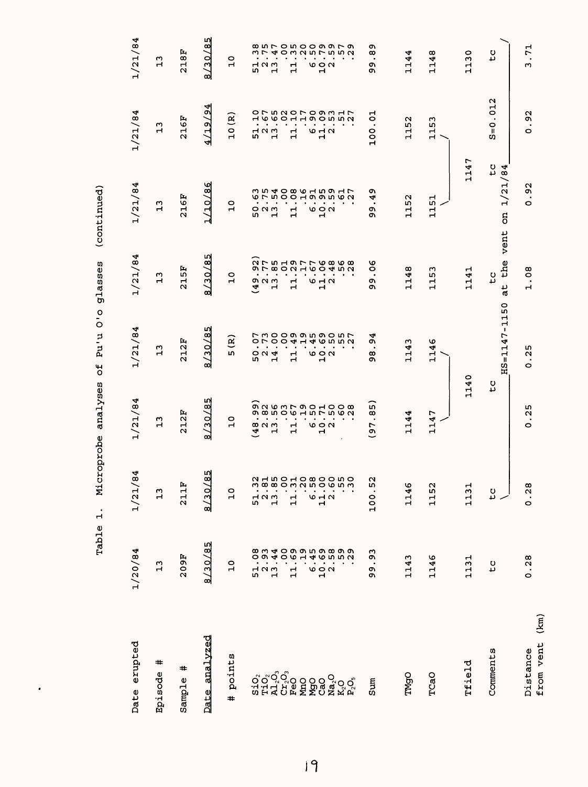| Date erupted                                                                      | 1/20/84        | 84<br>1/21/                               | 1/21/84                                                                   | 1/21/84                           | 1/21/84                                                                | 1/21/84                              | 1/21/84                                  | 1/21/84                                                           |
|-----------------------------------------------------------------------------------|----------------|-------------------------------------------|---------------------------------------------------------------------------|-----------------------------------|------------------------------------------------------------------------|--------------------------------------|------------------------------------------|-------------------------------------------------------------------|
| #<br>Episode                                                                      | 13             | 13                                        | $\mathbf{L}$                                                              | $\mathbf{L}$                      | $\mathbf{L}$                                                           | $\mathbf{L}^2$                       | 13                                       | 13                                                                |
| #<br>Sample                                                                       | 209F           | fr.<br>2111                               | 212F                                                                      | 212F                              | 215F                                                                   | 216F                                 | 216F                                     | 218F                                                              |
| analvzed<br>Date                                                                  | 8/30/85        | /85<br>8/30                               | 8/30/85                                                                   | 8/30/85                           | 8/30/85                                                                | 1/10/86                              | 4/19/9                                   | 8/30/85                                                           |
| points<br>$\ddot{}$                                                               | $\frac{0}{1}$  | $\overline{10}$                           | $\overline{a}$                                                            | ି<br>m                            | $\overline{a}$                                                         | $\overline{a}$                       | 10(R)                                    | $\overline{C}$                                                    |
|                                                                                   |                |                                           |                                                                           |                                   |                                                                        |                                      |                                          |                                                                   |
|                                                                                   |                |                                           | ٠<br>82<br>42<br>13                                                       |                                   | $\bullet$<br>o u w<br>$\tilde{\mathbf{a}}$                             | 52<br>52<br>52                       | 52<br>52<br>52                           |                                                                   |
| ororo<br>១០១១១<br>១ដុល្លិច                                                        |                | m<br>$\frac{1}{2}$ $\frac{1}{2}$          | $\bullet$<br>$\bullet$                                                    | $\bullet$<br>52<br>52<br>52       | $\bullet$<br>٠<br>$\mathbf{r}$                                         |                                      |                                          | 52<br>52<br>5                                                     |
|                                                                                   |                |                                           | $\bullet$                                                                 |                                   | $\bullet$                                                              |                                      |                                          |                                                                   |
|                                                                                   |                | $\mathbf{1}$                              | $\bullet$<br>$\vec{1}$                                                    | $\mathbf{1}$                      | $\mathbf{1}$                                                           | $\mathbf{1}$                         | $\mathbf{1}$                             | $\frac{1}{1}$                                                     |
| NmO<br>MgO                                                                        |                |                                           | $\bullet$<br>٠                                                            |                                   | $\bullet$<br>$\bullet$                                                 |                                      |                                          |                                                                   |
| ဥ္မ်ဳိ                                                                            |                | $\frac{1}{9}$ $\frac{1}{1}$ $\frac{1}{2}$ | $\ddot{\phantom{0}}$<br>$\omega \circ \alpha$<br>$\overline{\phantom{0}}$ | ०००<br>$\blacksquare$             | $\bullet$<br>$\omega$ $\rightarrow$ $\sim$<br>$\overline{\phantom{0}}$ | 694                                  | 642                                      | 692                                                               |
|                                                                                   |                |                                           |                                                                           |                                   |                                                                        |                                      |                                          |                                                                   |
| $\begin{array}{l} \mathbf{Na_2O} \\ \mathbf{K_2O} \\ \mathbf{P_2O_3} \end{array}$ |                | <b>NHIDOHOWOONO</b><br><u>ი ო</u>         |                                                                           | フ30099590577000000000000000000000 |                                                                        | <b>らりもののあるとうのうりつ しっとりつう こうしりょうしう</b> | <b>ひてら こ ひての つうこ こくりつき こうのし こうのう こうり</b> | 8 N L O N O O O O L O<br>8 N L O N O O O O L O<br><b>OMNUNUON</b> |
| Sum                                                                               | .93<br>c<br>Q) | u<br>100.5                                | $\overline{8}$<br>$\bullet$<br>(97)                                       | 94<br>œ<br>o,                     | $\frac{8}{3}$<br>c<br>O)                                               | ጣ<br>4<br>$\bullet$<br>o,<br>ጣ       | 5<br>100                                 | ጣ<br>œ<br>$\bullet$<br>o.<br>o.                                   |
|                                                                                   |                |                                           |                                                                           |                                   |                                                                        |                                      |                                          |                                                                   |
| <b>TMgO</b>                                                                       | 1143           | 1146                                      | 1144                                                                      | 1143                              | 1148                                                                   | 1152                                 | 1152                                     | 1144                                                              |
| TCaO                                                                              | 1146           | 1152                                      | 1147                                                                      | 1146                              | ω<br>115                                                               | 1151                                 | 1153                                     | 1148                                                              |
| Tfield                                                                            | 1131           | 1131                                      | 1140                                                                      |                                   | 1141                                                                   | 1147                                 |                                          | 1130                                                              |
| Comments                                                                          | $\overline{c}$ | $\frac{0}{2}$                             | م<br>1                                                                    | HS=1147-1150                      | vent<br>the<br>t C<br>άt                                               | to<br>/84<br>1/21<br>ã               | .012<br>$S = 0$                          | to                                                                |
| (km)<br>from vent<br>Distance                                                     | 0.28           | 0.28                                      | 25<br>$\bullet$<br>0                                                      | .25<br>O                          | .08<br>$\overline{\phantom{0}}$                                        | .92<br>O                             | .92<br>$\circ$                           | .71<br>ω                                                          |

 $\ddot{\phantom{0}}$ 

 $|9$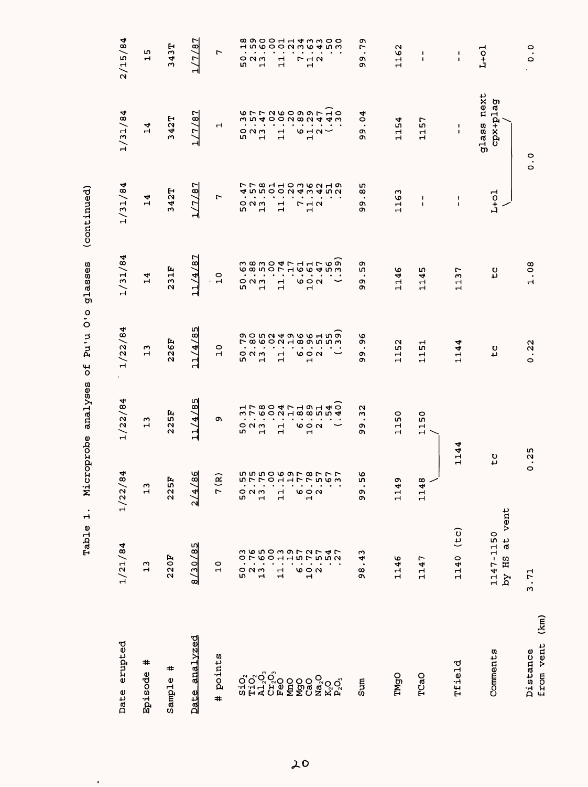| Date erupted                  | 1/21/84                       | 84<br>1/22/                                   | 1/22/84                                | 1/22/84          | 1/31/84          | 1/31/84                                 | 1/31/84                                                                          | 2/15/84                                                                                                                                                      |
|-------------------------------|-------------------------------|-----------------------------------------------|----------------------------------------|------------------|------------------|-----------------------------------------|----------------------------------------------------------------------------------|--------------------------------------------------------------------------------------------------------------------------------------------------------------|
| #<br>Episode                  | 13                            | $\mathbf{r}$                                  | $\mathbf{r}$                           | $\frac{1}{2}$    | 14               | 14                                      | 14                                                                               | w<br>н                                                                                                                                                       |
| #<br>Sample                   | 220F                          | Ŀ,<br>225                                     | 225F                                   | 226F             | 231F             | 342T                                    | 342T                                                                             | 343T                                                                                                                                                         |
| Date analyzed                 | 8/30/85                       | 86<br>$\frac{2}{4}$                           | L∩<br>11/4/8                           | 11/4/8           | 11/4/87          | 1/7/87                                  | 1/7/87                                                                           | 1/7/87                                                                                                                                                       |
| # points                      | $\frac{0}{1}$                 | ନ୍ଦ<br>$\overline{r}$                         | c                                      | $\frac{0}{1}$    | $\frac{1}{10}$   | L                                       | Н                                                                                | L                                                                                                                                                            |
|                               |                               |                                               |                                        |                  |                  |                                         |                                                                                  |                                                                                                                                                              |
|                               |                               | urrouurrugw<br>$\frac{1}{2}$ $\frac{1}{2}$    |                                        | 52<br>52<br>1    |                  | 52<br>52<br>52                          | $\begin{array}{c} 0.7730000004 \\ 0.7740000004 \\ \end{array}$<br>52<br>52<br>52 | $\begin{array}{cccccccccc} . & . & . & . & . & . & . & . \\ . & . & . & . & . & . & . & . \\ . & . & . & . & . & . & . & . \\ \end{array}$<br>52<br>52<br>52 |
|                               |                               |                                               |                                        |                  |                  |                                         |                                                                                  |                                                                                                                                                              |
|                               |                               | $\frac{1}{11}$ .                              |                                        | $\frac{1}{1}$    |                  | $\frac{1}{1}$                           | $\mathbf{1}$                                                                     | 11                                                                                                                                                           |
|                               |                               |                                               |                                        |                  |                  |                                         |                                                                                  |                                                                                                                                                              |
|                               |                               |                                               |                                        |                  |                  |                                         |                                                                                  |                                                                                                                                                              |
|                               |                               | $\frac{1}{2}$ o $\frac{1}{2}$ o $\frac{1}{2}$ |                                        | e a u<br>H       |                  | $\begin{array}{c}\n7 \\ 1\n\end{array}$ | $640 -$                                                                          | $\begin{array}{c}\n7 \\ 7 \\ 1\n\end{array}$                                                                                                                 |
|                               |                               |                                               |                                        |                  |                  |                                         |                                                                                  |                                                                                                                                                              |
|                               | 547                           |                                               |                                        |                  |                  | $\frac{1}{2}$                           | $\frac{1}{40}$<br>m                                                              |                                                                                                                                                              |
| Sum                           | 43<br>98                      | 95<br>თ<br>თ                                  | $\mathbf{\mathsf{a}}$<br>ω<br>Q)<br>Ō, | ৩<br>ā<br>c<br>ö | ጣ<br>m<br>c<br>Ó | 85<br>$\bullet$<br>99                   | 4<br>$\circ$<br>$\bullet$<br>თ<br>თ                                              | 79<br>$\bullet$<br>თ<br>თ                                                                                                                                    |
| TMgO                          | 1146                          | c<br>114                                      | 1150                                   | 1152             | 1146             | 1163                                    | 1154                                                                             | 1162                                                                                                                                                         |
| TCaO                          | 1147                          | œ<br>114                                      | 1150                                   | 1151             | 1145             | J.<br>$\mathbf{I}$                      | 57<br>급                                                                          | $\frac{1}{4}$                                                                                                                                                |
|                               |                               |                                               |                                        |                  |                  |                                         |                                                                                  |                                                                                                                                                              |
| Tfield                        | 1140 (tc)                     | 1144                                          |                                        | 1144             | 1137             | $\frac{1}{4}$                           | $\blacksquare$<br>$\mathbf I$                                                    | $\frac{1}{1}$                                                                                                                                                |
| Comments                      | at vent<br>1147-1150<br>BI Yd | t C                                           |                                        | $\overline{c}$   | م م              | $L+o1$                                  | glass next<br>cpx+plag                                                           | $L+O1$                                                                                                                                                       |
| (km)<br>from vent<br>Distance | 3.71                          | 0.25                                          |                                        | 0.22             | 1.08             |                                         | $\ddot{\circ}$<br>$\circ$                                                        | $\ddot{o}$ .                                                                                                                                                 |
|                               |                               |                                               |                                        |                  |                  |                                         |                                                                                  |                                                                                                                                                              |

 $\ddot{\phantom{1}}$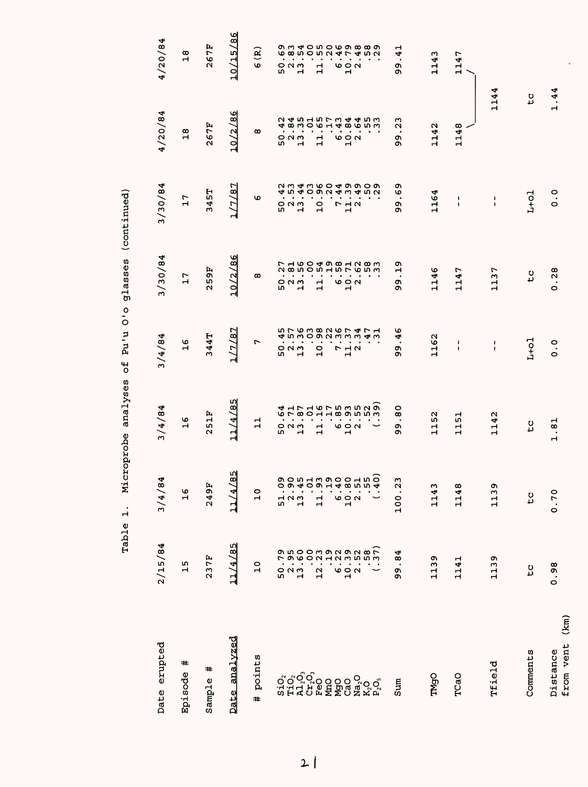| Date erupted                       | 2/15/84                                | 3/4/84         | 3/4/84                                                                                      | 3/4/84                                                          | 3/30/84                                   | 3/30/84                                                           | 4/20/84                                               | 4/20/84                                                                        |
|------------------------------------|----------------------------------------|----------------|---------------------------------------------------------------------------------------------|-----------------------------------------------------------------|-------------------------------------------|-------------------------------------------------------------------|-------------------------------------------------------|--------------------------------------------------------------------------------|
| #<br>Episode                       | 15                                     | $\frac{6}{1}$  | $\frac{6}{1}$                                                                               | ဖ<br>$\blacksquare$                                             | 7<br>$\mathbf{\mathbf{r}}$                | 17                                                                | œ<br>$\mathbf{H}$                                     | $\infty$<br>$\mathbf{H}$                                                       |
| #<br>Sample                        | 237F                                   | 249F           | 51F<br>$\mathbf{\tilde{N}}$                                                                 | 344T                                                            | 9F<br>LΩ,<br>Σ                            | 345T                                                              | 267F                                                  | 267F                                                                           |
| analyzed<br>Date                   | 11/4/85                                | Lη<br>11/4/8   | m<br>11/4/8                                                                                 | 1/7/87                                                          | 10/2/86                                   | /87<br>L7.                                                        | 10/2/86                                               | 10/15/86                                                                       |
| points<br>#                        | $\circ$<br>$\mathbf{H}$                | $\frac{0}{1}$  | $\Xi$                                                                                       | r                                                               | œ                                         | ١o                                                                | ထ                                                     | $\mathbf{R}$<br><b>v</b>                                                       |
|                                    |                                        |                | $\bullet$<br>m                                                                              | $\bullet$                                                       | $\bullet$<br>m                            | $\bullet$                                                         | $\bullet$<br>w                                        | $\bullet$<br>w                                                                 |
|                                    |                                        |                | $\bullet$<br>o u w                                                                          | $\blacksquare$<br>523<br>52                                     | $\blacksquare$<br>$\circ$ $\circ$         | $\blacksquare$<br>52<br>52<br>13                                  | $\blacksquare$<br>៰៷៳                                 | $\blacksquare$<br>៰៷៳                                                          |
| oroco<br>HHZ<br>CH                 |                                        |                | $\bullet$<br>ᆏ                                                                              | $\bullet$                                                       | $\bullet$<br>ᆏ                            | $\bullet$                                                         | ᆏ                                                     | $\mathbf{H}$                                                                   |
|                                    |                                        |                | <b>4 エアエるアちらちろうよう 4 エアエるアちらうちょう</b><br>$\bullet$<br>$\bullet$<br>ᆏ<br>$\mathbf{\mathbf{d}}$ | ちてるろめ2674715763825111<br>$\cdot$<br>$\bullet$<br>$\overline{a}$ | 28505157653<br>$\bullet$<br>$\frac{1}{1}$ | 234360499092215409243452<br>$\cdot$<br>$\bullet$<br>$\frac{0}{1}$ | 24515734453<br>$\bullet$<br>$\bullet$<br>$\mathbf{1}$ | <b>OU40HOOQOQ</b><br><b>G</b> @ E Q E Q E Q E Q E Q U Q<br>$\bullet$<br>ᆏ<br>Н |
| <b>PeO</b><br>MnO                  |                                        |                | $\bullet$                                                                                   | $\bullet$                                                       | ٠                                         | $\bullet$                                                         | $\bullet$                                             | $\bullet$                                                                      |
|                                    |                                        |                | $\bullet$                                                                                   | $\bullet$                                                       | $\bullet$                                 | $\bullet$                                                         |                                                       | $\bullet$                                                                      |
|                                    |                                        |                | $\sim$<br>00N<br>$\blacksquare$                                                             | $\begin{array}{c}\n7 \\ 1\n\end{array}$                         | $\bullet$<br>७००<br>$\mathbf{H}$          | $\bullet$<br>712                                                  | $\bullet$ .<br>$\bullet$<br>00N<br>$\blacksquare$     | $\bullet$<br>00N<br>$\mathbf{H}$                                               |
|                                    |                                        |                |                                                                                             |                                                                 | $\bullet$                                 | $\bullet$                                                         | $\bullet$                                             | $\bullet$                                                                      |
| <b>ទី១</b><br>កំពុំបំបុ័<br>ឯកស្រុ |                                        | $.55$<br>$.40$ |                                                                                             |                                                                 |                                           | $\cdot$ $\cdot$                                                   |                                                       |                                                                                |
| sum                                | $\overline{8}$<br>$\bullet$<br>Q,<br>ö | 100.23         | $\circ$<br>$\infty$<br>$\bullet$<br>ጣ<br>ጣ                                                  | O<br>4<br>$\bullet$<br>ጣ<br>ጣ                                   | ጣ<br>ᆏ<br>o۱<br>σ١                        | o<br>O<br>$\bullet$<br>o۱<br>ጣ                                    | S<br>U<br>$\bullet$<br>c.<br>ጣ                        | Н<br>4<br>$\bullet$<br>ጣ<br>ጣ                                                  |
| TMgO                               | 1139                                   | 1143           | 52<br>Н<br>ᅱ                                                                                | 1162                                                            | 46<br>ᆏ<br>Н                              | 1164                                                              | 42<br>급                                               | 1143                                                                           |
| TCaO                               | 1141                                   | 1148           | <u>უ</u><br>Н<br>Н                                                                          | 1<br>$\mathbf{I}$                                               | r<br>₹<br>ᆏ<br>Н                          | 1<br>J.                                                           | $\infty$<br>4<br>급                                    | 1147                                                                           |
|                                    |                                        |                |                                                                                             |                                                                 |                                           |                                                                   |                                                       |                                                                                |
| Tfield                             | 1139                                   | 1139           | 1142                                                                                        | 1<br>$\mathbf{I}$                                               | 1137                                      | $\blacksquare$<br>$\mathbf{I}$                                    | 114                                                   | 4                                                                              |
| Comments                           | tc                                     | $\mathsf{C}$   | $\mathbf{c}$                                                                                | $L+o1$                                                          | t c                                       | $L+o1$                                                            | $\mathbf{c}$                                          |                                                                                |
| (km)<br>from vent<br>Distance      | 0.98                                   | 0.70           | .8 <sub>.</sub><br>Н                                                                        | $\frac{0}{0}$                                                   | .28<br>Ó                                  | $\frac{0}{0}$                                                     | 1.44                                                  |                                                                                |

 $\frac{1}{2}$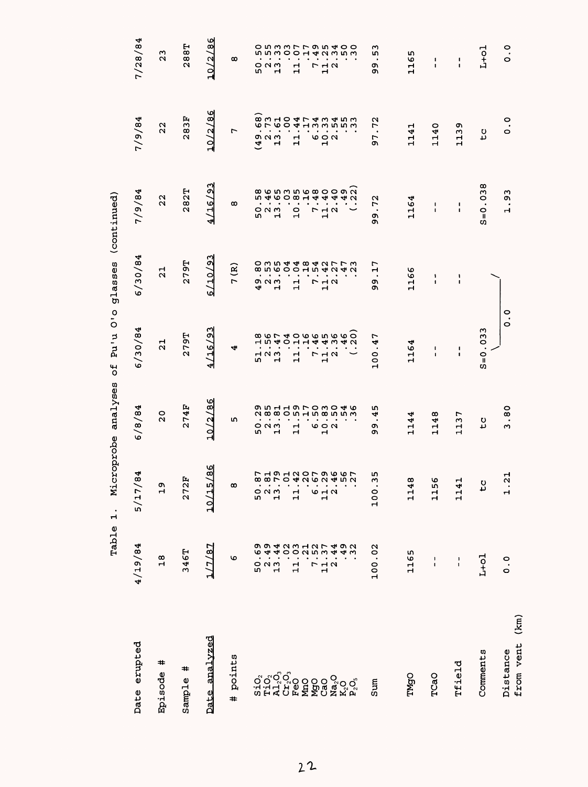| Date erupted                                                                      | 4/19/84                                                   | 84<br>5/17/                 | 6/8/84                                                 | 6/30/84                                              | 6/30/84                                                   | 1/9/84                                             | 1/9/84                                               | 7/28/84                                   |
|-----------------------------------------------------------------------------------|-----------------------------------------------------------|-----------------------------|--------------------------------------------------------|------------------------------------------------------|-----------------------------------------------------------|----------------------------------------------------|------------------------------------------------------|-------------------------------------------|
| #<br>Episode                                                                      | 18                                                        | $\frac{9}{1}$               | $\overline{2}0$                                        | $\frac{1}{2}$                                        | $\overline{a}$                                            | 22                                                 | 22                                                   | $\frac{3}{2}$                             |
| #<br>Sample                                                                       | 346T                                                      | 272F                        | 274F                                                   | 279T                                                 | <b>79T</b>                                                | 282T                                               | 283F                                                 | <b>288T</b>                               |
| <u>analvzed</u><br>Date                                                           | 1/7/87                                                    | 10/15/86                    | 10/2/86                                                | 4/16/9                                               | 6/10/9                                                    | 4/16/9                                             | 10/2/86                                              | 10/2/86                                   |
| points<br>#                                                                       | Φ                                                         | œ                           | w                                                      | 4                                                    | ି<br>$\blacksquare$                                       | œ                                                  | r                                                    | $\infty$                                  |
|                                                                                   |                                                           |                             |                                                        |                                                      |                                                           |                                                    |                                                      |                                           |
|                                                                                   | $\mathbf{\Omega}$<br>50                                   | 50.4                        | 0 N M<br>ŗ,                                            | 52<br>52<br>52                                       | 9<br>2<br>2<br>2<br>2                                     | 52<br>52<br>52                                     | $\sigma$ $\alpha$ $\sigma$<br>$\widehat{\mathbf{A}}$ | <b>いいこつ</b><br>೦೧೧<br>w                   |
|                                                                                   | 13                                                        |                             | $\bullet$<br>Н                                         |                                                      |                                                           |                                                    | $\mathbf{r}$                                         | Н                                         |
|                                                                                   |                                                           |                             |                                                        |                                                      |                                                           |                                                    |                                                      |                                           |
|                                                                                   | 9 9 4 2 9 2 2 4 9 2 4 9 2<br>9 9 4 2 9 2 4 2 7 4 9 2<br>님 | 88704262452<br>$\mathbf{1}$ | O LA HO LO WO 46<br><b>assorthemon</b><br>$\mathbf{1}$ | <b>104011445452</b><br>$\mathbf{1}$                  | 8 D Q Q Q Q H Q 4 U 4 U 4 U 4 U 4 U 4 U 4 U 4 U<br>ᆏ<br>Н | <b>∞ w w w w w o o o w</b><br><b>5346084</b><br>10 | $\mathbf{r}$<br>Н                                    | o n w w r r o n 400<br>$\mathbf{1}$       |
|                                                                                   | r                                                         |                             | $\bullet$                                              | $\bullet$                                            |                                                           |                                                    |                                                      | $\mathbf{r}$                              |
| <b>MgO</b><br>CaO                                                                 | $\mathbf{1}$                                              | 642                         | 692                                                    | $\bullet$<br>$\begin{array}{c}\n7 \\ 1\n\end{array}$ | r<br>$\mathbf{\mathbf{H}}$                                | 4<br>4<br><b>772</b><br>$\mathbf{H}$               | e a u                                                | $\sim$<br>4<br><b>712</b><br>$\mathbf{H}$ |
|                                                                                   | $\mathbf{\Omega}$                                         |                             |                                                        |                                                      | $\rightarrow \infty$                                      | 4                                                  |                                                      |                                           |
| $\begin{array}{l} \mathbf{Na_2O} \\ \mathbf{K_2O} \\ \mathbf{P_2O_3} \end{array}$ |                                                           |                             |                                                        |                                                      |                                                           | 4 0                                                |                                                      | ო ო ო                                     |
|                                                                                   |                                                           |                             |                                                        |                                                      |                                                           |                                                    |                                                      |                                           |
| Sum                                                                               | 100.02                                                    | m<br>$\sim$<br>100.         | m<br>4<br>$\bullet$<br>c<br>Ō,                         | r<br>100.4                                           | r<br>ᆏ<br>$\bullet$<br>o,<br>Ō                            | .72<br>O)<br>Ō,                                    | 72<br>$\bullet$<br>57                                | w<br>r<br>$\bullet$<br>o,<br>Ō,           |
|                                                                                   |                                                           |                             |                                                        |                                                      |                                                           |                                                    |                                                      |                                           |
| TMgO                                                                              | 1165                                                      | œ<br>114                    | 1144                                                   | 1164                                                 | 1166                                                      | 1164                                               | 1141                                                 | S<br>116                                  |
| TCaO                                                                              | 1<br>$\mathbf{I}$                                         | ৩<br>115                    | 1148                                                   | I<br>$\blacksquare$                                  | ١<br>$\pmb{\mathfrak{t}}$                                 | $\frac{1}{1}$                                      | 1140                                                 | 1<br>$\pmb{\mathfrak{g}}$                 |
| Tfield                                                                            | $\frac{1}{1}$                                             | ᆏ<br>114                    | 1137                                                   | $\frac{1}{4}$                                        | $\frac{1}{1}$                                             | $\frac{1}{4}$                                      | o<br>113                                             | $\frac{1}{4}$                             |
| Comments                                                                          | $L+o1$                                                    | <b>CC</b>                   | tc                                                     | $S = 0.033$                                          |                                                           | $S = 0.038$                                        | tc                                                   | $L+O1$                                    |
| from vent (km)<br>Distance                                                        | $\frac{0}{0}$                                             | $\frac{1}{2}$<br>$\dot{t}$  | 3.80                                                   | o<br>.<br>$\circ$                                    |                                                           | .93<br>$\mathbf{H}$                                | $\frac{0}{0}$                                        | $\circ$ .                                 |
|                                                                                   |                                                           |                             |                                                        |                                                      |                                                           |                                                    |                                                      |                                           |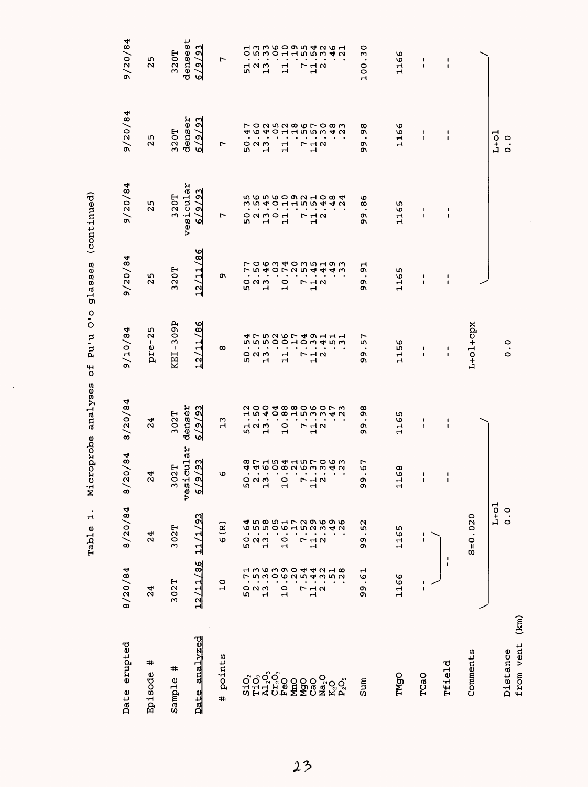| Date erupted                  | 8/20/84                               | 8/20/84                            | 20/84<br>$\approx$                | 8/20/84                                    | 9/10/84                                            | 9/20/84                                | 9/20/84                                      | 9/20/84                                    | 9/20/84                                  |
|-------------------------------|---------------------------------------|------------------------------------|-----------------------------------|--------------------------------------------|----------------------------------------------------|----------------------------------------|----------------------------------------------|--------------------------------------------|------------------------------------------|
| #<br>Episode                  | $\overline{24}$                       | 24                                 | 24                                | 24                                         | $pre-25$                                           | w<br>$\mathbf{\Omega}$                 | 25                                           | m<br>$\mathbf{\Omega}$                     | m<br>$\mathbf{\Omega}$                   |
| #<br>Sample                   | 302T                                  | 302T                               | icular<br>02T<br>m<br>ves         | denser<br>302T                             | <b>KEI-309P</b>                                    | 320T                                   | vesicular<br>320T                            | denser<br>320T                             | densest<br>320T                          |
| Date analvzed                 | 11/86<br>$\overline{2}$               | $\mathbf{S}$<br>ř<br>긥             | $\sqrt{93}$<br>୶<br>ज             | $\frac{23}{2}$<br>6/9/                     | $\frac{6}{9}$<br>12/11                             | $\frac{86}{ }$<br>12/11                | $\frac{23}{2}$<br>୍ବ<br>অ                    | 93<br>୍ବ<br>बे                             | 193<br>$\overline{6}$<br>ज               |
| points<br>#                   | $\frac{0}{1}$                         | $\mathbf{\widehat{g}}$<br><b>v</b> | O                                 | m<br>$\overline{\phantom{a}}$              | $\infty$                                           | Ō                                      | r                                            | r                                          | ٣                                        |
|                               | 52<br>52<br>52                        | 52<br>13                           | m                                 | 51.3                                       | w<br>$\bullet$<br>523<br>52                        | r<br>7<br>523<br>52                    |                                              | $\overline{ }$<br>4<br>٠<br>52<br>52<br>52 | 51.7                                     |
|                               |                                       |                                    | ᆏ                                 |                                            | $\cdot$                                            | $\bullet$                              | 50001                                        |                                            |                                          |
|                               | $\frac{1}{10}$                        | $\bullet$<br>$\frac{1}{2}$         | ᆏ                                 | $\frac{1}{10}$                             | $\bullet$<br>$\frac{1}{11}$                        | $\bullet$<br>.<br>10.                  |                                              | $\vec{H}$                                  | $\frac{1}{11}$                           |
|                               | L                                     | r                                  |                                   |                                            |                                                    |                                        |                                              | L                                          |                                          |
|                               | $\frac{1}{4}$ $\alpha$                | $\frac{1}{2}$ $\alpha$             | Н                                 | $\begin{array}{c} 7 \\ 7 \\ 4 \end{array}$ | $\begin{array}{c}\n7 \\ 7 \\ 1\n\end{array}$       | 712<br>12                              | $\begin{array}{c}\n7 \\ 7 \\ 4\n\end{array}$ | $\frac{1}{11}$ $\alpha$                    | $\frac{1}{2}$ .                          |
| ៰<br>នឹង្គីប្តី<br>ប្តីដួង    | 13639044218135002541                  | よう851729696458500152212            |                                   |                                            | <b>4 7 5 2 6 7 4 9 1 1 1</b> 5 5 2 0 1 0 3 4 5 1 1 | <b>りらう403519300010100000000000</b>     | <b>ちららるりつろ10845 ううううりつしょう</b>                |                                            | <b>ひちろのひらりょうのより ひうろりょう しょうしょう きょうしょう</b> |
| sum                           | $\overline{6}$<br>$\bullet$<br>ጣ<br>c | 52<br>o,<br>Q)                     | 67<br>$\blacksquare$<br>C<br>ጣ    | œ<br>c<br>$\cdot$<br>ጣ<br>Ō,               | r<br>r<br>Q<br>ጣ                                   | $\overline{5}$<br>$\bullet$<br>o۱<br>ጣ | ৩<br>œ<br>$\bullet$<br>ጣ<br>ጣ                | œ<br>c<br>$\bullet$<br>Q)<br>Q)            | 0<br>100.3                               |
| TMgO                          | 1166                                  | 1165                               | 168<br>ᆏ                          | 1165                                       | 1156                                               | LΩ,<br>116                             | 1165                                         | 1166                                       | 1166                                     |
| TCaO                          |                                       | 1<br>$\blacksquare$                | $\pmb{\mathsf{I}}$<br>$\mathbf I$ | 1<br>$\pmb{\mathsf{I}}$                    | J.<br>$\mathbf I$                                  | 1<br>$\blacksquare$                    | ٠<br>$\mathbf{I}$                            | ı<br>$\mathbf{I}$                          | 1<br>$\blacksquare$                      |
| <b>Tfield</b>                 | $\blacksquare$                        | 1                                  | 1<br>$\pmb{\mathsf{I}}$           | J.<br>$\mathbf{I}$                         | J.<br>1                                            | 1<br>$\mathbf{I}$                      | J.<br>$\pmb{\mathsf{I}}$                     | 1<br>$\mathbf{I}$                          | $\frac{1}{1}$                            |
| Comments                      |                                       | $S = 0.020$                        |                                   |                                            | $L+oL+cpx$                                         |                                        |                                              |                                            |                                          |
| (km)<br>from vent<br>Distance |                                       | $L+o1$<br>$\ddot{\circ}$           |                                   |                                            | 0.0                                                |                                        |                                              | $1-1$<br>$\frac{0}{0}$                     |                                          |
|                               |                                       |                                    |                                   |                                            |                                                    |                                        |                                              |                                            |                                          |

 $\ddot{\phantom{0}}$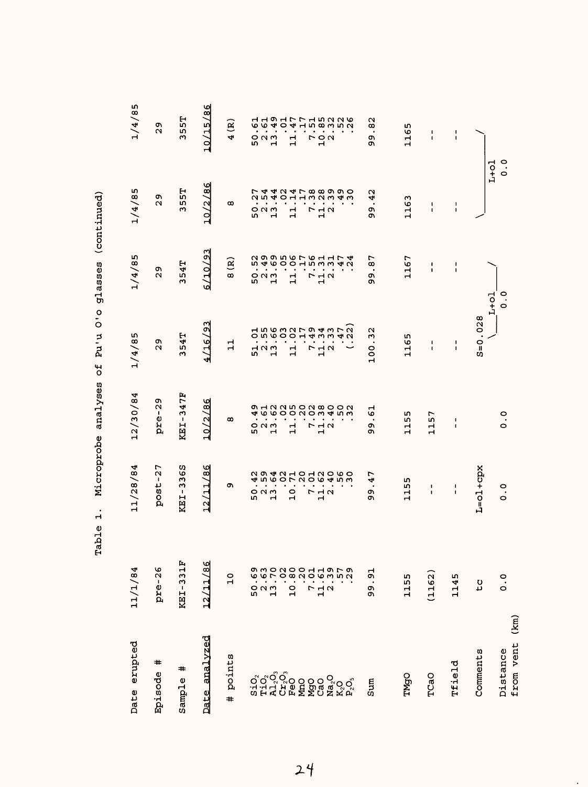| Date erupted                                 | 11/1/84                                      | 11/28/84                                                                 | 12/30/84                                         | 1/4/85                                               | 1/4/85                         | 1/4/85                                                                  | 1/4/85                                                                                              |
|----------------------------------------------|----------------------------------------------|--------------------------------------------------------------------------|--------------------------------------------------|------------------------------------------------------|--------------------------------|-------------------------------------------------------------------------|-----------------------------------------------------------------------------------------------------|
| #<br>Episode                                 | pre-26                                       | $post-27$                                                                | $pre-29$                                         | o,<br>$\mathbf{\Omega}$                              | o,<br>$\mathbf{\Omega}$        | c<br>$\mathbf{\Omega}$                                                  | c<br>$\mathbf{\Omega}$                                                                              |
| #<br>Sample                                  | KEI-331F                                     | SS<br>KEI-33                                                             | <b>KEI-347F</b>                                  | 54T<br>Μ                                             | 54T<br>Μ                       | 55T<br>ω                                                                | 57<br>r<br>ω                                                                                        |
| analyzed<br>Date                             | 12/11/86                                     | 12/11/86                                                                 | 10/2/86                                          | 4/16/93                                              | 6/10/93                        | 10/2/86                                                                 | 10/15/86                                                                                            |
| points<br>#                                  | $\frac{1}{1}$                                | o,                                                                       | $\infty$                                         | $\mathbf{1}$                                         | $\mathbf{g}$<br>$\infty$       | $\infty$                                                                | ê<br>4                                                                                              |
|                                              |                                              | n,                                                                       | m                                                | LO.                                                  |                                |                                                                         |                                                                                                     |
| SiO <sub>C</sub><br>Fid<br>Al <sub>Q</sub>   | 50.13                                        | $\bullet$<br>$\bullet$<br>$O$ $N$ $m$                                    | $\bullet$ , $\bullet$ , $\bullet$<br>$O$ $N$ $M$ | $\bullet$<br>$\cdot$<br>$\overline{a}$ $\alpha$      | $\bullet$<br>523<br>52         | $\bullet$<br>٠<br>$\circ$ $\circ$<br>ŗ,                                 | $\bullet$<br>$\bullet$<br>$O$ $N$ $M$<br>n,                                                         |
|                                              | O MO NO O H H O N O<br>O W O N O O H H O N O | 4 r 0 0 0 1 0 1 0 0 4 1 0 0<br>0 0 4 0 1 0 1 0 0 0 0 0<br>$\blacksquare$ | $\mathbf{H}$                                     | <b>ひちらりひしょううせつりつうりつしょう</b><br>$\mathbf{\mathbf{r}}$  | 299567611742995601538          | フ 4 4 7 4 7 8 8 9 9 9 0<br>フ 4 4 7 4 7 8 8 9 9 0 0<br>٠<br>$\mathbf{H}$ | <b>6 6 4 0 4 4 7 8 9 9 7 9 9</b><br>1 4 9 4 7 7 4 7 9 9 9 9 9<br>$\bullet$<br>$\mathbf{\mathbf{d}}$ |
| Cr <sub>2</sub> O <sub>3</sub><br>FeO<br>MnO | $\frac{0}{1}$                                | $\circ$<br>$\mathbf{\mathbf{r}}$                                         | $\bullet$<br>$\bullet$<br>$\mathbf{1}$           | $\mathbf{1}$                                         | $\mathbf{1}$                   | $\mathbf{1}$                                                            | $\mathbf{1}$                                                                                        |
|                                              |                                              |                                                                          |                                                  |                                                      |                                |                                                                         |                                                                                                     |
|                                              | 7.1.2.2                                      | $\bullet$                                                                | $\bullet$                                        | $\bullet$<br>7                                       | $\bullet$                      | $\bullet$                                                               | $\bullet$                                                                                           |
|                                              |                                              | $\bullet$<br>$\begin{array}{c}\n5 \\ 7 \\ 1\n\end{array}$                | $\blacksquare$<br>712                            | $\frac{1}{2}$ $\alpha$                               | ٠<br>$r$ <sub>12</sub>         | $\bullet$<br>7<br>11<br>2                                               | $\bullet$<br>r 9 a<br>7                                                                             |
|                                              |                                              |                                                                          | $\bullet$                                        |                                                      |                                | $\bullet$                                                               | $\blacksquare$                                                                                      |
| ៜ៰៓៰៓៰៓<br>ៜ៓៓៰៓៰៓                           |                                              |                                                                          |                                                  |                                                      |                                | $\bullet$                                                               |                                                                                                     |
| Sum                                          | $\overline{5}$<br>o,<br>c                    | r<br>4<br>$\bullet$<br>o,<br>o                                           | ᆏ<br>6<br>٠.<br>o<br>o۱                          | $\mathbf \alpha$<br>$\mathbf{r}$<br>$\bullet$<br>100 | r<br>œ<br>$\bullet$<br>ጣ<br>Ō, | 42<br>$\bullet$<br>o,<br>Ō                                              | N<br>œ<br>$\bullet$<br>o,<br>Ō,                                                                     |
|                                              |                                              |                                                                          |                                                  |                                                      |                                |                                                                         |                                                                                                     |
| TMgO                                         | 1155                                         | m<br>115                                                                 | m<br>ю<br>급                                      | w<br>116                                             | 1167                           | w<br>116                                                                | w<br>116                                                                                            |
| TCaO                                         | (1162)                                       | 1<br>$\blacksquare$                                                      | г<br>L٢<br>Н<br>$\overline{H}$                   | ı<br>$\blacksquare$                                  | 1<br>$\mathbf{I}$              | ٠<br>Ĺ                                                                  | ı<br>f,                                                                                             |
| Tfield                                       | 1145                                         | п<br>$\mathbf I$                                                         | 1<br>I.                                          | 1<br>$\blacksquare$                                  | 1<br>$\mathbf{I}$              | 1<br>$\mathbf I$                                                        | ŧ                                                                                                   |
| Comments                                     | τc                                           | $L = 01 + cpx$                                                           |                                                  | 0.028<br>$\Omega_{\rm I}$<br>C)                      |                                |                                                                         |                                                                                                     |
| (km)<br>from vent<br>Distance                | $\frac{1}{2}$                                | $\ddot{\circ}$                                                           | $\frac{0}{0}$                                    |                                                      | o<br>o<br>$L+o1$               | $\ddot{\circ}$<br>$L+O1$                                                |                                                                                                     |

 $24$ 

 $\bullet$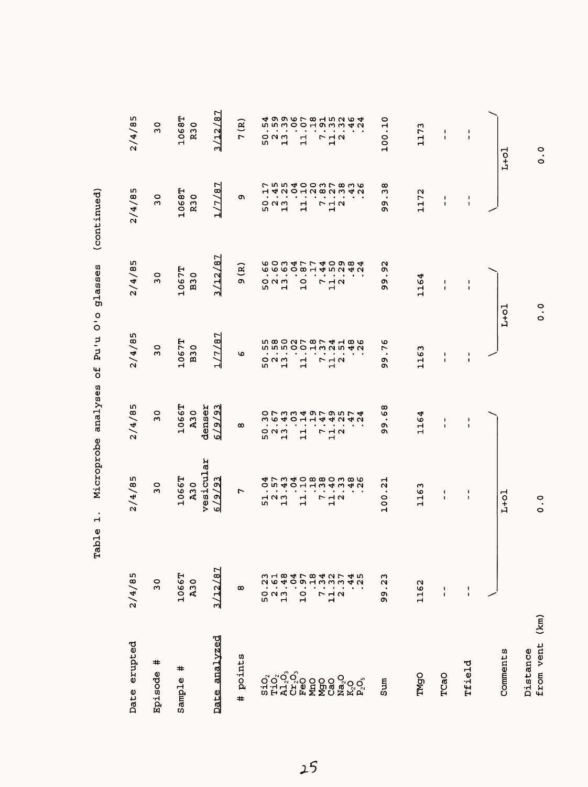|                               | Table                                        | $\dot{a}$                          | Microprobe analyses                                            | $\frac{1}{2}$<br>pu <sub>1</sub> u<br>٣, | glasses                                                                                                                                           | (continued)                                                                                                                                                                                                                                                                                                                                                                                      |                                  |
|-------------------------------|----------------------------------------------|------------------------------------|----------------------------------------------------------------|------------------------------------------|---------------------------------------------------------------------------------------------------------------------------------------------------|--------------------------------------------------------------------------------------------------------------------------------------------------------------------------------------------------------------------------------------------------------------------------------------------------------------------------------------------------------------------------------------------------|----------------------------------|
| Date erupted                  | 2/4/85                                       | 2/4/85                             | 2/4/85                                                         | 2/4/85                                   | 2/4/85                                                                                                                                            | 2/4/85                                                                                                                                                                                                                                                                                                                                                                                           | 2/4/85                           |
| #<br>Episode                  | $\frac{0}{2}$                                | $\overline{3}0$                    | $\frac{0}{2}$                                                  | $\overline{3}0$                          | $\overline{3}0$                                                                                                                                   | 30                                                                                                                                                                                                                                                                                                                                                                                               | $\frac{0}{2}$                    |
| #<br>Sample                   | 1066T<br>A30                                 | vesicular<br>1066T<br><b>A30</b>   | 1066T<br>A30                                                   | 1067T<br><b>B30</b>                      | 1067T<br><b>B30</b>                                                                                                                               | 1068T<br><b>R30</b>                                                                                                                                                                                                                                                                                                                                                                              | 1068T<br><b>R30</b>              |
| Date analyzed                 | 3/12/87                                      | 6/9/93                             | denser<br>6/9/93                                               | 17/87<br>ᅴ                               | 3/12/87                                                                                                                                           | 1/7/87                                                                                                                                                                                                                                                                                                                                                                                           | 3/12/87                          |
| points<br>$\ddot{}$           | $\infty$                                     | r                                  | $\infty$                                                       | O                                        | 9(R)                                                                                                                                              | Ō                                                                                                                                                                                                                                                                                                                                                                                                | 7(R)                             |
|                               | 48<br>23<br>61<br>5<br>2<br>5<br>2<br>3      | .57<br>$\bullet$<br>52<br>52<br>52 | .67<br>52<br>52<br>52                                          |                                          | 523<br>13                                                                                                                                         | 52<br>13                                                                                                                                                                                                                                                                                                                                                                                         |                                  |
|                               | $\sigma$<br>$\overline{9}$<br>$\overline{a}$ |                                    | 14<br>.43<br>$\mathbf{1}$                                      |                                          | 10.                                                                                                                                               | $\mathbf{1}$                                                                                                                                                                                                                                                                                                                                                                                     |                                  |
|                               | $\frac{8}{1}$<br>34                          |                                    |                                                                |                                          |                                                                                                                                                   |                                                                                                                                                                                                                                                                                                                                                                                                  |                                  |
| ៜៜៜ៓៰៓<br>ៜ៓៓៰៓៰៓             | 37<br>7<br>12<br>12                          |                                    | $1440174$<br>144040<br>$\begin{array}{c}\n5 \\ 7\n\end{array}$ |                                          | $\begin{array}{cccccccccc} . & . & . & . & . & . & . & . \\ . & . & . & . & . & . & . & . \\ . & . & . & . & . & . & . & . \\ \end{array}$<br>712 | $\begin{array}{c}\n\sum\limits_{i=1}^{n}a_{i} & \sum\limits_{i=1}^{n}b_{i} & \sum\limits_{i=1}^{n}b_{i} & \sum\limits_{i=1}^{n}b_{i} & \sum\limits_{i=1}^{n}b_{i} & \sum\limits_{i=1}^{n}b_{i} & \sum\limits_{i=1}^{n}b_{i} & \sum\limits_{i=1}^{n}b_{i} & \sum\limits_{i=1}^{n}b_{i} & \sum\limits_{i=1}^{n}b_{i} & \sum\limits_{i=1}^{n}b_{i} & \sum\limits_{i=1}^{n}b_{i} & \sum\limits_{i=1$ |                                  |
|                               | 4 2<br>4 2                                   |                                    |                                                                |                                          |                                                                                                                                                   |                                                                                                                                                                                                                                                                                                                                                                                                  | $46$<br>$4$                      |
| Sum                           | .23<br>99                                    | 100.21                             | $\frac{8}{9}$<br>ტ6                                            | O<br>r<br>Q<br>Ō                         | $\overline{9}$<br>99                                                                                                                              | $\infty$<br>ω<br>o,<br>Q)                                                                                                                                                                                                                                                                                                                                                                        | 100.10                           |
| <b>TMgO</b>                   | 1162                                         | 1163                               | 1164                                                           | 1163                                     | 1164                                                                                                                                              | 1172                                                                                                                                                                                                                                                                                                                                                                                             | 1173                             |
| TCaO                          | $\frac{1}{1}$                                | $\mathbf{I}$<br>$\blacksquare$     | ı<br>ı                                                         | ı<br>I.                                  | I.<br>$\mathbf I$                                                                                                                                 | 1<br>$\blacksquare$                                                                                                                                                                                                                                                                                                                                                                              | 1<br>$\mathbf{I}$                |
| Tfield                        | $\frac{1}{1}$                                | $\frac{1}{1}$                      | $\mathbf{I}$<br>$\blacksquare$                                 | $\mathbf I$<br>$\blacksquare$            | $\blacksquare$<br>$\blacksquare$                                                                                                                  | $\pmb{\mathsf{I}}$<br>$\pmb{\mathsf{I}}$                                                                                                                                                                                                                                                                                                                                                         | $\blacksquare$<br>$\blacksquare$ |
| Comments                      |                                              | $L+O1$                             |                                                                |                                          | $L+O1$                                                                                                                                            |                                                                                                                                                                                                                                                                                                                                                                                                  | $L+o1$                           |
| (km)<br>from vent<br>Distance |                                              | 0.0                                |                                                                |                                          | $\ddot{o}$ .                                                                                                                                      |                                                                                                                                                                                                                                                                                                                                                                                                  | 0.0                              |

Table 1. Microprobe analyses of Pu'u O'o glasses (continued) analyses of  $P1'11$   $O10$   $q1$ asses Microprobe

 $2<sup>5</sup>$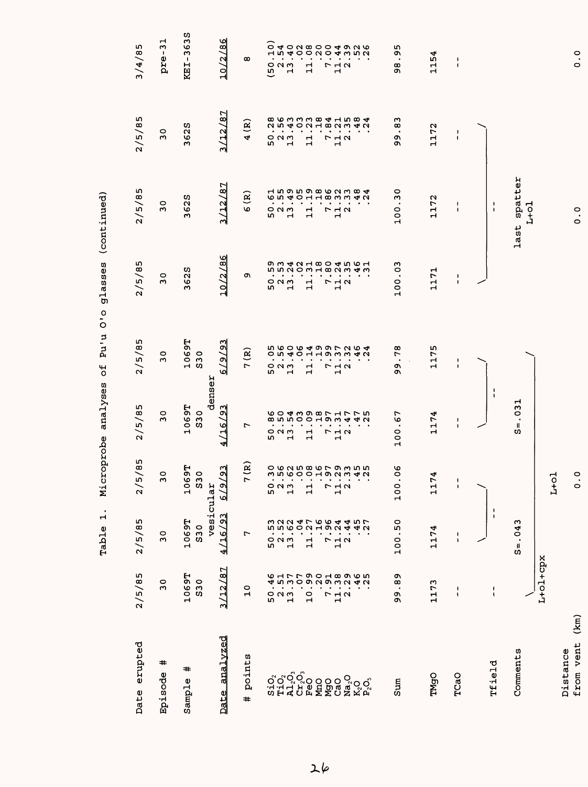| Date erupted                   | 2/5/85                                                | 2/5/85                    | 5/85<br>$\geq$                                                               | 2/5/85                                                                      | 2/5/85                                                                                                    | 2/5/85                                              | 2/5/85                                                          | 2/5/85                                  | 3/4/85                                                                                                                |
|--------------------------------|-------------------------------------------------------|---------------------------|------------------------------------------------------------------------------|-----------------------------------------------------------------------------|-----------------------------------------------------------------------------------------------------------|-----------------------------------------------------|-----------------------------------------------------------------|-----------------------------------------|-----------------------------------------------------------------------------------------------------------------------|
| #<br>Episode                   | $\circ$<br>$\sim$                                     | $\overline{3}$            | $\circ$<br>$\sim$                                                            | $\circ$<br>w                                                                | $\circ$<br>ω                                                                                              | $\circ$<br>ω                                        | $\circ$<br>m                                                    | $\circ$<br>$\sim$                       | ᆏ<br>m<br>pre-                                                                                                        |
| #<br>Sample                    | 1069T<br><b>S30</b>                                   | vesicular<br>1069T<br>S30 | <b>69T</b><br>$\overline{\mathbf{3}}$<br>$\frac{1}{2}$<br>w                  | denser<br>1069T<br>S30                                                      | 1069T<br>S30                                                                                              | 3625                                                | 625<br>$\sim$                                                   | 3625                                    | 3638<br>$\mathbf I$<br>KEI.                                                                                           |
| analyzed<br>Date               | 187<br>/12.<br>اب                                     | <u>/93</u><br>ज<br>ᅼ<br>ᆐ | $\sqrt{23}$<br>6/9                                                           | $\overline{2}$<br>4/16                                                      | $\tilde{e}$<br>7679                                                                                       | 10/2/86                                             | 3/12/87                                                         | 3/12/87                                 | 10/2/86                                                                                                               |
| points<br>#                    | 0<br>$\mathbf{\mathbf{H}}$                            | ∼                         | 7(R)                                                                         | $\overline{ }$                                                              | $\widehat{\mathbf{g}}$<br>$\overline{a}$                                                                  | c                                                   | $\mathbf{\widehat{g}}$<br>$\boldsymbol{\omega}$                 | $\mathbf{R}$<br>$\blacktriangleleft$    | $\infty$                                                                                                              |
|                                | $\bullet$<br>۱                                        |                           | $\bullet$                                                                    | $\bullet$<br>rU)                                                            | $\bullet$<br>n,                                                                                           | rU)                                                 | m,                                                              |                                         | $\circ$<br>$\bullet$<br>ق                                                                                             |
|                                | <b>6177901896561</b><br>$O$ $N$ $M$<br>$\blacksquare$ | 523<br>52                 | <b>ひるなち867935500</b> 52800192242<br>$\bullet$<br>$\blacksquare$<br>523<br>52 | $\blacksquare$<br>$\blacksquare$<br>っぺい<br>$\mathbf{\mathbf{H}}$            | <b>560649972645001001000000</b><br>$\blacksquare$<br>$\bullet$<br>$\circ$ $\circ$ $\circ$<br>$\mathbf{H}$ | $\circ$ $\circ$ $\circ$<br>$\overline{\phantom{0}}$ | $\circ$ $\circ$ $\circ$<br>$\overline{\phantom{0}}$             | 523<br>52                               | <b>こよりりとりようころとりつける こうりつとりようこう</b><br>$-110 +$<br>$\blacksquare$<br>$\bullet$<br>$\circ$ $\sim$ $\sim$<br>$\mathbf{H}$ |
|                                | $\frac{0}{1}$                                         | $\mathbf{1}$              | $\bullet$ . $\bullet$<br>$\Xi$                                               | $\bullet$<br>$\blacksquare$<br>$\mathbf{1}$                                 | $\bullet$<br>$\ddot{\phantom{a}}$<br>$\mathbf{1}$                                                         | ्<br>न                                              | $\frac{1}{11}$                                                  | $\mathbf{1}$                            | $\bullet$<br>$\bullet$<br>$\frac{1}{1}$                                                                               |
| <b>AROO CO</b><br>EXTER        |                                                       |                           | $\sim$ $\sim$                                                                | $\bullet$                                                                   | $\bullet$                                                                                                 |                                                     |                                                                 |                                         | $\bullet$                                                                                                             |
|                                | $\blacksquare$<br>$\overline{ }$                      | $\overline{ }$            | ÷,<br>$\begin{array}{c}\n7 \\ 1\n\end{array}$                                | $\bullet$<br>$\blacksquare$<br>$\begin{array}{c}\n7 \\ 7 \\ 1\n\end{array}$ | $\bullet$<br>$\blacksquare$<br>$\begin{array}{c}\n7 \\ 7 \\ 1\n\end{array}$                               | $\begin{array}{c}\n7 \\ 7 \\ 1\n\end{array}$        | $\sim$ $\sim$ $\sim$<br>$\begin{array}{c}\n7 \\ 1\n\end{array}$ | $\begin{array}{c}\n7 \\ 1\n\end{array}$ | $\blacksquare$<br>$\bullet$<br>$\begin{array}{c}\n7 \\ 1\n\end{array}$                                                |
|                                | $\frac{1}{1}$ $\alpha$                                | $\frac{1}{4}$ $\alpha$    | $\sim$                                                                       | $\bullet$                                                                   | $\bullet$                                                                                                 |                                                     |                                                                 |                                         |                                                                                                                       |
| ន្ថ <b>្</b><br>ខ្ចុំ<br>ខ្ចុំ |                                                       |                           | $\bullet$<br>. .                                                             |                                                                             |                                                                                                           |                                                     |                                                                 |                                         |                                                                                                                       |
| Sum                            | o۱<br>œ<br>$\bullet$<br>c<br>σ١                       | .50<br>100                | $\frac{6}{\sqrt{2}}$<br>$\bullet$<br>100                                     | .67<br>100                                                                  | 78<br>$\bullet$<br>o۱<br>c                                                                                | 100.03                                              | ვი<br>100                                                       | ო<br>$\infty$<br>$\bullet$<br>ጣ<br>Q    | m<br>c<br>$\bullet$<br>ω<br>c                                                                                         |
| TMgO                           | 1173                                                  | 1174                      | 74<br>$\frac{1}{1}$                                                          | 1174                                                                        | 1175                                                                                                      | 1171                                                | 1172                                                            | 1172                                    | 1154                                                                                                                  |
| TCaO                           | J.<br>$\sqrt{2}$                                      | 1<br>$\pmb{\mathsf{s}}$   | $\mathbf{I}$<br>$\mathbf{I}$                                                 | $\mathsf I$<br>$\mathbf I$                                                  | ı<br>$\mathbf{I}$                                                                                         | $\pmb{\cdot}$<br>ı                                  | $\overline{\mathbf{1}}$<br>$\blacksquare$                       | 1<br>J.                                 | $\mathsf I$<br>$\mathbf{I}$                                                                                           |
| <b>Tfield</b>                  | $\blacksquare$<br>$\pmb{\mathsf{I}}$                  | $\frac{1}{1}$             |                                                                              | ۱<br>$\overline{\phantom{a}}$                                               |                                                                                                           |                                                     | $\mathbf{I}$<br>$\mathbf{I}$                                    |                                         |                                                                                                                       |
| Comments                       |                                                       | $S = .043$                |                                                                              | $= .031$<br>S                                                               |                                                                                                           |                                                     | last spatter                                                    |                                         |                                                                                                                       |
|                                | L+ol+cpx                                              |                           |                                                                              |                                                                             |                                                                                                           |                                                     | $L+o1$                                                          |                                         |                                                                                                                       |
|                                |                                                       |                           | ᄝ<br>딫                                                                       |                                                                             |                                                                                                           |                                                     |                                                                 |                                         |                                                                                                                       |
| (km)<br>from vent<br>Distance  |                                                       |                           | °.<br>$\circ$                                                                |                                                                             |                                                                                                           |                                                     | $\ddot{o}$ .                                                    |                                         | $\ddot{o}$ .                                                                                                          |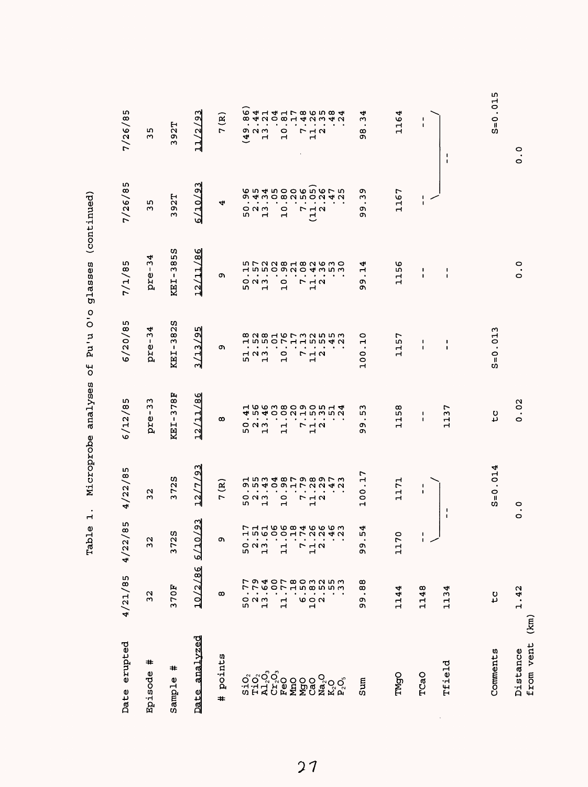| Date erupted          | 4/21/85                                 | w<br>$\infty$<br>4/22/                                            | 4/22/85                                                            | 6/12/85                                                                                       | 6/20/85                                                                | 7/1/85                                                   | 7/26/85                                                                         | 7/26/85                                                                                            |
|-----------------------|-----------------------------------------|-------------------------------------------------------------------|--------------------------------------------------------------------|-----------------------------------------------------------------------------------------------|------------------------------------------------------------------------|----------------------------------------------------------|---------------------------------------------------------------------------------|----------------------------------------------------------------------------------------------------|
| #<br>Episode          | $\overline{32}$                         | $\overline{3}$                                                    | $\mathbf{\Omega}$<br>S                                             | w<br>ω<br>$\blacksquare$<br>pre                                                               | ◅<br>w<br>pre-                                                         | ᢦ<br>S<br>$\mathbf{I}$<br>pre                            | w<br>w                                                                          | m<br>w                                                                                             |
| #<br>Sample           | 370F                                    | w<br>372                                                          | w<br>72<br>S                                                       | Ŀ,<br>$\infty$<br>r<br>$\mathbf{r}$<br>KEI                                                    | w<br>$\mathbf{\Omega}$<br>$\infty$<br>w<br>$\mathbf I$<br>KEI          | w<br>m<br>$\infty$<br>ξ<br>$\mathbf I$<br>KEI            | н<br>.<br>و<br>Μ                                                                | 2T<br>Q)<br>m                                                                                      |
| analyzed<br>Date      | 10/2/86                                 | ∾<br>্ৰ<br>6/10                                                   | ო<br>O<br>t,<br>$\overline{12}$                                    | ৩<br>∞∣<br>ᆏ<br>$\mathcal{L}$<br>$\frac{2}{3}$                                                | rU)<br>o۱<br>ო<br>$\frac{2}{1}$                                        | ৩<br>$\infty$<br>H<br>$\mathcal{L}$<br>$\frac{2}{1}$     | ო<br>٥Ņ<br><u>0779</u>                                                          | $\overline{93}$<br>11/2                                                                            |
| points<br>#           | $\infty$                                | o۱                                                                | $\widehat{\mathbf{B}}$<br>1                                        | $\infty$                                                                                      | o.                                                                     | ጣ                                                        | 4                                                                               | 7(R)                                                                                               |
|                       |                                         |                                                                   | m                                                                  | m                                                                                             | īυ,                                                                    | m                                                        | m                                                                               | $\overline{a}$                                                                                     |
|                       | <b>794</b><br>794<br>52<br>13<br>13     | 523<br>52                                                         | $\bullet$<br>$\blacksquare$<br>$\circ$ $\circ$ $\circ$             | $\bullet$<br>$\bullet$<br>o u w                                                               | $\bullet$<br>$\blacksquare$<br>$\overline{a}$ $\overline{a}$           | $\bullet$<br>$O$ $N$ $M$                                 | $\bullet$<br>$O$ $N$ $m$                                                        | $\bullet$<br>$\bullet$<br>ດ ຕ ພ                                                                    |
|                       |                                         | <b>7 1 1 1 1 1 1 1 1 1 1 1 1 1 1 1 1</b><br>H 5 6 6 6 H F Q 9 4 W | <b>1534879897</b><br><b>OU400HLUN4U</b><br>$\cdot$<br>$\mathbf{H}$ | H C C W C C C C L H 4<br><b>4 ら 4 0 0 0 1 0 0 0 0 0</b><br>$\bullet$<br>$\mathbf{\mathbf{H}}$ | 8 2 3 3 4 5 6 7 8 9 8 9 8<br>$\bullet$<br>$\blacksquare$               | <b>HIMPOONO4WIM</b><br>$\cdots$<br>$\mathbf{\mathbf{r}}$ | 0.99000000<br><b>の 4 m 0 ∞ M m 0 M 4 M</b><br>$\cdots$<br>$\mathbf{\mathbf{r}}$ | <b>64141786584</b><br>$\omega$ and $\omega$ and $\omega$ and $\omega$<br>$\bullet$<br>$\mathbf{r}$ |
|                       |                                         |                                                                   | $\bullet$                                                          |                                                                                               | $\bullet$                                                              | $\bullet$                                                | $\bullet$                                                                       | $\bullet$                                                                                          |
|                       | OL 8000050<br>OL 408505<br>$\mathbf{1}$ | $\mathbf{1}$                                                      | $\bullet$<br>$\circ$<br>$\overline{\phantom{0}}$                   | $\cdot$<br>$\mathbf{\mathbf{r}}$<br>$\mathbf{\mathbf{r}}$                                     | $\sim$<br>$\bullet$<br>$\circ$<br>$\mathbf{\mathbf{r}}$                | $\sim$<br>$\circ$<br>$\mathbf{\mathbf{r}}$               | $\sim$<br>$\circ$<br>$\blacksquare$                                             | $\bullet$<br>$\circ$<br>$\mathbf{\mathbf{r}}$                                                      |
|                       |                                         | r                                                                 | $\bullet$<br>$\bullet$                                             | $\bullet$<br>$\bullet$                                                                        | $\bullet$                                                              | $\bullet$                                                | $\bullet$                                                                       | $\bullet$<br>$\bullet$<br>$\bullet$                                                                |
|                       | s<br>10<br>1                            | $\frac{1}{2}$ $\alpha$                                            | $\cdot$<br>フュコ<br>$\overline{H}$                                   | . .<br>フュロ<br>$\mathbf{r}$                                                                    | $\cdot$<br><b>722</b><br>$\overline{\phantom{0}}$                      | $\cdots$<br>7 7 7<br>$\mathbf{r}$                        | $\mathbf{a}=\mathbf{a}$<br><b>722</b><br>ビ                                      | $\bullet$<br>フュス<br>$\overline{\phantom{0}}$                                                       |
|                       |                                         |                                                                   | $\bullet$                                                          | $\bullet$                                                                                     | $\cdot$                                                                | $\bullet$                                                | $\blacksquare$                                                                  | $\blacksquare$                                                                                     |
|                       |                                         |                                                                   | $\bullet$                                                          | $\bullet$                                                                                     |                                                                        |                                                          |                                                                                 |                                                                                                    |
|                       |                                         |                                                                   |                                                                    |                                                                                               |                                                                        |                                                          |                                                                                 |                                                                                                    |
| Sum                   | .88<br>٥Ņ,<br>o۱                        | 4<br>L۵<br>ጣ<br>c                                                 | r<br>Н<br>$\bullet$<br>o<br>$\circ$<br>$\blacksquare$              | w<br>m<br>$\bullet$<br>Ō<br>Ō                                                                 | $\circ$<br>$\mathbf -$<br>$\bullet$<br>0<br>0<br>$\mathbf{\mathbf{r}}$ | 4<br>$\mathbf{\mathbf{r}}$<br>$\bullet$<br>o۱<br>ጣ       | Ō<br>ω<br>$\bullet$<br>Ō<br>ጣ                                                   | 4<br>ω<br>$\bullet$<br>∞<br>o۱                                                                     |
| TMgO                  | 1144                                    | $\circ$<br>117                                                    | $\mathsf{r}$<br>$\frac{1}{1}$                                      | œ<br>rU<br>ᆏ<br>۳                                                                             | r<br>m<br>Н<br>H                                                       | ဖ<br>ιñ<br>ب<br>Ч                                        | 1167                                                                            | 4<br>116                                                                                           |
| TCaO                  | 1148                                    | $\blacksquare$<br>エン                                              | п<br>$\pmb{\cdot}$                                                 | л.<br>1                                                                                       | -1<br>$\blacksquare$                                                   | ٠<br>٠                                                   | 1<br>$\mathbf{I}$                                                               | J.<br>$\mathbf{I}$                                                                                 |
| Tfield                | 1134                                    | $\mathbf{I}$                                                      | п                                                                  | r<br>S<br>Н<br>$\mathbf{\mathbf{d}}$                                                          | $\begin{array}{c} \bullet \\ \bullet \end{array}$<br>$\mathbf{I}$      | $\mathbf{I}$<br>$\mathbf{I}$                             |                                                                                 | J.<br>$\mathbf{I}$                                                                                 |
|                       |                                         |                                                                   |                                                                    |                                                                                               |                                                                        |                                                          |                                                                                 |                                                                                                    |
| Comments              | ں<br>د                                  |                                                                   | ↵<br>$= 0.01$<br>m                                                 | υ<br>4                                                                                        | ς<br>$S = 0.01$                                                        |                                                          |                                                                                 | ഗ<br>$\frac{1}{2}$<br>$\Omega$<br>s                                                                |
| from vent<br>Distance | 1.42<br>$(\overline{km})$               | $\circ$                                                           | °.                                                                 | .02<br>$\circ$                                                                                |                                                                        | o.<br>$\circ$                                            |                                                                                 | 0<br>$\bullet$<br>$\circ$                                                                          |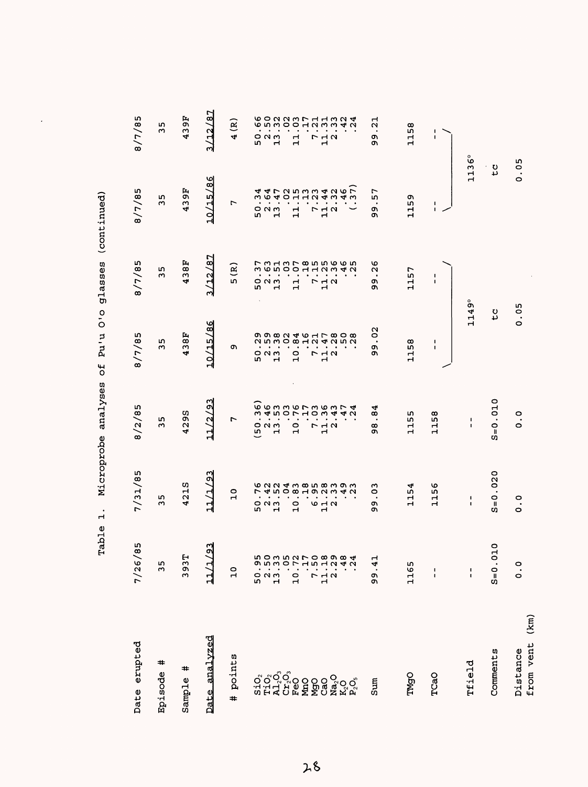| Date erupted                  | r<br>$\infty$<br>7/26/                | 7/31/85                             | 8/2/85                                  | 8/7/85                                    | 8/7/85                                         | 8/7/85                                  | 8/7/85                        |
|-------------------------------|---------------------------------------|-------------------------------------|-----------------------------------------|-------------------------------------------|------------------------------------------------|-----------------------------------------|-------------------------------|
| #<br>Episode                  | 35                                    | 35                                  | m<br>$\sim$                             | m<br>$\mathbf{\omega}$                    | m<br>$\sim$                                    | m<br>w                                  | m<br>$\sim$                   |
| #<br>Sample                   | 393T                                  | 421S                                | 4295                                    | 438F                                      | 438F                                           | 46<br>43                                | 439F                          |
| Date analyzed                 | $\overline{2}$<br>1<br>È              | $\frac{2}{3}$<br>11/1/              | 11/2/93                                 | 10/15/86                                  | 3/12/87                                        | 10/15/86                                | 3/12/87                       |
| points<br>$\ddot{}$           | $\overline{a}$                        | $\overline{10}$                     | L                                       | o,                                        | $\tilde{a}$<br>LO.                             | L                                       | $\widetilde{\mathbf{g}}$<br>4 |
|                               |                                       |                                     | $\bar{\mathbf{e}}$                      |                                           |                                                | L۵                                      |                               |
|                               |                                       | 52<br>52<br>52                      | ×<br>೦೧೧                                | 523<br>52                                 | 52<br>52<br>52                                 | $O$ $N$ $m$                             | 52<br>52<br>52                |
|                               | 50.95<br>2.50<br>13.05                |                                     |                                         |                                           |                                                | Н                                       |                               |
|                               |                                       |                                     |                                         |                                           |                                                |                                         |                               |
|                               |                                       | 0<br>$\mathbf{\mathbf{H}}$          | $\bullet$<br>0<br>$\mathbf{\mathbf{d}}$ | 0<br>$\overline{\phantom{0}}$             | $\mathbf{\mathbf{r}}$<br>$\mathbf{\mathbf{r}}$ | 11                                      | ٣<br>Ч                        |
|                               | $10.72$<br>7.17<br>7.50               |                                     |                                         |                                           |                                                |                                         |                               |
|                               |                                       | <b>10 H N</b><br>ᆏ                  | フュン<br>ہے                               | 7<br>12<br>12                             | $\begin{array}{c}\n5 \\ 7 \\ 1\n\end{array}$   | $\begin{array}{c}\n7 \\ 1\n\end{array}$ | <b>712</b><br>ᆏ               |
|                               |                                       |                                     |                                         |                                           |                                                |                                         |                               |
|                               | $11.18$<br>$2.38$<br>$3.48$<br>$3.48$ | 62243858393                         | Sumanorum 4                             | o o o o o d o co co<br><b>NUMOWHN4NUN</b> | フ3137855665731300112342                        | <b>44725343435</b>                      | <b>602237113246</b>           |
|                               |                                       |                                     |                                         |                                           |                                                |                                         |                               |
| sumS                          | .41<br>ტ<br>თ                         | CO<br>$\bullet$<br>ጣ<br>O١          | 4<br>ω<br>$\infty$<br>ጣ                 | 20<br>$\bullet$<br>c<br>Ó                 | ৩<br>Z<br>$\bullet$<br>o۱<br>ጣ                 | r<br>r<br>ጣ<br>ō١                       | H<br>Ν<br>o۱<br>ጣ             |
| TMgO                          | 1165                                  | 154<br>$\mathbf{\mathbf{H}}$        | m<br>m<br>Н<br>Н                        | 1158                                      | 1157                                           | Q,<br>115                               | 1158                          |
| TCaO                          | $\frac{1}{1}$                         | 95<br>Н<br>$\overline{\phantom{0}}$ | 58<br>Н<br>$\mathbf{\mathbf{r}}$        | 1<br>$\mathsf I$                          | $\mathbf{I}$<br>$\mathbf{I}$                   | $\mathsf I$<br>$\mathbf{I}$             | 1<br>п                        |
| Tfield                        | $\frac{1}{1}$                         | 1<br>$\mathbf{I}$                   | $\mathsf I$<br>$\mathbf{I}$             | 1149°                                     |                                                | $\frac{1}{2}$<br>$\mathbf{\mathbf{r}}$  | ဖိ                            |
| Comments                      | $\overline{a}$<br>$S = 0.0$           | $S = 0.020$                         | $S = 0.010$                             | ں<br>4                                    |                                                | ں<br>4                                  |                               |
| (km)<br>from vent<br>Distance | $\ddot{\circ}$                        | $\frac{0}{0}$                       | $\frac{0}{0}$                           | 0.05                                      |                                                | 0.05                                    |                               |

 $\ddot{\phantom{0}}$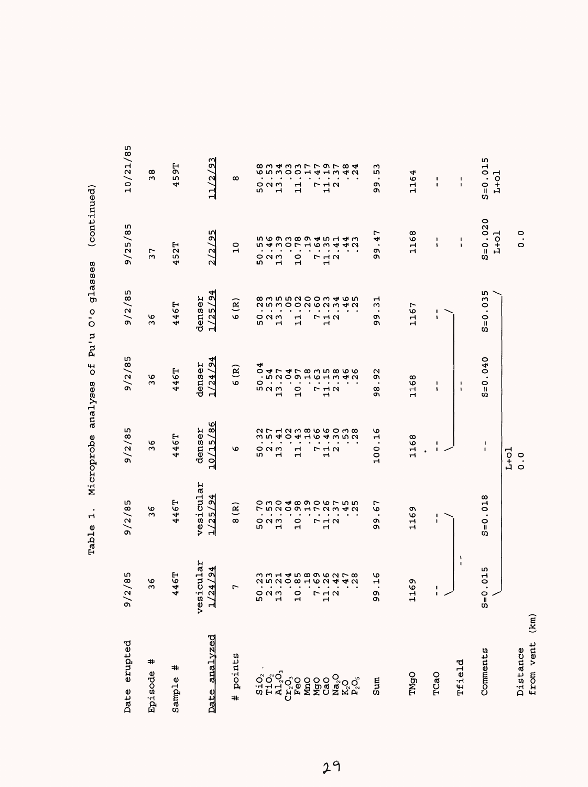| Date erupted          | m<br>$\infty$<br>$\frac{2}{9}$                                                                                                  | 9/2/85                                                                                                          | 9/2/85                                                                                       | 9/2/85                                                                                  | 9/2/85                                                                                         | 9/25/85                                                                                      | 10/21/85                                                                                         |
|-----------------------|---------------------------------------------------------------------------------------------------------------------------------|-----------------------------------------------------------------------------------------------------------------|----------------------------------------------------------------------------------------------|-----------------------------------------------------------------------------------------|------------------------------------------------------------------------------------------------|----------------------------------------------------------------------------------------------|--------------------------------------------------------------------------------------------------|
| $\ddot{}$<br>Episode  | O<br>$\sim$                                                                                                                     | ৩<br>S                                                                                                          | O<br>$\sim$                                                                                  | ৩<br>$\sim$                                                                             | ৩<br>$\mathbf{c}$                                                                              | Ļ<br>$\sim$                                                                                  | $\infty$<br>$\sim$                                                                               |
| #<br>Sample           | <b>E</b><br>4<br>4                                                                                                              | 446T                                                                                                            | 46T<br>4                                                                                     | 446T                                                                                    | 46T<br>4                                                                                       | 52T<br>4                                                                                     | 55<br>m<br>4                                                                                     |
| analyzed<br>Date      | cular<br>$\overline{94}$<br>ᅰ<br>$\frac{1}{2}$<br>vesi                                                                          | vesicular<br>25/24<br>ᆌ                                                                                         | $\frac{86}{5}$<br>denser<br>10/15/                                                           | 4<br>$\sigma$<br>denser<br>1/24/                                                        | $\overline{54}$<br>denser<br>1/25/                                                             | LΩ<br>2/9<br>$\mathbf{N}$                                                                    | $\alpha$<br>$\mathbf{S}$<br>$\overline{11}$                                                      |
| points<br>#           | 7                                                                                                                               | ତି<br>$\infty$                                                                                                  | O                                                                                            | ਉ<br>6                                                                                  | $\widehat{\mathbf{g}}$<br>σ                                                                    | $\frac{0}{1}$                                                                                | œ                                                                                                |
|                       |                                                                                                                                 | $\bullet$<br>m                                                                                                  | m                                                                                            | 4                                                                                       | m                                                                                              | <b>I</b>                                                                                     | m                                                                                                |
|                       | $\bullet$<br>$\bullet$<br>52<br>52<br>52                                                                                        | $\circ$ $\circ$ $\circ$                                                                                         | $\bullet$<br>$\bullet$<br>$\circ$ $\circ$ $\circ$                                            | m u w                                                                                   | $\bullet$<br>$\circ$ $\circ$                                                                   | $\bullet$<br>$O$ $M$ $M$                                                                     | $\bullet$<br>O <sub>N</sub>                                                                      |
|                       |                                                                                                                                 | $\sim$ $\sim$<br>$\blacksquare$                                                                                 | $\blacksquare$<br>$\vec{r}$                                                                  | $\mathbf{H}$                                                                            | $\sim$ $\sim$<br>$\mathbf{\mathbf{H}}$                                                         | $\sim$ $\sim$<br>$\blacksquare$                                                              | $\sim$ 10 $\sim$<br>$\mathbf{H}$                                                                 |
|                       | mm H di m m o m m L m<br><b>QUAD</b> DO HON THO<br>$\mathbf{r}$ , $\mathbf{r}$ , $\mathbf{r}$ , $\mathbf{r}$<br>$\overline{10}$ | o w o 4 0 0 0 0 r 10 10<br>フラフロラエフこうき<br>$\bullet$ .<br><br><br><br><br><br><br><br><br>$\circ$<br>$\mathbf{H}$ | ar Haw morow mo<br>n n 4 0 4 4 6 4 4 7 6 7<br>$\bullet$ . $\bullet$<br>ᆏ<br>$\blacksquare$   | 04747835866<br><b>AD HOHOLO CON</b><br>$\circ \cdot \cdot \cdot \cdot$<br>$\frac{0}{1}$ | <b>885899888</b><br><b>AUMOONGNAN</b><br>$\bullet$ . $\bullet$<br>11                           | n w o w w w d w w<br><b>DAWOLHOWAAN</b><br>$\bullet$ . $\bullet$<br>$\frac{0}{1}$            | $\bullet$<br>$\blacksquare$<br>$\mathbf{1}$                                                      |
|                       |                                                                                                                                 |                                                                                                                 |                                                                                              |                                                                                         |                                                                                                |                                                                                              | $\bullet$                                                                                        |
|                       | $\sim$ $\sim$ $\sim$ $\sim$                                                                                                     |                                                                                                                 |                                                                                              |                                                                                         |                                                                                                |                                                                                              |                                                                                                  |
|                       | 7<br>7<br>7<br>7<br>2                                                                                                           | $\mathbf{r}=\mathbf{r}+\mathbf{r}+\mathbf{r}+\mathbf{r}$<br>$\begin{array}{c}\n7 \\ 1\n\end{array}$             | $\bullet$ , $\bullet$ , $\bullet$ , $\bullet$<br>$\Gamma$ $\vdash$ $\land$<br>$\blacksquare$ | $\mathcal{A}=\mathcal{A}=\mathcal{A}=\mathcal{A}$<br><b>712</b><br>$\blacksquare$       | $\mathbf{v} = \mathbf{v} + \mathbf{v} + \mathbf{v}$<br>$\begin{array}{c}\n7 \\ 1\n\end{array}$ | $\mathcal{A}=\mathcal{A}=\mathcal{A}=\mathcal{A}$<br>$\begin{array}{c}\n7 \\ 1\n\end{array}$ | $\bullet$ , $\bullet$ , $\bullet$<br>$\begin{array}{c}\n\Gamma \\ \vdots \\ \Gamma\n\end{array}$ |
|                       | $\bullet$<br>$\bullet$                                                                                                          | $\bullet$                                                                                                       |                                                                                              |                                                                                         |                                                                                                | $\bullet$                                                                                    |                                                                                                  |
|                       |                                                                                                                                 |                                                                                                                 |                                                                                              |                                                                                         | $\cdot$ .                                                                                      |                                                                                              |                                                                                                  |
| Sum                   | ဖ<br>$\mathbf{\mathbf{H}}$<br>99                                                                                                | ∼<br>G<br>$\bullet$<br>o۱<br>o۱                                                                                 | O<br>$\mathbf{\mathbf{r}}$<br>$\bullet$<br>0<br>$\overline{a}$                               | N<br>c<br>$\bullet$<br>œ<br>ጣ                                                           | ᆏ<br>w<br>$\bullet$<br>c<br>c                                                                  | Ļ<br>4<br>$\bullet$<br>O,<br>c                                                               | w<br>w<br>ጣ<br>Ō                                                                                 |
| TMgO                  | c<br>৩<br>급                                                                                                                     | σ١<br>Φ<br>$\vec{1}$                                                                                            | $\infty$<br>116                                                                              | 1168                                                                                    | 1167                                                                                           | ∞<br>$\frac{15}{1}$                                                                          | 4<br>15                                                                                          |
| TCaO                  | $\mathbf I$<br>سر ا                                                                                                             | ı<br>1                                                                                                          | ı<br>I.<br>$\bullet$                                                                         | 1<br>f,                                                                                 | ı<br>١                                                                                         | L<br>1                                                                                       | $\mathbf I$<br>$\mathbf I$                                                                       |
| Tfield                | ١<br>$\mathbf I$                                                                                                                |                                                                                                                 |                                                                                              | -1<br>$\mathbf{I}$                                                                      |                                                                                                | $\mathbf{I}$<br>$\mathbf{I}$                                                                 | $\mathbf{I}$<br>$\mathbf{I}$                                                                     |
| Comments              | 015<br>$\bullet$<br>$S=0$                                                                                                       | .018<br>$\frac{0}{\pi}$<br>C)                                                                                   | 1<br>$\blacksquare$                                                                          | $= 0.040$<br>C)                                                                         | w,<br>$\overline{3}$<br>$S=0$                                                                  | $S = 0.020$<br>$L+O1$                                                                        | $S = 0.015$<br>$L+01$                                                                            |
| from vent<br>Distance | (km)                                                                                                                            |                                                                                                                 | $L+O1$<br>$\ddot{\circ}$                                                                     |                                                                                         |                                                                                                | °.<br>O                                                                                      |                                                                                                  |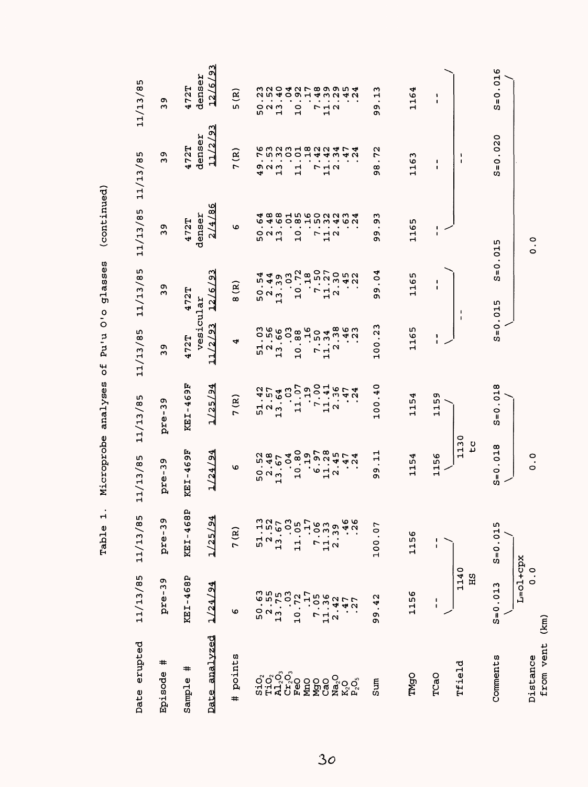| erupted<br>Date            | 11/13/85                          | 11/13/85                                        | 11/13/85                                                                                                                                                                                                                                                  | 11/13/85                                                          | 11/13/85                                                                       | 11/13/85                                | 11/13/85                           | 11/13/85                                             | 11/13/85                               |
|----------------------------|-----------------------------------|-------------------------------------------------|-----------------------------------------------------------------------------------------------------------------------------------------------------------------------------------------------------------------------------------------------------------|-------------------------------------------------------------------|--------------------------------------------------------------------------------|-----------------------------------------|------------------------------------|------------------------------------------------------|----------------------------------------|
| ≖<br>Episode               | c<br>ω<br>$\mathbf{I}$<br>pre     | o٧<br>$\mathbf{\omega}$<br>$\mathbf{I}$<br>pre- | o,<br>ω<br>$\mathbf{I}$<br>pre                                                                                                                                                                                                                            | o<br>ω<br>$\mathbf{I}$<br>pre                                     | ጣ<br>ω                                                                         | ጣ<br>ω                                  | ጣ<br>ω                             | ጣ<br>ω                                               | o<br>ω                                 |
| ≠<br>Sample                | KEI-468P                          | KEI-468P                                        | 56<br>46<br>KEI-                                                                                                                                                                                                                                          | 46<br>৩<br>4<br>$\blacksquare$<br>KEI                             | 472T                                                                           | 472T                                    | 472T                               | 472T                                                 | 472T                                   |
| analyzed<br>Date           | 1/24/94                           | 1/25/94                                         | ৾<br>1/24                                                                                                                                                                                                                                                 | 194<br>1/25                                                       | vesicular<br>11/2/93                                                           | /93<br>12/6/                            | 2/4/86<br>denser                   | 11/2/93<br>denser                                    | 12/6/93<br>denser                      |
| points<br>#                | ৩                                 | 7(R)                                            | ৩                                                                                                                                                                                                                                                         | 7(R)                                                              | 4                                                                              | $\mathbf{g}$<br>œ                       | ৩                                  | $\mathbf{g}$<br>$\overline{ }$                       | $\mathbf{g}$<br>L۵                     |
| $S\dot{1}O_2$              | 50.63<br>2.55                     | 51.13                                           |                                                                                                                                                                                                                                                           | .42<br>$\frac{1}{2}$                                              |                                                                                |                                         | w                                  | r<br>4                                               | $\bullet$<br>w                         |
| <b>Tion</b><br>Alen<br>Feo | 13.75                             | 13.67                                           | $50^{2}$                                                                                                                                                                                                                                                  | .64<br>13                                                         | $1.566$<br>$2.566$<br>$1.03$<br>$\begin{array}{c}\n51 \\ 2 \\ 13\n\end{array}$ | $7.44$<br>$-449$<br>$-103$<br>$50^{12}$ | 0 N M                              | ω<br>on co                                           | 9.9.9                                  |
|                            | 0 <sup>3</sup>                    | .03                                             |                                                                                                                                                                                                                                                           | .03                                                               |                                                                                |                                         | $\mathbf{\mathbf{H}}$              | $m$ $O$ $O$<br>$\bullet$<br>$\bullet$<br>ᆏ           | $\blacksquare$                         |
|                            | 10.72                             | 11.05                                           | $\overline{10}$                                                                                                                                                                                                                                           | $\mathbf{1}$                                                      | $^{\tt 8}$<br>$\overline{10}$ .                                                | .72<br>$\frac{0}{1}$                    | ٠<br>$\overline{10}$               | $\blacksquare$<br>$\frac{1}{1}$                      | $\overline{10}$                        |
| MnO<br>DBW                 | .17                               | .17                                             |                                                                                                                                                                                                                                                           | $\overline{ }$                                                    | 31.<br>L                                                                       | 18<br>L                                 |                                    | $-1$ $-1$<br>٠                                       | $\bullet$<br>L                         |
| CaO                        | 7.05<br>11.36                     | $7.36$<br>$11.33$<br>$2.39$                     | $\mathbf{1}$                                                                                                                                                                                                                                              | $\vec{H}$                                                         | $\frac{04}{100}$<br>$\mathbf{1}$                                               | .50<br>$\frac{1}{1}$                    | 710                                | 4<br>$\Gamma$ $\vdash$ $\sim$ $\sim$<br>$\mathbf{H}$ | ٠<br>$\frac{1}{2}$ $\alpha$            |
| Na <sub>2</sub> O          | 2.42                              |                                                 | $\mathbf{\Omega}$                                                                                                                                                                                                                                         | $\mathbf{\Omega}$                                                 | $\mathbf{\Omega}$                                                              | $\mathbf{\Omega}$                       |                                    | ω                                                    | $\bullet$                              |
| K2O5<br>P2O5               | .47<br>27                         | $.46$<br>$-4.6$                                 | $0.71$ , $0.73$ , $0.44$ , $0.46$ , $0.46$ , $0.44$ , $0.44$ , $0.44$ , $0.44$ , $0.44$ , $0.44$ , $0.44$ , $0.44$ , $0.44$ , $0.44$ , $0.44$ , $0.44$ , $0.44$ , $0.44$ , $0.44$ , $0.44$ , $0.44$ , $0.44$ , $0.44$ , $0.44$ , $0.44$ , $0.44$ , $0.44$ | 07094674                                                          | $3860$<br>$790$                                                                | $3992$<br>$-492$                        | <b>んもらりまちのつろろうせん うりの エラのり こうしつ</b> | G 2 5 2 3 4 5 4 5 4<br>4 U                           | 2540914524225400118                    |
| Sum                        | .42<br>Ф<br>o١                    | 100.07                                          | 님<br>$\bullet$<br>o,<br>c                                                                                                                                                                                                                                 | 0<br>100.4                                                        | ω<br>$\alpha$<br>$\bullet$<br>100                                              | $\overline{0}$<br>o,<br>ጣ               | m<br>Q,<br>$\bullet$<br>ጣ<br>O,    | 72<br>$\cdot$<br>ω<br>ጣ                              | 13<br>$\cdot$<br>Q,<br>Q)              |
| TMgO                       | 1156                              | 1156                                            | ↤<br>115                                                                                                                                                                                                                                                  | 4<br>$\frac{5}{1}$<br>$\overline{\phantom{0}}$                    | m<br>116                                                                       | w<br>116                                | w<br>116                           | 1163                                                 | 1164                                   |
| TCaO                       | $\frac{1}{1}$                     | f                                               | 1156                                                                                                                                                                                                                                                      | σ١<br>LΩ,<br>급                                                    | ١<br>$\mathbf{I}$                                                              | J,<br>$\mathbf{I}$                      | I.<br>$\mathbf{I}$                 | J.<br>$\pmb{\mathsf{I}}$                             | ۰<br>$\mathbf{I}$                      |
| Tfield                     | 1140<br>HS                        |                                                 | 1130<br>to                                                                                                                                                                                                                                                |                                                                   |                                                                                | J<br>t                                  |                                    | ÷<br>п                                               |                                        |
| Comments                   | $S = 0.013$                       | 015<br>$\bullet$<br>$S = 0$ .                   | .018<br>$S=0$                                                                                                                                                                                                                                             | œ<br>$\overline{C}$<br>$\bullet$<br>0<br>$\pmb{\mathsf{H}}$<br>U) |                                                                                | Ù)<br>$S = 0.015$                       | $= 0.015$                          | $S = 0.020$                                          | 016<br>$\bullet$<br>$\frac{0}{1}$<br>S |
| from vent<br>Distance      | L=ol+cpx<br>$\frac{0}{0}$<br>(km) |                                                 | o.<br>0                                                                                                                                                                                                                                                   |                                                                   |                                                                                |                                         | °.<br>$\circ$                      |                                                      |                                        |

 $30<sub>o</sub>$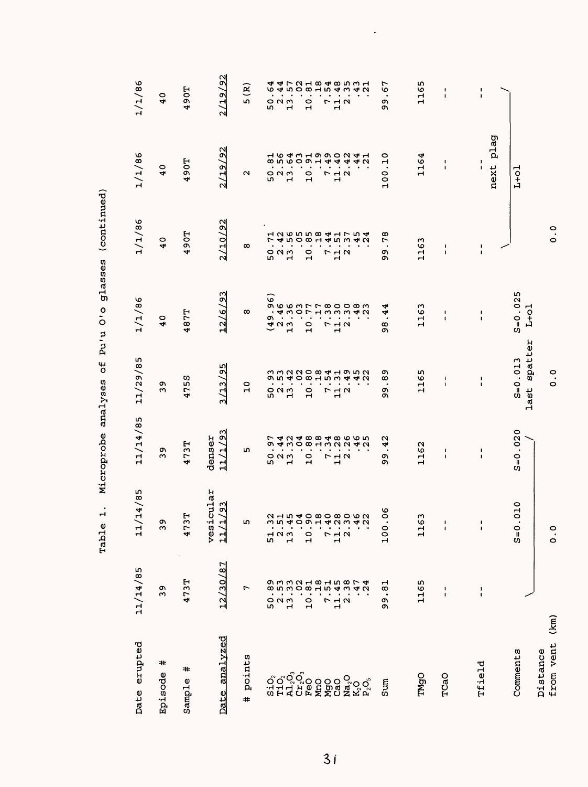| Date erupted          | 11/14/85                       | 11/14/85                   | 11/14/85                                                                                                                                                                                                                                                                                                                                                                                                                                                                                                                                                                                                                                                | 11/29/85                                | 1/1/86                                                                     | 1/1/86                                                                                                                                                                                                                                                                                               | 1/1/86                                    | 1/1/86                             |
|-----------------------|--------------------------------|----------------------------|---------------------------------------------------------------------------------------------------------------------------------------------------------------------------------------------------------------------------------------------------------------------------------------------------------------------------------------------------------------------------------------------------------------------------------------------------------------------------------------------------------------------------------------------------------------------------------------------------------------------------------------------------------|-----------------------------------------|----------------------------------------------------------------------------|------------------------------------------------------------------------------------------------------------------------------------------------------------------------------------------------------------------------------------------------------------------------------------------------------|-------------------------------------------|------------------------------------|
| ≠<br>Episode          | 39                             | c<br>ო                     | 39                                                                                                                                                                                                                                                                                                                                                                                                                                                                                                                                                                                                                                                      | 39                                      | 40                                                                         | 40                                                                                                                                                                                                                                                                                                   | 40                                        | 40                                 |
| #<br>Sample           | 473T                           | 3T<br>47                   | 473T                                                                                                                                                                                                                                                                                                                                                                                                                                                                                                                                                                                                                                                    | 4755                                    | 487T                                                                       | <b>1067</b>                                                                                                                                                                                                                                                                                          | <b>1067</b>                               | <b>1067</b>                        |
| Date analyzed         | 12/30/87                       | icular<br>1/93<br>ves<br>다 | 11/1/93<br>denser                                                                                                                                                                                                                                                                                                                                                                                                                                                                                                                                                                                                                                       | 3/13/95                                 | 12/6/93                                                                    | 2/10/92                                                                                                                                                                                                                                                                                              | 2/19/92                                   | 2/19/92                            |
| points<br>#           | r                              | m                          | r                                                                                                                                                                                                                                                                                                                                                                                                                                                                                                                                                                                                                                                       | $\overline{a}$                          | $\infty$                                                                   | œ                                                                                                                                                                                                                                                                                                    | u                                         | $\mathbf{\hat{e}}$<br>in,          |
|                       |                                | 51                         |                                                                                                                                                                                                                                                                                                                                                                                                                                                                                                                                                                                                                                                         |                                         |                                                                            |                                                                                                                                                                                                                                                                                                      |                                           | 4<br>৩                             |
|                       | 52<br>52<br>52                 |                            |                                                                                                                                                                                                                                                                                                                                                                                                                                                                                                                                                                                                                                                         | 52<br>52<br>52                          |                                                                            |                                                                                                                                                                                                                                                                                                      | 523<br>52                                 | 4<br>4<br>523<br>52                |
|                       |                                | $\frac{2}{1}$              |                                                                                                                                                                                                                                                                                                                                                                                                                                                                                                                                                                                                                                                         | $$<br>$$                                |                                                                            | $\begin{array}{cc} 50.71 \\ 2.436 \\ 3.566 \\ 1.436 \\ 1.566 \\ 1.436 \\ 1.436 \\ 1.436 \\ 1.436 \\ 1.437 \\ 1.437 \\ 1.437 \\ 1.437 \\ 1.437 \\ 1.437 \\ 1.437 \\ 1.437 \\ 1.437 \\ 1.437 \\ 1.437 \\ 1.437 \\ 1.437 \\ 1.437 \\ 1.437 \\ 1.437 \\ 1.437 \\ 1.437 \\ 1.437 \\ 1.437 \\ 1.437 \\ 1.$ | an e o u u u a a a<br>a u e o u u a a a a |                                    |
|                       | $\frac{0}{1}$                  | $\frac{0}{1}$              |                                                                                                                                                                                                                                                                                                                                                                                                                                                                                                                                                                                                                                                         |                                         |                                                                            |                                                                                                                                                                                                                                                                                                      | $\overline{10}$                           | $\frac{0}{1}$                      |
|                       |                                |                            |                                                                                                                                                                                                                                                                                                                                                                                                                                                                                                                                                                                                                                                         | $\overline{10}$                         |                                                                            |                                                                                                                                                                                                                                                                                                      |                                           |                                    |
|                       |                                | r                          |                                                                                                                                                                                                                                                                                                                                                                                                                                                                                                                                                                                                                                                         |                                         |                                                                            |                                                                                                                                                                                                                                                                                                      |                                           |                                    |
|                       | 7<br>7<br>7<br>2               | $\frac{1}{1}$ $\alpha$     | $7.3$<br>$11.7$                                                                                                                                                                                                                                                                                                                                                                                                                                                                                                                                                                                                                                         | $\begin{array}{c}\n7 \\ 1\n\end{array}$ |                                                                            | $7.4$<br>$11.5$                                                                                                                                                                                                                                                                                      | 712<br>12                                 | 7<br>12<br>2                       |
|                       |                                |                            |                                                                                                                                                                                                                                                                                                                                                                                                                                                                                                                                                                                                                                                         |                                         |                                                                            |                                                                                                                                                                                                                                                                                                      |                                           |                                    |
|                       | 47<br>$\overline{24}$          | 2154080806222 15408080     | $\begin{array}{cc} 0 & \uparrow & \uparrow & \downarrow \\ 0 & \uparrow & \uparrow & \downarrow \\ 0 & \downarrow & \downarrow & \downarrow \\ 0 & \downarrow & \downarrow & \downarrow \\ 0 & \downarrow & \downarrow & \downarrow \\ 0 & \downarrow & \downarrow & \downarrow \\ 0 & \downarrow & \downarrow & \downarrow \\ 0 & \downarrow & \downarrow & \downarrow \\ 0 & \downarrow & \downarrow & \downarrow \\ 0 & \downarrow & \downarrow & \downarrow \\ 0 & \downarrow & \downarrow & \downarrow \\ 0 & \downarrow & \downarrow & \downarrow \\ 0 & \downarrow & \downarrow & \downarrow \\ 0 & \downarrow & \downarrow & \downarrow \\ 0 &$ | 2952<br>2942                            | $(49.96)$ $13.3000000$ $10.71000000$ $11.7000000$ $12.7000000$ $13.300000$ | m<br>4<br>4<br>$\mathbf{\Omega}$                                                                                                                                                                                                                                                                     | 4<br>4<br>$\mathbf{\Omega}$               | 50815435425081548                  |
| Sun                   | $\frac{1}{8}$<br>99            | 06<br>100                  | N<br>4<br>99                                                                                                                                                                                                                                                                                                                                                                                                                                                                                                                                                                                                                                            | 89<br>თ<br>თ                            | 4<br>4<br>8                                                                | 78<br>99                                                                                                                                                                                                                                                                                             | $\frac{10}{10}$<br>100.                   | 67<br>$\cdot$<br>99                |
| TMgO                  | 1165                           | 63<br>$\mathbf{1}$         | 1162                                                                                                                                                                                                                                                                                                                                                                                                                                                                                                                                                                                                                                                    | 1165                                    | 1163                                                                       | 1163                                                                                                                                                                                                                                                                                                 | 1164                                      | 1165                               |
|                       |                                |                            |                                                                                                                                                                                                                                                                                                                                                                                                                                                                                                                                                                                                                                                         |                                         |                                                                            |                                                                                                                                                                                                                                                                                                      |                                           |                                    |
| TCaO                  | $\mathbf I$<br>$\mathbf{I}$    | $\blacksquare$<br>1        | $\mathbf I$<br>$\mathbf I$                                                                                                                                                                                                                                                                                                                                                                                                                                                                                                                                                                                                                              | $\pmb{\cdot}$<br>$\mathbf{I}$           | $\blacksquare$<br>$\mathbf{I}$                                             | $\pmb{\mathsf{I}}$<br>$\mathfrak l$                                                                                                                                                                                                                                                                  | t<br>$\mathbf{I}$                         | $\pmb{\mathsf{I}}$<br>$\mathbf{I}$ |
|                       |                                |                            |                                                                                                                                                                                                                                                                                                                                                                                                                                                                                                                                                                                                                                                         |                                         |                                                                            |                                                                                                                                                                                                                                                                                                      |                                           |                                    |
| Tfield                | $\mathbf{I}$<br>$\blacksquare$ | $\pmb{\mathsf{I}}$<br>1    | J.<br>$\mathbf I$                                                                                                                                                                                                                                                                                                                                                                                                                                                                                                                                                                                                                                       | $\frac{1}{1}$                           | $\mathbf I$<br>$\mathbf I$                                                 | $\frac{1}{1}$                                                                                                                                                                                                                                                                                        | $\frac{1}{1}$                             | $\frac{1}{1}$                      |
|                       |                                |                            |                                                                                                                                                                                                                                                                                                                                                                                                                                                                                                                                                                                                                                                         |                                         |                                                                            |                                                                                                                                                                                                                                                                                                      | plag<br>next                              |                                    |
| Comments              |                                | .010<br>$S = 0$            | $S = 0.020$                                                                                                                                                                                                                                                                                                                                                                                                                                                                                                                                                                                                                                             | spatter<br>$S = 0.013$<br>last          | $S = 0.025$<br>$L+01$                                                      |                                                                                                                                                                                                                                                                                                      | $L+O1$                                    |                                    |
| from vent<br>Distance | (km)                           | $\frac{0}{0}$              |                                                                                                                                                                                                                                                                                                                                                                                                                                                                                                                                                                                                                                                         | $\frac{0}{0}$                           |                                                                            | $\ddot{\circ}$                                                                                                                                                                                                                                                                                       |                                           |                                    |

 $\ddot{\phantom{0}}$ 

Table 1. Microprobe analyses of Pu'u O'o glasses (continued) Table 1. Microprobe analyses of Pu'u O'o glasses (continued)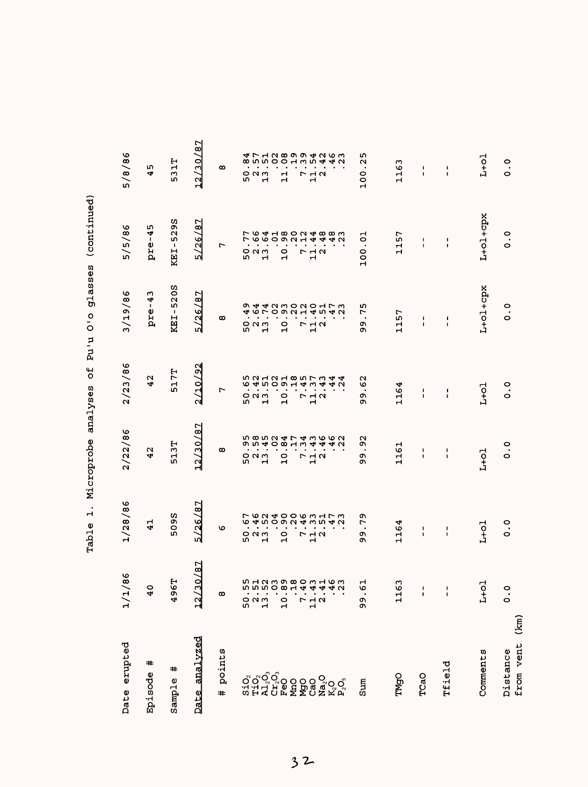| Date erupted                    | 86<br>1/1/                          | 1/28/86                                  | 2/22/86                                                                    | 2/23/86                                                 | 3/19/86                                                     | 5/5/86                                | 5/8/86                                             |
|---------------------------------|-------------------------------------|------------------------------------------|----------------------------------------------------------------------------|---------------------------------------------------------|-------------------------------------------------------------|---------------------------------------|----------------------------------------------------|
| #<br>Episode                    | $\frac{0}{4}$                       | $\frac{1}{4}$                            | N<br>4                                                                     | N<br>4                                                  | m<br>4<br>pre-                                              | m<br>4<br>$\blacksquare$<br>pre       | w<br>4                                             |
| #<br>Sample                     | н<br>496                            | 5095                                     | 513T                                                                       | 517T                                                    | 520S<br>$\overline{\phantom{a}}$<br>KEI.                    | 529S<br>$\blacksquare$<br>KEI-        | н<br>Н<br>S                                        |
| analyzed<br>Date                | 0/87<br>$\overline{12}$             | 5/26/87                                  | 12/30/87                                                                   | $\frac{2}{3}$<br>2/10/                                  | 5/26/87                                                     | 78'<br>5/26/                          | $\overline{8}$<br>(30)<br>12                       |
| points<br>#                     | $\infty$                            | ৩                                        | $\infty$                                                                   | $\overline{r}$                                          | $\infty$                                                    | Ļ                                     | $\infty$                                           |
|                                 | ო.                                  | w                                        | $\bullet$<br>w                                                             | $\bullet$<br>w                                          | w                                                           | w                                     | w                                                  |
|                                 | 50.4                                | 0 N M                                    | $\bullet$<br>0 N M                                                         | $\bullet$<br>$\circ$ $\circ$ $\circ$                    | $\bullet$<br>$\blacksquare$<br>$O$ $N$ $m$                  | o u w                                 | $\bullet$<br>$\circ$ $\circ$ $\circ$               |
|                                 |                                     | $\mathbf{\mathbf{H}}$                    | $\bullet$<br>ᆏ                                                             | $\bullet$<br>$\mathbf{H}$                               | $\blacksquare$<br>$\mathbf{r}$                              | $\mathbf \tau$                        | ٠<br>$\mathbf{r}$                                  |
| ៰័្នកុំកុំ<br>១១ភីភ្នំពុំ<br>១៩ | $\frac{0}{1}$                       | $\circ$<br>ᆏ                             | のうしゅ<br>$\bullet$ .<br><br><br><br><br><br><br><br>$\circ$<br>$\mathbf{H}$ | $\bullet$ . $\bullet$<br>$\frac{0}{1}$                  | $\bullet$<br>$\bullet$<br>$\frac{1}{2}$                     | 0<br>$\mathbf{r}$                     | $\mathbf{r}$                                       |
|                                 | 7.                                  |                                          | $-10.4$<br>$\bullet$<br>$\bullet$                                          | $\bullet$<br>$\bullet$                                  | $\bullet$<br>$\blacksquare$                                 |                                       | <b>@</b> wwoodww                                   |
|                                 | $\frac{1}{11}$<br>$\mathbf{\Omega}$ | フュク<br>$\blacksquare$                    | フュス<br>$\mathbf{H}$                                                        | $\bullet$<br>r 1 2<br>1 2                               | $\begin{array}{c}\n7 \\ 1\n\end{array}$                     | <b>712</b><br>ᆏ                       | 7<br>12<br>12                                      |
|                                 | <b>DHODOOO</b> MHOM                 | フ6240063173<br><b>64509243542</b>        | 58524743662<br>440                                                         | <b>ち2121857344564509143412</b><br>4 U<br>$\blacksquare$ | <b>9 4 4 0 5 0 9 1 4 5 4 6 7 6 9 4 7 8 4 7</b><br>$\bullet$ | 764180248830 764180 2448<br>4 U       | 47128994263<br>440                                 |
| Sum                             | ᆏ<br>ە.<br>99                       | ጣ<br>r<br>$\bullet$<br>o۱<br>ጣ           | $\mathbf{\sim}$<br>σ١<br>$\bullet$<br>٥Ņ,<br>ጣ                             | $\mathbf{\mathsf{N}}$<br>৩<br>$\bullet$<br>o۱<br>σ١     | ഗ<br>L<br>٠<br>o۱<br>ጣ                                      | 5<br>$\cdot$<br>100                   | <b>un</b><br>$\mathbf{\Omega}$<br>$\bullet$<br>100 |
| TMgO                            | S<br>116                            | ↤<br>116                                 | 161<br>$\mathbf{\mathbf{H}}$                                               | 4<br>116                                                | 57<br>부                                                     | 157<br>Н                              | 163<br>H                                           |
| TCaO                            | ı<br>$\mathbf{I}$                   | $\pmb{\mathsf{I}}$<br>$\pmb{\mathsf{I}}$ | $\pmb{\mathsf{I}}$<br>$\mathbf{I}$                                         | I.<br>$\blacksquare$                                    | $\mathbf{I}$<br>$\mathbf{I}$                                | $\mathbf{I}$<br>$\mathbf{I}$          | $\blacksquare$<br>$\blacksquare$                   |
| Tfield                          | J,<br>$\mathbf{I}$                  | 1<br>ł,                                  | 1<br>$\blacksquare$                                                        | t<br>$\mathbf{I}$                                       | 1<br>$\pmb{\mathsf{I}}$                                     | $\pmb{\cdot}$<br>$\pmb{\mathfrak{r}}$ | $\blacksquare$<br>$\mathbf I$                      |
|                                 |                                     |                                          |                                                                            |                                                         |                                                             |                                       |                                                    |
| Comments                        | $L+O1$                              | $L+O1$                                   | $L+O1$                                                                     | $L+O1$                                                  | L+ol+cpx                                                    | L+ol+cpx                              | $L+O1$                                             |
| (km)<br>from vent<br>Distance   | $\frac{0}{0}$                       | $\frac{0}{0}$                            | $\frac{0}{0}$                                                              | $\ddot{\circ}$                                          | 0<br>$\ddot{\circ}$                                         | $\frac{0}{0}$                         | $\frac{0}{0}$                                      |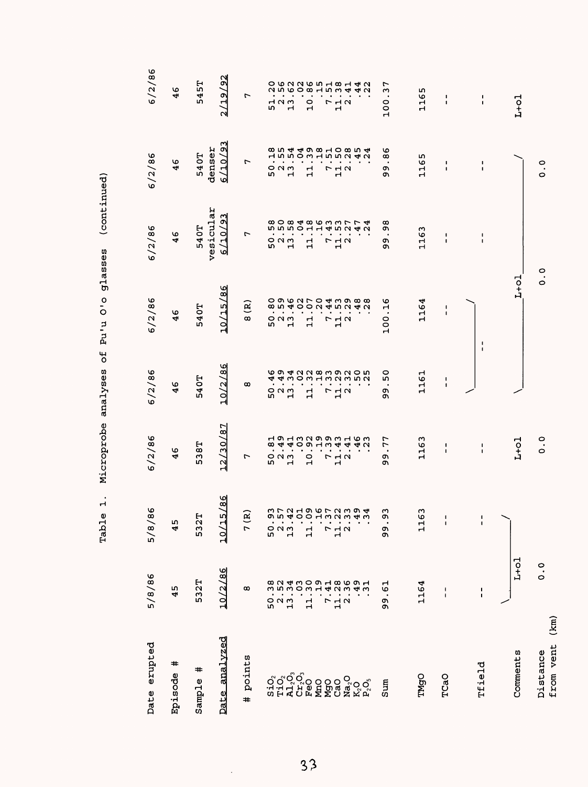| Date erupted          | 5/8/86                         | O<br>5/8/8             | 6/2/86                       | 6/2/86                   | 6/2/86                     | 6/2/86                                                                                                                                                                                                                                                                                | 6/2/86                    | 6/2/86                                              |
|-----------------------|--------------------------------|------------------------|------------------------------|--------------------------|----------------------------|---------------------------------------------------------------------------------------------------------------------------------------------------------------------------------------------------------------------------------------------------------------------------------------|---------------------------|-----------------------------------------------------|
| #<br>Episode          | 45                             | 45                     | 46                           | 46                       | 46                         | 46                                                                                                                                                                                                                                                                                    | 46                        | 46                                                  |
| #<br>Sample           | 532T                           | 532T                   | 538T                         | 540T                     | 540T                       | vesicular<br>540T                                                                                                                                                                                                                                                                     | 540T                      | 545T                                                |
| analyzed<br>Date      | 10/2/86                        | /86<br>/15<br><u>이</u> | 12/30/87                     | /86<br>10/2/             | 10/15/86                   | $\overline{23}$<br>$\overline{10}$<br>৩                                                                                                                                                                                                                                               | /10/93<br>denser<br>ত     | 2/19/92                                             |
| points<br>$\ddot{}$   | œ                              | 7(R)                   | 7                            | œ                        | $\mathbf{g}$<br>$\infty$   | 7                                                                                                                                                                                                                                                                                     | r                         | r                                                   |
|                       | ω<br>${\tt o}$                 |                        | $\bullet$                    | ۱                        |                            |                                                                                                                                                                                                                                                                                       |                           |                                                     |
|                       | ∞ ∾<br>L۲<br>$\frac{2}{1}$     | 5021                   | 52<br>52<br>52               | ៰៷៳                      | 52<br>52<br>52             | 52<br>52<br>52                                                                                                                                                                                                                                                                        | 523<br>52                 | 52<br>52<br>52                                      |
|                       | $\ddot{ }$                     |                        |                              | Н                        |                            |                                                                                                                                                                                                                                                                                       |                           |                                                     |
|                       | $\mathbf{1}$                   | 넘                      | $\overline{a}$               | ᆏ<br>H                   | $\mathbf{1}$               | $\mathbf{1}$                                                                                                                                                                                                                                                                          | $\mathbf{1}$              | O W N W W H W H<br>O W N W W H W H<br>$\frac{0}{1}$ |
|                       | L                              | r                      |                              | L                        | r                          | r,                                                                                                                                                                                                                                                                                    |                           |                                                     |
|                       | 2423<br>$\frac{1}{1}$ $\alpha$ | $\frac{1}{2}$ $\alpha$ | 7<br>7<br>7<br>7<br>2        |                          |                            | $\frac{1}{1}$ $\alpha$                                                                                                                                                                                                                                                                | 7<br>7<br>7<br>7          | 7<br>7<br>7<br>7                                    |
|                       |                                |                        |                              | $\frac{1}{2}$ $\alpha$   | $\frac{1}{2}$ $\alpha$     |                                                                                                                                                                                                                                                                                       |                           |                                                     |
|                       | 49<br>$\frac{1}{3}$            | WLUHOOLUWO4            |                              | 694228392054430213       |                            | $\begin{array}{c} 0.000400 \\ 0.000400 \\ 0.000400 \\ 0.000400 \\ 0.00040 \\ 0.00040 \\ 0.00000 \\ 0.00000 \\ 0.00000 \\ 0.00000 \\ 0.00000 \\ 0.00000 \\ 0.00000 \\ 0.00000 \\ 0.00000 \\ 0.00000 \\ 0.00000 \\ 0.00000 \\ 0.00000 \\ 0.00000 \\ 0.00000 \\ 0.00000 \\ 0.00000 \\ 0$ |                           | 4<br>$\overline{2}$<br>4                            |
| Sum                   | $\ddot{6}$<br>99               | ς<br>ە.<br>.<br>99     | .77<br>Q,<br>Q)              | 50<br>Q<br>c             | $-16$<br>$\frac{100}{100}$ | 98<br>99                                                                                                                                                                                                                                                                              | 86<br>$\bullet$<br>ጣ<br>ጣ | .37<br>$\frac{100}{100}$                            |
| <b>TMgO</b>           | 1164                           | w<br>116               | 1163                         | 1161                     | 1164                       | 1163                                                                                                                                                                                                                                                                                  | 1165                      | 1165                                                |
| TCaO                  | 1<br>$\mathbf{I}$              | $\frac{1}{1}$          | $\pmb{\cdot}$<br>$\mathbf I$ | J.<br>$\pmb{\mathsf{I}}$ | I.<br>$\blacksquare$       | $\pmb{\mathfrak{t}}$<br>$\pmb{\mathsf{I}}$                                                                                                                                                                                                                                            | J.<br>$\pmb{\cdot}$       | ÷<br>$\pmb{\cdot}$                                  |
| Tfield                | J.<br>$\mathbf I$              | $\frac{1}{1}$          | $\frac{1}{1}$                |                          | 1<br>J.                    | J,<br>$\mathbf{I}$                                                                                                                                                                                                                                                                    | $\frac{1}{1}$             | $\pmb{\mathfrak{t}}$<br>$\pmb{\mathfrak{t}}$        |
| Comments              | $L+o1$                         |                        | $L+01$                       |                          | $L+o1$                     |                                                                                                                                                                                                                                                                                       |                           | $L+o1$                                              |
| from vent<br>Distance | $\ddot{\circ}$<br>(km)         |                        | $\frac{0}{0}$                |                          | $\frac{0}{0}$              |                                                                                                                                                                                                                                                                                       | $\frac{0}{0}$             |                                                     |

 $3<sup>3</sup>$ 

 $\frac{1}{\sqrt{2}}$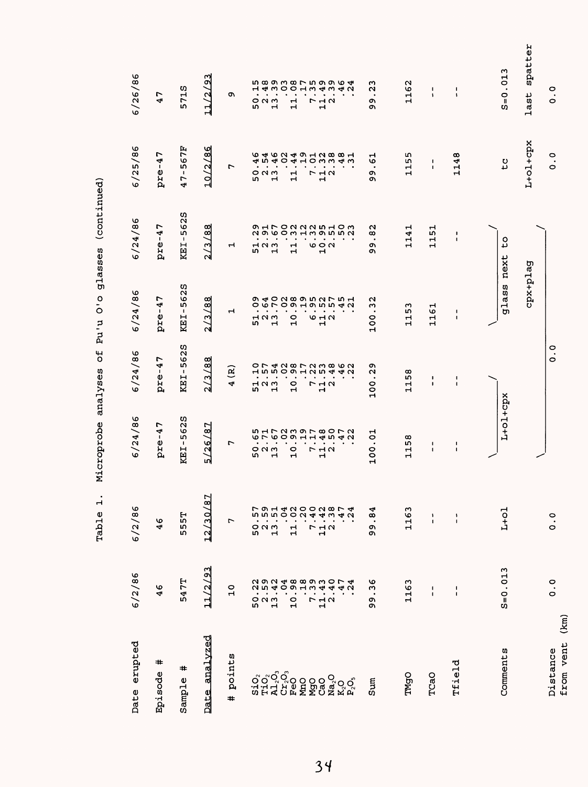| Date erupted                | 6/2/86                                 | 6/2/86                            | 6/24/86                                              | 6/24/86                                       | 6/24/86                                                           | 6/24/86                                                                  | 6/25/86                                                  | 6/26/86                                                                     |
|-----------------------------|----------------------------------------|-----------------------------------|------------------------------------------------------|-----------------------------------------------|-------------------------------------------------------------------|--------------------------------------------------------------------------|----------------------------------------------------------|-----------------------------------------------------------------------------|
| ≠<br>Episode                | ৩<br>4                                 | Φ<br>4                            | r<br>$\overline{1}$<br>pre                           | r<br>4<br>$\mathbf{I}$<br>pre                 | r<br>$\overline{1}$<br>pre                                        | r<br>$\overline{1}$<br>pre-                                              | r<br>$\overline{4}$<br>pre                               | L<br>$\blacktriangleleft$                                                   |
| #<br>Sample                 | 547T                                   | 555T                              | ທ<br>$\overline{6}$<br>$\frac{5}{1}$<br>KEI.         | 5628<br>$\mathbf{I}$<br>KEI                   | U)<br>$\overline{6}$<br>L۲<br>$\mathbf{I}$<br>KEI                 | 625<br>ū٦<br>$\mathbf{I}$<br>KEI                                         | 67F<br>$\frac{1}{2}$<br>r<br>4                           | 5715                                                                        |
| analvzed<br>Date            | 11/2/93                                | 12/30/87                          | 5/26/87                                              | 13/88<br>ત્ય                                  | ᅃ<br>$\frac{1}{2}$<br>$\frac{2}{3}$                               | œ<br><u>व</u><br>$\overline{\mathcal{L}}$<br>N                           | /86<br>10/2                                              | /93<br>11/2                                                                 |
| points<br>#                 | $\frac{0}{1}$                          | Γ                                 | r                                                    | $\mathbf{\tilde{e}}$<br>4                     | ᆏ                                                                 | ᆏ                                                                        | r                                                        | c                                                                           |
|                             |                                        |                                   |                                                      |                                               |                                                                   |                                                                          |                                                          |                                                                             |
| ooooo<br>Gooo<br>GHAULE     |                                        | 523<br>52                         | $\mathcal{A}$<br>$\bullet$<br>$O$ $N$ $M$<br>w       | $\bullet$<br>$\bullet$<br>523<br>523          | $\bullet$<br>$\blacksquare$<br>120<br>L۱                          | $\bullet$<br>$\bullet$<br>7 N W<br>n,                                    | $\bullet$<br>$\bullet$<br><b>ついい</b><br>m                | $\bullet$<br>$\bullet$<br>៰៷៳<br>rU)                                        |
|                             |                                        |                                   | $\bullet$<br>H                                       | $\bullet$                                     | $\bullet$<br>ᆏ                                                    | $\cdot$<br>ᆏ                                                             | $\bullet$<br>ᆏ                                           | ٠<br>ᆏ                                                                      |
|                             |                                        | 11                                | $\bullet$<br>$\circ$                                 | $\bullet$<br>$\circ$                          | $\bullet$<br>$\circ$                                              |                                                                          |                                                          |                                                                             |
|                             |                                        |                                   | $\bullet$<br>$\bullet$<br>$\blacksquare$             | $\bullet$<br>$\bullet$<br>$\mathbf{H}$        | $\bullet$<br>$\bullet$<br>$\mathbf{\mathbf{H}}$                   | $\bullet$<br>$\bullet$<br>$\mathbf{\mathbf{r}}$<br>$\mathbf{\mathbf{H}}$ | $\bullet$<br>$\bullet$<br>$\mathbf{H}$<br>$\mathbf{H}$   | $\bullet$<br>$\bullet$<br>$\mathbf{H}$<br>$\mathbf{H}$                      |
|                             |                                        | L                                 | $\bullet$                                            | $\bullet$                                     |                                                                   | $\bullet$                                                                | $\bullet$                                                | $\bullet$                                                                   |
|                             |                                        | 38<br>$\frac{1}{1}$ $\alpha$      | $P - 10$<br>$\blacksquare$                           | $\blacksquare$<br><b>712</b><br>Н             | $\bullet$ . $\bullet$<br>$\cdot$<br>$\sigma$ $\sim$ $\sigma$<br>ᆏ | $\bullet$<br>$\circ$ $\circ$ $\circ$<br>$\mathbf{H}$                     | $\bullet$<br>7 <sub>1</sub><br>ᆏ                         | $\bullet$<br><b>712</b><br>$\mathbf{H}$                                     |
| ត្ត<br>កិច្ច ទី១១<br>ឯកស្ពឺ | 47<br>24                               | 24<br>47                          | <b>ち172397807251700118</b><br>$\bullet$<br>$\bullet$ | <b>ひ74287238620</b><br>$\bullet$<br>$\bullet$ | o 40 do 0 m 0 h u 4<br>o v r o o r o m i n d v<br>$\bullet$       | <b>OHLOUNNUHOU</b><br>NO 60 m H m 0 m m M<br>$\bullet$                   | <b>もちらりようにつきるというよう しょうりょうしょう</b><br>HOMMAM<br>$\bullet$  | <b>LO CO CO CO CO CO CO CO CO CO CO CO</b><br>HAWOOHWAWAW<br>$\bullet$<br>٠ |
|                             |                                        |                                   |                                                      |                                               |                                                                   |                                                                          |                                                          |                                                                             |
| Sum                         | $\frac{6}{3}$<br>$\bullet$<br>o,<br>o۱ | .84<br>c<br>c                     | $\vec{c}$<br>$\bullet$<br>100                        | ጣ<br>$\mathbf{\Omega}$<br>$\cdot$<br>100      | $\mathbf{\sim}$<br>ω<br>$\bullet$<br>100                          | N<br>œ<br>$\bullet$<br>o۱<br>ጣ                                           | ᆏ<br>৩<br>$\bullet$<br>o۱<br>ጣ                           | ω<br>$\mathbf{\Omega}$<br>$\bullet$<br>ጣ<br>Ō                               |
| TMgO                        | 1163                                   | 1163                              | œ<br>ĩή<br>$\mathbf{r}$<br>Н                         | 58<br>Н<br>$\mathbf{\mathbf{H}}$              | ო<br>LΩ,<br>$\mathbf{\mathbf{H}}$<br>$\mathbf{\mathbf{t}}$        | Н<br>4<br>븝                                                              | m<br>Ю<br>$\mathbf{\mathbf{r}}$<br>$\mathbf{\mathbf{r}}$ | 162<br>$\mathbf{\mathbf{H}}$                                                |
| TCaO                        | $\blacksquare$<br>$\blacksquare$       | $\pmb{\mathsf{I}}$<br>$\mathbf I$ | 1<br>$\blacksquare$                                  | ٠<br>1                                        | 161<br>$\mathbf{\mathbf{H}}$                                      | 51<br>ᆏ<br>ᆏ                                                             | 1<br>1                                                   | 1<br>$\mathbf{I}$                                                           |
| Tfield                      | $\frac{1}{4}$                          | $\frac{1}{4}$                     | 1<br>1                                               | J.<br>$\mathbf{I}$                            | 1<br>$\mathbf{I}$                                                 | $\mathbf{I}$<br>$\mathbf{I}$                                             | 48<br>$\mathbf{1}$                                       | $\mathbf{I}$<br>$\ddot{\phantom{a}}$                                        |
|                             |                                        |                                   |                                                      |                                               |                                                                   |                                                                          |                                                          |                                                                             |
| Comments                    | $S = 0.013$                            | $L+o1$                            | L+01+cpx                                             |                                               | glass                                                             | ٥<br>ى<br>next                                                           | tc                                                       | m<br>$S = 0.01$                                                             |
|                             |                                        |                                   |                                                      |                                               | cpx+plag                                                          |                                                                          | L+ol+cpx                                                 | spatter<br>last                                                             |
| Distance                    | $\frac{0}{0}$                          | $\ddot{\circ}$                    |                                                      | o<br>.<br>$\circ$                             |                                                                   |                                                                          | $\circ$<br>$\bullet$<br>$\circ$                          | 0<br>$\bullet$<br>O                                                         |
| (km)<br>from vent           |                                        |                                   |                                                      |                                               |                                                                   |                                                                          |                                                          |                                                                             |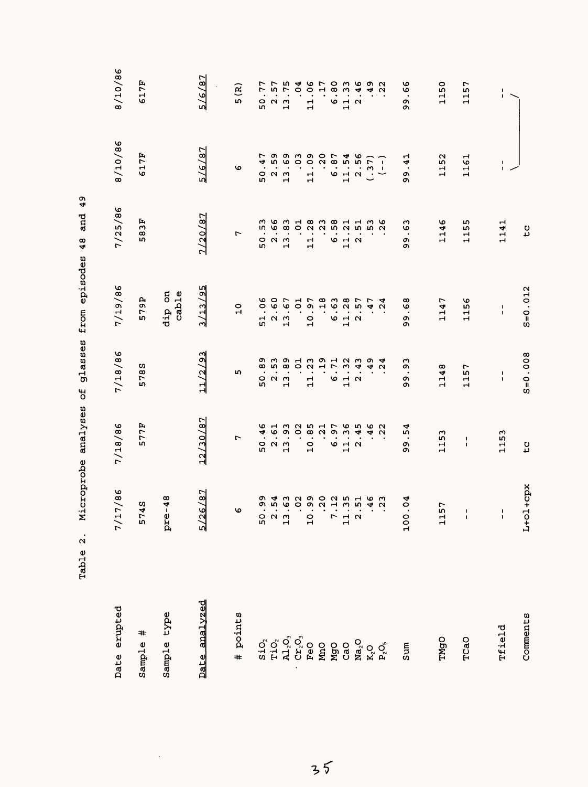| Date erupted  | 7/86<br>7/1                                | 7/18/86                               | 7/18/86                                                               | 7/19/86                                      | 7/25/86                      | 8/10/86                                           | 8/10/86                                     |
|---------------|--------------------------------------------|---------------------------------------|-----------------------------------------------------------------------|----------------------------------------------|------------------------------|---------------------------------------------------|---------------------------------------------|
| #<br>Sample   | w<br>ᢦ<br>57                               | 577F                                  | 5785                                                                  | 579P                                         | 35<br>$\overline{58}$        | 617F                                              | 617F                                        |
| Sample type   | 48<br>$\overline{\phantom{a}}$<br>pre      |                                       |                                                                       | dip on<br>cable                              |                              |                                                   |                                             |
| Date analyzed | 6/87<br>5/2                                | 12/30/87                              | 11/2/93                                                               | 3/13/95                                      | 7/20/87                      | 5/6/87                                            | 5/6/87                                      |
| # points      | G                                          | $\overline{ }$                        | L۱                                                                    | $\overline{10}$                              | r                            | O                                                 | 5(R)                                        |
|               |                                            | ত<br>4.<br>50                         | ნ0                                                                    | .06<br>$\overline{5}$                        | Z<br>r.<br>50                | r<br>4<br>$\bullet$<br>50                         | r<br>L<br>$\bullet$<br>$\circ$<br>ıη        |
|               |                                            | $\begin{array}{c} 2 \\ 2 \end{array}$ | $\sim$ $\sim$                                                         | .60<br>$\begin{array}{c} 2 \\ 2 \end{array}$ | .66<br>$\sim$                | ה ה<br>ru.<br>$\mathbf{\Omega}$                   | 57<br>$\begin{array}{c} 2 \\ 2 \end{array}$ |
|               |                                            |                                       | $\mathbf{H}$                                                          | .67                                          | $\mathbf{a}$<br>13           | O<br>ന<br>$\mathbf{H}$                            | m<br>$\overline{ }$                         |
|               |                                            |                                       |                                                                       | $-0.5$                                       | $.01$<br>$.28$               | 0.00                                              | 4<br>ė                                      |
|               | $\overline{10}$                            | 10                                    | Н<br>Н                                                                | $\frac{0}{1}$                                | 11                           | $\mathbf{H}$<br>Н                                 | 11.06                                       |
|               |                                            |                                       | $\sigma$ $\sigma$<br>$H$ $\Gamma$                                     | $.18$<br>63                                  |                              |                                                   | r<br>$\mathbf{H}$                           |
|               |                                            | 6                                     | G                                                                     |                                              | Ф                            |                                                   | .80<br>6                                    |
|               | $\begin{array}{c} 7 \\ 4 \\ 0 \end{array}$ | $\mathbf{1}$                          | 32<br>$\overline{M}$ $\overline{N}$<br>$\mathbf{\mathbf{\mathsf{H}}}$ | 28<br>א ⊢ ס<br>Н                             | H <sub>N</sub><br>H          | Н                                                 | ო<br>w<br>$\frac{1}{4}$ $\alpha$            |
|               |                                            | $\sim$                                | $\frac{4}{3}$                                                         | 57                                           |                              |                                                   | ഄ<br>4                                      |
|               | 4                                          | ഄ<br>4                                | ന<br>4                                                                | $\overline{r}$<br>4                          | 2 8 4 4 5 6<br>2 5 6 7 8 9 8 | $30746$<br>$6.196$<br>$6.196$<br>$6.79$<br>$6.79$ | $\sigma$ $\alpha$                           |
|               | ന<br>$\sim$                                | $\sim$<br>$\sim$                      | ◅<br>$\sim$                                                           | ◅<br>$\sim$                                  |                              | $\widehat{\mathbf{r}}$<br>$\blacksquare$          | 4 U                                         |
| sumS          | 4<br>o<br>001                              | ◅<br>m<br>თ<br>თ                      | ე<br>თ<br>o,<br>ጣ                                                     | $\frac{8}{6}$<br>თ<br>თ                      | c3<br>ጣ<br>ጣ                 | .41<br>ጣ<br>の                                     | φ<br>Ó<br>თ<br>თ                            |
| TMgO          | 57<br>$\mathbf{1}$                         | 1153                                  | 1148                                                                  | 1147                                         | 1146                         | 1152                                              | 1150                                        |
| TCaO          | $\pmb{\mathsf{I}}$<br>ı                    | $\mathbf I$<br>1                      | 1157                                                                  | O<br>115                                     | 55<br>Н<br>Н                 | 1161                                              | 1157                                        |
|               |                                            |                                       |                                                                       |                                              |                              |                                                   |                                             |
| Tfield        | 1<br>$\mathbf{I}$                          | 1153                                  | $\mathbf I$<br>$\blacksquare$                                         | $\mathbf I$<br>$\mathbf I$                   | 1141                         | 1<br>$\mathbf{I}$                                 | $\mathbf I$<br>$\mathbf{I}$                 |
| Comments      | L+01+cpx                                   | tc                                    | $S = 0.008$                                                           | $S = 0.012$                                  | $\mathsf{t}\mathsf{c}$       |                                                   |                                             |

 $\hat{\mathcal{A}}$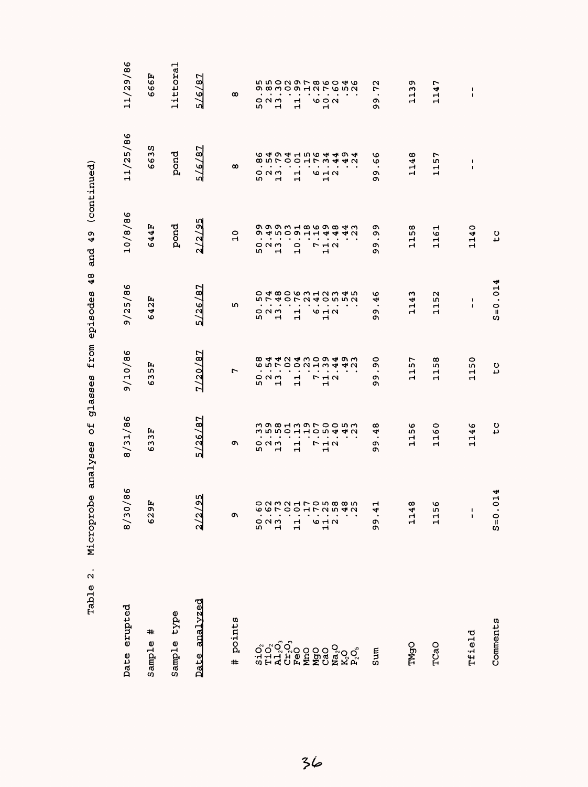| $\ddot{\Omega}$<br>Table                                                            | Microprobe                                                | ъ<br>analyses                     | glasses                                                                                                                                              | 48<br>from episodes                                                                                                                                                      | 49<br>and                                                                                                                    | (continued)                                                                                                                   |                                                                                                                                                                                     |
|-------------------------------------------------------------------------------------|-----------------------------------------------------------|-----------------------------------|------------------------------------------------------------------------------------------------------------------------------------------------------|--------------------------------------------------------------------------------------------------------------------------------------------------------------------------|------------------------------------------------------------------------------------------------------------------------------|-------------------------------------------------------------------------------------------------------------------------------|-------------------------------------------------------------------------------------------------------------------------------------------------------------------------------------|
| Date erupted                                                                        | $\mathbf{86}$<br>〜<br>$\circ$<br>$\frac{3}{2}$            | 8/31/86                           | 9/10/86                                                                                                                                              | 9/25/86                                                                                                                                                                  | ৩<br>10/8/8                                                                                                                  | 11/25/86                                                                                                                      | 11/29/86                                                                                                                                                                            |
| #<br>Sample                                                                         | 핑<br>62                                                   | Ŀч<br>w<br>S<br>৩                 | 띥<br>w<br>৩                                                                                                                                          | 2F<br>4<br>O                                                                                                                                                             | 44F<br>O                                                                                                                     | w<br>m<br>66                                                                                                                  | Ŀ,<br>666.                                                                                                                                                                          |
| type<br>Sample                                                                      |                                                           |                                   |                                                                                                                                                      |                                                                                                                                                                          | pond                                                                                                                         | pond                                                                                                                          | littoral                                                                                                                                                                            |
| analyzed<br>Date                                                                    | $\sqrt{95}$<br>$\frac{2}{2}$                              | 5/26/87                           | 7/20/87                                                                                                                                              | 5/26/87                                                                                                                                                                  | 'nΝ<br>2/2/9!                                                                                                                | /87<br>$\frac{6}{5}$                                                                                                          | r<br>5/6/8                                                                                                                                                                          |
| points<br>#                                                                         | C                                                         | o۱                                | r                                                                                                                                                    | m                                                                                                                                                                        | $\circ$<br>$\mathbf{\mathbf{H}}$                                                                                             | $\infty$                                                                                                                      | $\infty$                                                                                                                                                                            |
|                                                                                     | 50<br>$\frac{2}{1}$                                       | っぺい<br>w<br>$\mathbf{\mathbf{H}}$ | $\bullet$<br>$\bullet$<br>$\,$ .<br>៰៷៳<br>w<br>ᆏ                                                                                                    | 574<br>$\bullet$<br>$\bullet$<br>$\bullet$<br>$\sum_{i=1}^{n}$<br>rU<br>ᆏ                                                                                                | ጣ<br>$\bullet$<br>೦೧೧<br>w<br>ᆏ                                                                                              | $\blacksquare$<br>$\bullet$<br>$\bullet$<br>៰៷៳<br>w<br>Ч                                                                     | ጣ<br>$\bullet$<br>೦೧೧<br>w<br>Н                                                                                                                                                     |
|                                                                                     | 급                                                         | $\mathbf{1}$                      | $\bullet$<br>$\bullet$<br>$\mathbf{r}$<br>Ч                                                                                                          | $\blacksquare$<br>Н<br>$\mathbf{H}$                                                                                                                                      | $\frac{4}{4}$ $\frac{1}{4}$ $\frac{1}{4}$ $\frac{1}{4}$ $\frac{1}{4}$ $\frac{1}{4}$ $\frac{1}{4}$<br>$\circ$<br>$\mathbf{r}$ | $\bullet$<br>$\sim$<br>$\frac{1}{1}$                                                                                          | $\mathbf{1}$                                                                                                                                                                        |
| $\begin{array}{l} \tt{Na_2O} \\ \tt{K_2O} \\ \tt{P_2O_5} \end{array}$<br>NgO<br>CaO | <b>O232170588502310010</b><br>O<br>$\frac{1}{1}$ $\alpha$ | 7<br>$\frac{1}{1}$ $\alpha$       | <b>89440400499</b><br><b>65700213442</b><br>$\bullet$<br>$\bullet$<br>$\bullet$<br>$\bullet$<br>$\bullet$<br>$\begin{array}{c}\n7 \\ 1\n\end{array}$ | <b>ひょ 800 のうしろうしら</b><br>$\ddot{o}$ $\ddot{c}$ $\ddot{d}$ $\ddot{d}$ $\ddot{e}$ $\ddot{p}$ $\ddot{p}$ $\ddot{p}$ $\ddot{p}$ $\ddot{q}$<br>9 H N<br>$\mathbf{\mathbf{r}}$ | o o o o u do o o o 4 w<br><b>4442</b><br>r<br>$\overline{M}$ $\overline{N}$<br>$\mathbf{\mathbf{d}}$                         | <b>64941564494</b><br>85700173442<br>$\bullet$<br>$\bullet$<br>$\blacksquare$<br>$\bullet$<br><b>10 H N</b><br>$\blacksquare$ | n n o n o r ∞ o o 4 o<br>$\ddot{\omega} \ddot{\omega} \dot{\omega} \dot{\omega} + \dot{\omega} \dot{\omega} \dot{\omega} \dot{\omega}$<br>$\circ$ $\circ$ $\circ$<br>$\blacksquare$ |
| Sum                                                                                 | ᆏ<br>4<br>თ<br>თ                                          | œ<br>4<br>$\bullet$<br>o۱<br>Q,   | 0<br>Q,<br>$\bullet$<br>c<br>c                                                                                                                       | v<br>₹<br>$\bullet$<br>c<br>c                                                                                                                                            | c<br>c<br>$\bullet$<br>c<br>Q,                                                                                               | ৩<br>G<br>$\bullet$<br>o,<br>c                                                                                                | 72<br>$\bullet$<br>c<br>c                                                                                                                                                           |
| TMgO                                                                                | $\infty$<br>4<br>급                                        | 56<br>긐                           | r<br>m<br>٣<br>Н                                                                                                                                     | 1143                                                                                                                                                                     | 58<br>급                                                                                                                      | 1148                                                                                                                          | σ١<br>$\frac{1}{2}$                                                                                                                                                                 |
| TCaO                                                                                | o<br>n,<br>급                                              | 1160                              | œ<br>n,<br>Н<br>$\mathbf{\mathbf{r}}$                                                                                                                | 1152                                                                                                                                                                     | 1161                                                                                                                         | r<br>115                                                                                                                      | L<br>114'                                                                                                                                                                           |
| rfield                                                                              | $\mathbf{I}$<br>$\pmb{\mathsf{I}}$                        | 1146                              | 1150                                                                                                                                                 | ı<br>$\pmb{\mathsf{I}}$                                                                                                                                                  | 1140                                                                                                                         | 1<br>$\blacksquare$                                                                                                           | ı<br>$\blacksquare$                                                                                                                                                                 |
| Comments                                                                            | $S = 0.014$                                               | c<br>C                            | tc                                                                                                                                                   | $S = 0.014$                                                                                                                                                              | t c                                                                                                                          |                                                                                                                               |                                                                                                                                                                                     |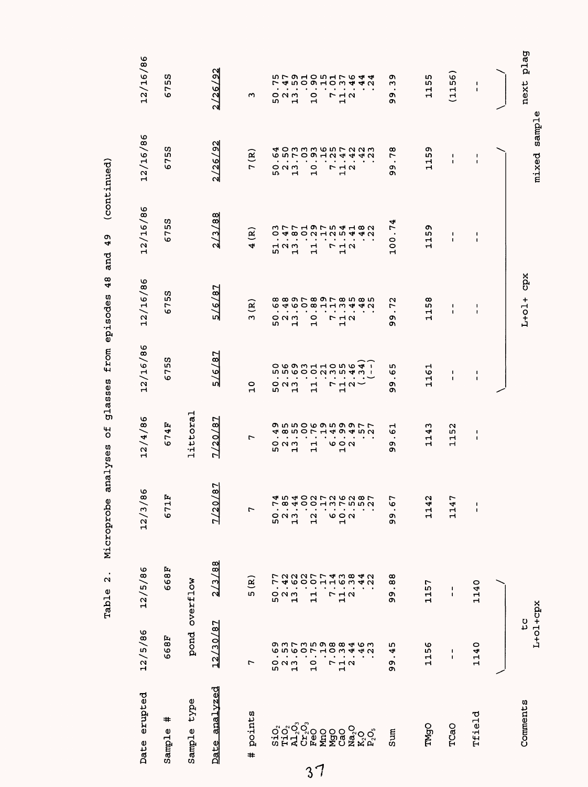|                                                     |                                                                                 |                                                                                                                                 | Comments                                                                                  |
|-----------------------------------------------------|---------------------------------------------------------------------------------|---------------------------------------------------------------------------------------------------------------------------------|-------------------------------------------------------------------------------------------|
|                                                     |                                                                                 |                                                                                                                                 |                                                                                           |
| $\mathbf I$<br>$\mathbf I$<br>$\frac{1}{1}$         | 1140                                                                            | 1140                                                                                                                            | Tfield                                                                                    |
| 1152<br>٣<br>114                                    | 1<br>$\blacksquare$                                                             | $\blacksquare$<br>$\blacksquare$                                                                                                | TCaO                                                                                      |
| 4<br>급<br>$\mathbf{\Omega}$<br>4<br>$\vec{1}$       | 1157                                                                            | 1156                                                                                                                            | TMgO                                                                                      |
| ৩<br>$\bullet$<br>Ō<br>ጣ<br>L<br>ەن<br>.<br>c,<br>c | .88<br>99                                                                       | 45<br>$\bullet$<br>თ<br>თ                                                                                                       | Sum                                                                                       |
|                                                     | $.44$<br>$.22$                                                                  |                                                                                                                                 | $\begin{array}{l} \tt{Na_2O} \\ \tt{K_2O} \\ \tt{P_2O_3} \end{array}$                     |
| $\mathbf{H}$                                        |                                                                                 |                                                                                                                                 |                                                                                           |
|                                                     |                                                                                 |                                                                                                                                 | <b>SPOS</b><br>Nati                                                                       |
| $\ddot{\phantom{0}}$                                |                                                                                 |                                                                                                                                 |                                                                                           |
| w<br>r<br>$\bullet$<br>5O                           | ∼                                                                               |                                                                                                                                 | ១១១ <sup>0</sup><br>១១១១០<br>១ដុល                                                         |
| $\overline{ }$<br>r                                 | 5(R)                                                                            | r                                                                                                                               | points<br>#                                                                               |
| 7/20/87<br>187<br><b>Z/20</b>                       | 2/3/88                                                                          |                                                                                                                                 | Date analyzed                                                                             |
| littoral                                            |                                                                                 |                                                                                                                                 | type<br>Sample                                                                            |
| 674<br>Ŀ,<br>671                                    | 668F                                                                            | 668F                                                                                                                            | #<br>Sample                                                                               |
|                                                     |                                                                                 | 12/5/86                                                                                                                         | Date erupted                                                                              |
| $O$ $N$ $m$<br>11<br>000<br>$\blacksquare$          | d w 4 O U L U W U W L<br>12.0<br>$10000$<br>$0000$<br>$0000$<br>$2.\frac{3}{4}$ | 12/4/86<br>86<br>12/3/<br>12/5/86<br>300077<br>$.160$<br>$.38$<br>52<br>52<br>52<br>$\frac{1}{1}$ $\alpha$<br>$\mathbf{1}$<br>L | pond overflow<br>L+01+cpx<br>to<br>C<br>12/30/87<br>$\begin{array}{c} 2 \\ 2 \end{array}$ |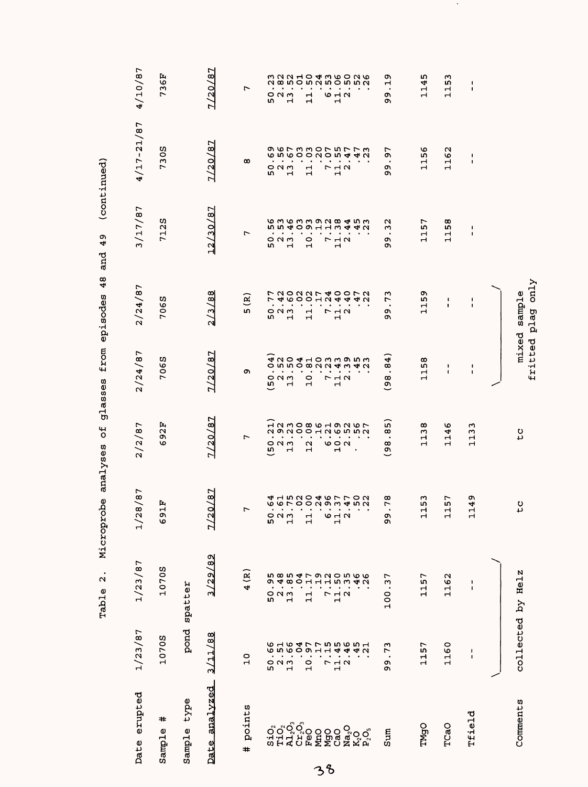|                                                     |                                          | $\bullet$<br>$\mathbf{\Omega}$<br>Table | Microprobe                                                                                                                                                                                                                                                                                                                                            | Ъ<br>analyses                                                                                                                                                                                                                                                                                                                | glasses                                                           | 48<br>from episodes                                                           | o۱<br>4<br>and                                                              | (continued)                                              |                                             |
|-----------------------------------------------------|------------------------------------------|-----------------------------------------|-------------------------------------------------------------------------------------------------------------------------------------------------------------------------------------------------------------------------------------------------------------------------------------------------------------------------------------------------------|------------------------------------------------------------------------------------------------------------------------------------------------------------------------------------------------------------------------------------------------------------------------------------------------------------------------------|-------------------------------------------------------------------|-------------------------------------------------------------------------------|-----------------------------------------------------------------------------|----------------------------------------------------------|---------------------------------------------|
| Date erupted                                        | 1/23/87                                  | 1/23/87                                 | 8/87<br>1/2                                                                                                                                                                                                                                                                                                                                           | 2/2/87                                                                                                                                                                                                                                                                                                                       | 2/24/87                                                           | 2/24/87                                                                       | 3/17/87                                                                     | $4/17 - 21/87$                                           | 4/10/87                                     |
| ♯<br>Sample                                         | 1070S                                    | 1070S                                   | Ŀ,<br>Н<br>e9                                                                                                                                                                                                                                                                                                                                         | 92F<br>O                                                                                                                                                                                                                                                                                                                     | 7065                                                              | 7065                                                                          | w<br>712                                                                    | 730S                                                     | 736F                                        |
| type<br>Sample                                      | pond                                     | spatter                                 |                                                                                                                                                                                                                                                                                                                                                       |                                                                                                                                                                                                                                                                                                                              |                                                                   |                                                                               |                                                                             |                                                          |                                             |
| Date analyzed                                       | 3/11/88                                  | 3/29/89                                 | 0/87<br>$\frac{1}{2}$                                                                                                                                                                                                                                                                                                                                 | 7/20/87                                                                                                                                                                                                                                                                                                                      | 7/20/87                                                           | 2/3/88                                                                        | 12/30/87                                                                    | 7/20/87                                                  | 7/20/87                                     |
| points<br>#                                         | $\circ$<br>$\mathbf{r}$                  | $\mathbf{g}$<br>4                       | $\overline{ }$                                                                                                                                                                                                                                                                                                                                        | $\overline{ }$                                                                                                                                                                                                                                                                                                               | c                                                                 | ି<br>LΩ,                                                                      | r                                                                           | œ                                                        | $\overline{ }$                              |
|                                                     |                                          |                                         |                                                                                                                                                                                                                                                                                                                                                       |                                                                                                                                                                                                                                                                                                                              |                                                                   | 7                                                                             |                                                                             |                                                          |                                             |
|                                                     | $\bullet$                                |                                         |                                                                                                                                                                                                                                                                                                                                                       |                                                                                                                                                                                                                                                                                                                              | $\bullet$<br>LΩ,                                                  | r<br>$\bullet$<br>w                                                           | $\bullet$<br>$\bullet$<br>w                                                 |                                                          |                                             |
|                                                     | $\bullet$<br>$\bullet$<br>52<br>52<br>52 |                                         | $\bullet$<br>523<br>52                                                                                                                                                                                                                                                                                                                                | $\begin{array}{c} 0 & 0 \\ 0 & 0 \\ 1 & 0 \end{array}$                                                                                                                                                                                                                                                                       | $\bullet$<br>$\bullet$<br>$O$ $N$ $m$<br>$\mathbf{\mathbf{r}}$    | $O$ $N$ $m$<br>$\mathbf{\mathbf{H}}$                                          | $\bullet$<br>$O$ $N$ $m$<br>$\mathbf H$                                     |                                                          |                                             |
|                                                     | $\bullet$                                |                                         |                                                                                                                                                                                                                                                                                                                                                       |                                                                                                                                                                                                                                                                                                                              | $\bullet$                                                         |                                                                               | $\bullet$                                                                   |                                                          |                                             |
|                                                     | $\frac{1}{2}$                            |                                         | $\mathbf{1}$                                                                                                                                                                                                                                                                                                                                          |                                                                                                                                                                                                                                                                                                                              | $\bullet$<br>$\circ$<br>$\blacksquare$                            | 11.                                                                           | $\blacksquare$<br>$\frac{0}{1}$                                             |                                                          |                                             |
|                                                     |                                          |                                         |                                                                                                                                                                                                                                                                                                                                                       |                                                                                                                                                                                                                                                                                                                              | $\bullet$                                                         |                                                                               | $\bullet$                                                                   |                                                          |                                             |
|                                                     |                                          |                                         | 642                                                                                                                                                                                                                                                                                                                                                   |                                                                                                                                                                                                                                                                                                                              | $\bullet$<br>$\bullet$<br>$\begin{array}{c}\n7 \\ 1\n\end{array}$ | $\begin{array}{c}\n7 \\ 1\n\end{array}$                                       | $\blacksquare$<br>$\blacksquare$<br>$\begin{array}{c}\n7 \\ 1\n\end{array}$ |                                                          |                                             |
|                                                     | $7.3$<br>$11.2$                          |                                         |                                                                                                                                                                                                                                                                                                                                                       |                                                                                                                                                                                                                                                                                                                              | $\blacksquare$                                                    |                                                                               | $\blacksquare$                                                              |                                                          |                                             |
| ៰៓៰៓៰៓៰<br>ដូដ។ មិនមិនមិនទ័ទ័<br>ប្អូដ។ មិនមិនមិនទ័ | <b>6164775565161010011 4442</b>          |                                         | $\begin{array}{cccccccccc} . & . & . & . & . & . & . & . \\ . & . & . & . & . & . & . & . \\ \hline 0 & 0 & . & 0 & 0 & 0 & 0 & 0 & 0 & 0 & 0 \\ 0 & 0 & 0 & 0 & 0 & 0 & 0 & 0 & 0 & 0 & 0 \\ 0 & 0 & 0 & 0 & 0 & 0 & 0 & 0 & 0 & 0 & 0 \\ 0 & 0 & 0 & 0 & 0 & 0 & 0 & 0 & 0 & 0 & 0 \\ 0 & 0 & 0 & 0 & 0 & 0 & 0 & 0 & 0 & 0 & 0 \\ 0 & 0 & 0 & 0 &$ | $\begin{array}{cccccc} 0 & 1 & 1 & 0 & 1 \\ 0 & 0 & 0 & 0 & 0 & 0 \\ 0 & 0 & 0 & 0 & 0 & 0 \\ 0 & 0 & 0 & 0 & 0 & 0 \\ 0 & 0 & 0 & 0 & 0 & 0 \\ 0 & 0 & 0 & 0 & 0 & 0 \\ 0 & 0 & 0 & 0 & 0 & 0 \\ 0 & 0 & 0 & 0 & 0 & 0 \\ 0 & 0 & 0 & 0 & 0 & 0 \\ 0 & 0 & 0 & 0 & 0 & 0 \\ 0 & 0 & 0 & 0 & 0 & 0 \\ 0 & 0 & 0 & 0 & 0 & 0$ | $\bullet$                                                         | $\begin{array}{c}\n 100007400070 \\  4000104440 \\  7000104440\n \end{array}$ | <b>ら363392845365109113442</b>                                               |                                                          |                                             |
| Sum                                                 | ω<br>r<br>$\bullet$<br>c<br>o۱           | r<br>w<br>$\bullet$<br>100              | œ<br>$\overline{ }$<br>თ<br>თ                                                                                                                                                                                                                                                                                                                         | m<br>$\infty$<br>$\bullet$<br>$\frac{8}{9}$                                                                                                                                                                                                                                                                                  | $^{84}$<br>$\bullet$<br>œ<br>్ర                                   | m<br>r<br>$\bullet$<br>c<br>c                                                 | N<br>ω<br>$\blacksquare$<br>の<br>ጣ                                          | ᠇<br>c<br>$\cdot$<br>の<br>ጣ                              | თ<br>Н<br>$\bullet$<br>თ<br>ጣ               |
|                                                     |                                          |                                         |                                                                                                                                                                                                                                                                                                                                                       |                                                                                                                                                                                                                                                                                                                              |                                                                   |                                                                               |                                                                             |                                                          |                                             |
| TMgO                                                | 1157                                     | Ļ<br>115                                | ω<br>LO.<br>Н<br>$\overline{\mathbf{H}}$                                                                                                                                                                                                                                                                                                              | œ<br>13<br>$\mathbf{\mathbf{r}}$                                                                                                                                                                                                                                                                                             | œ<br>ĩή<br>$\frac{1}{1}$                                          | ጣ<br>LΩ,<br>11                                                                | ↽<br>LΩ,<br>$\mathbf{\mathbf{r}}$<br>ᆏ                                      | ৩<br>m<br>$\mathbf{\mathbf{r}}$<br>$\mathbf{\mathbf{r}}$ | ഗ<br>$\frac{1}{4}$<br>$\mathbf{\mathbf{r}}$ |
| TCaO                                                | 1160                                     | 1162                                    | r<br>ū٦<br>$\frac{1}{1}$                                                                                                                                                                                                                                                                                                                              | ৩<br>4<br>Н<br>$\mathbf{\mathbf{r}}$                                                                                                                                                                                                                                                                                         | ٠<br>1                                                            | ı<br>ı                                                                        | œ<br>L۲<br>$\mathbf{\mathbf{r}}$<br>ᆏ                                       | N<br>৩<br>$\mathbf{\mathbf{r}}$<br>$\mathbf{\mathbf{r}}$ | ო<br>۱ŋ<br>$\overline{\phantom{0}}$<br>Н    |
| Tfield                                              | $\pmb{\cdot}$<br>ı                       | ı<br>1                                  | Ō<br>4<br>$\Box$                                                                                                                                                                                                                                                                                                                                      | w<br>$\frac{13}{2}$<br>$\mathbf{\mathbf{r}}$                                                                                                                                                                                                                                                                                 | ł<br>1                                                            | 1<br>$\mathbf{I}$                                                             | $\mathbf{I}$<br>J.                                                          | $\blacksquare$<br>1                                      | $\blacksquare$<br>$\pmb{\mathsf{I}}$        |
|                                                     |                                          |                                         |                                                                                                                                                                                                                                                                                                                                                       |                                                                                                                                                                                                                                                                                                                              |                                                                   |                                                                               |                                                                             |                                                          |                                             |
| Comments                                            |                                          | collected by Helz                       | $\frac{1}{2}$                                                                                                                                                                                                                                                                                                                                         | $\frac{c}{c}$                                                                                                                                                                                                                                                                                                                | mixed<br>fritted                                                  | $\text{cnly}$<br>sample<br>plag                                               |                                                                             |                                                          |                                             |

 $\sim 10^6$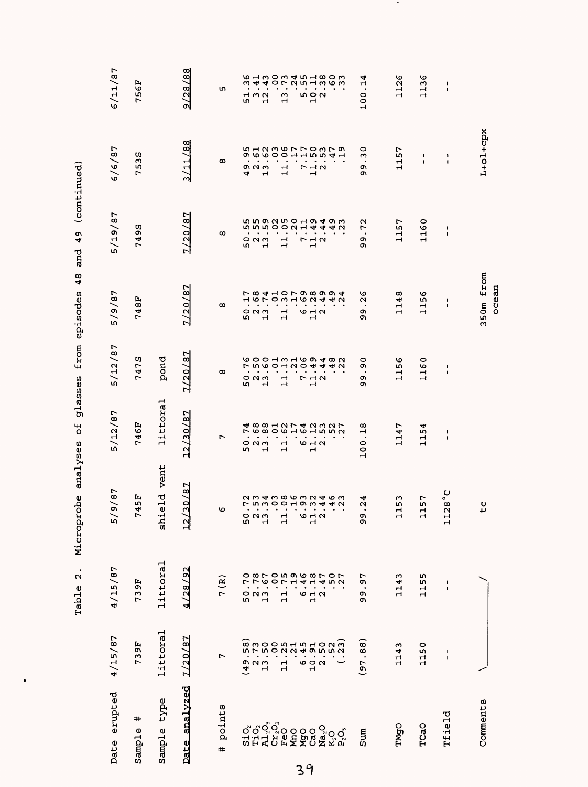| Date erupted     | 4/15/87                                                                                                                                                                                                                                                                                                                                                                                                                                                                                                                                 | 4/15/87                                                                                          | 87<br>$\mathbf{e}$<br><u>ي</u>                                                                                                                                                                                                                                                                                                                                              | 5/12/87                                      | 5/12/87                                                 | 5/9/87                                                                                           | 5/19/87                                        | 6/6/87                                            | 6/11/87                            |
|------------------|-----------------------------------------------------------------------------------------------------------------------------------------------------------------------------------------------------------------------------------------------------------------------------------------------------------------------------------------------------------------------------------------------------------------------------------------------------------------------------------------------------------------------------------------|--------------------------------------------------------------------------------------------------|-----------------------------------------------------------------------------------------------------------------------------------------------------------------------------------------------------------------------------------------------------------------------------------------------------------------------------------------------------------------------------|----------------------------------------------|---------------------------------------------------------|--------------------------------------------------------------------------------------------------|------------------------------------------------|---------------------------------------------------|------------------------------------|
| #<br>Sample      | 739F                                                                                                                                                                                                                                                                                                                                                                                                                                                                                                                                    | 739F                                                                                             | Ŀ,<br>LΩ,<br>4                                                                                                                                                                                                                                                                                                                                                              | 46F<br>r                                     | 475<br>٣                                                | 748F                                                                                             | ω<br>m<br>4<br>٣                               | S<br>m<br>m<br>r                                  | 56F<br>٣                           |
| Sample type      | littoral                                                                                                                                                                                                                                                                                                                                                                                                                                                                                                                                | littoral                                                                                         | eld vent<br>id<br>Si                                                                                                                                                                                                                                                                                                                                                        | littoral                                     | pond                                                    |                                                                                                  |                                                |                                                   |                                    |
| analyzed<br>Date | 7/20/87                                                                                                                                                                                                                                                                                                                                                                                                                                                                                                                                 | 4/28/92                                                                                          | /87<br>$\circ$<br>ო<br>$\overline{12}$                                                                                                                                                                                                                                                                                                                                      | N<br>12/30/8                                 | N<br>୍ଷ<br>1/20                                         | 7/20/87                                                                                          | 7/20/87                                        | /11/88<br>ო                                       | 9/28/88                            |
| points<br>#      | 7                                                                                                                                                                                                                                                                                                                                                                                                                                                                                                                                       | ି                                                                                                | Ο                                                                                                                                                                                                                                                                                                                                                                           | r                                            | $\infty$                                                | $\infty$                                                                                         | $\infty$                                       | $\infty$                                          | 5                                  |
|                  |                                                                                                                                                                                                                                                                                                                                                                                                                                                                                                                                         | r                                                                                                | ន                                                                                                                                                                                                                                                                                                                                                                           |                                              | S                                                       | ω                                                                                                |                                                | 4                                                 |                                    |
|                  | 1921<br>492                                                                                                                                                                                                                                                                                                                                                                                                                                                                                                                             | r<br>5<br>5<br>1<br>1                                                                            |                                                                                                                                                                                                                                                                                                                                                                             | $\bullet$<br>52<br>52<br>52                  | $\bullet$<br>៰៷៳                                        | $\bullet$<br>$\bullet$<br>$\circ$ $\circ$ $\circ$                                                | $\bullet$<br>52<br>52<br>52                    | ٠<br>on u w                                       | $\bullet$<br>5<br>5<br>7<br>7<br>4 |
|                  |                                                                                                                                                                                                                                                                                                                                                                                                                                                                                                                                         | Ο                                                                                                | $\frac{2}{10}$                                                                                                                                                                                                                                                                                                                                                              | す8812742327<br>フ6806161552<br>$\blacksquare$ | <b>GOOHWHOO480</b><br>ていのひ<br>$\bullet$<br>$\mathbf{r}$ | r co de cor co co co de<br>えんてつ<br>$\blacksquare$<br>$\mathbf{H}$                                | u u o u u o u o u w w<br><b>GUDOON-</b>        | 51236770379<br>のしゅつつ<br>$\bullet$<br>$\mathbf{H}$ |                                    |
|                  |                                                                                                                                                                                                                                                                                                                                                                                                                                                                                                                                         | $\circ$                                                                                          |                                                                                                                                                                                                                                                                                                                                                                             | $\bullet$                                    |                                                         | ٠                                                                                                |                                                |                                                   |                                    |
|                  | $\frac{1}{11}$                                                                                                                                                                                                                                                                                                                                                                                                                                                                                                                          | $\overline{ }$<br>$\mathbf{\mathbf{\mathbf{\mathbf{\mathbf{+}}}}}$<br>ᆏ<br>$\mathbf{\mathbf{H}}$ | 름                                                                                                                                                                                                                                                                                                                                                                           | ٠<br>$\mathbf{r}$<br>$\mathbf{H}$            | $\mathbf{\mathbf{r}}$<br>$\mathbf{\mathbf{\mathbf{H}}}$ | $\bullet$<br>$\mathbf{\mathbf{\mathbf{\mathbf{\mathbf{\mathbf{\mathbf{-1}}}}}}}$<br>$\mathbf{r}$ | $\mathbf{\mathbf{H}}$<br>$\mathbf{\mathbf{H}}$ | $\mathbf{H}$<br>Н<br>Н                            | ω<br>$\mathbf{r}$                  |
|                  |                                                                                                                                                                                                                                                                                                                                                                                                                                                                                                                                         | 4<br>0                                                                                           |                                                                                                                                                                                                                                                                                                                                                                             | $\bullet$                                    | $\sim$                                                  | $\bullet$                                                                                        | $\bullet$<br>$\bullet$                         | ٠                                                 |                                    |
|                  | 6072                                                                                                                                                                                                                                                                                                                                                                                                                                                                                                                                    | $\mathbf{H}$<br>$\frac{1}{1}$ $\alpha$                                                           | ゃちょ                                                                                                                                                                                                                                                                                                                                                                         | <b>10 H N</b><br>Н                           | 44<br>ワコロ<br>$\mathbf{\mathbf{r}}$                      | $H$ to $N$ $dt$<br>642                                                                           | ₩<br>712<br>12                                 | $\Gamma \vdash \alpha$<br>$\mathbf{H}$            | n 0 U<br>$\mathbf{H}$              |
|                  |                                                                                                                                                                                                                                                                                                                                                                                                                                                                                                                                         |                                                                                                  |                                                                                                                                                                                                                                                                                                                                                                             |                                              |                                                         |                                                                                                  | 4                                              |                                                   |                                    |
| $K_2O_3$         | $\begin{array}{c} \widehat{\mathbf{a}}, \widehat{\mathbf{b}}, \widehat{\mathbf{c}}, \widehat{\mathbf{c}}, \widehat{\mathbf{c}} \\ \widehat{\mathbf{a}}, \widehat{\mathbf{b}}, \widehat{\mathbf{c}}, \widehat{\mathbf{c}}, \widehat{\mathbf{c}}, \widehat{\mathbf{c}} \\ \widehat{\mathbf{b}}, \widehat{\mathbf{c}}, \widehat{\mathbf{c}}, \widehat{\mathbf{c}}, \widehat{\mathbf{c}}, \widehat{\mathbf{c}} \\ \widehat{\mathbf{c}}, \widehat{\mathbf{c}}, \widehat{\mathbf{c}}, \widehat{\mathbf{c}}, \widehat{\mathbf{c}} \end{array}$ | 452                                                                                              | $\begin{array}{ccccccccccccc} \cdot & \cdot & \cdot & \cdot & \cdot & \cdot & \cdot & \cdot & \cdot & \cdot \\ \cdot & \cdot & \cdot & \cdot & \cdot & \cdot & \cdot & \cdot & \cdot & \cdot \\ \cdot & \cdot & \cdot & \cdot & \cdot & \cdot & \cdot & \cdot & \cdot & \cdot \\ \cdot & \cdot & \cdot & \cdot & \cdot & \cdot & \cdot & \cdot & \cdot & \cdot \end{array}$ |                                              | 4N                                                      | 4N                                                                                               | 4 U                                            | <b>15541</b>                                      | <b>る13034518035 4407251803</b>     |
| Sum              | (97.88)                                                                                                                                                                                                                                                                                                                                                                                                                                                                                                                                 | 97<br>$\bullet$<br>O)<br>Ō,                                                                      | 4<br>$\alpha$<br>٠<br>ვ<br>თ                                                                                                                                                                                                                                                                                                                                                | œ<br>$\mathbf{r}$<br>$\bullet$<br>100        | 0<br>c<br>$\bullet$<br>c<br>Q,                          | ဖ<br>$\mathbf{\Omega}$<br>$\bullet$<br>O)<br>c                                                   | $\sim$<br>r<br>$\cdot$<br>c<br>c               | 0<br>$\mathbf{r}$<br>$\bullet$<br>c<br>c          | 100.14                             |
|                  |                                                                                                                                                                                                                                                                                                                                                                                                                                                                                                                                         |                                                                                                  |                                                                                                                                                                                                                                                                                                                                                                             |                                              |                                                         |                                                                                                  |                                                |                                                   |                                    |
| <b>TMgO</b>      | 1143                                                                                                                                                                                                                                                                                                                                                                                                                                                                                                                                    | 1143                                                                                             | 53<br>$\mathbf{H}$<br>ᆏ                                                                                                                                                                                                                                                                                                                                                     | 1147                                         | 1156                                                    | 1148                                                                                             | 1157                                           | 1157                                              | 1126                               |
| TCaO             | 1150                                                                                                                                                                                                                                                                                                                                                                                                                                                                                                                                    | ۱<br>115                                                                                         | r<br>īΩ,<br>$\mathbf{H}$<br>ᆏ                                                                                                                                                                                                                                                                                                                                               | 1154                                         | 1160                                                    | 1156                                                                                             | 1160                                           | ١<br>$\mathbf{I}$                                 | 1136                               |
| Tfield           | ı<br>I.                                                                                                                                                                                                                                                                                                                                                                                                                                                                                                                                 | J.<br>$\mathbf I$                                                                                | ပ္စ္ဂ်<br>$\infty$<br>$\mathbf{\Omega}$<br>$\mathbf{1}$                                                                                                                                                                                                                                                                                                                     | 1<br>$\mathbf{I}$                            | ٠<br>٠                                                  | ٠<br>$\mathbf I$                                                                                 | 1<br>$\blacksquare$                            | 1<br>$\mathbf{I}$                                 | $\frac{1}{1}$                      |
| Comments         |                                                                                                                                                                                                                                                                                                                                                                                                                                                                                                                                         |                                                                                                  | tc                                                                                                                                                                                                                                                                                                                                                                          |                                              |                                                         | 350m from                                                                                        |                                                | L+ol+cpx                                          |                                    |
|                  |                                                                                                                                                                                                                                                                                                                                                                                                                                                                                                                                         |                                                                                                  |                                                                                                                                                                                                                                                                                                                                                                             |                                              |                                                         | ocean                                                                                            |                                                |                                                   |                                    |

 $\bullet$ 

Table 2. Microprobe analyses of glasses from episodes 48 and 49 (continued) Table 2. Microprobe analyses of glasses from episodes 48 and 49 (continued)

 $\bullet$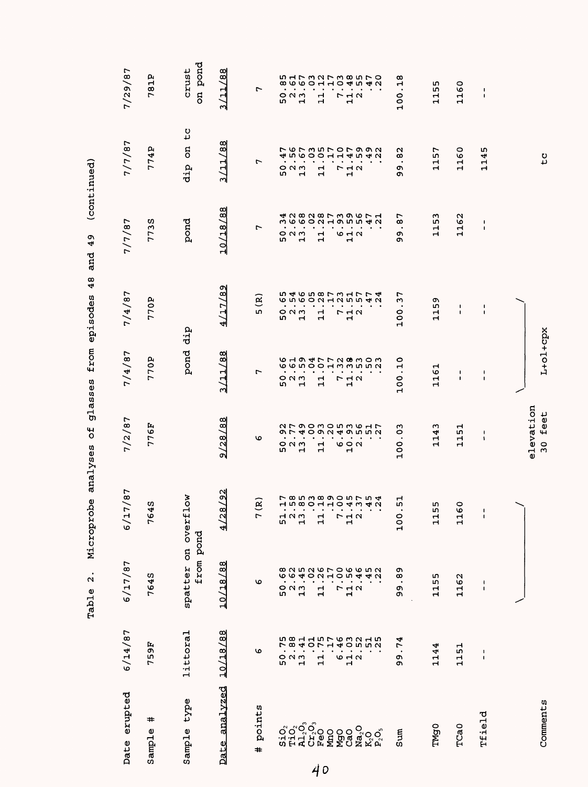| 0<br>$\circ$<br>ч<br>Н<br>N<br>116<br>п<br><b>I</b><br>п<br>$\mathbf{I}$<br>ᆏ<br>m<br>Н<br>Н<br>$\circ$<br>116<br>N<br>O<br>Н<br>ч |  |
|------------------------------------------------------------------------------------------------------------------------------------|--|
|                                                                                                                                    |  |
|                                                                                                                                    |  |
|                                                                                                                                    |  |
|                                                                                                                                    |  |
|                                                                                                                                    |  |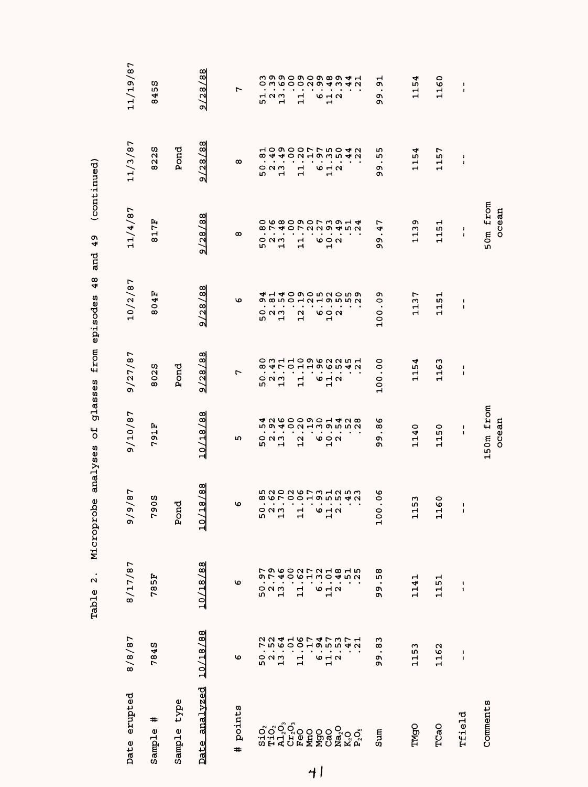|                                |                                                                           | $\ddot{\mathbf{a}}$<br>Table | Microprobe analyses                                      | Ъ                                                                 | glasses                                       | $\frac{48}{5}$<br>from episodes       | Q,<br>4<br>and                                                                                                                                                                                                                                                                                                                  | (continued)                                                                                                                                                                                                                                                                                                                     |                                        |
|--------------------------------|---------------------------------------------------------------------------|------------------------------|----------------------------------------------------------|-------------------------------------------------------------------|-----------------------------------------------|---------------------------------------|---------------------------------------------------------------------------------------------------------------------------------------------------------------------------------------------------------------------------------------------------------------------------------------------------------------------------------|---------------------------------------------------------------------------------------------------------------------------------------------------------------------------------------------------------------------------------------------------------------------------------------------------------------------------------|----------------------------------------|
| Date erupted                   | 8/8/87                                                                    | 8/17/87                      | 9/87<br>$\geqslant$                                      | 9/10/87                                                           | 9/27/87                                       | 10/2/87                               | 11/4/87                                                                                                                                                                                                                                                                                                                         | 11/3/87                                                                                                                                                                                                                                                                                                                         | 11/19/87                               |
| #<br>Sample                    | <b>784S</b>                                                               | <b>785F</b>                  | ω<br>$\circ$<br>c<br>r                                   | 91F<br>L                                                          | 8025                                          | 804F                                  | 17F<br>$\infty$                                                                                                                                                                                                                                                                                                                 | w<br>822                                                                                                                                                                                                                                                                                                                        | U)<br>45<br>$\infty$                   |
| type<br>Sample                 |                                                                           |                              | ម្ព<br>Ö,                                                |                                                                   | Pond                                          |                                       |                                                                                                                                                                                                                                                                                                                                 | Pond                                                                                                                                                                                                                                                                                                                            |                                        |
| analyzed<br>Date               | 10/18/88                                                                  | 10/18/88                     | $\frac{88}{3}$<br>18/<br>입                               | 10/18/88                                                          | 9/28/88                                       | 2/28/88                               | 9/28/88                                                                                                                                                                                                                                                                                                                         | œ<br>9/28/8                                                                                                                                                                                                                                                                                                                     | 9/28/88                                |
| points<br>#                    | ৩                                                                         | c                            | O                                                        | ഗ                                                                 | r                                             | ۱o                                    | œ                                                                                                                                                                                                                                                                                                                               | œ                                                                                                                                                                                                                                                                                                                               | ∼                                      |
|                                | N<br>r<br>50                                                              |                              | m                                                        | m                                                                 | <b>LO</b>                                     |                                       |                                                                                                                                                                                                                                                                                                                                 |                                                                                                                                                                                                                                                                                                                                 |                                        |
|                                |                                                                           |                              | $\blacksquare$<br>$\bullet$<br>$\circ$ $\circ$ $\circ$   | m<br>$\bullet$<br>$\bullet$<br>0 N M                              | $\ddot{\circ}$ a $\ddot{\circ}$               | ጣ<br>523<br>52                        |                                                                                                                                                                                                                                                                                                                                 |                                                                                                                                                                                                                                                                                                                                 | 52<br>52<br>13                         |
| sio <sup>o</sup><br>Tida<br>Cr | <b>ちらりひしつちうちょうりょうしりつしつうちうしつ</b><br>$\frac{1}{2}$<br>$\mathbf{\mathbf{r}}$ |                              | $\blacksquare$<br>Н                                      | 59402119552442842600001 428<br>$\bullet$<br>$\mathbf{\mathbf{r}}$ | $\mathbf{\mathbf{r}}$                         |                                       | $\begin{array}{cccc} 0 & 1 & 1 & 0 & 0 \\ 0 & 0 & 0 & 0 & 0 \\ 0 & 0 & 0 & 0 & 0 \\ 0 & 0 & 0 & 0 & 0 \\ 0 & 0 & 0 & 0 & 0 \\ 0 & 0 & 0 & 0 & 0 \\ 0 & 0 & 0 & 0 & 0 \\ 0 & 0 & 0 & 0 & 0 \\ 0 & 0 & 0 & 0 & 0 \\ 0 & 0 & 0 & 0 & 0 \\ 0 & 0 & 0 & 0 & 0 \\ 0 & 0 & 0 & 0 & 0 \\ 0 & 0 & 0 & 0 & 0 \\ 0 & 0 & 0 & 0 & 0 \\ 0 &$ | $\begin{matrix} 5 & 0 & 1 & 1 \\ 0 & 1 & 0 & 1 \\ 0 & 0 & 0 & 0 \\ 0 & 0 & 0 & 0 \\ 0 & 0 & 0 & 0 \\ 0 & 0 & 0 & 0 \\ 0 & 0 & 0 & 0 \\ 0 & 0 & 0 & 0 \\ 0 & 0 & 0 & 0 \\ 0 & 0 & 0 & 0 \\ 0 & 0 & 0 & 0 \\ 0 & 0 & 0 & 0 \\ 0 & 0 & 0 & 0 \\ 0 & 0 & 0 & 0 \\ 0 & 0 & 0 & 0 \\ 0 & 0 & 0 & 0 \\ 0 & 0 & 0 & 0 \\ 0 & 0 & 0 & 0$ |                                        |
|                                |                                                                           |                              | $\blacksquare$                                           | $\bullet$                                                         |                                               |                                       |                                                                                                                                                                                                                                                                                                                                 |                                                                                                                                                                                                                                                                                                                                 |                                        |
| ៓៰ៜៜៜ៓៰៓<br>៷ឨឨ៰៓៓៓៰៓៓         | $\ddot{\phantom{0}}$<br>$\mathbf{1}$                                      |                              | $\,$ .<br>$\mathbf{\mathbf{r}}$<br>$\mathbf{\mathbf{r}}$ | $\bullet$<br>12                                                   | $\mathbf{1}$                                  | 12                                    |                                                                                                                                                                                                                                                                                                                                 |                                                                                                                                                                                                                                                                                                                                 | $\frac{1}{1}$                          |
|                                | О                                                                         |                              | $\bullet$<br>$\bullet$                                   | $\bullet$<br>$\bullet$<br>О                                       | О                                             |                                       |                                                                                                                                                                                                                                                                                                                                 |                                                                                                                                                                                                                                                                                                                                 |                                        |
|                                | 11.2                                                                      |                              | $\blacksquare$<br>$6 - 7$<br>$\mathbf{\mathbf{r}}$       | $\bullet$<br>$\circ$ $\circ$<br>$\mathbf{r}$                      | $\overline{M}$ $\overline{N}$<br>$\mathbf{r}$ | 692                                   |                                                                                                                                                                                                                                                                                                                                 |                                                                                                                                                                                                                                                                                                                                 | <b>10 H N</b><br>$\mathbf{\mathbf{r}}$ |
|                                |                                                                           |                              | $\bullet$                                                | $\bullet$                                                         |                                               |                                       |                                                                                                                                                                                                                                                                                                                                 |                                                                                                                                                                                                                                                                                                                                 |                                        |
|                                |                                                                           |                              | $\bullet$                                                |                                                                   |                                               |                                       |                                                                                                                                                                                                                                                                                                                                 |                                                                                                                                                                                                                                                                                                                                 |                                        |
|                                |                                                                           |                              | $\bullet$                                                |                                                                   |                                               |                                       |                                                                                                                                                                                                                                                                                                                                 |                                                                                                                                                                                                                                                                                                                                 |                                        |
| Sum                            | w<br>œ<br>$\bullet$<br>c<br>c                                             | œ<br>w<br>ጣ<br>ጣ             | 06<br>$\circ$<br>$\overline{a}$                          | ৩<br>∞<br>$\bullet$<br>ጣ<br>ጣ                                     | 00.<br>100                                    | ጣ<br>0<br>$\bullet$<br>100            | r<br>4<br>$\bullet$<br>o۱<br>o                                                                                                                                                                                                                                                                                                  | ഗ<br>ın<br>$\bullet$<br>o۱<br>o۱                                                                                                                                                                                                                                                                                                | ⊣<br>o,<br>$\bullet$<br>o<br>o,        |
| TMgO                           | m<br>n,<br>급                                                              | 1141                         | w<br>5<br>ᆏ<br>$\mathbf{\mathbf{r}}$                     | $-140$<br>$\mathbf{\mathbf{r}}$                                   | ᢦ<br>115                                      | 137<br>$\mathbf{\mathbf{\mathsf{H}}}$ | ጣ<br>113                                                                                                                                                                                                                                                                                                                        | ᢦ<br>m<br>$\mathbf{1}$                                                                                                                                                                                                                                                                                                          | 1154                                   |
| TCaO                           | 1162                                                                      | 1151                         | 0<br>$\frac{6}{1}$<br>$\mathbf{\mathbf{r}}$              | 0<br>۱<br>ᆏ<br>$\blacksquare$                                     | ω<br>116                                      | 51<br>H<br>Н                          | 51<br>H<br>ᆏ                                                                                                                                                                                                                                                                                                                    | 57<br>H<br>Н                                                                                                                                                                                                                                                                                                                    | 1160                                   |
| Tfield                         | $\frac{1}{4}$                                                             | 1<br>ı                       | $\frac{1}{1}$                                            | 1<br>1                                                            | 1<br>$\pmb{\cdot}$                            | 1<br>1                                | 1<br>$\pmb{\mathsf{I}}$                                                                                                                                                                                                                                                                                                         | ı<br>$\pmb{\mathsf{I}}$                                                                                                                                                                                                                                                                                                         | $\pmb{\mathsf{1}}$<br>$\mathbf{I}$     |
| Comments                       |                                                                           |                              |                                                          | 150m from<br>ocean                                                |                                               |                                       | 50m from<br>ocean                                                                                                                                                                                                                                                                                                               |                                                                                                                                                                                                                                                                                                                                 |                                        |

 $\overline{4}$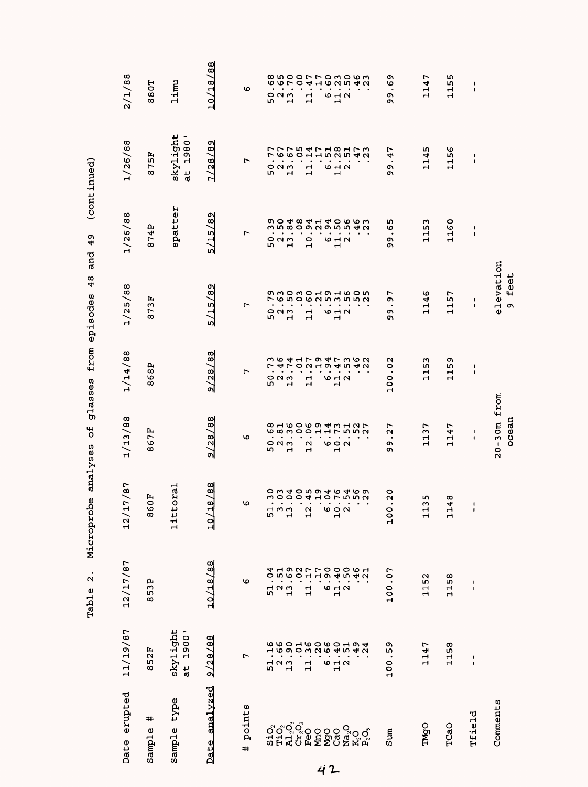|                         |                                          | $\bullet$<br>$\mathbf{\Omega}$<br>Table | Microprobe analyses                                               | Ъ                                                                | glasses                           | 48<br>from episodes                           | 49<br>and                      | (continued)                      |                                       |
|-------------------------|------------------------------------------|-----------------------------------------|-------------------------------------------------------------------|------------------------------------------------------------------|-----------------------------------|-----------------------------------------------|--------------------------------|----------------------------------|---------------------------------------|
| Date erupted            | 11/19/87                                 | 12/17/87                                | 17/87<br>$\overline{12}$                                          | 1/13/88                                                          | 1/14/88                           | 1/25/88                                       | 1/26/88                        | 1/26/88                          | 2/1/88                                |
| #<br>Sample             | Ŀ,<br>$\mathbf{\Omega}$<br>m<br>$\infty$ | 53P<br>$\infty$                         | EO<br>O<br>œ                                                      | 867F                                                             | 868P                              | Þ,<br>8731                                    | 874P                           | 875F                             | 880T                                  |
| type<br>Sample          | skylight<br>at 1900'                     |                                         | toral<br>11t                                                      |                                                                  |                                   |                                               | spatter                        | skylight<br>1980'<br>at          | limu                                  |
| analvzed<br><b>Date</b> | 9/28/88                                  | 10/18/88                                | 18/88<br>입                                                        | 9/28/88                                                          | 9/28/88                           | 5/15/89                                       | 5/15/89                        | 1/28/89                          | 10/18/88                              |
| points<br>#             | r                                        | ৩                                       | ৩                                                                 | ৩                                                                | r,                                | r                                             | r                              | r                                | ৩                                     |
|                         |                                          |                                         |                                                                   |                                                                  |                                   |                                               |                                |                                  |                                       |
| $S_1$ . $O_2$           | 51                                       | 4<br>0<br>52<br>52<br>52                | $\Xi$ w w<br>m                                                    | $\dot{\circ}$ $\dot{\circ}$<br>m                                 | r<br>$\circ$ $\circ$ $\circ$<br>m | $\frac{1}{2}$ $\frac{1}{2}$<br>m              | $\frac{1}{2}$<br>$\frac{1}{2}$ | $\frac{1}{2}$ $\frac{1}{2}$<br>m |                                       |
|                         | $\frac{2}{1}$                            |                                         | Н                                                                 | $\mathbf{H}$                                                     | 4 L<br>$\bullet$<br>$\mathbf{r}$  | $\mathbf{H}$                                  |                                | $\mathbf{H}$                     |                                       |
|                         |                                          |                                         |                                                                   |                                                                  | $\circ$<br>$\bullet$              | $\bullet$                                     |                                | $\bullet$                        |                                       |
|                         | $\mathbf{1}$                             | $\mathbf{1}$                            | $\boldsymbol{\alpha}$<br>$\mathbf \mathbf H$                      | $\frac{3}{2}$<br>$\frac{1}{2}$<br>$\frac{6}{2}$<br>$\frac{1}{2}$ | $\ddot{ }$<br>$\mathbf{r}$        | $\frac{1}{11}$<br>$\mathbf{H}$                | $\frac{1}{2}$                  | $\frac{1}{11}$                   |                                       |
|                         |                                          |                                         |                                                                   |                                                                  | $\bullet$                         |                                               |                                | $\bullet$                        |                                       |
|                         | 642                                      | 642                                     | $\circ$ $\circ$ $\circ$                                           |                                                                  | $\blacksquare$<br>642             | $\bullet$ .<br>$\bullet$<br>$\frac{2}{3}$     | $\sim$ $\sim$<br>$6 - 4$       | $\blacksquare$<br>642            | 6.1.7                                 |
|                         |                                          |                                         | ᆏ                                                                 |                                                                  | $\bullet$                         | $\bullet$<br>$\mathbf{r}$                     | $\sim$<br>$\mathbf{r}$         | $\sim$                           |                                       |
|                         |                                          |                                         |                                                                   |                                                                  |                                   |                                               | $\sim$                         |                                  |                                       |
|                         |                                          |                                         |                                                                   | 816069451957888                                                  | さら417947362<br>2194542            | O MO MO H O H W O LO<br>L W M O W U W W W W W | <b>90484140663</b>             | フワワちゅフ18173770601152542          |                                       |
| Sum                     | ጣ<br>rU)<br>100                          | 100.07                                  | $\circ$<br>u<br>$\cdot$<br>$\circ$<br>$\frac{1}{2}$               | r<br>u<br>$\bullet$<br>o,<br>o.                                  | N<br>100.0                        | r<br>c<br>$\bullet$<br>c<br>Ō                 | ഗ<br>Φ<br>$\bullet$<br>o,<br>Ō | ∼<br>.<br>به<br>c<br>Ō           | ᡡ<br>Ю<br>$\bullet$<br>ጣ<br>Ō,        |
| <b>TMgO</b>             | ↽<br>114                                 | 1152                                    | m<br>w<br>$\mathbf{\mathbf{H}}$<br>$\mathbf{\mathbf{\mathsf{H}}}$ | 1137                                                             | w<br>m<br>$\mathbf{1}$            | 1146                                          | ო<br>Ю<br>급                    | m<br>114                         | r<br>114                              |
|                         |                                          |                                         |                                                                   |                                                                  |                                   |                                               |                                |                                  |                                       |
| TCaO                    | 158<br>$\blacksquare$                    | 1158                                    | 148<br>ᆏ                                                          | r<br>114                                                         | c<br>m<br>H<br>$\mathbf{H}$       | 57<br>Н<br>Н                                  | 1160                           | ဖ<br>115                         | ហ<br>LO <sub>1</sub><br>$\frac{1}{1}$ |
| Tfield                  | ı<br>$\pmb{\mathsf{I}}$                  | $\sqrt{2}$<br>$\pmb{\mathfrak{g}}$      | 1<br>$\pmb{\mathsf{I}}$                                           | $\mathbf I$<br>$\pmb{\cdot}$                                     | 1<br>J.                           | $\blacksquare$<br>$\blacksquare$              | ı<br>$\mathbf I$               | 1<br>$\blacksquare$              | 1<br>$\pmb{\mathsf{I}}$               |
| Comments                |                                          |                                         |                                                                   | $20 - 30m$ from<br>ocean                                         |                                   | elevation<br>9 feet                           |                                |                                  |                                       |

Table 2. Microprobe analyses of glasses from episodes 48 and 49 (continued) and 49  $\overline{AB}$ nodor  $\begin{array}{c}\n\bullet \\
\bullet \\
\bullet\n\end{array}$  $f \sim$  $\overline{\phantom{a}}$  $\frac{a}{c}$  $\ddot{\zeta}$ ł analvs robe Microp Table 2.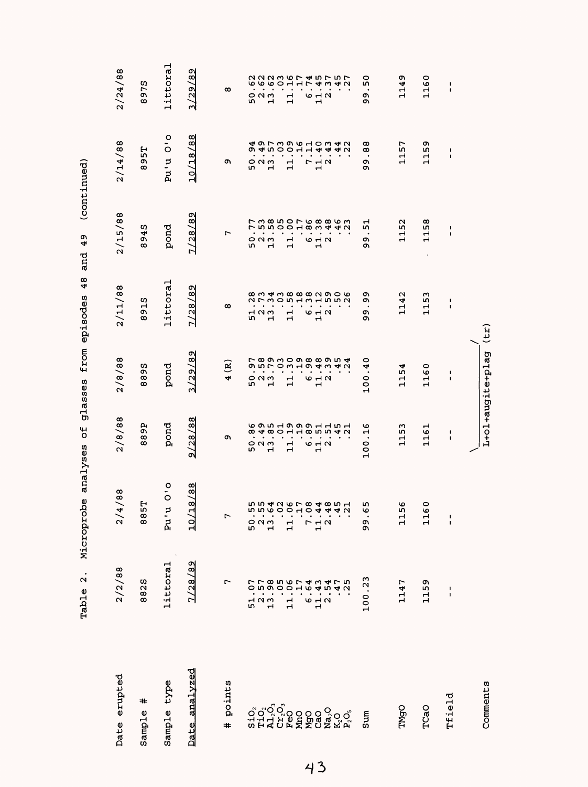|    |                                                                                   | $\overline{a}$ .<br>Table                                               | Microprobe                                                                        | $\overline{c}$<br>analyses             | glasses                                                                        | 48<br>from episodes                                  | 49<br>and                                 | (continued)                                                                                     |                                                                               |
|----|-----------------------------------------------------------------------------------|-------------------------------------------------------------------------|-----------------------------------------------------------------------------------|----------------------------------------|--------------------------------------------------------------------------------|------------------------------------------------------|-------------------------------------------|-------------------------------------------------------------------------------------------------|-------------------------------------------------------------------------------|
|    | Date erupted                                                                      | 2/2/88                                                                  | /88<br>4<br>$\frac{2}{3}$                                                         | 2/8/88                                 | 2/8/88                                                                         | 2/11/88                                              | 2/15/88                                   | 2/14/88                                                                                         | 2/24/88                                                                       |
|    | ♯<br>Sample                                                                       | 8825                                                                    | 57<br>$\frac{8}{6}$                                                               | 889P                                   | U)<br>თ<br>$\infty$<br>$\infty$                                                | 15<br>c<br>$\infty$                                  | ŋ,<br>4<br>o,<br>$\infty$                 | 57<br>o,<br>$\infty$                                                                            | 975<br>$\infty$                                                               |
|    | type<br>Sample                                                                    | littoral                                                                | $\frac{1}{0}$<br>Þ<br>i<br>R                                                      | pond                                   | pond                                                                           | littoral                                             | pond                                      | $\tilde{\mathbf{c}}$<br>$\circ$<br>pu'u                                                         | littoral                                                                      |
|    | Date analvzed                                                                     | 7/28/89                                                                 | /88<br>$\infty$<br>ᅥ<br>10                                                        | 9/28/88                                | ጣ<br>3/29/8                                                                    | ด<br>$\frac{8}{2}$<br>7/28                           | 7/28/89                                   | 10/18/88                                                                                        | Q<br>$\frac{8}{3}$<br>3/29/                                                   |
|    | points<br>#                                                                       | r                                                                       | $\overline{a}$                                                                    | o,                                     | ି<br>4                                                                         | ထ                                                    | r                                         | c                                                                                               | $\infty$                                                                      |
|    |                                                                                   | $\frac{1}{1}$<br>51                                                     | 52<br>52<br>52                                                                    | $\circ$ $\circ$<br>m<br>$\blacksquare$ | 52<br>52<br>52<br>$\mathbf{\mathbf{r}}$                                        | 523<br>52<br>$\mathbf{H}$                            | $\circ$ $\circ$ $\circ$<br>w<br>ᆏ         | $\bullet$<br>$\bullet$<br>$\circ$ $\circ$ $\circ$<br>w<br>$\blacksquare$                        | $\ddot{\phantom{0}}$<br>$\circ$ $\circ$ $\circ$<br>m<br>$\mathbf{\mathbf{H}}$ |
| 43 | $\begin{array}{l} \mathbf{Na_2O} \\ \mathbf{K_2O} \\ \mathbf{P_2O_3} \end{array}$ | <b>りつららのひとりせいちりつらりのこのもうせい</b><br>$\bullet$<br>11.3<br>$\mathbf{1}$<br>О | <b>ちち426784851</b><br><b>b</b> b b b b c o c o c a c<br>11.7<br>$\mathbf{1}$<br>r | $\mathbf{1}$<br><b>6 4 7</b><br>Н      | $\ddot{o}$ in Low Hotel and $\ddot{o}$<br>11<br>6 H U<br>$\mathbf{\mathbf{r}}$ | <b>anthacando</b><br>٠<br>$\mathbf{1}$<br>6 H U<br>ᆏ | Н<br><b>10 H N</b><br>$\blacksquare$<br>H | すら了ろりの103424919011440<br>$\bullet$<br>$\bullet$<br>٠<br>٠<br>7<br>$\frac{1}{2}$<br>$\mathbf{1}$ | $\bullet$<br>$\bullet$<br>$\frac{1}{1}$<br>6 H U<br>$\mathbf{\mathbf{r}}$     |
|    | Sum                                                                               | 100.23                                                                  | m<br>G<br>o<br>c                                                                  | ৩<br>ਜ਼<br>100                         | 0<br>4<br>$\circ$<br>$\overline{10}$                                           | o<br>o,<br>$\bullet$<br>o,<br>Ō                      | ↤<br>m<br>$\bullet$<br>Ō<br>Ō             | ထ<br>ထ<br>$\bullet$<br>c<br>c                                                                   | 0<br>r<br>$\bullet$<br>Q,<br>c                                                |
|    | TMgO                                                                              | 1147                                                                    | Φ<br>m<br>11                                                                      | 1153                                   | 1154                                                                           | 1142                                                 | 1152                                      | 57<br>၎                                                                                         | ጣ<br>114                                                                      |
|    | TCaO                                                                              | 1159                                                                    | 0<br>Ф<br>$\mathbf{1}$                                                            | 1161                                   | 1160                                                                           | 1153                                                 | 1158                                      | o,<br>L٢<br>11                                                                                  | 1160                                                                          |
|    | Tfield                                                                            | 1<br>$\mathbf I$                                                        | $\frac{1}{1}$                                                                     | ı<br>$\blacksquare$                    | ı<br>$\blacksquare$                                                            | $\pmb{\cdot}$<br>$\blacksquare$                      | $\blacksquare$<br>$\pmb{\mathsf{I}}$      | 1<br>$\blacksquare$                                                                             | $\blacksquare$<br>$\blacksquare$                                              |
|    | Comments                                                                          |                                                                         |                                                                                   |                                        | L+ol+augite+plag                                                               | (71)                                                 |                                           |                                                                                                 |                                                                               |

 $\frac{1}{2}$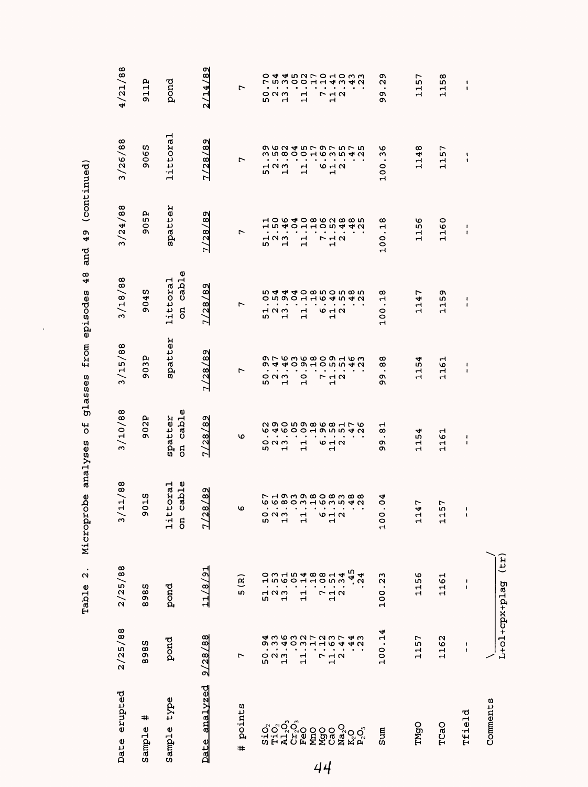| Date erupted                       | 2/25/88                | 2/25/88                | 11/88<br>$\geqslant$              | 3/10/88                                                                                                                                    | 3/15/88                                 | 3/18/88                              | 3/24/88                                 | 3/26/88                   | 4/21/88                                                                                                                                                                                                                                                                     |
|------------------------------------|------------------------|------------------------|-----------------------------------|--------------------------------------------------------------------------------------------------------------------------------------------|-----------------------------------------|--------------------------------------|-----------------------------------------|---------------------------|-----------------------------------------------------------------------------------------------------------------------------------------------------------------------------------------------------------------------------------------------------------------------------|
| #<br>Sample                        | 985<br>œ               | 985<br>$\infty$        | 15<br>$\circ$<br>m                | 902P                                                                                                                                       | 03P<br>O)                               | 9045                                 | 905P                                    | 9065                      | 911P                                                                                                                                                                                                                                                                        |
| Sample type                        | pond                   | pond                   | cable<br>toral<br>11t<br>$\rm ^g$ | cable<br>spatter<br>$\overline{5}$                                                                                                         | spatter                                 | cable<br>littoral<br>5               | spatter                                 | littoral                  | pond                                                                                                                                                                                                                                                                        |
| Date analyzed                      | 9/28/88                | 18/91<br>$\frac{1}{1}$ | /82<br><u>ର</u><br>$\frac{2}{3}$  | 7/28/89                                                                                                                                    | 7/28/89                                 | Z/28/89                              | 7/28/89                                 | 7/28/89                   | 2/14/89                                                                                                                                                                                                                                                                     |
| points<br>$\pm$                    | L                      | 5(R)                   | O                                 | ৩                                                                                                                                          | r                                       | r                                    | ∼                                       | r                         | r                                                                                                                                                                                                                                                                           |
|                                    |                        |                        |                                   |                                                                                                                                            |                                         |                                      |                                         |                           |                                                                                                                                                                                                                                                                             |
|                                    | 52<br>52<br>13         |                        | 0 N M<br>9 H                      | 52<br>13                                                                                                                                   | 52<br>52<br>52                          | 054<br>054<br>52<br>52<br>52         | 52<br>52<br>13                          | 52<br>52<br>13            | 52<br>52<br>13                                                                                                                                                                                                                                                              |
|                                    |                        |                        |                                   |                                                                                                                                            |                                         |                                      |                                         |                           |                                                                                                                                                                                                                                                                             |
|                                    | $\frac{1}{1}$          |                        | 11                                | $\mathbf{1}$                                                                                                                               | $\frac{0}{1}$                           | 11                                   | $\mathbf{1}$                            | $\frac{1}{1}$             | $\mathbf{1}$                                                                                                                                                                                                                                                                |
|                                    | L,                     |                        |                                   |                                                                                                                                            |                                         |                                      |                                         |                           |                                                                                                                                                                                                                                                                             |
|                                    |                        |                        | しゃし                               | 642                                                                                                                                        | $\begin{array}{c}\n7 \\ 1\n\end{array}$ | $\bullet$<br>642                     | $\begin{array}{c}\n7 \\ 1\n\end{array}$ | 642                       | $\begin{array}{c}\n7 \\ 1\n\end{array}$                                                                                                                                                                                                                                     |
| Na <sub>2</sub> O                  | $\frac{1}{1}$ $\alpha$ |                        |                                   |                                                                                                                                            |                                         |                                      |                                         |                           |                                                                                                                                                                                                                                                                             |
| K <sub>2</sub> ୦<br>ዶ <sup>2</sup> | $.44$<br>$.23$         | $-45$<br>24            |                                   | $\begin{array}{cccccccccc} . & . & . & . & . & . & . & . \\ . & . & . & . & . & . & . & . \\ . & . & . & . & . & . & . & . \\ \end{array}$ |                                         | ひよよる 4 5 4 5 4 0 8 5 9 4 5 8 5 6 9 6 |                                         |                           | $\begin{array}{cccccccccc} . & . & . & . & . & . & . & . \\ . & . & . & . & . & . & . & . \\ . & . & . & . & . & . & . & . \\ . & . & . & . & . & . & . & . \\ . & . & . & . & . & . & . & . \\ . & . & . & . & . & . & . & . \\ . & . & . & . & . & . & . & . \end{array}$ |
| Sum                                | 100.14                 | 100.23                 | .04<br>001                        | Н<br>œ<br>$\blacksquare$<br>o۱<br>$\overline{\mathbf{o}}$                                                                                  | ထ<br>œ<br>99                            | .18<br>100                           | .18<br>100                              | .36<br>100                | 29<br>ጣ<br>ጣ                                                                                                                                                                                                                                                                |
| TMgO                               | 1157                   | 1156                   | r<br>4<br>$\frac{1}{1}$           | $\frac{1}{2}$<br>Н<br>$\mathbf{\mathbf{r}}$                                                                                                | 1154                                    | r<br>4<br>Ч<br>Н                     | 1156                                    | .148<br>Н                 | 1157                                                                                                                                                                                                                                                                        |
| TCaO                               | 1162                   | 1161                   | 57<br>$\mathbf{1}$                | 1161                                                                                                                                       | 1161                                    | ጣ<br>ωj<br>Ч<br>Н                    | 1160                                    | 157<br>$\mathbf{\vec{a}}$ | 158<br>$\mathbf{\mathbf{t}}$                                                                                                                                                                                                                                                |
| Tfield                             | $\frac{1}{4}$          | $\frac{1}{1}$          | $\pmb{\mathsf{I}}$<br>ł,          | ł<br>ł                                                                                                                                     | ł<br>$\pmb{\mathfrak{t}}$               | $\mathbf{I}$<br>$\pmb{\mathfrak{t}}$ | $\frac{1}{4}$                           | 1<br>$\mathbf{I}$         | $\pmb{\mathfrak{t}}$<br>$\pmb{\mathfrak{g}}$                                                                                                                                                                                                                                |
| Comments                           | L+01+cpx+plag          | $(\tau$ r)             |                                   |                                                                                                                                            |                                         |                                      |                                         |                           |                                                                                                                                                                                                                                                                             |

 $\ddot{\phantom{0}}$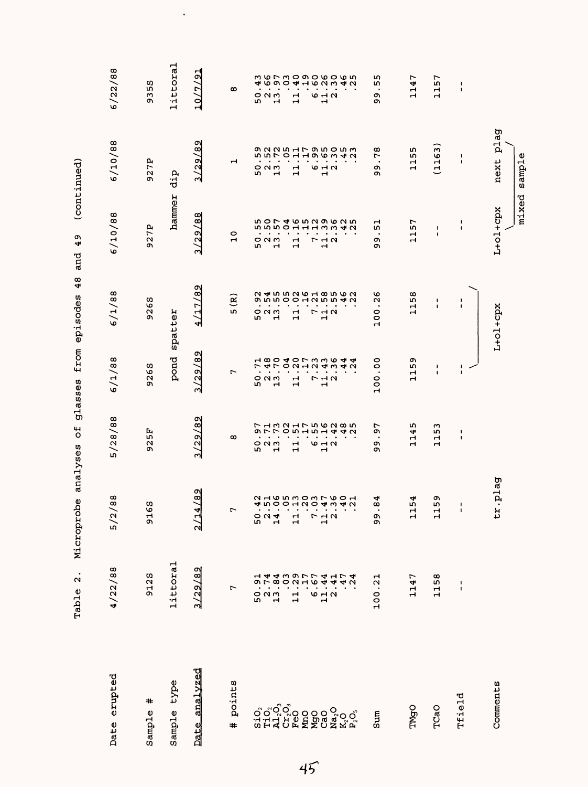|                     | $\bullet$<br>$\mathbf{\Omega}$<br>Table | Microprobe                                                                                                                                                                                     | $\overline{5}$<br>analyses                                                                                                                                                                                                                                                                                                                                                                                                                                                                      | glasses                                                                                          | 48<br>from episodes                                                                                                                                                                                                                                                                                                             | 49<br>and                                                      | (continued)                                 |                                                                          |
|---------------------|-----------------------------------------|------------------------------------------------------------------------------------------------------------------------------------------------------------------------------------------------|-------------------------------------------------------------------------------------------------------------------------------------------------------------------------------------------------------------------------------------------------------------------------------------------------------------------------------------------------------------------------------------------------------------------------------------------------------------------------------------------------|--------------------------------------------------------------------------------------------------|---------------------------------------------------------------------------------------------------------------------------------------------------------------------------------------------------------------------------------------------------------------------------------------------------------------------------------|----------------------------------------------------------------|---------------------------------------------|--------------------------------------------------------------------------|
| Date erupted        | 4/22/88                                 | /88<br>5/2                                                                                                                                                                                     | 5/28/88                                                                                                                                                                                                                                                                                                                                                                                                                                                                                         | 6/1/88                                                                                           | 6/1/88                                                                                                                                                                                                                                                                                                                          | 6/10/88                                                        | 6/10/88                                     | 6/22/88                                                                  |
| #<br>Sample         | 9125                                    | 63<br>51                                                                                                                                                                                       | 925F                                                                                                                                                                                                                                                                                                                                                                                                                                                                                            | 9265                                                                                             | 9265                                                                                                                                                                                                                                                                                                                            | 927P                                                           | 927P                                        | 59<br>$\overline{3}$                                                     |
| type<br>Sample      | littoral                                |                                                                                                                                                                                                |                                                                                                                                                                                                                                                                                                                                                                                                                                                                                                 | pond                                                                                             | spatter                                                                                                                                                                                                                                                                                                                         | hammer                                                         | dip                                         | littoral                                                                 |
| analyzed<br>Date    | 3/29/89                                 | 4/89<br>$\frac{1}{2}$                                                                                                                                                                          | 3/29/89                                                                                                                                                                                                                                                                                                                                                                                                                                                                                         | 3/29/89                                                                                          | 4/17/89                                                                                                                                                                                                                                                                                                                         | 3/29/88                                                        | 3/29/89                                     | $\frac{1}{2}$<br><u>10/77</u>                                            |
| points<br>#         | $\overline{ }$                          | $\overline{ }$                                                                                                                                                                                 | $\infty$                                                                                                                                                                                                                                                                                                                                                                                                                                                                                        | r                                                                                                | 5(R)                                                                                                                                                                                                                                                                                                                            | $\circ$<br>$\mathbf{H}$                                        | ᆏ                                           | $\infty$                                                                 |
|                     | ᆏ<br>Ļ<br>თ<br>5231                     | $\begin{array}{cccccccccc} . & . & . & . & . & . & . & . \\ \hline 4 & 0 & 0 & 0 & 0 & 0 & 0 & 0 & 0 & 0 & 0 \\ \hline 4 & 0 & 0 & 0 & 0 & 0 & 0 & 0 & 0 & 0 & 0 \\ \end{array}$<br>524<br>524 | $\begin{array}{cccccccccc} . & . & . & . & . & . \\ . & . & . & . & . & . \\ . & . & . & . & . & . \\ . & . & . & . & . & . \\ . & . & . & . & . & . \\ . & . & . & . & . & . \\ . & . & . & . & . & . \\ . & . & . & . & . & . \\ . & . & . & . & . & . \\ . & . & . & . & . & . \\ . & . & . & . & . & . \\ . & . & . & . & . & . \\ . & . & . & . & . & . \\ . & . & . & . & . & . \\ . & . & . & . & . & . \\ . & . & . & . & . & . \\ . & . & . & . & . & . \\ . & . & . & .$<br>523<br>52 | 18040733644180407<br>$\overline{ }$<br>$\cdot$<br>$\bullet$<br>$\circ$ $\circ$ $\circ$<br>m<br>Н | $\begin{array}{cccccc} 0 & 1 & 1 & 1 & 1 \\ 0 & 0 & 0 & 0 & 0 \\ 0 & 0 & 0 & 0 & 0 \\ 0 & 0 & 0 & 0 & 0 \\ 0 & 0 & 0 & 0 & 0 \\ 0 & 0 & 0 & 0 & 0 \\ 0 & 0 & 0 & 0 & 0 \\ 0 & 0 & 0 & 0 & 0 \\ 0 & 0 & 0 & 0 & 0 \\ 0 & 0 & 0 & 0 & 0 \\ 0 & 0 & 0 & 0 & 0 \\ 0 & 0 & 0 & 0 & 0 \\ 0 & 0 & 0 & 0 & 0 \\ 0 & 0 & 0 & 0 & 0 \\ 0$ | 50746529625500 4001113342<br>$O$ $N$ $m$<br>$\mathbf{r}$<br>ıυ |                                             | <b>さらてきりらりるりるちょう しょうりりょう つうこう</b><br>$O$ $N$ $m$<br>$\blacksquare$<br>ru |
|                     |                                         | $\mathbf{1}$                                                                                                                                                                                   | $\overline{\phantom{a}}$<br>$\mathbf{\mathbf{r}}$                                                                                                                                                                                                                                                                                                                                                                                                                                               | $\frac{1}{11}$                                                                                   |                                                                                                                                                                                                                                                                                                                                 | $\frac{1}{11}$ .                                               |                                             | $\frac{1}{11}$                                                           |
|                     |                                         | 7<br>7<br>7<br>7                                                                                                                                                                               | 642                                                                                                                                                                                                                                                                                                                                                                                                                                                                                             | $\bullet$<br>$\ddot{\cdot}$<br>$\bullet$<br>712<br>$\mathbf{r}$                                  |                                                                                                                                                                                                                                                                                                                                 | $\bullet$<br>$7\frac{1}{2}$                                    |                                             | $\bullet$<br>$6 + 2$                                                     |
| ៜ៰៓៰៓<br>ៜ៓៓៰៓៓៓៓៓៓ |                                         |                                                                                                                                                                                                |                                                                                                                                                                                                                                                                                                                                                                                                                                                                                                 | 40                                                                                               |                                                                                                                                                                                                                                                                                                                                 |                                                                |                                             |                                                                          |
| Sum                 | ᆏ<br>100.2                              | ↵<br>$\infty$<br>$\bullet$<br>oo                                                                                                                                                               | 97<br>$\bullet$<br>Ō,<br>o۱                                                                                                                                                                                                                                                                                                                                                                                                                                                                     | $\circ$<br>$\circ$<br>$\bullet$<br>100                                                           | ৩<br>$\mathbf{\Omega}$<br>$\bullet$<br>100                                                                                                                                                                                                                                                                                      | ᆏ<br><b>In</b><br>$\cdot$<br>c<br>o۱                           | œ<br>$\overline{ }$<br>$\bullet$<br>o۱<br>ጣ | L٢<br>٤Ŋ,<br>٠.<br>o,<br>o                                               |
| TMgO                | r<br>114                                | 54<br>$\mathbf{\mathbf{r}}$<br>Н                                                                                                                                                               | 1145                                                                                                                                                                                                                                                                                                                                                                                                                                                                                            | თ<br>LO,<br>급                                                                                    | 1158                                                                                                                                                                                                                                                                                                                            | 57<br>$\mathbf{1}$                                             | m<br>LΩ,<br>$\frac{1}{11}$                  | r<br>114                                                                 |
| TCaO                | 1158                                    | თ<br>L۲<br>Н<br>ᆏ                                                                                                                                                                              | 1153                                                                                                                                                                                                                                                                                                                                                                                                                                                                                            | ı<br>$\blacksquare$                                                                              | п<br>ı                                                                                                                                                                                                                                                                                                                          | ŧ<br>$\pmb{\mathsf{I}}$                                        | (1163)                                      | 57<br>$\mathbf{1}$                                                       |
| Tfield              | $\blacksquare$<br>$\blacksquare$        | $\mathbf{I}$<br>$\blacksquare$                                                                                                                                                                 | L<br>I.                                                                                                                                                                                                                                                                                                                                                                                                                                                                                         | $\frac{1}{1}$                                                                                    | $\blacksquare$                                                                                                                                                                                                                                                                                                                  | $\blacksquare$<br>$\blacksquare$                               | ı<br>1                                      | $\mathbf{I}$<br>$\blacksquare$                                           |
| Comments            |                                         | r.plag<br>ىد                                                                                                                                                                                   |                                                                                                                                                                                                                                                                                                                                                                                                                                                                                                 |                                                                                                  | $L+O1+Cpx$                                                                                                                                                                                                                                                                                                                      | mixed<br>L+01+cpx                                              | plag<br>sample<br>next                      |                                                                          |

Table 2. Microprobe analyses of glasses from episodes 48 and 49 (continued)  $\frac{c}{\epsilon}$  $\frac{a}{4}$ Ý ų بر<br>م Ř  $\mathbf{\hat{c}}$ 

 $\ddot{\phantom{0}}$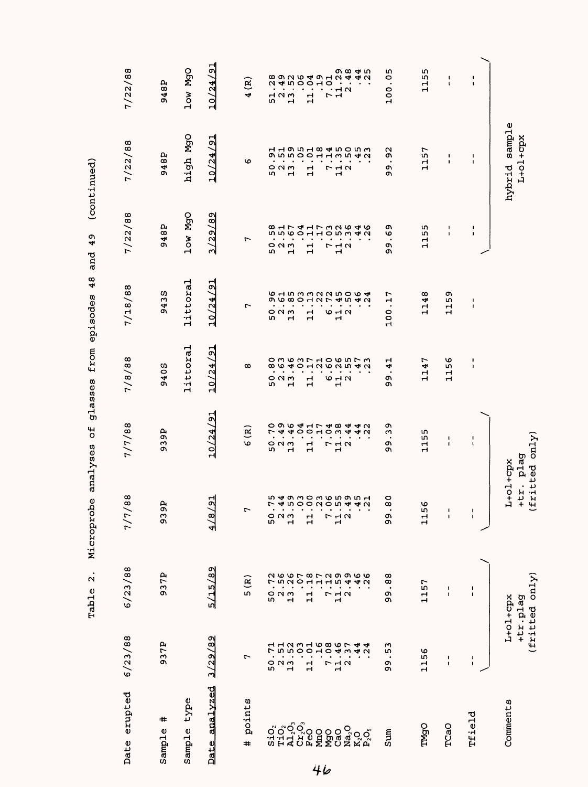|                                 |                                                                                                                                                                                                                                                                                                     | $\bullet$<br>$\mathbf{\Omega}$<br>Table | Microprobe                      | ٣,<br>analyses                   | glasses from episodes        | 48                                                                                                                                                                                                                                                                                                                                                                                   | 49<br>and                                                              | (continued)                                                                                                                                                                                                                                                                                                                                                                                                                                                                        |                                     |
|---------------------------------|-----------------------------------------------------------------------------------------------------------------------------------------------------------------------------------------------------------------------------------------------------------------------------------------------------|-----------------------------------------|---------------------------------|----------------------------------|------------------------------|--------------------------------------------------------------------------------------------------------------------------------------------------------------------------------------------------------------------------------------------------------------------------------------------------------------------------------------------------------------------------------------|------------------------------------------------------------------------|------------------------------------------------------------------------------------------------------------------------------------------------------------------------------------------------------------------------------------------------------------------------------------------------------------------------------------------------------------------------------------------------------------------------------------------------------------------------------------|-------------------------------------|
| Date erupted                    | 6/23/88                                                                                                                                                                                                                                                                                             | 6/23/88                                 | $\bf{88}$<br>7/7/               | 7/7/88                           | 7/8/88                       | 7/18/88                                                                                                                                                                                                                                                                                                                                                                              | 7/22/88                                                                | 7/22/88                                                                                                                                                                                                                                                                                                                                                                                                                                                                            | 7/22/88                             |
| #<br>Sample                     | 937P                                                                                                                                                                                                                                                                                                | 937P                                    | بم<br>939                       | 939P                             | 9405                         | 9435                                                                                                                                                                                                                                                                                                                                                                                 | 948P                                                                   | 948P                                                                                                                                                                                                                                                                                                                                                                                                                                                                               | 948P                                |
| Sample type                     |                                                                                                                                                                                                                                                                                                     |                                         |                                 |                                  | littoral                     | littoral                                                                                                                                                                                                                                                                                                                                                                             | low MgO                                                                | high MgO                                                                                                                                                                                                                                                                                                                                                                                                                                                                           | low MgO                             |
| analyzed<br>Date                | 3/29/89                                                                                                                                                                                                                                                                                             | 5/15/89                                 | 의<br>$\frac{4}{8}$              | 10/24/91                         | 10/24/91                     | 10/24/91                                                                                                                                                                                                                                                                                                                                                                             | 3/29/89                                                                | 10/24/91                                                                                                                                                                                                                                                                                                                                                                                                                                                                           | 10/24/91                            |
| points<br>#                     | r                                                                                                                                                                                                                                                                                                   | 5(R)                                    | $\overline{ }$                  | 6(R)                             | $^\infty$                    | r                                                                                                                                                                                                                                                                                                                                                                                    | ↽                                                                      | O                                                                                                                                                                                                                                                                                                                                                                                                                                                                                  | 4(R)                                |
|                                 |                                                                                                                                                                                                                                                                                                     | ี่<br>5O                                | 50                              | $\bullet$                        |                              |                                                                                                                                                                                                                                                                                                                                                                                      |                                                                        |                                                                                                                                                                                                                                                                                                                                                                                                                                                                                    |                                     |
| ៰៰៓៰៓៰<br>ឨឣ៓៓ឨ៓៰៓៓៓៓៓          | $\begin{array}{c} 50.71 \\ 50.11 \\ 21.10 \\ 31.11 \\ 11.10 \\ 21.10 \\ 31.11 \\ 12.12 \\ 21.11 \\ 21.12 \\ 21.12 \\ 21.12 \\ 21.13 \\ 21.13 \\ 21.13 \\ 21.13 \\ 21.13 \\ 21.13 \\ 21.13 \\ 21.13 \\ 21.13 \\ 21.13 \\ 21.13 \\ 21.13 \\ 21.13 \\ 21.13 \\ 21.13 \\ 21.13 \\ 21.13 \\ 21.13 \\ 21$ | <b>6678</b><br>508<br>$\frac{2}{1}$     | $\frac{2}{1}$                   | <b>0067-00</b><br>52<br>13<br>13 |                              | 523<br>52                                                                                                                                                                                                                                                                                                                                                                            | 58<br>151<br>157<br>52<br>52<br>52                                     | $\begin{array}{c}\n0 \\ 0 \\ 1\n\end{array}$                                                                                                                                                                                                                                                                                                                                                                                                                                       | 52<br>52<br>52                      |
|                                 |                                                                                                                                                                                                                                                                                                     | $\mathbf{1}$                            | $\mathbf{1}$                    | $11.04$<br>$7.17$<br>$7.04$      |                              | $\mathbf{1}$                                                                                                                                                                                                                                                                                                                                                                         | $\begin{array}{c} 11.103 \\ -1.103 \\ -1.103 \\ -1.103 \\ \end{array}$ | $\mathbf{1}$                                                                                                                                                                                                                                                                                                                                                                                                                                                                       | $\mathbf{1}$                        |
| MnO                             |                                                                                                                                                                                                                                                                                                     | $\overline{ }$                          |                                 |                                  |                              |                                                                                                                                                                                                                                                                                                                                                                                      |                                                                        |                                                                                                                                                                                                                                                                                                                                                                                                                                                                                    | r                                   |
| MgO<br>CaO<br>Na <sub>2</sub> O |                                                                                                                                                                                                                                                                                                     | $\frac{1}{1}$ $\alpha$                  | 712<br>12                       | .38<br>.44<br>$r$ $\frac{1}{1}a$ |                              | <b>9 급 a</b>                                                                                                                                                                                                                                                                                                                                                                         |                                                                        | 712<br>12                                                                                                                                                                                                                                                                                                                                                                                                                                                                          | $\tilde{G}$ $\tilde{H}$ $\alpha$    |
| K,O<br>P,O,                     | 44<br>$\overline{24}$                                                                                                                                                                                                                                                                               | フ29966115942                            | <b>ちょうろりろらちらうよう りょうりりつりつうせん</b> | 422                              |                              | $\begin{array}{c} \\ 0.6 \text{ s} \\ 0.0 \text{ s} \\ 0.0 \text{ s} \\ 0.0 \text{ s} \\ 0.0 \text{ s} \\ 0.0 \text{ s} \\ 0.0 \text{ s} \\ 0.0 \text{ s} \\ 0.0 \text{ s} \\ 0.0 \text{ s} \\ 0.0 \text{ s} \\ 0.0 \text{ s} \\ 0.0 \text{ s} \\ 0.0 \text{ s} \\ 0.0 \text{ s} \\ 0.0 \text{ s} \\ 0.0 \text{ s} \\ 0.0 \text{ s} \\ 0.0 \text{ s} \\ 0.0 \text{ s} \\ 0.0 \text{$ | 48                                                                     | $\begin{array}{cccccccccc} . & . & . & . & . & . \\ . & . & . & . & . & . \\ . & . & . & . & . & . \\ . & . & . & . & . & . \\ . & . & . & . & . & . \\ . & . & . & . & . & . \\ . & . & . & . & . & . \\ . & . & . & . & . & . \\ . & . & . & . & . & . \\ . & . & . & . & . & . \\ . & . & . & . & . & . \\ . & . & . & . & . & . \\ . & . & . & . & . & . \\ . & . & . & . & . & . \\ . & . & . & . & . & . \\ . & . & . & . & . & . \\ . & . & . & . & . & . \\ . & . & . & .$ |                                     |
| Sum                             | 53<br>Q<br>c                                                                                                                                                                                                                                                                                        | 88<br>$\bullet$<br>Ō<br>Ō               | $\frac{0}{8}$<br>თ<br>თ         | ወ<br>ω<br>Ō<br>ዕነ                | ᆏ<br>4<br>$\cdot$<br>o۱<br>ጣ | 100.17                                                                                                                                                                                                                                                                                                                                                                               | စ<br>စ<br>$\cdot$<br>c<br>c                                            | $\mathfrak{S}$<br>$\bullet$<br>o۱<br>c                                                                                                                                                                                                                                                                                                                                                                                                                                             | 100.05                              |
| TMgO                            | 1156                                                                                                                                                                                                                                                                                                | 1157                                    | O<br>115                        | 1155                             | 1147                         | 1148                                                                                                                                                                                                                                                                                                                                                                                 | 1155                                                                   | 1157                                                                                                                                                                                                                                                                                                                                                                                                                                                                               | 1155                                |
| TCaO                            | $\frac{1}{1}$                                                                                                                                                                                                                                                                                       | $\frac{1}{1}$                           | $\frac{1}{1}$                   | 1<br>$\mathbf I$                 | 1156                         | 1159                                                                                                                                                                                                                                                                                                                                                                                 | $\frac{1}{1}$                                                          | ı<br>$\mathbf I$                                                                                                                                                                                                                                                                                                                                                                                                                                                                   | $\mathbf I$<br>$\pmb{\mathfrak{t}}$ |
| Tfield                          | $\frac{1}{1}$                                                                                                                                                                                                                                                                                       | ı<br>$\mathbf{I}$                       | $\frac{1}{1}$                   | $\frac{1}{4}$                    | ٠<br>$\pmb{\cdot}$           | $\pmb{\cdot}$<br>$\mathbf I$                                                                                                                                                                                                                                                                                                                                                         | $\frac{1}{1}$                                                          | $\pmb{\cdot}$<br>$\mathbf I$                                                                                                                                                                                                                                                                                                                                                                                                                                                       | $\mathbf{I}$<br>$\pmb{\cdot}$       |
| Comments                        |                                                                                                                                                                                                                                                                                                     | (fritted only)<br>L+01+cpx<br>+tr.plag  | $L+01+cpx$<br>$+tx$ .           | fritted only)<br>plag            |                              |                                                                                                                                                                                                                                                                                                                                                                                      |                                                                        | hybrid sample<br>L+01+cpx                                                                                                                                                                                                                                                                                                                                                                                                                                                          |                                     |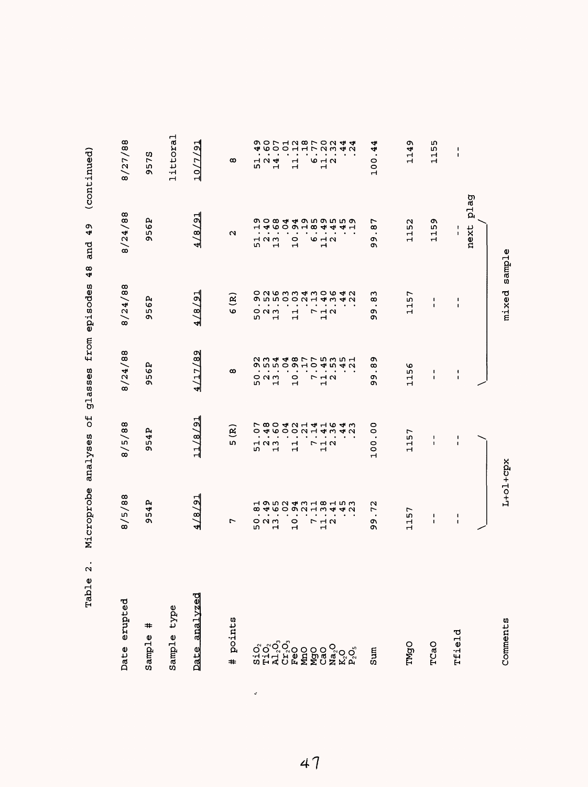| $\bullet$<br>$\sim$<br>$\mathbf{0}$<br>Tab <sub>1</sub> | Microprobe                                                                                   | $\overline{5}$<br>analyses                                                                                                                        | glasses                                                                                       | 48<br>from episodes                                                                                        | 49<br>and                                                                                                                                        | (continued)                                                                                                              |
|---------------------------------------------------------|----------------------------------------------------------------------------------------------|---------------------------------------------------------------------------------------------------------------------------------------------------|-----------------------------------------------------------------------------------------------|------------------------------------------------------------------------------------------------------------|--------------------------------------------------------------------------------------------------------------------------------------------------|--------------------------------------------------------------------------------------------------------------------------|
| erupted<br>Date                                         | 8/5/88                                                                                       | 8/5/88                                                                                                                                            | 8/24/88                                                                                       | 8/24/88                                                                                                    | 8/24/88                                                                                                                                          | 8/27/88                                                                                                                  |
| $\textcolor{blue}{\textbf{+}}$<br>Sample                | 54P<br>Q,                                                                                    | 954P                                                                                                                                              | 956P                                                                                          | 56P<br>o۱                                                                                                  | e<br>6<br>m<br>ጣ                                                                                                                                 | ŋ,<br>57<br>Q                                                                                                            |
| type<br>Sample                                          |                                                                                              |                                                                                                                                                   |                                                                                               |                                                                                                            |                                                                                                                                                  | littoral                                                                                                                 |
| Date analvzed                                           | 4/8/91                                                                                       | 11/8/91                                                                                                                                           | 4/17/89                                                                                       | 4/8/21                                                                                                     | 4/8/91                                                                                                                                           | 10/7/91                                                                                                                  |
| points<br>#                                             | r                                                                                            | $\widetilde{\mathbf{e}}$<br>īΩ,                                                                                                                   | $\infty$                                                                                      | $\widetilde{\mathbf{R}}$<br>O                                                                              | $\sim$                                                                                                                                           | œ                                                                                                                        |
| ៰៓៰៓៰៓៰<br>៝៰៓៰៓៰៓៰៰៰៓៓៓៰៓៰៓<br>៰៓៓៰៓៰៓៰៰៰៓៓៓៰៓៓        | 8 4 6 0 9 7 4 5 4 6 4 6 7<br>$\bullet$<br>$\blacksquare$<br>$O$ $N$ $m$<br>w<br>$\mathbf{r}$ | <b>78000104040</b><br>0<br>$\bullet$<br>$\blacksquare$<br>$\bullet$<br>$\overline{1}$ $\overline{1}$ $\overline{1}$<br>m<br>$\mathbf{\mathbf{r}}$ | <b>つうちりつよりもうようりうちょうりつりょうしょうしょう</b><br>$\sim 100$ m $^{-1}$<br>೦೧<br>w<br>$\overrightarrow{H}$ | o q w w w d w o w d w<br><b>のちちりりつエムシチン</b><br>$\bullet$ . $\bullet$ . $\bullet$<br>$O$ $N$ $m$<br>ਾਜ<br>w | <b>の0844959559</b><br>111600184441<br>$\mathcal{A}=\mathcal{A}=\mathcal{A}$<br>$\overline{1}$ $\overline{2}$ $\overline{1}$<br>$\mathbf{H}$<br>S | せらりひまま72342<br>$\bullet$<br>$\blacksquare$<br>$\overline{1}$ $\overline{1}$ $\overline{4}$<br>w<br>$\mathbf{\mathbf{r}}$ |
|                                                         | $\bullet$<br>$\blacksquare$<br>$\circ$<br>$\mathbf{r}$                                       | <b>46000144340</b><br>$\begin{array}{c} 1 \overline{1} \\ 1 \overline{1} \end{array}$                                                             | $\blacksquare$<br>$\ddot{\circ}$<br>$\mathbf{\mathbf{\mathbf{H}}}$                            | $\frac{1}{2}$ $\frac{1}{2}$ $\frac{1}{2}$                                                                  | $-20.7$                                                                                                                                          | $\frac{1}{1}$<br>$\mathbf{H}$                                                                                            |
|                                                         | $\bullet$<br>$\bullet$ . $\bullet$                                                           |                                                                                                                                                   | $\bullet$<br>$\blacksquare$                                                                   |                                                                                                            |                                                                                                                                                  |                                                                                                                          |
|                                                         | $\blacksquare$<br>7 <sub>4</sub><br>$\mathbf{\mathbf{r}}$                                    | $\sim$ $\sim$ $\sim$<br><b>712</b><br>$\mathbf{r}$                                                                                                | $\sim$<br>$\bullet$<br>$P$ $\vdash$ $\vdash$ $\land$<br>$\mathbf{\mathbf{H}}$                 |                                                                                                            | $\sim$ , and $\sim$<br>$6 - 7$<br>$\mathbf{H}$                                                                                                   | $\cdots$<br>$\sigma$ $\vdash$ $\sigma$<br>$\mathbf{r}$                                                                   |
|                                                         | $\bullet$<br>$\cdot$                                                                         | $\bullet$                                                                                                                                         | $\bullet$                                                                                     | $\bullet$                                                                                                  | $\cdot$ $\cdot$                                                                                                                                  |                                                                                                                          |
| Sum                                                     | N<br>r<br>$\bullet$<br>Q<br>Ō                                                                | $\circ$<br>଼<br>100                                                                                                                               | ጣ<br>$^{\circ}$<br>$\cdot$<br>o۱<br>თ                                                         | m<br>$\infty$<br>$\bullet$<br>ጣ<br>Ō                                                                       | ᠇<br>$\infty$<br>$\cdot$<br>ጣ<br>c                                                                                                               | 4<br>4.<br>100                                                                                                           |
| <b>DPML</b>                                             | 57<br>$\frac{1}{1}$                                                                          | r<br>115                                                                                                                                          | O<br>w<br>Н<br>$\mathbf{\mathbf{H}}$                                                          | r<br>m<br>Ч<br>$\mathbf{r}$                                                                                | N<br>m<br>11                                                                                                                                     | ጣ<br>114                                                                                                                 |
| TCaO                                                    | -<br>$\mathbf I$                                                                             | 1<br>$\mathbf I$                                                                                                                                  | $\mathbf{I}$<br>$\blacksquare$                                                                | л.<br>$\blacksquare$                                                                                       | ጣ<br>m<br>11                                                                                                                                     | m<br>m<br>$\mathbf{r}$<br>$\mathbf{H}$                                                                                   |
| Tfield                                                  | 1<br>1                                                                                       | 1<br>$\mathbf I$                                                                                                                                  | 1<br>$\mathbf I$                                                                              | 1<br>$\mathbf I$                                                                                           | ı<br>$\mathbf{I}$                                                                                                                                | J.<br>$\mathbf{I}$                                                                                                       |
|                                                         |                                                                                              |                                                                                                                                                   |                                                                                               |                                                                                                            | next                                                                                                                                             | plag                                                                                                                     |
| Comments                                                | $L + 0l + cpx$                                                                               |                                                                                                                                                   |                                                                                               | mixed sample                                                                                               |                                                                                                                                                  |                                                                                                                          |

47

 $\mathcal{L}$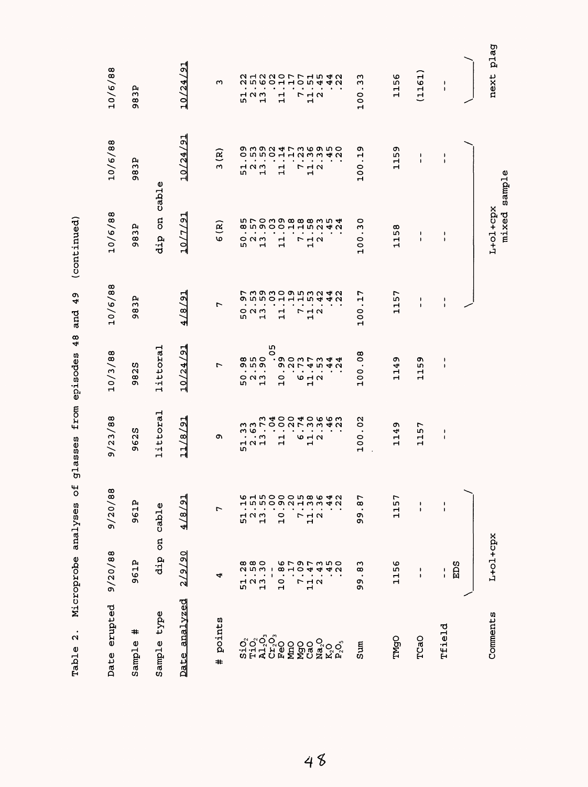| next plag                                               | sample                                        | $L+O1+Cpx$<br>mixed                                           |                                                           |                                                       |                                                                 |                                                  | L+ol+cpx                                                     |
|---------------------------------------------------------|-----------------------------------------------|---------------------------------------------------------------|-----------------------------------------------------------|-------------------------------------------------------|-----------------------------------------------------------------|--------------------------------------------------|--------------------------------------------------------------|
| 1<br>$\pmb{\cdot}$                                      | ı<br>$\pmb{\cdot}$                            | ı<br>$\pmb{\cdot}$                                            | ı<br>$\pmb{\cdot}$                                        | J<br>$\pmb{\cdot}$                                    | ı<br>$\pmb{\cdot}$                                              | ۱<br>$\pmb{\mathsf{I}}$                          | <b>EDS</b><br>١                                              |
| (1161)                                                  | J.<br>$\pmb{\cdot}$                           | J.<br>$\pmb{\mathsf{I}}$                                      | ۱<br>J.                                                   | o۱<br>n,<br>$\mathbf{1}$                              | r<br>m<br>ᆏ<br>Н                                                | ٠<br>$\pmb{\mathsf{I}}$                          | ٠<br>$\pmb{\mathsf{I}}$                                      |
| 1156                                                    | 1159                                          | ω<br>115                                                      | 1157                                                      | ጣ<br>114                                              | ጣ<br>4<br>$\frac{1}{1}$                                         | r<br>115                                         | 1156                                                         |
| w<br>ω<br>$\cdot$<br>$\circ$<br>$\circ$<br>$\mathbf{r}$ | ጣ<br>ᆏ<br>$\cdot$<br>$\circ$<br>$\frac{1}{2}$ | $\circ$<br>ω<br>$\cdot$<br>$\circ$<br>$\circ$<br>$\mathbf{H}$ | r<br>ᆏ<br>$\blacksquare$<br>0<br>ă                        | œ<br>$\circ$<br>$\bullet$<br>$\circ$<br>$\frac{1}{2}$ | Ν<br>$\circ$<br>$\bullet$<br>$\circ$<br>$\circ$<br>$\mathbf{r}$ | r<br>$\infty$<br>$\bullet$<br>ጣ<br>o             | ო<br>$\infty$<br>$\bullet$                                   |
| 2122077154221200105412                                  | g w g w 4 r w w g m o<br>4N                   | <b>in roma cocomu 4</b>                                       | フ39309532429550115942                                     | <b>SOOMT MAA</b><br>9 2 7 4 5 4 5                     | <b>そううりもりりまとり とものりとてき</b>                                       | <b>61500058642</b><br>4 U                        | いてのてるい<br>すすする                                               |
| $\begin{array}{c}\n7 \\ 1\n\end{array}$                 | o n n o -1 -1 -1 w w                          |                                                               | $\bullet$                                                 | $\bullet$<br>$\bullet$<br>$\mathbf{r}$                | $\bullet$<br>$\bullet$<br>$\mathbf{\mathbf{r}}$                 | m <sub>m</sub>                                   | $\bullet$                                                    |
|                                                         | $\begin{array}{c}\n7 \\ 1\n\end{array}$       | $\begin{array}{c}\n7 \\ 1\n\end{array}$                       | $\bullet$<br>$\begin{array}{c}\n7 \\ 7 \\ 1\n\end{array}$ | $\bullet$<br>$\omega$ $\sim$ $\sim$                   | $6 - 4$                                                         | $\bullet$<br>712                                 | $\overline{a}$<br>$\bullet$<br>r<br>$\frac{1}{2}$            |
| $\bullet$<br>$\mathbf{1}$                               | $\bullet$<br>$\mathbf{1}$                     | $\bullet$<br>$\bullet$<br>$\mathbf{1}$                        | $\blacksquare$<br>$\bullet$<br>Н<br>$\blacktriangleleft$  | $\circ$<br>Н                                          | $\bullet$<br>ᆏ<br>Н                                             | <b>In DOON</b> H<br>$\bullet$<br>$\overline{10}$ | $\infty$<br>$\bullet$                                        |
|                                                         | $\bullet$                                     | $\bullet$                                                     |                                                           | ഗ<br>$\circ$                                          | $\bullet$                                                       |                                                  | - 1<br>$\frac{0}{1}$                                         |
| Н                                                       | $\mathbf{H}$                                  | $\mathbf{\mathbf{r}}$                                         | $\bullet$<br>$\mathbf{\mathbf{H}}$                        | $\bullet$<br>$\cdot$                                  | $\blacksquare$<br>$\cdot$ m                                     | $\mathbf{H}$                                     | $\blacksquare$                                               |
| $\overline{a}$ $\overline{a}$<br>c                      | $\bullet$<br>7 N W<br>ru                      | $\circ$ $\circ$ $\circ$<br>ru                                 | ៰៷៳<br>ru                                                 | <b>8018</b><br>თით<br>$\bullet$<br>52<br>52           | ო დ<br>$\bullet$<br>7 N 7<br>m                                  | $\mathbf{H}$<br>7 N W<br>r.                      | $\infty$ $\infty$ $\infty$<br><b>25575</b><br>52<br>52<br>52 |
| w                                                       | ઉ<br>$\sim$                                   | $\mathbf{R}$<br>O                                             | r                                                         | r                                                     | o.                                                              | r                                                | 4                                                            |
| 10/24/91                                                | 10/24/91                                      | 10/7/9                                                        | 4/8/91                                                    | 10/24/91                                              | 11/8/9                                                          | 4/8/91                                           | 2/9/90                                                       |
|                                                         | cable                                         | 5<br>dip                                                      |                                                           | littoral                                              | littoral                                                        | cable                                            | <b>B</b><br>dip                                              |
| д,<br>ω<br>$\infty$<br>Ō                                | д<br>9831                                     | д<br>$\overline{3}$<br>c                                      | 83P<br>c                                                  | ω<br>N<br>$\infty$<br>ጣ                               | U)<br>Z<br>Φ<br>ጣ                                               | 961P                                             | 961P                                                         |
| 10/6/88                                                 | 10/6/88                                       | 10/6/88                                                       | 10/6/88                                                   | 10/3/88                                               | 9/23/88                                                         | 9/20/88                                          | 9/20/88                                                      |
|                                                         |                                               | (continued)                                                   | c<br>4<br>and                                             | 48<br>from episodes                                   | glasses                                                         | $\ddot{\mathbf{o}}$<br>analyses                  | Microprobe                                                   |
|                                                         |                                               |                                                               |                                                           |                                                       |                                                                 |                                                  |                                                              |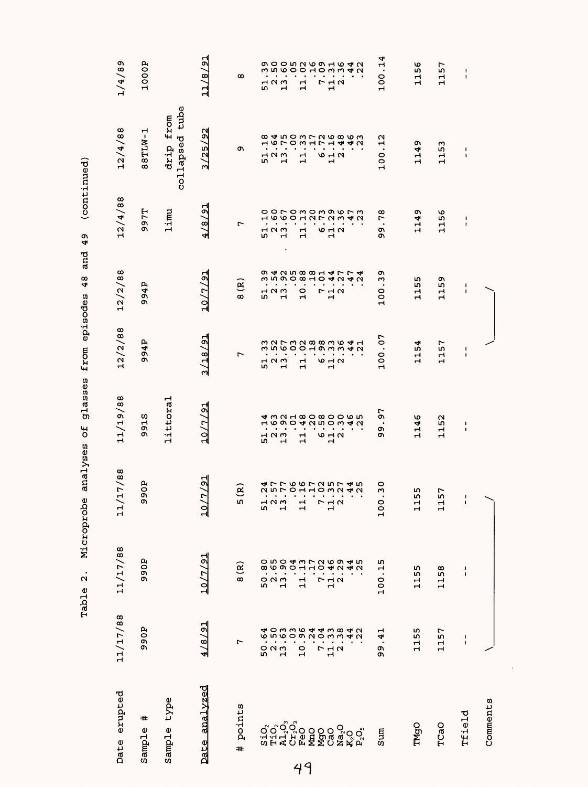| 12/2/88<br>3/18/91<br>.07<br>994P<br>227328836413500010<br>100<br>٣<br>$\bullet$ . $\bullet$<br>$\bullet$<br>$\bullet$<br>$\bullet$<br>$\bullet$ . $\bullet$<br>$\bullet$<br>52<br>52<br>52<br>$\mathbf{1}$<br>642<br>11/19/88<br>littoral<br>10/7/91<br>97<br>915<br><b>4 m N H 8 O 8 O 6 O 6 W</b><br><b>GOOGNUOWAU</b><br>$\mathbf{\mathbf{r}}$<br>$\bullet$<br>$\blacksquare$<br>$\bullet$<br>$\bullet$<br>$\bullet$<br>$\blacksquare$<br>o۱<br>$\bullet$<br>$\blacksquare$<br>$\blacksquare$<br>$\bullet$<br>Ō,<br>$-10m$<br>$\mathbf{r}$<br>640<br>o<br>m<br>$\mathbf{H}$<br>$\mathbf{\mathbf{r}}$<br>$\mathbf{\mathbf{r}}$<br>17/88<br>୍ବା<br>e<br>O<br><b>ムワワのひつこうりょうりょうりつしょうりょう</b><br>$\circ$<br>હે<br>$\mathbf{\tilde{c}}$<br>Q,<br>$\overline{ }$<br>$\blacksquare$<br>$\blacksquare$<br>$\bullet$<br>$\mathcal{A}=\mathcal{A}=\mathcal{A}$<br>$\bullet$<br>$\bullet$<br>$\bullet$<br>$\bullet$<br>$\bullet$<br>თ<br>m<br>52<br>52<br>52<br>$\begin{array}{c}\n\Gamma \\ \Gamma\n\end{array}$<br>100<br>$\Xi$<br>11/<br>10<br>11/17/88<br>10/7/91<br>990P<br>$\begin{array}{cccc} 0 & 1 & 1 & 1 \\ 0 & 0 & 0 & 1 \\ 0 & 0 & 0 & 0 \\ 0 & 0 & 0 & 0 \\ 0 & 0 & 0 & 0 \\ 0 & 0 & 0 & 0 \\ 0 & 0 & 0 & 0 \\ 0 & 0 & 0 & 0 \\ 0 & 0 & 0 & 0 \\ 0 & 0 & 0 & 0 \\ 0 & 0 & 0 & 0 \\ 0 & 0 & 0 & 0 \\ 0 & 0 & 0 & 0 \\ 0 & 0 & 0 & 0 \\ 0 & 0 & 0 & 0 \\ 0 & 0 & 0 & 0 \\ 0 & 0 & 0 & 0 \\ 0 & 0 & 0 &$<br>.15<br>8(R)<br>$\frac{7}{12}$ .<br>100<br>11/17/88<br>4/8/91<br>990P<br>41<br>L<br>$\bullet$<br>523<br>52<br>11 <sub>2</sub><br>$\frac{0}{1}$<br>1<br>99<br>Date analvzed<br>Date erupted<br>type<br>points<br>#<br>ូ <sup>ក</sup> ្តុំក្តុំ<br>ក្នុង ១០០០<br>ក្នុង ក្នុង ក្នុង<br>Sample<br>$S\dot{1}O_2$<br>$\begin{array}{l} \mathbf{Na_2O} \\ \mathbf{K_2O} \\ \mathbf{P_2O_3} \end{array}$<br>Sample<br>Sum<br>$\ddot{}$ |  | 12/2/88                                                     | 12/4/88                                     | 12/4/88                     | 1/4/89                                                                                        |
|----------------------------------------------------------------------------------------------------------------------------------------------------------------------------------------------------------------------------------------------------------------------------------------------------------------------------------------------------------------------------------------------------------------------------------------------------------------------------------------------------------------------------------------------------------------------------------------------------------------------------------------------------------------------------------------------------------------------------------------------------------------------------------------------------------------------------------------------------------------------------------------------------------------------------------------------------------------------------------------------------------------------------------------------------------------------------------------------------------------------------------------------------------------------------------------------------------------------------------------------------------------------------------------------------------------------------------------------------------------------------------------------------------------------------------------------------------------------------------------------------------------------------------------------------------------------------------------------------------------------------------------------------------------------------------------------------------------------------------------------------------------------------------------------------------------------------------------------|--|-------------------------------------------------------------|---------------------------------------------|-----------------------------|-----------------------------------------------------------------------------------------------|
|                                                                                                                                                                                                                                                                                                                                                                                                                                                                                                                                                                                                                                                                                                                                                                                                                                                                                                                                                                                                                                                                                                                                                                                                                                                                                                                                                                                                                                                                                                                                                                                                                                                                                                                                                                                                                                              |  |                                                             |                                             |                             |                                                                                               |
|                                                                                                                                                                                                                                                                                                                                                                                                                                                                                                                                                                                                                                                                                                                                                                                                                                                                                                                                                                                                                                                                                                                                                                                                                                                                                                                                                                                                                                                                                                                                                                                                                                                                                                                                                                                                                                              |  | 94P<br>ጣ                                                    | <b>7797T</b>                                | 88TLW-1                     | 1000P                                                                                         |
|                                                                                                                                                                                                                                                                                                                                                                                                                                                                                                                                                                                                                                                                                                                                                                                                                                                                                                                                                                                                                                                                                                                                                                                                                                                                                                                                                                                                                                                                                                                                                                                                                                                                                                                                                                                                                                              |  |                                                             | limu                                        | collapsed tube<br>drip from |                                                                                               |
|                                                                                                                                                                                                                                                                                                                                                                                                                                                                                                                                                                                                                                                                                                                                                                                                                                                                                                                                                                                                                                                                                                                                                                                                                                                                                                                                                                                                                                                                                                                                                                                                                                                                                                                                                                                                                                              |  | $\frac{1}{2}$<br>10/7                                       | 4/8/91                                      | N<br><u>زہ</u><br>/25/<br>∾ | 11/8/91                                                                                       |
|                                                                                                                                                                                                                                                                                                                                                                                                                                                                                                                                                                                                                                                                                                                                                                                                                                                                                                                                                                                                                                                                                                                                                                                                                                                                                                                                                                                                                                                                                                                                                                                                                                                                                                                                                                                                                                              |  | 8(R)                                                        | L                                           | c                           | ထ                                                                                             |
|                                                                                                                                                                                                                                                                                                                                                                                                                                                                                                                                                                                                                                                                                                                                                                                                                                                                                                                                                                                                                                                                                                                                                                                                                                                                                                                                                                                                                                                                                                                                                                                                                                                                                                                                                                                                                                              |  | m                                                           | Н<br>m                                      |                             | Μ<br>LΩ,                                                                                      |
|                                                                                                                                                                                                                                                                                                                                                                                                                                                                                                                                                                                                                                                                                                                                                                                                                                                                                                                                                                                                                                                                                                                                                                                                                                                                                                                                                                                                                                                                                                                                                                                                                                                                                                                                                                                                                                              |  | $-10W$                                                      | $M$ $\Omega$ $m$                            | $\frac{1}{5}$ $\frac{1}{1}$ | $\bullet$<br>$\mathbf{\mathbf{\mathbf{\mathsf{H}}}}$                                          |
|                                                                                                                                                                                                                                                                                                                                                                                                                                                                                                                                                                                                                                                                                                                                                                                                                                                                                                                                                                                                                                                                                                                                                                                                                                                                                                                                                                                                                                                                                                                                                                                                                                                                                                                                                                                                                                              |  | <b>うすつちるる エムファムショウ つうつうりつしつうろう</b><br>$\mathbf{\mathbf{r}}$ | ooromommwrm<br>ة متقبة<br>.<br>$\mathbf{H}$ |                             | <b>OOODNOOHO4N</b><br>$n \circ \circ \circ$<br>$\bullet$<br>$\alpha$<br>$\mathbf{\mathbf{r}}$ |
|                                                                                                                                                                                                                                                                                                                                                                                                                                                                                                                                                                                                                                                                                                                                                                                                                                                                                                                                                                                                                                                                                                                                                                                                                                                                                                                                                                                                                                                                                                                                                                                                                                                                                                                                                                                                                                              |  | $\bullet$<br>$\frac{0}{1}$                                  | $\mathbf{1}$                                | $\frac{1}{1}$               | $\bullet$<br>$\mathbf{1}$                                                                     |
|                                                                                                                                                                                                                                                                                                                                                                                                                                                                                                                                                                                                                                                                                                                                                                                                                                                                                                                                                                                                                                                                                                                                                                                                                                                                                                                                                                                                                                                                                                                                                                                                                                                                                                                                                                                                                                              |  |                                                             |                                             |                             | $\bullet$                                                                                     |
|                                                                                                                                                                                                                                                                                                                                                                                                                                                                                                                                                                                                                                                                                                                                                                                                                                                                                                                                                                                                                                                                                                                                                                                                                                                                                                                                                                                                                                                                                                                                                                                                                                                                                                                                                                                                                                              |  | $\bullet$                                                   | $\frac{1}{2}$                               |                             | $\bullet$                                                                                     |
|                                                                                                                                                                                                                                                                                                                                                                                                                                                                                                                                                                                                                                                                                                                                                                                                                                                                                                                                                                                                                                                                                                                                                                                                                                                                                                                                                                                                                                                                                                                                                                                                                                                                                                                                                                                                                                              |  | <b>712</b><br>$\mathbf{\mathbf{H}}$                         | 642                                         | 642                         | $\bullet$<br>$\bullet$<br>$\begin{array}{c}\n\Gamma \\ \Pi\n\end{array}$                      |
|                                                                                                                                                                                                                                                                                                                                                                                                                                                                                                                                                                                                                                                                                                                                                                                                                                                                                                                                                                                                                                                                                                                                                                                                                                                                                                                                                                                                                                                                                                                                                                                                                                                                                                                                                                                                                                              |  |                                                             | 4N                                          |                             | 103342                                                                                        |
|                                                                                                                                                                                                                                                                                                                                                                                                                                                                                                                                                                                                                                                                                                                                                                                                                                                                                                                                                                                                                                                                                                                                                                                                                                                                                                                                                                                                                                                                                                                                                                                                                                                                                                                                                                                                                                              |  |                                                             |                                             |                             |                                                                                               |
|                                                                                                                                                                                                                                                                                                                                                                                                                                                                                                                                                                                                                                                                                                                                                                                                                                                                                                                                                                                                                                                                                                                                                                                                                                                                                                                                                                                                                                                                                                                                                                                                                                                                                                                                                                                                                                              |  | o,<br>ω<br>$\bullet$<br><sup>o</sup><br>Н                   | 78<br>$\bullet$<br>o۱<br>c                  | N<br>Н<br>$\bullet$<br>100  | 4<br>ņ<br>100                                                                                 |
| ₩<br>115<br>ဖ<br>4<br>Ч<br>$\mathbf{r}$<br>m<br>m<br>11<br>۱<br>115<br>155<br>Н<br>TMgO                                                                                                                                                                                                                                                                                                                                                                                                                                                                                                                                                                                                                                                                                                                                                                                                                                                                                                                                                                                                                                                                                                                                                                                                                                                                                                                                                                                                                                                                                                                                                                                                                                                                                                                                                      |  | m<br>m<br>Н<br>н                                            | 1149                                        | Q<br>4<br>급                 | 1156                                                                                          |
| 57<br>Н<br>$\mathbf{H}$<br>52<br>$\vec{1}$<br>57<br>$\mathbf{1}$<br>1158<br>1157<br>TCaO                                                                                                                                                                                                                                                                                                                                                                                                                                                                                                                                                                                                                                                                                                                                                                                                                                                                                                                                                                                                                                                                                                                                                                                                                                                                                                                                                                                                                                                                                                                                                                                                                                                                                                                                                     |  | 1159                                                        | 1156                                        | 1153                        | 1157                                                                                          |
| 1<br>$\blacksquare$<br>ı<br>$\pmb{\mathsf{l}}$<br>t<br>$\mathbf{I}$<br>1<br>$\mathbf{I}$<br>t<br>$\mathbf{I}$<br>Tfield                                                                                                                                                                                                                                                                                                                                                                                                                                                                                                                                                                                                                                                                                                                                                                                                                                                                                                                                                                                                                                                                                                                                                                                                                                                                                                                                                                                                                                                                                                                                                                                                                                                                                                                      |  | J.<br>$\blacksquare$                                        | 1<br>$\mathbf{I}$                           | J.<br>۰                     | $\pmb{\mathsf{I}}$<br>$\mathbf{I}$                                                            |
| Comments                                                                                                                                                                                                                                                                                                                                                                                                                                                                                                                                                                                                                                                                                                                                                                                                                                                                                                                                                                                                                                                                                                                                                                                                                                                                                                                                                                                                                                                                                                                                                                                                                                                                                                                                                                                                                                     |  |                                                             |                                             |                             |                                                                                               |

 $\ddot{\phantom{0}}$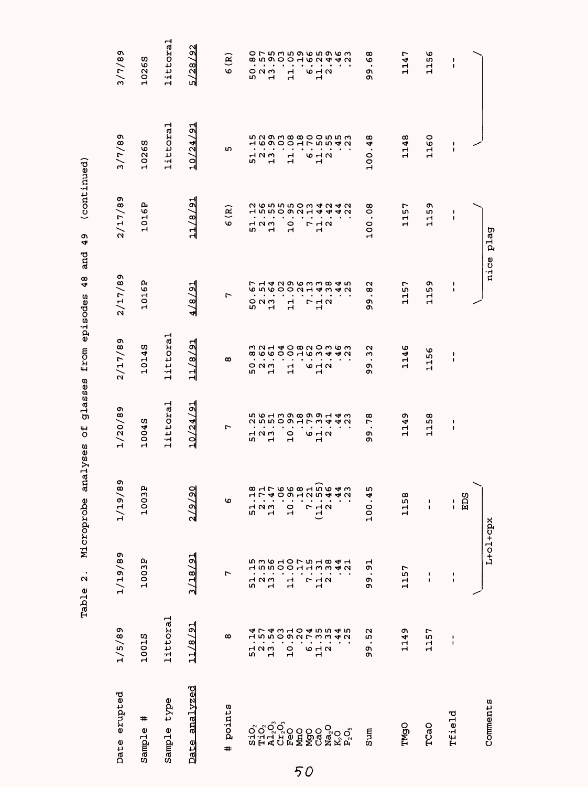| Date erupted                                                                      | 1/5/89                     | 1/19/89                                           | 1/19/89                                                                                                                                                                                                                                                                                                                            | 1/20/89                                                  | 2/17/89                                                                                              | 2/17/89                                        | 2/17/89                                   | 3/7/89                                                                        | 3/7/89                                          |
|-----------------------------------------------------------------------------------|----------------------------|---------------------------------------------------|------------------------------------------------------------------------------------------------------------------------------------------------------------------------------------------------------------------------------------------------------------------------------------------------------------------------------------|----------------------------------------------------------|------------------------------------------------------------------------------------------------------|------------------------------------------------|-------------------------------------------|-------------------------------------------------------------------------------|-------------------------------------------------|
| #<br>Sample                                                                       | 10015                      | 1003P                                             | 1003P                                                                                                                                                                                                                                                                                                                              | 10045                                                    | 10145                                                                                                | 1016P                                          | 1016P                                     | 10265                                                                         | 10265                                           |
| type<br>Sample                                                                    | littoral                   |                                                   |                                                                                                                                                                                                                                                                                                                                    | littoral                                                 | littoral                                                                                             |                                                |                                           | littoral                                                                      | littoral                                        |
| analvzed<br>Date                                                                  | 11/8/91                    | 3/18/91                                           | 2/9/90                                                                                                                                                                                                                                                                                                                             | $\sqrt{91}$<br>10/24                                     | $\frac{1}{2}$<br>11/8                                                                                | 4/8/21                                         | 11/8/91                                   | 10/24/91                                                                      | 192<br>5/28                                     |
| points<br>#                                                                       | $\infty$                   | r                                                 | O                                                                                                                                                                                                                                                                                                                                  | $\overline{ }$                                           | $\infty$                                                                                             | 1                                              | 6 (R)                                     | m                                                                             | $\mathbf{g}$<br>Ф                               |
| $S_1$ . $O_2$                                                                     | ◅<br>ᆏ<br>52<br>52<br>5    | 5361075184153610 1075184<br>$\frac{2}{13}$<br>51  | $\frac{8}{1}$<br>$\frac{1}{2}$<br>믒                                                                                                                                                                                                                                                                                                | 561398991435 55130 1198 <del>5 14</del><br>52<br>52<br>5 | mandowachow<br><b>899999998</b><br>$\bullet$ , $\bullet$ , $\bullet$<br>$\circ$ $\circ$ $\circ$<br>w | ∼<br>6<br>٠<br>5231                            | $\frac{1}{5}$ $\frac{1}{5}$ $\frac{1}{5}$ | 5293880055355 16900175542<br>$\bullet$<br>$\bullet$<br>10 <sub>m</sub><br>in, | œ<br>$\bullet$<br>$\bullet$<br>៰៷៳<br><b>LO</b> |
| <b>Tio<sub>o</sub><br/>Alt<sub>a</sub>o<br/>FeO</b>                               |                            |                                                   | $\begin{array}{cccc} 1 & 1 & 1 & 1 \\ 1 & 0 & 0 & 1 \\ 0 & 0 & 0 & 1 \\ 0 & 0 & 0 & 1 \\ 0 & 0 & 0 & 1 \\ 0 & 0 & 0 & 1 \\ 0 & 0 & 0 & 1 \\ 0 & 0 & 0 & 1 \\ 0 & 0 & 0 & 1 \\ 0 & 0 & 0 & 0 \\ 0 & 0 & 0 & 0 \\ 0 & 0 & 0 & 0 \\ 0 & 0 & 0 & 0 \\ 0 & 0 & 0 & 0 \\ 0 & 0 & 0 & 0 \\ 0 & 0 & 0 & 0 \\ 0 & 0 & 0 & 0 \\ 0 & 0 & 0 &$ | ٠                                                        | $\bullet$<br>$\mathbf{H}$                                                                            | n Q O O O U H 4 W 4 U<br>H 4 U Q O U H 4 W 4 U | $\bullet$                                 | $\bullet$<br>Н                                                                | nooodou440<br>Н                                 |
|                                                                                   | $\frac{1}{2}$              | 다                                                 |                                                                                                                                                                                                                                                                                                                                    | $\bullet$<br>0<br>Ĥ                                      | $\blacksquare$<br>٠<br>뷰                                                                             | $\cdot$<br>븝                                   | $\bullet$<br>٠<br>$\frac{1}{2}$           | $\bullet$<br>ᆏ<br>н                                                           | $\bullet$<br>$\bullet$<br>ᆏ<br>Н                |
| <b>MAGO</b><br>Mago                                                               | 670                        | $\ddot{\phantom{0}}$<br>$\cdot$<br>$\overline{ }$ |                                                                                                                                                                                                                                                                                                                                    | <b>6 H M</b>                                             | $\cdot$ $\cdot$<br>9 H N<br>$\mathbf{r}$                                                             | $\bullet$<br>r                                 | $\bullet$<br>フュク<br>ᆏ                     | $\bullet$<br>$\bullet$<br><b>10 H N</b><br>$\mathbf{r}$                       | $\bullet$<br>$\bullet$<br>9 H N<br>ᆏ            |
|                                                                                   |                            | $\bullet$<br>$\frac{1}{4}$ $\alpha$               |                                                                                                                                                                                                                                                                                                                                    | $\cdot$                                                  | $\bullet$                                                                                            | ٠<br>$\frac{1}{4}a$                            | $\bullet$                                 |                                                                               |                                                 |
| $\begin{array}{l} \mathbf{Na_2O} \\ \mathbf{K_2O} \\ \mathbf{P_2O_3} \end{array}$ |                            |                                                   |                                                                                                                                                                                                                                                                                                                                    |                                                          | $\bullet$                                                                                            |                                                |                                           | $\bullet$                                                                     |                                                 |
| Sum                                                                               | 52<br>$\bullet$<br>c<br>C) | $\overline{5}$<br>$\bullet$<br>o<br>ጣ             | 100.45                                                                                                                                                                                                                                                                                                                             | œ<br>L<br>$\bullet$<br>c<br>o۱                           | $\mathbf \alpha$<br>$\sim$<br>$\bullet$<br>c<br>C                                                    | $\sim$<br>ထ<br>$\bullet$<br>o,<br>ጣ            | .08<br>100.                               | $\infty$<br>4<br>$\bullet$<br>100                                             | $\infty$<br>৩<br>$\bullet$<br>c<br>ጣ            |
| TMgO                                                                              | 1149                       | 1157                                              | 1158                                                                                                                                                                                                                                                                                                                               | ጣ<br>4<br>ᆏ<br>ᆏ                                         | 1146                                                                                                 | 1157                                           | 1157                                      | 1148                                                                          | 1147                                            |
| TCaO                                                                              | 1157                       | ı<br>I.                                           | $\frac{1}{1}$                                                                                                                                                                                                                                                                                                                      | œ<br>ιņ<br>ᆏ<br>ᆏ                                        | 99<br>급                                                                                              | c<br>S<br>ᆏ<br>Н                               | 59<br>$\vec{E}$                           | 1160                                                                          | 156<br>Н                                        |
| Tfield                                                                            | $\frac{1}{1}$              | $\frac{1}{1}$                                     | <b>EDS</b><br>ŧ                                                                                                                                                                                                                                                                                                                    | ٠<br>1                                                   | ı<br>$\pmb{\cdot}$                                                                                   | 1<br>1                                         | $\pmb{\mathsf{I}}$<br>$\pmb{\cdot}$       | T<br>$\mathbf I$                                                              | 1<br>$\mathbf{I}$                               |
|                                                                                   |                            |                                                   |                                                                                                                                                                                                                                                                                                                                    |                                                          |                                                                                                      |                                                |                                           |                                                                               |                                                 |
| Comments                                                                          |                            | $L + o1 + cpx$                                    |                                                                                                                                                                                                                                                                                                                                    |                                                          |                                                                                                      | nice                                           | plag                                      |                                                                               |                                                 |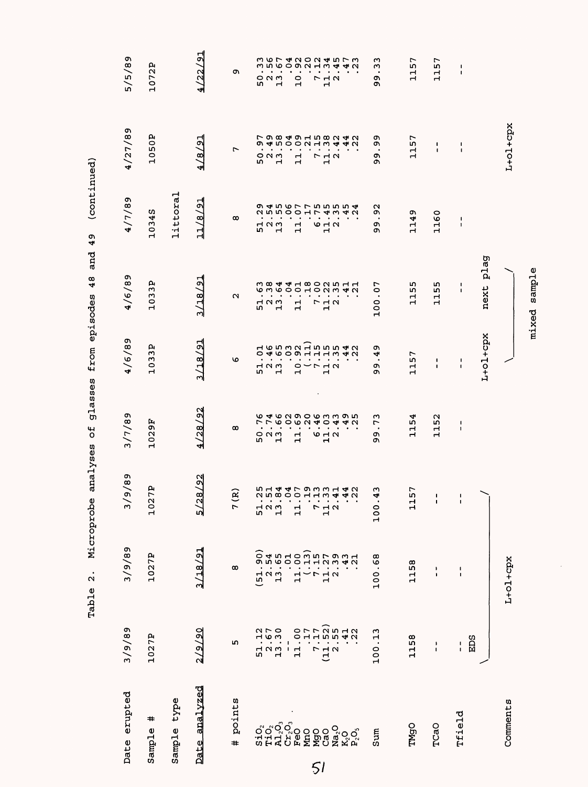|                                                  |                                                                                 |                                                                    | sample<br>mixed                                                     |                                                  |                         |                             |                                                                                         |                                                         |                                                                                   |
|--------------------------------------------------|---------------------------------------------------------------------------------|--------------------------------------------------------------------|---------------------------------------------------------------------|--------------------------------------------------|-------------------------|-----------------------------|-----------------------------------------------------------------------------------------|---------------------------------------------------------|-----------------------------------------------------------------------------------|
|                                                  | $L+O1+Cpx$                                                                      |                                                                    |                                                                     |                                                  |                         |                             | $L+O1+Cpx$                                                                              |                                                         | Comments                                                                          |
|                                                  |                                                                                 |                                                                    | plag<br>next                                                        | L+ol+cpx                                         |                         |                             |                                                                                         |                                                         |                                                                                   |
| 1<br>$\mathbf I$                                 | $\mathsf I$<br>$\blacksquare$                                                   | $\frac{1}{1}$                                                      | $\mathbf{I}$<br>$\mathbf I$                                         | J.<br>1                                          | 1<br>$\pmb{\mathsf{I}}$ | I.                          | $\frac{1}{1}$                                                                           | EDS<br>$\frac{1}{1}$                                    | Tfield                                                                            |
| 1157                                             | $\pmb{\mathsf{I}}$<br>$\pmb{\mathsf{I}}$                                        | 1160                                                               | L۲<br>115                                                           | J.<br>$\mathbf{I}$                               | 1152                    | 1                           | $\pmb{\mathsf{I}}$<br>$\mathbf{I}$                                                      | $\pmb{\cdot}$<br>$\blacksquare$                         | TCaO                                                                              |
| 1157                                             | 1157                                                                            | ጣ<br>1149                                                          | m<br>115                                                            | 1157                                             | 1154                    | 57<br>급                     | 1158                                                                                    | 1158                                                    | <b>TMgO</b>                                                                       |
| w<br>ω<br>$\bullet$<br>c<br>c                    | ጣ<br>o۱<br>$\bullet$<br>o<br>Ō                                                  | Ù<br>Ō<br>$\bullet$<br>o<br>c                                      | 100.07                                                              | o۱<br>4<br>$\bullet$<br>o۱<br>ጣ                  | ო<br>Ë,<br>c<br>ጣ       | S<br>4<br>100               | .68<br>100                                                                              | 100.13                                                  | Sum                                                                               |
| さらてき ひりつきちてき<br>4<br>42                          | 79849158242<br>$\ddot{a}$ $\ddot{a}$ $\dot{b}$                                  | 255001743429 4560 1 1 5 5 4 5 <del>0 0 5 5 5 5 5 5 5 5 5 5 5</del> | 6 2 4 4 4 5 6 7 6 7 7 4 7                                           |                                                  |                         | 514479331425 21 800113 44   | ו<br>היה בה להברים לאורחים<br>היה היה להברים להורחים והיה היה היה היה היה היה היה היה ה | 11.00<br>7.17<br>7.17<br>7.155)<br>7.41<br>7.22<br>7.22 | $\begin{array}{l} \mathbf{Na_2O} \\ \mathbf{K_2O} \\ \mathbf{P_2O_3} \end{array}$ |
| $\mathbf{H}$<br>m<br>L<br>$\frac{1}{1}$ $\alpha$ | $-10$<br>$\bullet$<br>$\bullet$<br>$\begin{array}{c}\n7 \\ 7 \\ 1\n\end{array}$ | $\bullet$<br>$\circ$ $\sim$ $\sim$<br>$\mathbf{r}$                 | $\cdot$<br>$\cdot$<br>$\begin{array}{c}\n7 \\ 7 \\ 1\n\end{array}$  | $\begin{array}{c}\n 2 \\  - \\  1\n \end{array}$ | ۰<br>$\frac{1}{2}$      | 712                         |                                                                                         | (11.2)                                                  | ៰៓៰ <sup>៓៰៓៰</sup> ៓៰៰៰៰<br>៵៝ដី៘៓៓៰៓៰៰៰៓                                        |
| $\sigma$ $\alpha$<br>٠<br>10                     | 4.00000<br>$\mathbf{1}$                                                         | $\bullet$<br>$\bullet$<br>$\bullet$<br>11                          | $\bullet$<br>$\bullet$<br>$\bullet$<br>$\mathbf{r}$<br>$\mathbf{r}$ |                                                  | $\mathbf{1}$            | $\mathbf{1}$                |                                                                                         |                                                         |                                                                                   |
| $\circ$<br>م م<br>$\cdot$                        |                                                                                 | $\bullet$                                                          |                                                                     |                                                  |                         |                             |                                                                                         | $51.12$<br>$13.57$<br>$13.30$                           |                                                                                   |
| ω<br>5071                                        | ጣ<br>523<br>52                                                                  | 52<br>23<br>23                                                     | 51.76                                                               | $\begin{array}{c}\n1 \\ 0 \\ 1\n\end{array}$     | ৩<br>r<br>50.76         | 52<br>52<br>52              | $\overline{5}$<br>$\frac{1}{15}$                                                        |                                                         |                                                                                   |
| c                                                | $\overline{ }$                                                                  | œ                                                                  | u                                                                   | ৩                                                | $\infty$                | $\widehat{\mathbf{z}}$<br>7 | $\infty$                                                                                | ru.                                                     | points<br>$\ddot{}$                                                               |
| 4/22/91                                          | 4/8/21                                                                          | 11/8/91                                                            | 3/18/91                                                             | 3/18/91                                          | 4/28/92                 | 5/28/92                     | 3/18/91                                                                                 | 2/9/20                                                  | analyzed<br><b>Date</b>                                                           |
|                                                  |                                                                                 | littoral                                                           |                                                                     |                                                  |                         |                             |                                                                                         |                                                         | type<br>Sample                                                                    |
| д<br>10721                                       | 1050P                                                                           | 10345                                                              | 1033P                                                               | 033P<br>$\mathbf{r}$                             | 1029F                   | д<br>Ë<br>102               | 1027P                                                                                   | 1027P                                                   | #<br>Sample                                                                       |
| 5/5/89                                           | 4/27/89                                                                         | 68/1/5                                                             | 4/6/89                                                              | 6/6/89                                           | 3/7/89                  | 9/89<br>$\geqslant$         | 3/9/89                                                                                  | 3/9/89                                                  | Date erupted                                                                      |
|                                                  |                                                                                 | /contrings)                                                        | 43                                                                  | atasses transtracet                              | The sas forre           | את הדתה דמה ב               | $\ddot{ }$<br>27777                                                                     |                                                         |                                                                                   |
|                                                  |                                                                                 |                                                                    |                                                                     |                                                  |                         |                             |                                                                                         |                                                         |                                                                                   |

episodes 48 and 49 (continued) Table 2. Microprobe analyses of glasses from episodes 48 and 49 (continued) Microprobe analyses of glasses from Table 2.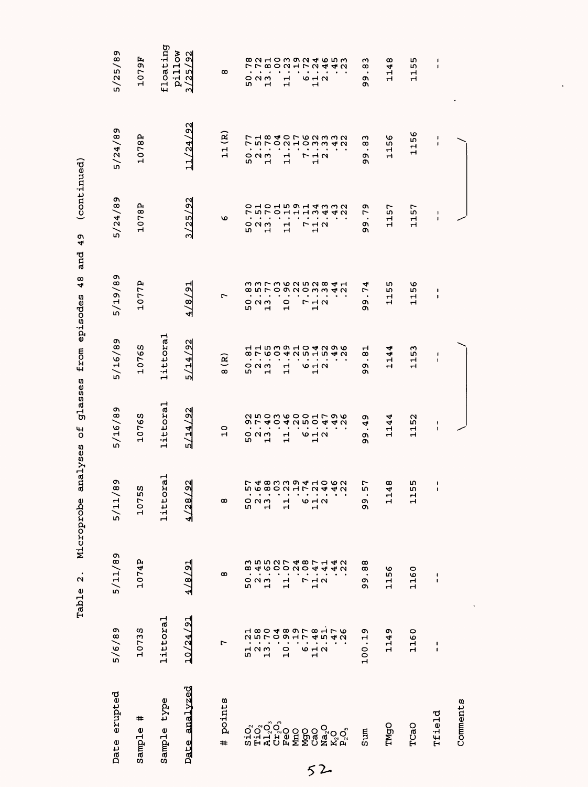| Date erupted                                                                      | 5/6/89                                                                                                                                                                                        | 5/11/89                                                      | 89<br>5/11/                                    | 5/16/89                                                            | 5/16/89                                                               | 5/19/89                                                                                                | 5/24/89                                              | 5/24/89                                                           | 5/25/89                                          |
|-----------------------------------------------------------------------------------|-----------------------------------------------------------------------------------------------------------------------------------------------------------------------------------------------|--------------------------------------------------------------|------------------------------------------------|--------------------------------------------------------------------|-----------------------------------------------------------------------|--------------------------------------------------------------------------------------------------------|------------------------------------------------------|-------------------------------------------------------------------|--------------------------------------------------|
| #<br>Sample                                                                       | 10735                                                                                                                                                                                         | 1074P                                                        | S<br>1075                                      | 10765                                                              | 10765                                                                 | 1077P                                                                                                  | 1078P                                                | 1078P                                                             | 56<br>07.<br>Н                                   |
| Sample type                                                                       | littoral                                                                                                                                                                                      |                                                              | ra1<br>litto                                   | littoral                                                           | littoral                                                              |                                                                                                        |                                                      |                                                                   | floating                                         |
| Date analyzed                                                                     | 10/24/91                                                                                                                                                                                      | 4/8/91                                                       | $\frac{92}{3}$<br>4/28                         | 5/14/92                                                            | 5/14/92                                                               | 4/8/91                                                                                                 | 3/25/92                                              | 11/24/92                                                          | pillow<br>192<br>/25<br>ო                        |
| points<br>#                                                                       | 7                                                                                                                                                                                             | œ                                                            | œ                                              | $\circ$<br>$\mathbf{H}$                                            | $\mathbf{R}$<br>œ                                                     | Ļ                                                                                                      | O                                                    | $\tilde{\mathbf{R}}$<br>$\mathbf{1}$                              | $\infty$                                         |
|                                                                                   |                                                                                                                                                                                               | ო<br>$\infty$                                                |                                                | ٠                                                                  | $\bullet$                                                             | ٠                                                                                                      | 0<br>r                                               | ∼<br>LΩ,                                                          | r<br>$\bullet$                                   |
|                                                                                   | n H<br>1990 - 1990 - 1990 - 1990<br>1990 - 1990 - 1990<br>1990 - 1990 - 1990<br>1990 - 1990 - 1990 - 1990 - 1990 - 1990 - 1990 - 1990 - 1990 - 1990 - 1990 - 1990 - 1990 - 1990 - 1990 - 1990 | $2.4602748$<br>$-1.748$<br>$-1.748$<br>$-1.748$<br>523<br>13 | <b>56802172442580011001</b><br>50 <sub>1</sub> | <b>ひちりょうりつしょうら</b><br>9 7 4 0 4 2 5 0 4 4 2<br>$\bullet$<br>50 N M | 1153104096<br><b>807604051540</b><br>$\blacksquare$<br>52<br>13<br>13 | n n r n w r n n w <del>d</del> +<br><b>conrognomman</b><br>$\bullet$<br>52<br>52<br>52<br>$\mathbf{H}$ | <b>ちつしち つしょううろしりりょう しんしつしょうしょう</b><br>52<br>52<br>52 | フ1840762332<br>$n \cap C$<br>$\sim$ $\sim$ $\sim$<br>$\mathbf{r}$ | <b>80210002465</b><br>$\sim \infty$<br>523<br>52 |
|                                                                                   |                                                                                                                                                                                               |                                                              |                                                | $\bullet$                                                          | $\bullet$                                                             |                                                                                                        |                                                      | ٠                                                                 |                                                  |
|                                                                                   |                                                                                                                                                                                               | $\mathbf{1}$                                                 | 님                                              | $\bullet$<br>립                                                     | 급                                                                     | ٠<br>$\frac{0}{1}$                                                                                     | ᆏ<br>$\blacksquare$                                  | ٠<br>ᆏ<br>$\mathbf{H}$                                            | $ON$ $HN$<br>$\bullet$<br>ᆏ<br>$\mathbf{H}$      |
| <b>MgO</b><br>CaO                                                                 |                                                                                                                                                                                               |                                                              |                                                | $\bullet$                                                          |                                                                       | $\bullet$                                                                                              |                                                      | r                                                                 | $\bullet$                                        |
|                                                                                   |                                                                                                                                                                                               | $\frac{1}{1}$ $\alpha$                                       | <b>6 H Q</b>                                   | $\cdot$<br>9 H N<br>$\mathbf{H}$                                   | $\blacksquare$<br>9 H N<br>$\mathbf{H}$                               | $\blacksquare$<br>712<br>Н                                                                             | <b>712</b><br>$\blacksquare$                         | A <sub>N</sub><br>ᆔ                                               | $\sim$<br>6 H U<br>ᆏ                             |
|                                                                                   |                                                                                                                                                                                               | $\cdot$ 41                                                   |                                                |                                                                    |                                                                       | $\cdot$                                                                                                |                                                      |                                                                   | 4                                                |
| $\begin{array}{l} \mathbf{Na_2O} \\ \mathbf{K_2O} \\ \mathbf{P_2O_3} \end{array}$ |                                                                                                                                                                                               | 44<br>$\overline{2}$                                         |                                                |                                                                    | ٠                                                                     |                                                                                                        |                                                      | HOMMAN                                                            | 4 U                                              |
| Sum                                                                               | 100.19                                                                                                                                                                                        | $\frac{8}{3}$<br>თ<br>თ                                      | r<br>īΟ,<br>თ<br>თ                             | თ<br>4<br>$\bullet$<br>ጣ<br>c                                      | ದ<br>$\bullet$<br>c<br>c                                              | 4<br>r<br>$\bullet$<br>c<br>Ō,                                                                         | ጣ<br>L<br>$\ddot{\phantom{0}}$<br>Ō<br>o۱            | ო<br>$^\infty$<br>o<br>ጣ                                          | ო<br>$\infty$<br>$\bullet$<br>ጣ<br>c             |
| TMgO                                                                              | 1149                                                                                                                                                                                          | 1156                                                         | $^\infty$<br>4<br>믑                            | ᢦ<br>$\dot{4}$<br>Ч                                                | ◅<br>114                                                              | n<br>Łη<br>Н<br>Н                                                                                      | 57<br>다                                              | 56<br>Н<br>ᆏ                                                      | œ<br>4<br>ᆏ<br>$\mathbf{H}$                      |
| TCaO                                                                              | 1160                                                                                                                                                                                          | 1160                                                         | LO,<br>n,<br>급                                 | 52<br>븝                                                            | 1153                                                                  | 1156                                                                                                   | 1157                                                 | ৩<br>115                                                          | m<br>m<br>다                                      |
| Tfield                                                                            | $\mathbf{I}$<br>$\mathbf{I}$                                                                                                                                                                  | $\frac{1}{1}$                                                | 1<br>$\pmb{\mathfrak{g}}$                      | ŧ<br>ı                                                             | $\pmb{\mathsf{I}}$<br>ı                                               | ı<br>ı                                                                                                 | $\frac{1}{1}$                                        | ı<br>ı                                                            | $\mathbf{I}$<br>$\mathbf{I}$                     |
| Comments                                                                          |                                                                                                                                                                                               |                                                              |                                                |                                                                    |                                                                       |                                                                                                        |                                                      |                                                                   |                                                  |

52

 $\ddot{\phantom{1}}$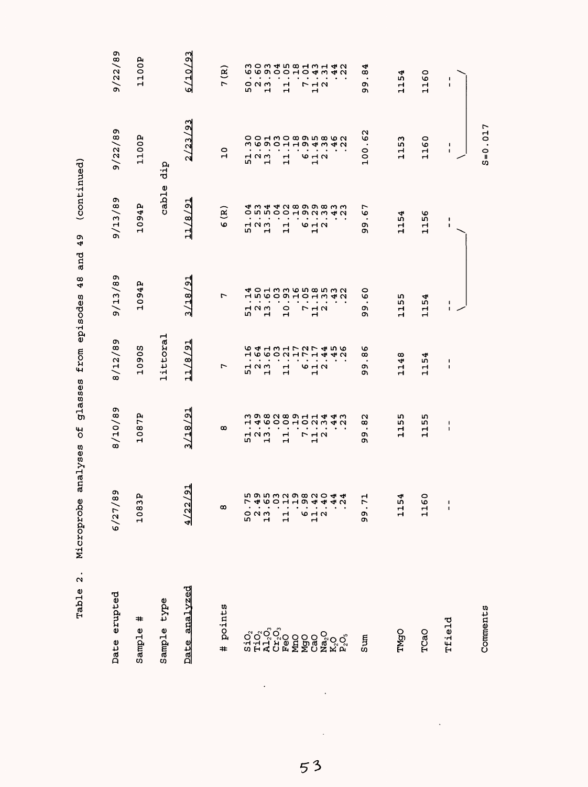| Date erupted  | c<br>6/27/8          | 8/10/89                                       | 8/12/89                            | 9/13/89                                      | 9/13/89                                                         | 9/22/89                                                                                                                                                                           | 9/22/89                                                                                               |
|---------------|----------------------|-----------------------------------------------|------------------------------------|----------------------------------------------|-----------------------------------------------------------------|-----------------------------------------------------------------------------------------------------------------------------------------------------------------------------------|-------------------------------------------------------------------------------------------------------|
| ≠<br>Sample   | д<br>1083            | 1087P                                         | <b>SOGO</b><br>$\mathbf{r}$        | 1094P                                        | 1094P                                                           | 1100P                                                                                                                                                                             | 1100P                                                                                                 |
| Sample type   |                      |                                               | littoral                           |                                              | cable                                                           | dip                                                                                                                                                                               |                                                                                                       |
| Date analyzed | $\overline{2}$<br>22 | 3/18/91                                       | $\frac{1}{2}$<br>11/8              | 3/18/91                                      | 11/8/91                                                         | 2/23/93                                                                                                                                                                           | 6/10/93                                                                                               |
| points<br>#   | $\infty$             | $\infty$                                      | r                                  | r                                            | લું<br>O                                                        | $\overline{10}$                                                                                                                                                                   | 7(R)                                                                                                  |
|               |                      |                                               | Н                                  |                                              |                                                                 |                                                                                                                                                                                   | ١n                                                                                                    |
|               | 52<br>52<br>52       | 523<br>52                                     | 52<br>52<br>52<br>$\mathbf{r}$     | $\begin{array}{c}\n1 \\ 1 \\ 0\n\end{array}$ | 52<br>52<br>52                                                  | $\frac{1}{2}$ $\frac{2}{1}$                                                                                                                                                       | $\circ$ $\circ$ $\circ$<br>ᆏ                                                                          |
|               | 님                    | 146001001444<br>ᆏ<br>Н                        | <b>64131727456</b><br>$\mathbf{1}$ | $\bullet$<br>10                              | <b>4 m 4 4 N 8 9 9 8 8 4 1</b><br>$O$ in in $O$<br>$\mathbf{1}$ | $\begin{array}{cccccccccc} . & . & . & . & . & . \\ . & . & . & . & . & . \\ . & . & . & . & . & . \\ . & . & . & . & . & . \\ . & . & . & . & . & . \end{array}$<br>$\mathbf{1}$ | $\begin{array}{c} 0.00040001014040 \\ 0.0000010404040 \\ \end{array}$<br>$\mathbf{r}$<br>$\mathbf{H}$ |
|               |                      |                                               |                                    | $\bullet$                                    |                                                                 |                                                                                                                                                                                   |                                                                                                       |
|               | 6.4.4.22.4           | $\bullet$<br>フュコ<br>Н                         | <b>10 H N</b><br>ᆏ                 | $\bullet$<br>$\bullet$<br>712                | <b>HOUW4U</b><br>642                                            | $\omega$ $\sim$ $\omega$<br>$\mathbf{\mathbf{H}}$                                                                                                                                 | <b>712</b><br>Н                                                                                       |
|               |                      |                                               |                                    |                                              |                                                                 |                                                                                                                                                                                   |                                                                                                       |
|               | ন ন                  |                                               |                                    |                                              |                                                                 |                                                                                                                                                                                   |                                                                                                       |
| Sum           | ᆏ<br>99.7            | N<br>$\infty$<br>٠<br>ጣ<br>ጣ                  | O<br>∞<br>$\bullet$<br>ጣ<br>o١     | ٥<br>৩<br>٠<br>ጣ<br>ጣ                        | ∼<br>O<br>$\bullet$<br>ጣ<br>ጣ                                   | $\frac{2}{3}$<br>$\bullet$<br>100                                                                                                                                                 | 4<br>∞<br>$\bullet$<br>ጣ<br>ጣ                                                                         |
| TMgO          | 4<br>115             | ഗ<br>L۲<br>Н<br>Н                             | 1148                               | m<br>m<br>Н<br>$\mathbf{\mathbf{H}}$         | 1154                                                            | 153<br>Н                                                                                                                                                                          | 1154                                                                                                  |
| TCaO          | $\circ$<br>116       | m<br>m<br>$\mathbf{1}$                        | 1154                               | 1154                                         | 56<br>$\frac{1}{1}$                                             | 1160                                                                                                                                                                              | 1160                                                                                                  |
| Tfield        | $\frac{1}{1}$        | $\overline{\mathbf{1}}$<br>$\pmb{\mathsf{I}}$ | J.<br>$\mathsf I$                  | I.<br>$\mathbf I$                            | ı<br>$\mathbf{I}$                                               | $\blacksquare$<br>1                                                                                                                                                               | 1<br>1                                                                                                |
| Comments      |                      |                                               |                                    |                                              |                                                                 | $S = 0.017$                                                                                                                                                                       |                                                                                                       |

53

 $\ddot{\phantom{a}}$ 

 $\frac{1}{2}$ 

 $\ddot{\cdot}$ 

 $\ddot{\phantom{0}}$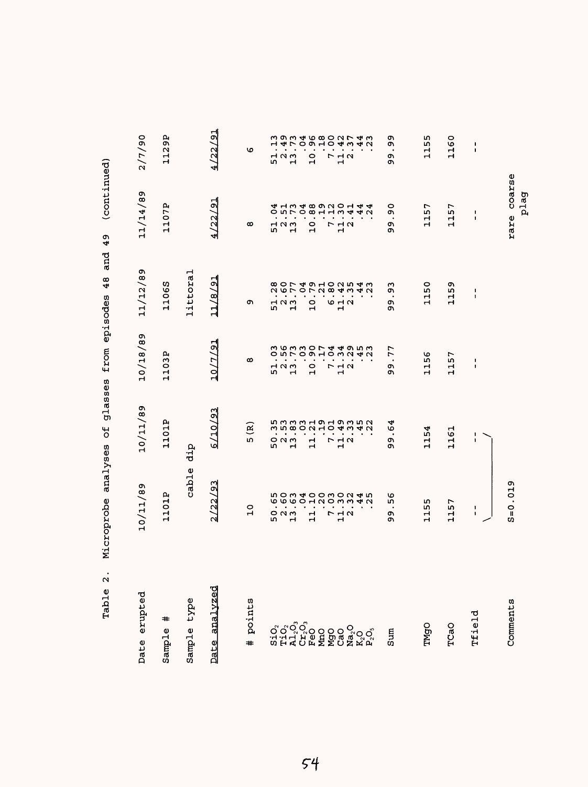| erupted<br>Date                                                                  | 10/11/89                                                               | 10/11/89                                                                                                              | 10/18/89                                                                    | 11/12/89                             | 11/14/89                                                                                           | 2/7/90                                                                                                   |
|----------------------------------------------------------------------------------|------------------------------------------------------------------------|-----------------------------------------------------------------------------------------------------------------------|-----------------------------------------------------------------------------|--------------------------------------|----------------------------------------------------------------------------------------------------|----------------------------------------------------------------------------------------------------------|
| #<br>Sample                                                                      | 1101P                                                                  | 1101P                                                                                                                 | д<br>11031                                                                  | 11065                                | 1107P                                                                                              | 1129P                                                                                                    |
| type<br>Sample                                                                   | cable                                                                  | dip                                                                                                                   |                                                                             | littoral                             |                                                                                                    |                                                                                                          |
| analvzed<br>Date                                                                 | 122/93<br>$\mathsf{N}$                                                 | /10/93<br>৶                                                                                                           | 12/7/<br>$\overline{10}$                                                    | $\overline{21}$<br>11/8              | $\frac{1}{2}$<br>/22/                                                                              | 18/22/<br>₩                                                                                              |
| points<br>#                                                                      | $\circ$<br>$\mathbf{r}$                                                | $\mathbf{R}$<br>LΩ,                                                                                                   | $\infty$                                                                    | c                                    | $\infty$                                                                                           | O                                                                                                        |
|                                                                                  | $\bullet$<br>$\blacksquare$<br>$\blacksquare$<br>$O$ $N$ $m$<br>r<br>ᆏ | $\bullet$<br>$\bullet$<br>$O$ $N$ $M$<br>m<br>$\mathbf{H}$                                                            | $\blacksquare$<br>$\bullet$<br>$\bullet$<br>700<br>ю<br>$\mathbf{H}$        | 523<br>52                            | $\bullet$<br>٠<br>700<br>r.<br>$\mathbf{H}$                                                        | $\blacksquare$<br>$\bullet$<br>$\bullet$<br>$H \cap M$<br>$\mathbf{r}$<br>m                              |
|                                                                                  | $\bullet$<br>٠.<br>ᆏ<br>$\mathbf{H}$                                   | $\bullet$<br>٠<br>$\bullet$<br>듸                                                                                      | 0<br>$\mathbf{H}$                                                           | $\bullet$<br>$\bullet$<br>0<br>Ĥ     | $\bullet$<br>$\bullet$<br>0<br>$\mathbf{H}$                                                        | $\bullet$<br>$\bullet$<br>0<br>$\mathbf{H}$                                                              |
|                                                                                  | <b>らのうよりりとりこうさい ちのうよりつうりつ さん</b><br>フュコ<br>$\mathbf{H}$                | n n n n d H n H n m m n<br>m n m n H n H n m m n n<br>$\bullet$<br>$\bullet$<br>٠<br>٠<br>$\frac{1}{1}$ $\alpha$<br>r | m w m m o r d d w m m<br><b>OULOQHOWU40</b><br>$\bullet$<br><b>773</b><br>Н | $\bullet$<br>$\bullet$<br>9 H N<br>ᆏ | <b>4 ユミ4 8 9 2 2 2 4 4 4 2</b><br>9 D L Q & H U A 4 4 U<br>٠<br>$\bullet$<br>٠<br>$P$ $A$ $N$<br>Н | 293468027433 うりうするりつける<br>$\bullet$<br>$\bullet$<br>$\bullet$<br>$\bullet$<br><b>773</b><br>$\mathbf{r}$ |
| $\begin{array}{l} \mathbf{Na_2O} \\ \mathbf{K_2O} \\ \mathbf{P_2O}, \end{array}$ |                                                                        |                                                                                                                       | ٠                                                                           |                                      |                                                                                                    |                                                                                                          |
| Sum                                                                              | ৩<br>rU)<br>c<br>c                                                     | ₩<br>৩<br>٠<br>c<br>c                                                                                                 | 77<br>$\bullet$<br>c<br>o                                                   | ω<br>o<br>$\bullet$<br>c<br>o        | 0<br>c<br>c<br>ጣ                                                                                   | o,<br>c<br>$\bullet$<br>c<br>ጣ                                                                           |
| TMgO                                                                             | ۱n<br>ю<br>ᆏ<br>Н                                                      | 1154                                                                                                                  | ৩<br>m<br>Н<br>$\mathbf{H}$                                                 | 0<br>١n<br>급                         | r<br>ū٥<br>Н<br>$\mathbf{\mathbf{H}}$                                                              | m<br>LO.<br>급                                                                                            |
| TCaO                                                                             | $\overline{ }$<br>j۵<br>$\mathbf{1}$                                   | 1161                                                                                                                  | r<br>m<br>Ч<br>$\mathbf{H}$                                                 | o۱<br>$\frac{15}{1}$<br>Н            | 7<br>ïη<br>Н<br>Н                                                                                  | 1160                                                                                                     |
| Tfield                                                                           | ٠<br>1                                                                 | ٠<br>1                                                                                                                | 1<br>1                                                                      | 1<br>$\mathbf{I}$                    | 1<br>1                                                                                             | 1<br>$\mathbf I$                                                                                         |
| Comments                                                                         | $S = 0.019$                                                            |                                                                                                                       |                                                                             |                                      | rare coarse<br>plag                                                                                |                                                                                                          |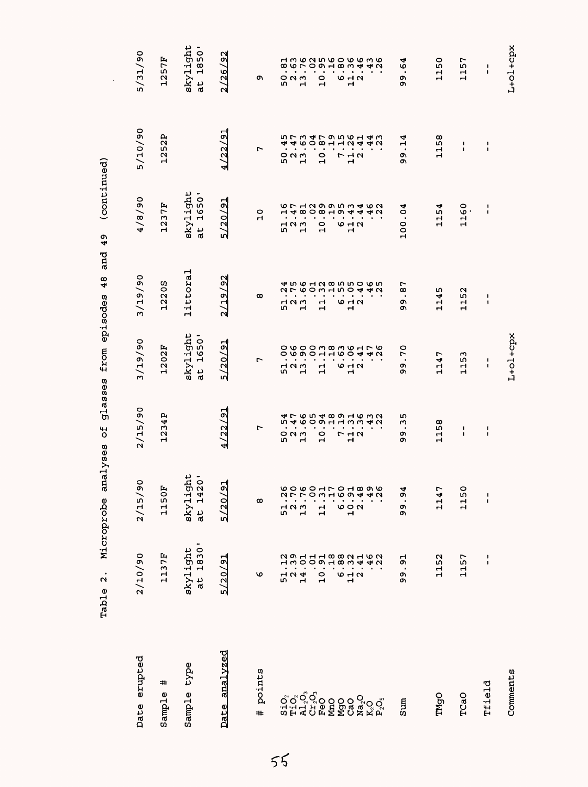| Date erupted                                          | 2/10/90                               | 2/15/90                                  | 2/15/90                              | 3/29/90                                                                                    | 3/19/90                              | 06/8/7                                                                                                                                                                                                                                                              | 5/10/90                                          | 5/31/90                                                                                                                                                                                                                                            |
|-------------------------------------------------------|---------------------------------------|------------------------------------------|--------------------------------------|--------------------------------------------------------------------------------------------|--------------------------------------|---------------------------------------------------------------------------------------------------------------------------------------------------------------------------------------------------------------------------------------------------------------------|--------------------------------------------------|----------------------------------------------------------------------------------------------------------------------------------------------------------------------------------------------------------------------------------------------------|
| #<br>Sample                                           | 1137F                                 | 1150F                                    | 1234P                                | 1202F                                                                                      | 12205                                | 1237F                                                                                                                                                                                                                                                               | 1252P                                            | 1257F                                                                                                                                                                                                                                              |
| Sample type                                           | skylight<br>at 1830'                  | skylight<br>at 1420'                     |                                      | skylight<br>1650'<br>$\frac{1}{a}$                                                         | littoral                             | skylight<br>1650'<br>at                                                                                                                                                                                                                                             |                                                  | skylight<br>at 1850'                                                                                                                                                                                                                               |
| Date analvzed                                         | 5/20/91                               | 5/20/91                                  | 4/22/91                              | 5/20/91                                                                                    | 2/19/92                              | 5/20/91                                                                                                                                                                                                                                                             | 4/22/91                                          | 2/26/92                                                                                                                                                                                                                                            |
| points<br>$\pm$                                       | ৩                                     | $\infty$                                 | $\overline{ }$                       | $\overline{ }$                                                                             | $\infty$                             | $\overline{a}$                                                                                                                                                                                                                                                      | L                                                | o                                                                                                                                                                                                                                                  |
|                                                       | 51                                    |                                          |                                      | $\bullet$                                                                                  |                                      |                                                                                                                                                                                                                                                                     |                                                  |                                                                                                                                                                                                                                                    |
| ៰៓៰ <sup>៓៰៓៰</sup> ៓៰<br>ដូដ។ ដូចទី១<br>នីដី។ ដូចទី១ | $\begin{array}{c} 2 \\ 1 \end{array}$ |                                          | 52<br>13<br>13                       | O W O O M B M W H L W<br>O W O O M B M W H L W<br>$\bullet$<br>$\frac{1}{5}$ $\frac{1}{1}$ | $\frac{1}{5}$ $\frac{1}{1}$          | $\begin{array}{ccccccccccccc} . & . & . & . & . & . & . & . & . & . \\ . & . & . & . & . & . & . & . & . \\ . & . & . & . & . & . & . & . & . \\ . & . & . & . & . & . & . & . & . \\ . & . & . & . & . & . & . & . & . \end{array}$<br>$\frac{1}{5}$ $\frac{1}{5}$ | ちてうも79561432 ちつうしつ<br>$\bullet$<br><b>0013</b>   | a con contra con contra di dia contra contra di dia contra contra contra contra contra contra contra contra co<br>Tra contra contra contra contra contra contra contra contra contra contra contra contra contra contra contra c<br>52<br>13<br>13 |
|                                                       | 372                                   |                                          |                                      | $\bullet$<br>$\mathbf{\mathbf{r}}$                                                         |                                      | $\blacksquare$                                                                                                                                                                                                                                                      | $\bullet$<br>$\mathbf{\mathbf{r}}$               |                                                                                                                                                                                                                                                    |
|                                                       | $\frac{0}{1}$                         |                                          | $\circ$<br>Ч                         | $\bullet$<br>$\,$<br>$\mathbf{1}$                                                          | $\frac{1}{11}$                       | $\frac{0}{1}$                                                                                                                                                                                                                                                       | $\bullet$<br>$\frac{1}{10}$                      | $\circ$<br>Ĥ                                                                                                                                                                                                                                       |
|                                                       |                                       |                                          |                                      | $\bullet$                                                                                  |                                      |                                                                                                                                                                                                                                                                     | $\bullet$                                        |                                                                                                                                                                                                                                                    |
|                                                       | $0.18804401$<br>$0.1804401$<br>642    |                                          | 712<br>12                            | $\blacksquare$<br>$\bullet$<br>$6 - 4$<br>$\mathbf{\mathbf{r}}$                            | 642                                  | 642                                                                                                                                                                                                                                                                 | $\ddot{r}$ $\ddot{r}$ $\ddot{q}$<br>$\mathbf{r}$ | 642                                                                                                                                                                                                                                                |
| Na <sub>2</sub> O                                     |                                       |                                          |                                      |                                                                                            |                                      |                                                                                                                                                                                                                                                                     |                                                  |                                                                                                                                                                                                                                                    |
|                                                       |                                       |                                          |                                      |                                                                                            |                                      |                                                                                                                                                                                                                                                                     | $\bullet$                                        |                                                                                                                                                                                                                                                    |
| $K_2O_3$ $\mathsf{P}_2$                               |                                       |                                          |                                      |                                                                                            |                                      |                                                                                                                                                                                                                                                                     | 40                                               |                                                                                                                                                                                                                                                    |
| Sum                                                   | 51<br>$\blacksquare$<br>99            | ₩<br>Ö<br>$\blacksquare$<br>თ<br>თ       | ഗ<br>m<br>$\bullet$<br>c<br><b>O</b> | 70<br>$\bullet$<br>თ<br>ወነ                                                                 | r<br>$\infty$<br>$\bullet$<br>c<br>Ó | 100.04                                                                                                                                                                                                                                                              | 4<br>Н<br>თ<br>ዕነ                                | 4<br>৩<br>$\bullet$<br>o,<br>o۱                                                                                                                                                                                                                    |
| <b>TMgO</b>                                           | 1152                                  | r<br>114                                 | 1158                                 | 1147                                                                                       | ທ<br>114!                            | ↵<br>115 <sub>4</sub>                                                                                                                                                                                                                                               | 1158                                             | 1150                                                                                                                                                                                                                                               |
| TCaO                                                  | 1157                                  | $\circ$<br>115                           | 1<br>$\pmb{\mathfrak{g}}$            | 53<br>ᆏ<br>Н                                                                               | 1152                                 | 1160                                                                                                                                                                                                                                                                | $\pmb{\cdot}$<br>$\mathbf{I}$                    | 1157                                                                                                                                                                                                                                               |
| Tfield                                                | 1<br>1                                | $\pmb{\mathsf{I}}$<br>$\pmb{\mathsf{I}}$ | ł<br>$\pmb{\mathsf{I}}$              | 1<br>f,                                                                                    | 1<br>$\mathbf{I}$                    | 1<br>$\mathbf{I}$                                                                                                                                                                                                                                                   | ÷<br>$\pmb{\cdot}$                               | 1<br>$\pmb{\mathbb{1}}$                                                                                                                                                                                                                            |
| Comments                                              |                                       |                                          |                                      | L+01+cpx                                                                                   |                                      |                                                                                                                                                                                                                                                                     |                                                  | $L + O1 + Cpx$                                                                                                                                                                                                                                     |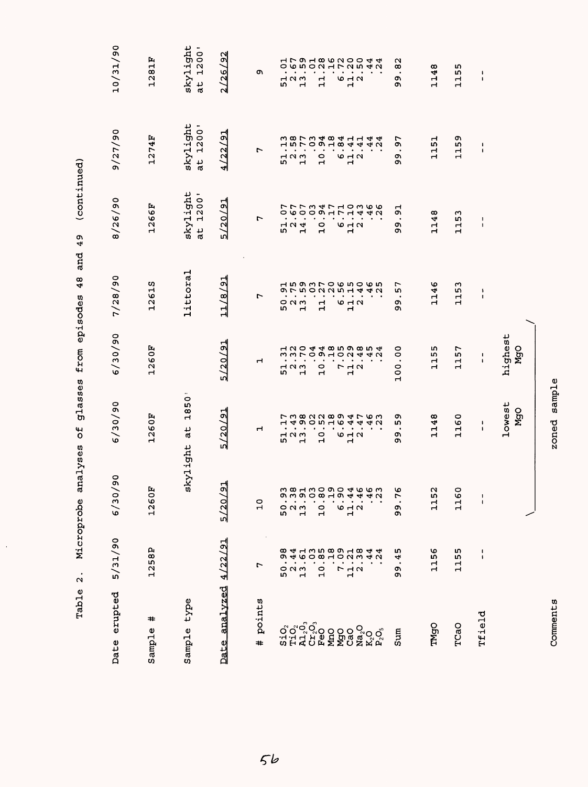| erupted<br>Date                                 | 5/31/90                                                             | $\mathsf{S}^{\mathsf{O}}$<br>6/30/                                                                                                                                                                                                                                                                                         | 6/30/90                                | 6/30/90                                                   | 7/28/90            | 8/26/90                                                     | 9/27/90                                      | 10/31/90                                                  |
|-------------------------------------------------|---------------------------------------------------------------------|----------------------------------------------------------------------------------------------------------------------------------------------------------------------------------------------------------------------------------------------------------------------------------------------------------------------------|----------------------------------------|-----------------------------------------------------------|--------------------|-------------------------------------------------------------|----------------------------------------------|-----------------------------------------------------------|
| #<br>Sample                                     | 1258P                                                               | 1260F                                                                                                                                                                                                                                                                                                                      | 1260F                                  | 1260F                                                     | 12615              | 1266F                                                       | 1274F                                        | 1281F                                                     |
| type<br>Sample                                  |                                                                     | skylight                                                                                                                                                                                                                                                                                                                   | 1850'<br>đ                             |                                                           | littoral           | skylight<br>1200'<br>at                                     | skylight<br>1200'<br>at                      | skylight<br>1200'<br>$\frac{1}{6}$                        |
| Date analvzed                                   | 4/22/91                                                             | 5/20/91                                                                                                                                                                                                                                                                                                                    | 5/20/91                                | 5/20/91                                                   | 11/8/91            | 5/20/91                                                     | 4/22/91                                      | /92<br>2/26                                               |
| points<br>#                                     | ٣                                                                   | $\frac{0}{1}$                                                                                                                                                                                                                                                                                                              | ⊣                                      | ⊣                                                         | r                  | r                                                           | r                                            | c                                                         |
|                                                 | $\circ$ $\circ$ $\circ$<br><b>In</b>                                |                                                                                                                                                                                                                                                                                                                            | $\blacktriangleleft$<br>52<br>52<br>52 | $\blacksquare$<br>7 N W<br>m                              | $O$ $N$ $M$<br>гυ  | 52<br>524                                                   | $\begin{array}{c}\n1 \\ 0 \\ 1\n\end{array}$ | $\bullet$<br>$\blacksquare$<br>523<br>523                 |
| ៰៓៰៓៰៓៰<br>៝៝៰៓៰៓៰៰៰៰៓៓៰៓៰៓<br>៰៓៓៰៓៰៓៰៰៰៓៓៓៰៓៓ | <b>894135891844</b><br><b>OCACCOHOUWAU</b><br>$\mathbf{\mathbf{r}}$ | $\begin{array}{cc} 0 & 0 & 0 & 0 & 0 & 0 \\ 0 & 0 & 0 & 0 & 0 & 0 \\ 0 & 0 & 0 & 0 & 0 & 0 \\ 0 & 0 & 0 & 0 & 0 & 0 \\ 0 & 0 & 0 & 0 & 0 & 0 \\ 0 & 0 & 0 & 0 & 0 & 0 \\ 0 & 0 & 0 & 0 & 0 & 0 \\ 0 & 0 & 0 & 0 & 0 & 0 \\ 0 & 0 & 0 & 0 & 0 & 0 \\ 0 & 0 & 0 & 0 & 0 & 0 \\ 0 & 0 & 0 & 0 & 0 & 0 \\ 0 & 0 & 0 & 0 & 0 &$ |                                        | 22044859854121200102442<br>$\blacksquare$<br>$\cdot$<br>ᆏ | $\overline{a}$     | $\mathbf{\mathbf{r}}$                                       |                                              | しゅうりつエフ2542005002172512<br>$\bullet$                      |
|                                                 | $\bullet$<br>$\frac{0}{1}$                                          |                                                                                                                                                                                                                                                                                                                            | $\frac{0}{1}$                          | $\bullet$<br>$\circ$<br>$\mathbf{\mathbf{r}}$             | $\mathbf{r}$       | $\circ$<br>$\mathbf{\mathbf{r}}$                            | 10                                           | $\bullet$<br>$\bullet$<br>$\mathbf{1}$                    |
|                                                 | $\bullet$                                                           |                                                                                                                                                                                                                                                                                                                            |                                        | $\bullet$                                                 |                    |                                                             |                                              | $\bullet$<br>$\bullet$                                    |
|                                                 | $\begin{array}{c}\n7 \\ 7 \\ 1\n\end{array}$                        |                                                                                                                                                                                                                                                                                                                            | <b>10 H N</b><br>$\mathbf{\mathbf{r}}$ | $\bullet$ . $\bullet$<br><b>712</b><br>$\mathbf{r}$       | <b>10 H N</b><br>Н | $\omega$ $\rightarrow$ $\omega$<br>Н                        | 642                                          | $\bullet$<br>9 H N<br>$\mathbf{r}$                        |
|                                                 |                                                                     |                                                                                                                                                                                                                                                                                                                            |                                        | $\bullet$                                                 |                    |                                                             |                                              | $\bullet$                                                 |
|                                                 |                                                                     |                                                                                                                                                                                                                                                                                                                            |                                        |                                                           |                    |                                                             |                                              |                                                           |
| Sum                                             | m<br>4<br>$\bullet$<br>ጣ<br>ጣ                                       | O<br>Ē.<br>c<br>c                                                                                                                                                                                                                                                                                                          | o<br>r<br>Ō<br>o,                      | $\overline{0}$<br>$\cdot$<br>$\circ$<br>$\circ$<br>Н      | ∼<br>w<br>c<br>Ō   | 51<br>$\bullet$<br>c<br>ጣ                                   | c<br>$\bullet$<br>c<br>o                     | $\overline{8}$<br>$\bullet$<br>o<br>o,                    |
| <b>DDWL</b>                                     | 56<br>ਜ਼ੇ                                                           | $\sim$<br>LΩ,<br>ᇽ                                                                                                                                                                                                                                                                                                         | 148<br>۲                               | m<br>r<br>Н<br>$\mathbf{r}$                               | ١o<br>114          | 48<br>$\mathbf{\mathbf{r}}$<br>$\mathbf -$                  | 뭅<br>$\mathbf{\mathbf{r}}$<br>$\mathbf{r}$   | $^\infty$<br>4<br>ᆏ<br>Н                                  |
| TCaO                                            | m<br>115                                                            | 116                                                                                                                                                                                                                                                                                                                        | 1160                                   | 57<br>$\vec{a}$                                           | ო<br>115           | 53<br>$\mathbf{\mathbf{r}}$<br>$\mathbf{r}$                 | o٦<br>115                                    | m<br>L۲<br>$\mathbf{\mathbf{r}}$<br>$\mathbf{\mathbf{r}}$ |
| Tfield                                          | ı<br>$\pmb{\cdot}$                                                  | 1<br>$\pmb{\cdot}$                                                                                                                                                                                                                                                                                                         | ١<br>٠                                 | $\blacksquare$<br>$\pmb{\mathsf{I}}$                      | ١<br>I.            | $\begin{array}{c} \hline \end{array}$<br>$\pmb{\mathsf{I}}$ | $\ddagger$<br>$\pmb{\ast}$                   | 1<br>$\pmb{\ast}$                                         |
|                                                 |                                                                     |                                                                                                                                                                                                                                                                                                                            | lowest<br>MgO                          | highest<br>MgO                                            |                    |                                                             |                                              |                                                           |
|                                                 |                                                                     |                                                                                                                                                                                                                                                                                                                            |                                        |                                                           |                    |                                                             |                                              |                                                           |

 $\frac{1}{2}$ 

zoned sample Comments zoned sample

Comments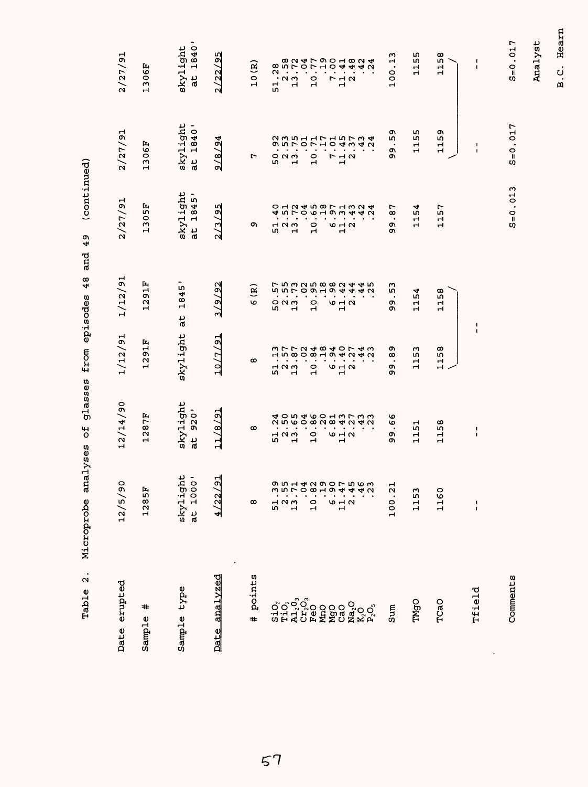| $\ddot{\Omega}$<br>Table                                                          | analyses<br>Microprobe                                                                                                                                                                                                                                                                                                          | glasses<br>ЪÓ                     | from episodes                                                                                                                                                                                                                                                                                                                                                                                                                                                                                     | and<br>48                                                                                                        | (continued)<br>49                                                                                                                                                                                                                                                                                                               |                                                |                                                                                                                                                                                                                                                                                                                                 |
|-----------------------------------------------------------------------------------|---------------------------------------------------------------------------------------------------------------------------------------------------------------------------------------------------------------------------------------------------------------------------------------------------------------------------------|-----------------------------------|---------------------------------------------------------------------------------------------------------------------------------------------------------------------------------------------------------------------------------------------------------------------------------------------------------------------------------------------------------------------------------------------------------------------------------------------------------------------------------------------------|------------------------------------------------------------------------------------------------------------------|---------------------------------------------------------------------------------------------------------------------------------------------------------------------------------------------------------------------------------------------------------------------------------------------------------------------------------|------------------------------------------------|---------------------------------------------------------------------------------------------------------------------------------------------------------------------------------------------------------------------------------------------------------------------------------------------------------------------------------|
| Date erupted                                                                      | $\circ$<br>12/5/9                                                                                                                                                                                                                                                                                                               | 12/14/90                          | 1/12/91                                                                                                                                                                                                                                                                                                                                                                                                                                                                                           | 1/12/91                                                                                                          | 2/27/91                                                                                                                                                                                                                                                                                                                         | 2/27/91                                        | 2/27/91                                                                                                                                                                                                                                                                                                                         |
| #<br>Sample                                                                       | 1285F                                                                                                                                                                                                                                                                                                                           | 1287F                             | 1291F                                                                                                                                                                                                                                                                                                                                                                                                                                                                                             | 1291F                                                                                                            | 305F<br>Н                                                                                                                                                                                                                                                                                                                       | 1306F                                          | 1306F                                                                                                                                                                                                                                                                                                                           |
| Sample type                                                                       | $skylight$<br>at $1000'$                                                                                                                                                                                                                                                                                                        | skylight<br>920'<br>$\frac{1}{6}$ | skylight                                                                                                                                                                                                                                                                                                                                                                                                                                                                                          | 1845<br>٦F                                                                                                       | skylight<br>$\qquad \qquad \blacksquare$<br>1845<br>$\frac{1}{6}$                                                                                                                                                                                                                                                               | skylight<br>1840'<br>$\frac{1}{6}$             | 1840'<br>skylight<br>$\frac{1}{6}$                                                                                                                                                                                                                                                                                              |
| Date analyzed                                                                     | ╣<br>4/22/                                                                                                                                                                                                                                                                                                                      | 11/8/91                           | 10/7/91                                                                                                                                                                                                                                                                                                                                                                                                                                                                                           | 3/9/92                                                                                                           | m<br>2/3/9                                                                                                                                                                                                                                                                                                                      | 4<br>9/8/9                                     | 2/22/95                                                                                                                                                                                                                                                                                                                         |
| points<br>$\ddot{}$                                                               | $\infty$                                                                                                                                                                                                                                                                                                                        | $\infty$                          | $\infty$                                                                                                                                                                                                                                                                                                                                                                                                                                                                                          | $\mathbf{g}$<br>$\mathbf \omega$                                                                                 | o,                                                                                                                                                                                                                                                                                                                              | L                                              | 10(R)                                                                                                                                                                                                                                                                                                                           |
|                                                                                   | $\begin{array}{cccc} 0 & 1 & 1 & 1 & 1 \\ 0 & 0 & 0 & 0 & 0 \\ 0 & 0 & 0 & 0 & 0 \\ 0 & 0 & 0 & 0 & 0 \\ 0 & 0 & 0 & 0 & 0 \\ 0 & 0 & 0 & 0 & 0 \\ 0 & 0 & 0 & 0 & 0 \\ 0 & 0 & 0 & 0 & 0 \\ 0 & 0 & 0 & 0 & 0 \\ 0 & 0 & 0 & 0 & 0 \\ 0 & 0 & 0 & 0 & 0 \\ 0 & 0 & 0 & 0 & 0 \\ 0 & 0 & 0 & 0 & 0 \\ 0 & 0 & 0 & 0 & 0 \\ 0 &$ | $\frac{1}{5}$ $\frac{1}{1}$       | $\begin{array}{ccccccccccccc} . & . & . & . & . & . & . & . \\ . & . & . & . & . & . & . & . \\ . & . & . & . & . & . & . & . \\ . & . & . & . & . & . & . & . \\ . & . & . & . & . & . & . & . \\ . & . & . & . & . & . & . & . \\ . & . & . & . & . & . & . & . \\ . & . & . & . & . & . & . & . \\ . & . & . & . & . & . & . & . \\ . & . & . & . & . & . & . & . \\ . & . & . & . & . & . & . & . \\ . & . & . & . & . & . & . & . \\ . & . & . & . & . & . & . & . \\ . &$<br>52<br>52<br>52 | <b>FBGSBB884440</b><br>PBCSBB884440<br>$\circ$ $\circ$ $\circ$<br>LO.<br>$\mathbf{\mathbf{\mathbf{\mathsf{H}}}}$ | $\begin{array}{cccc} 0 & 1 & 1 & 1 & 1 \\ 0 & 0 & 0 & 0 & 0 \\ 0 & 0 & 0 & 0 & 0 \\ 0 & 0 & 0 & 0 & 0 \\ 0 & 0 & 0 & 0 & 0 \\ 0 & 0 & 0 & 0 & 0 \\ 0 & 0 & 0 & 0 & 0 \\ 0 & 0 & 0 & 0 & 0 \\ 0 & 0 & 0 & 0 & 0 \\ 0 & 0 & 0 & 0 & 0 \\ 0 & 0 & 0 & 0 & 0 \\ 0 & 0 & 0 & 0 & 0 \\ 0 & 0 & 0 & 0 & 0 \\ 0 & 0 & 0 & 0 & 0 \\ 0 &$ | 52<br>52<br>52                                 | ∞ ∟ი<br>$\mathbf{\Omega}$<br>$\bullet$<br>51                                                                                                                                                                                                                                                                                    |
|                                                                                   |                                                                                                                                                                                                                                                                                                                                 | $\frac{1}{2}$                     | $\frac{0}{1}$                                                                                                                                                                                                                                                                                                                                                                                                                                                                                     | $\frac{0}{1}$                                                                                                    |                                                                                                                                                                                                                                                                                                                                 | $\frac{1}{2}$                                  |                                                                                                                                                                                                                                                                                                                                 |
| MgO<br>CaO                                                                        |                                                                                                                                                                                                                                                                                                                                 | <b>612</b><br>Н                   | 642                                                                                                                                                                                                                                                                                                                                                                                                                                                                                               | 9 H N<br>ᆏ                                                                                                       |                                                                                                                                                                                                                                                                                                                                 | $P \nightharpoonup N$<br>$\mathbf{\mathbf{H}}$ |                                                                                                                                                                                                                                                                                                                                 |
| $\begin{array}{l} \mathbf{Na_2O} \\ \mathbf{K_2O} \\ \mathbf{P_2O_5} \end{array}$ |                                                                                                                                                                                                                                                                                                                                 |                                   |                                                                                                                                                                                                                                                                                                                                                                                                                                                                                                   |                                                                                                                  |                                                                                                                                                                                                                                                                                                                                 |                                                | $\begin{array}{cccc} 1 & 1 & 1 & 1 \\ 3 & 1 & 1 & 1 \\ 2 & 2 & 1 & 1 \\ 3 & 3 & 2 & 1 \\ 4 & 5 & 1 & 1 \\ 5 & 6 & 1 & 1 \\ 6 & 1 & 1 & 1 \\ 7 & 1 & 1 & 1 \\ 8 & 1 & 1 & 1 \\ 9 & 1 & 1 & 1 \\ 10 & 1 & 1 & 1 \\ 11 & 1 & 1 & 1 \\ 12 & 1 & 1 & 1 \\ 13 & 1 & 1 & 1 \\ 14 & 1 & 1 & 1 \\ 15 & 1 & 1 & 1 \\ 16 & 1 & 1 & 1 \\ 1$ |
|                                                                                   |                                                                                                                                                                                                                                                                                                                                 |                                   |                                                                                                                                                                                                                                                                                                                                                                                                                                                                                                   |                                                                                                                  |                                                                                                                                                                                                                                                                                                                                 |                                                |                                                                                                                                                                                                                                                                                                                                 |
| Sum                                                                               | 100.21                                                                                                                                                                                                                                                                                                                          | ৩<br>৩<br>$\bullet$<br>o۱<br>ጣ    | თ<br>œ<br>ጣ<br>O)                                                                                                                                                                                                                                                                                                                                                                                                                                                                                 | ო<br>ما<br>$\bullet$<br>o۱<br>ጣ                                                                                  | 1<br>$\infty$<br>$\bullet$<br>c<br>Ō                                                                                                                                                                                                                                                                                            | o<br>Ιņ<br>c<br>o,                             | ω<br>Н<br>$\bullet$<br>100.                                                                                                                                                                                                                                                                                                     |
| TMgO                                                                              | 1153                                                                                                                                                                                                                                                                                                                            | Н<br>m<br>Н<br>ᆏ                  | S<br>۱ń<br>급                                                                                                                                                                                                                                                                                                                                                                                                                                                                                      | 4<br>m<br>Н<br>$\blacksquare$                                                                                    | 4<br>m<br>Н<br>Н                                                                                                                                                                                                                                                                                                                | m<br>m<br>Н<br>Н                               | m<br>m<br>ᆏ<br>$\blacksquare$                                                                                                                                                                                                                                                                                                   |
| TCaO                                                                              | 1160                                                                                                                                                                                                                                                                                                                            | ∞<br>L۵<br>Н<br>Н                 | 1158                                                                                                                                                                                                                                                                                                                                                                                                                                                                                              | ∞<br>m<br>Н<br>Н                                                                                                 | 1157                                                                                                                                                                                                                                                                                                                            | ጣ<br>115                                       | 58<br>$\mathbf{H}$<br>$\mathbf{\mathbf{H}}$                                                                                                                                                                                                                                                                                     |
| Tfield                                                                            | $\frac{1}{1}$                                                                                                                                                                                                                                                                                                                   | ı<br>$\pmb{\mathsf{I}}$           | $\mathbf{I}$                                                                                                                                                                                                                                                                                                                                                                                                                                                                                      | ı                                                                                                                |                                                                                                                                                                                                                                                                                                                                 | ı<br>t                                         | J.<br>$\mathbf I$                                                                                                                                                                                                                                                                                                               |
| Comments                                                                          |                                                                                                                                                                                                                                                                                                                                 |                                   |                                                                                                                                                                                                                                                                                                                                                                                                                                                                                                   |                                                                                                                  | ω<br>$S = 0.01$                                                                                                                                                                                                                                                                                                                 | $S = 0.017$                                    | r<br>$S = 0.01$                                                                                                                                                                                                                                                                                                                 |
|                                                                                   |                                                                                                                                                                                                                                                                                                                                 |                                   |                                                                                                                                                                                                                                                                                                                                                                                                                                                                                                   |                                                                                                                  |                                                                                                                                                                                                                                                                                                                                 |                                                | Analyst                                                                                                                                                                                                                                                                                                                         |

 $57$ 

B.C. Hearn B.C. Hearn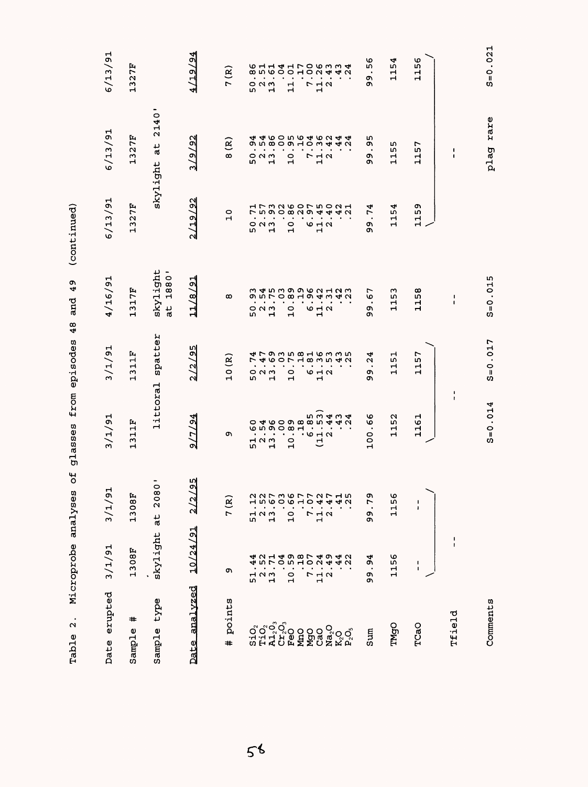| erupted<br>Date                  | 3/1/91                                                                                                                                                                                                                                                                                                                          | 3/1/91                                               | 3/1/91                            | 3/1/91                                                                     | 4/16/91                                                     | 6/13/91                                       | 6/13/91                                                   | 6/13/91                             |
|----------------------------------|---------------------------------------------------------------------------------------------------------------------------------------------------------------------------------------------------------------------------------------------------------------------------------------------------------------------------------|------------------------------------------------------|-----------------------------------|----------------------------------------------------------------------------|-------------------------------------------------------------|-----------------------------------------------|-----------------------------------------------------------|-------------------------------------|
| #<br>Sample                      | 308F<br>Н                                                                                                                                                                                                                                                                                                                       | 1308F                                                | 1311F                             | ſц,<br>급<br>ς<br>Н                                                         | 1317F                                                       | 1327F                                         | 327F<br>$\blacksquare$                                    | 1327F                               |
| type<br>Sample                   | skylight                                                                                                                                                                                                                                                                                                                        | $\overline{\circ}$<br>208<br>$\frac{1}{a}$           | littoral                          | spatter                                                                    | skylight<br>1880'<br>$\frac{1}{a}$                          |                                               | 2140'<br>skylight at                                      |                                     |
| analyzed<br>Date                 | 10/24/91                                                                                                                                                                                                                                                                                                                        | <u>95</u><br>$\overline{\mathcal{C}}$                | 1/2/4<br>പ്പ                      | 2/2/95                                                                     | 11/8/91                                                     | 2/19/92                                       | 3/9/92                                                    | 19/94<br>41                         |
| points<br>$\ddagger$             | c                                                                                                                                                                                                                                                                                                                               | 7(R)                                                 | c                                 | 10 (R)                                                                     | $\infty$                                                    | $\circ$<br>$\mathbf{H}$                       | $\mathbf{g}$<br>$\infty$                                  | $\mathbf{g}$<br>$\overline{ }$      |
|                                  |                                                                                                                                                                                                                                                                                                                                 |                                                      |                                   | r                                                                          | ū٦                                                          | L۵                                            | w                                                         | ω                                   |
|                                  |                                                                                                                                                                                                                                                                                                                                 |                                                      | 52<br>52<br>52                    | $\bullet$<br>$\bullet$<br>$\circ$ $\circ$ $\circ$                          | 0 N M                                                       | 0 N M                                         | $\bullet$<br>$\bullet$<br>$\circ$ $\circ$ $\circ$         | 0 N M                               |
|                                  |                                                                                                                                                                                                                                                                                                                                 | $51.12$<br>$13.50$<br>$13.60$<br>$10.17$<br>$10.17$  |                                   | $\blacksquare$<br>$\mathbf{H}$                                             | $\bullet$<br>$\mathbf{H}$                                   | $\bullet$<br>$\mathbf{\mathbf{r}}$            | $\bullet$<br>$\blacksquare$                               | $\bullet$<br>$\mathbf{\mathbf{H}}$  |
|                                  |                                                                                                                                                                                                                                                                                                                                 |                                                      |                                   | $\bullet$                                                                  |                                                             | $\bullet$                                     | $\bullet$                                                 |                                     |
|                                  |                                                                                                                                                                                                                                                                                                                                 |                                                      | $\overline{a}$                    | $\blacksquare$<br>$\bullet$<br>$\overline{10}$                             | $\bullet$<br>$\circ$<br>ᆏ                                   | $\bullet$<br>$\circ$<br>$\mathbf{\mathbf{r}}$ | $\bullet$<br>$\bullet$<br>$\overline{10}$                 | $\bullet$<br>$\frac{1}{1}$          |
|                                  |                                                                                                                                                                                                                                                                                                                                 |                                                      | $\cdot \circ \neg \circ$          |                                                                            |                                                             |                                               | $\bullet$<br>$\overline{ }$                               | $\bullet$<br>L                      |
| Ngao<br>Cao<br>Na <sub>2</sub> O |                                                                                                                                                                                                                                                                                                                                 | $7.07$<br>$1.42$<br>$2.47$<br>$\frac{1}{1}$ $\alpha$ | ヒ                                 | $\sim$ 0.000 $\sim$ 0.000 $\sim$<br><b>10 H N</b><br>$\mathbf{\mathbf{H}}$ | $\bullet$<br>$\circ$ $\sim$ $\sim$<br>$\mathbf{\mathbf{r}}$ | $\bullet$<br><b>10 H N</b><br>Н               | $\bullet$<br>$\overline{M}$ $\alpha$<br>$\mathbf{H}$      | $\bullet$<br>$\frac{1}{1}$ $\alpha$ |
|                                  |                                                                                                                                                                                                                                                                                                                                 |                                                      |                                   |                                                                            |                                                             |                                               |                                                           |                                     |
| ន្ត<br>ស្គុក្ត                   | $\begin{array}{cccc} 0 & 1 & 1 & 1 & 1 \\ 0 & 0 & 1 & 0 & 0 \\ 0 & 0 & 0 & 0 & 0 \\ 0 & 0 & 0 & 0 & 0 \\ 0 & 0 & 0 & 0 & 0 \\ 0 & 0 & 0 & 0 & 0 \\ 0 & 0 & 0 & 0 & 0 \\ 0 & 0 & 0 & 0 & 0 \\ 0 & 0 & 0 & 0 & 0 \\ 0 & 0 & 0 & 0 & 0 \\ 0 & 0 & 0 & 0 & 0 \\ 0 & 0 & 0 & 0 & 0 \\ 0 & 0 & 0 & 0 & 0 \\ 0 & 0 & 0 & 0 & 0 \\ 0 &$ | .40                                                  | ີ ⊲າ<br>40                        | <b>479358163354</b> 27 4607183542<br>$\bullet$                             | 345399621239 453901942                                      |                                               |                                                           |                                     |
| sum                              | 94<br>$\bullet$<br>Ō<br>ጣ                                                                                                                                                                                                                                                                                                       | 79<br>$\bullet$<br>c<br>Ō,                           | $\frac{6}{6}$<br>$\bullet$<br>100 | 4<br>$\mathbf{\Omega}$<br>$\cdot$<br>c<br>c                                | ∼<br>$\circ$<br>$\bullet$<br>c<br>o۱                        | 4<br>É<br>$\bullet$<br>c<br>Ō                 | m<br>c<br>٠<br>c<br>c                                     | ৩<br>w<br>$\bullet$<br>o۱<br>o      |
| <b>TMgO</b>                      | ৩<br>L۱<br>Н<br>ᆏ                                                                                                                                                                                                                                                                                                               | 1156                                                 | 52<br>$\mathbf{1}$                | 51<br>Н<br>$\mathbf{\mathbf{H}}$                                           | w<br>LΩ,<br>급                                               | 154<br>$\mathbf{\mathbf{H}}$                  | r.<br>w<br>$\mathbf{\mathbf{H}}$<br>$\mathbf{\mathbf{H}}$ | 4<br>15                             |
| TCaO                             | J.<br>1                                                                                                                                                                                                                                                                                                                         | 1<br>1                                               | 1161                              | 157<br>٣                                                                   | 1158                                                        | 59<br>를                                       | 1157                                                      | 1156                                |
| Tfield                           | ı<br>ł.                                                                                                                                                                                                                                                                                                                         |                                                      | I.<br>t                           |                                                                            | I.<br>$\mathbf I$                                           |                                               | 1<br>$\blacksquare$                                       |                                     |
| Comments                         |                                                                                                                                                                                                                                                                                                                                 |                                                      | $S = 0.014$                       | $S = 0.017$                                                                | $S = 0.015$                                                 |                                               | plag rare                                                 | $S = 0.021$                         |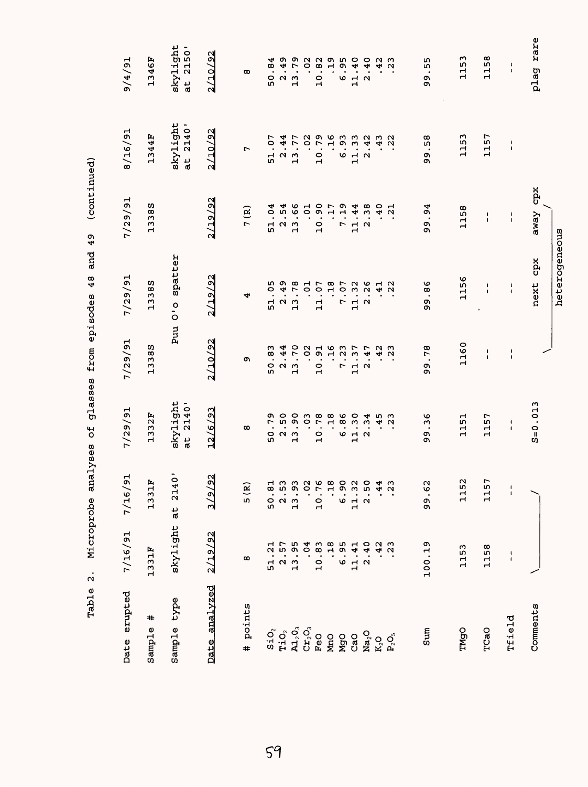| Date erupted                         | 7/16/91                   | 7/16/91                                | 7/29/91                        | 7/29/91                              | 7/29/91                                                                                                                                                                                                                                                                                                                                                                                          | 7/29/91                                      | 8/16/91                    | 16/7/6                                |
|--------------------------------------|---------------------------|----------------------------------------|--------------------------------|--------------------------------------|--------------------------------------------------------------------------------------------------------------------------------------------------------------------------------------------------------------------------------------------------------------------------------------------------------------------------------------------------------------------------------------------------|----------------------------------------------|----------------------------|---------------------------------------|
| #<br>Sample                          | 1331F                     | Ŀ,<br>1331                             | 1332F                          | 13388                                | 13385                                                                                                                                                                                                                                                                                                                                                                                            | ω<br>1338                                    | 1344F                      | 1346F                                 |
| type<br>Sample                       | skylight                  | $\ddot{\circ}$<br>214<br>$\frac{1}{6}$ | skylight<br>at 2140'           | Puu                                  | spatter<br>$\frac{0}{0}$                                                                                                                                                                                                                                                                                                                                                                         |                                              | skylight<br>at 2140'       | skylight<br>at 2150'                  |
| Date analyzed                        | 2/19/92                   | $\mathfrak A$<br><u>/9</u><br>۳        | 12/6/93                        | 2/10/92                              | 2/19/92                                                                                                                                                                                                                                                                                                                                                                                          | 2/19/92                                      | 2/10/92                    | 2/10/92                               |
| points<br>$\ddot{}$                  | œ                         | 5(R)                                   | œ                              | ጣ                                    | 4                                                                                                                                                                                                                                                                                                                                                                                                | 7 (R)                                        | L                          | $^\infty$                             |
| $S_1O_2$                             | $\overline{a}$<br>51      |                                        | 50.79                          | w<br>$\frac{1}{2}$<br>50             | 51.05                                                                                                                                                                                                                                                                                                                                                                                            | 51.04                                        | 51.07                      | 50.84                                 |
| $\mathtt{TiO}_2$                     | 57<br>$\ddot{\Omega}$     |                                        | $2.50$<br>$-3.90$              | 2.44                                 | .49<br>$\boldsymbol{\alpha}$                                                                                                                                                                                                                                                                                                                                                                     | $2.54$<br>$13.66$                            | 2.44                       | 2.49                                  |
| $\mathbf{A1}_2\mathbf{0}_3$          | 95<br>$\frac{1}{2}$       |                                        | $\mathbf{\mathbf{r}}$          | 13.70                                | 13.78                                                                                                                                                                                                                                                                                                                                                                                            |                                              | 13.77                      | 13.79                                 |
| $\mathsf{C}\mathbf{r}_2\mathsf{O}_3$ | .04                       |                                        | .03                            | .02                                  | .01                                                                                                                                                                                                                                                                                                                                                                                              | $\overline{c}$                               | .02                        | .02                                   |
| $_{\rm FeO}$                         | .83<br>10                 |                                        | 10.78                          | 10.91                                | 11.07                                                                                                                                                                                                                                                                                                                                                                                            | 10.90                                        | 10.79                      | 10.82                                 |
| MnO                                  | 18                        |                                        | .18                            | 34.                                  | .18                                                                                                                                                                                                                                                                                                                                                                                              | .17                                          | .16                        | .19                                   |
| <b>MgO</b>                           | 95<br>.<br>م              |                                        | .86<br>v                       | .23<br>L                             | 7.07                                                                                                                                                                                                                                                                                                                                                                                             | $\ddot{ }$<br>$\overline{ }$                 | 6.93                       | 6.95                                  |
| CaO                                  | $\frac{1}{4}$<br>11.      |                                        | 11.30                          | .37<br>$\mathbf{r}$                  | 11.32<br>2.26                                                                                                                                                                                                                                                                                                                                                                                    | .44<br>$\mathbf{a}$                          | $\cdot$ 33<br>$\mathbf{r}$ | 11.40                                 |
| Na <sub>2</sub> O                    | .40<br>$\mathbf{\Omega}$  |                                        | $\sim$                         | $-47$<br>$\mathbf{\Omega}$           | .26                                                                                                                                                                                                                                                                                                                                                                                              | .38<br>$\mathbf{\Omega}$                     | .42<br>$\mathbf{\Omega}$   | .40<br>$\mathbf{\Omega}$              |
| K <sub>2</sub> O                     | 42                        |                                        | $345$<br>$453$<br>$23$         | .42                                  | $.41$<br>$.22$                                                                                                                                                                                                                                                                                                                                                                                   | .40                                          | .43                        | 42                                    |
| $\mathbf{P}_2\mathbf{O}_5$           | $\overline{2}3$           | _ო<br>$\sim$                           |                                | $\overline{2}3$                      |                                                                                                                                                                                                                                                                                                                                                                                                  | ᆏ<br>$\alpha$                                | $\overline{2}$             | $\overline{2}3$                       |
|                                      |                           |                                        |                                |                                      |                                                                                                                                                                                                                                                                                                                                                                                                  |                                              |                            |                                       |
| Sum                                  | თ<br>100.1                | 99.62                                  | ৩<br>w<br>$\bullet$<br>თ<br>Q, | .78<br>99                            | .86<br>ტ<br>თ                                                                                                                                                                                                                                                                                                                                                                                    | 4<br>99.9                                    | .58<br>99                  | m<br>w<br>99                          |
| <b>DENL</b>                          | 1153                      | $\mathbf{\Omega}$<br>115               | 1151                           | 1160                                 | 1156                                                                                                                                                                                                                                                                                                                                                                                             | 1158                                         | 1153                       | ო<br>115                              |
| TCaO                                 | 1158                      | 1157                                   | 1157                           | $\pmb{\mathfrak{g}}$<br>$\mathbf{I}$ | $\begin{array}{c} \rule{0pt}{2.5ex} \rule{0pt}{2.5ex} \rule{0pt}{2.5ex} \rule{0pt}{2.5ex} \rule{0pt}{2.5ex} \rule{0pt}{2.5ex} \rule{0pt}{2.5ex} \rule{0pt}{2.5ex} \rule{0pt}{2.5ex} \rule{0pt}{2.5ex} \rule{0pt}{2.5ex} \rule{0pt}{2.5ex} \rule{0pt}{2.5ex} \rule{0pt}{2.5ex} \rule{0pt}{2.5ex} \rule{0pt}{2.5ex} \rule{0pt}{2.5ex} \rule{0pt}{2.5ex} \rule{0pt}{2.5ex} \rule{0$<br>$\mathbf{I}$ | I.<br>$\mathbf{I}$                           | 1157                       | 1158                                  |
| Tfield                               | ţ<br>$\pmb{\mathfrak{t}}$ | $\frac{1}{4}$                          | 1<br>$\mathbf I$               | $\frac{1}{1}$                        | 4<br>$\pmb{\mathsf{I}}$                                                                                                                                                                                                                                                                                                                                                                          | $\pmb{\mathfrak{t}}$<br>$\pmb{\mathfrak{t}}$ | $\frac{1}{1}$              | $\pmb{\cdot}$<br>$\pmb{\mathfrak{t}}$ |
| Comments                             |                           |                                        | $S = 0.013$                    |                                      | next cpx                                                                                                                                                                                                                                                                                                                                                                                         | cpx<br>away                                  |                            | plag rare                             |

heterogeneous

heterogeneous

Microprobe analyses of qlasses from episodes 48 and 49 (continued) Table 2. Microprobe analyses of glasses from episodes 48 and 49 (continued) Table 2.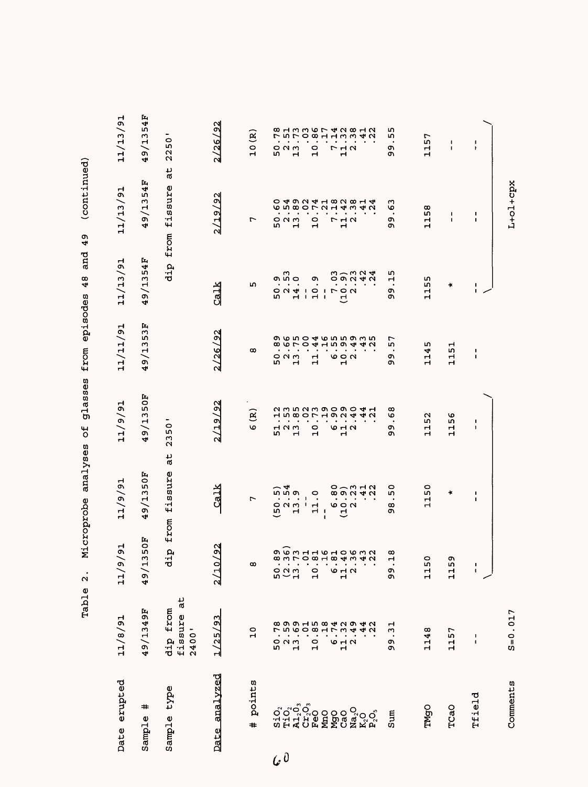| Date erupted                     | 11/8/91                            | $\overline{5}$<br>(6/11)                                     | 11/9/91                                                    | 11/9/91                                                        | 11/11/91                                                          | 11/13/91                                                                  | 11/13/91                                                                                                         | 11/13/91                                                                                         |
|----------------------------------|------------------------------------|--------------------------------------------------------------|------------------------------------------------------------|----------------------------------------------------------------|-------------------------------------------------------------------|---------------------------------------------------------------------------|------------------------------------------------------------------------------------------------------------------|--------------------------------------------------------------------------------------------------|
| #<br>Sample                      | 49/1349F                           | FO<br>۱Ω<br>m<br>49/1                                        | 9/1350F<br>4                                               | 49/1350F                                                       | 53F<br>ω<br>ミ<br>$\infty$<br>↤                                    | 9/1354F<br>4                                                              | 9/1354F<br>4                                                                                                     | 9/1354F<br>4                                                                                     |
| type<br>Sample                   | at<br>dip from<br>fissure<br>2400' | from<br>$\mathbf{a}$<br>ರ                                    | at<br>fissure                                              | ٠<br>$\circ$<br>LΩ,<br>23                                      |                                                                   | dip                                                                       | $\frac{1}{6}$<br>fissure<br>from                                                                                 | 50<br>$\overline{2}$                                                                             |
| Date analyzed                    | (25/93)                            | $\frac{2}{3}$<br>2/10                                        | Calk                                                       | 2/19/92                                                        | 2/26/92                                                           | Calk                                                                      | 2/19/92                                                                                                          | 2/26/92                                                                                          |
| points<br>#                      | $\overline{10}$                    | $\infty$                                                     | r                                                          | કે<br>O                                                        | œ                                                                 | m                                                                         | r                                                                                                                | 10(R)                                                                                            |
| ororo<br>Gorono<br>Giratian<br>G |                                    | g<br>court de doura<br>court de doura<br>$\frac{0}{1}$<br>50 | n n a<br>٠<br>0 N M<br>L٢<br>$\mathbf{r}$                  | 2352390904123807192442<br>$\bullet$<br>523<br>52               | の6504655935<br>œ<br>٠<br>$\bullet$<br>0 N M<br>۱<br>$\mathbf{H}$  | ໑ ທິ ໐<br>٠<br>$\sim$ $\sim$ $\sim$<br>LO,<br>ᆏ                           | <b>0 4 9 0 4 4 9 0 0 4 4</b><br>დ ო დ<br>$\bullet$<br>$\bullet$<br>$\circ$ $\circ$ $\circ$<br>L٢<br>$\mathbf{H}$ | B H M M W L 4 M 8 H W 4 W 5 W L 9 W 4 W 4 W<br>$\bullet$<br>$\bullet$<br>$O$ $M$ $m$<br>LO,<br>ᆏ |
|                                  |                                    | $\overline{10}$                                              | 0<br>$\bullet$<br>$\mathbf{I}$<br>$\bullet$<br>л.<br>$\Xi$ | $\bullet$<br>$\bullet$<br>$\bullet$<br>$\circ$<br>$\mathbf{H}$ | $0.04H$ m $\sigma$<br>$\bullet$<br>$\bullet$<br>٠<br>$\mathbf{1}$ | o,<br>$\overline{\phantom{0}}$<br>$\mathbf{\mathbf{r}}$<br>$\blacksquare$ | $\bullet$<br>$\bullet$<br>$\bullet$<br>$\circ$<br>$\mathbf{H}$                                                   | $\bullet$<br>$\bullet$<br>$\bullet$<br>$\circ$<br>$\mathbf{H}$                                   |
|                                  |                                    |                                                              | $\bullet$<br>$\mathbf{I}$<br>ſ                             | $\bullet$<br>$\bullet$                                         |                                                                   | - 1<br>- 1                                                                | $\bullet$                                                                                                        | $\bullet$                                                                                        |
|                                  |                                    | $\bullet$<br>642                                             | $\bullet$<br>$\bullet$<br>७० ०<br>ᅼ                        | ٠<br>9 H N<br>ᆏ                                                | ₩<br>७००<br>$\mathbf{H}$                                          | $P^{\circ}$<br>ゼ                                                          | $\bullet$<br><b>773</b><br>$\mathbf{H}$                                                                          | $\bullet$<br>٠<br>$\begin{array}{c}\n7 \\ 1\n\end{array}$                                        |
|                                  |                                    |                                                              | ローマエク<br><b>89242</b>                                      |                                                                | 41 U                                                              | いりろうする                                                                    | $OGamma$ $OGamma$ $Omax$ $Omax$                                                                                  |                                                                                                  |
| Sum                              | $\frac{1}{3}$<br>c<br>c            | ထ<br>Н<br>$\bullet$<br>თ<br>თ                                | 0<br>m<br>$\bullet$<br>ထ<br>o                              | ထ<br>O<br>$\bullet$<br>ጣ<br>o,                                 | r<br>m<br>$\bullet$<br>c<br>o                                     | ഗ<br>ᆏ<br>٠<br>o۱<br>o                                                    | ო<br>G<br>$\bullet$<br>ጣ<br>ጣ                                                                                    | m<br>m<br>$\bullet$<br>ጣ<br>ጣ                                                                    |
| TMgO                             | 1148                               | $\circ$<br>115                                               | 50<br>$\mathbf{1}$                                         | 52<br>급                                                        | m<br>114                                                          | 1155                                                                      | œ<br>L٢<br>Н<br>$\mathbf{r}$                                                                                     | 1157                                                                                             |
| TCaO                             | 1157                               | ወነ<br>115                                                    | ×                                                          | 56<br>ਜ਼<br>ᆏ                                                  | ᆏ<br>$\frac{15}{1}$<br>Н                                          | ×                                                                         | $\blacksquare$<br>ı                                                                                              | L<br>ı                                                                                           |
| Tfield                           | $\mathbf{I}$<br>$\blacksquare$     | $\frac{1}{4}$                                                | $\mathsf I$<br>$\mathbf I$                                 | 1<br>$\pmb{\mathsf{I}}$                                        | J.<br>$\mathbf I$                                                 | Ι.<br>$\mathbf{I}$                                                        | $\mathsf I$<br>$\mathbf I$                                                                                       | $\mathbf{I}$<br>$\pmb{\ast}$                                                                     |
| Comments                         | $S = 0.017$                        |                                                              |                                                            |                                                                |                                                                   |                                                                           | L+ol+cpx                                                                                                         |                                                                                                  |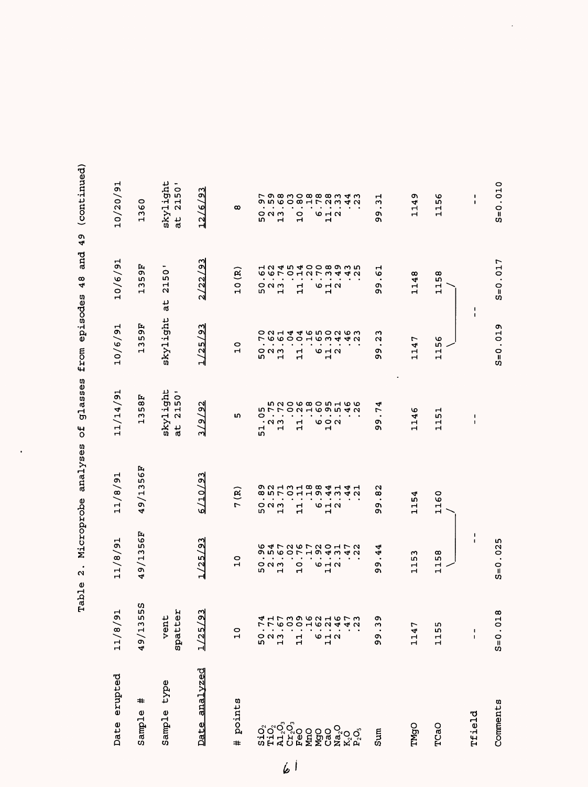| erupted<br>Date               | $\vec{a}$<br>11/8                                                                     | 11/8/91                                                  | 11/8/91                                                  | 11/14/91                                              | 10/6/91                             | 10/6/91                                                            | 10/20/91                                    |
|-------------------------------|---------------------------------------------------------------------------------------|----------------------------------------------------------|----------------------------------------------------------|-------------------------------------------------------|-------------------------------------|--------------------------------------------------------------------|---------------------------------------------|
| #<br>Sample                   | 5S<br>LO.<br>S<br>1/64                                                                | 56F<br>$\frac{13}{2}$<br>$\sigma$<br>4                   | 49/1356F                                                 | 58F<br>w<br>Н                                         | 56<br>m<br>$\boldsymbol{\sim}$<br>Н | 56<br>LO,<br>ω<br>Н                                                | 0<br>136                                    |
| type<br>Sample                | Ά<br>vent<br>spatte                                                                   |                                                          |                                                          | skylight<br>2150'<br>ہا۔<br>ا                         | skylight                            | $\circ$<br>LΩ,<br>$\overline{21}$<br>đ                             | skylight<br>2150'<br>at                     |
| Date analyzed                 | 3<br>1/25                                                                             | 1/25/93                                                  | 6/10/93                                                  | 3/9/92                                                | 1/25/93                             | 2/22/93                                                            | $\frac{23}{2}$<br>12/6                      |
| points<br>#                   | $\frac{0}{1}$                                                                         | $\circ$<br>$\mathbf{r}$                                  | $\mathbf{R}$<br>L                                        | IΩ,                                                   | 0<br>$\mathbf{H}$                   | <u>ି</u><br>$\overline{C}$                                         | $\infty$                                    |
| $S\dot{1}O_2$                 |                                                                                       | ٠<br>m                                                   | m                                                        | 0<br>ᆏ<br>in,                                         | L<br>٠<br>w                         | ٠<br>m                                                             | $\bullet$<br>LΩ,                            |
|                               | 523<br>52                                                                             | $\bullet$<br>$O$ $N$ $M$                                 | $\bullet$<br>៰៷៳                                         | 5<br>5<br>5<br>$\bullet$<br>$\cdot$ $\alpha$ $\sigma$ | $\circ$ $\circ$                     | $\bullet$<br>$O$ $O$ $M$                                           | $\bullet$<br>೦೧೧                            |
| <b>Tio</b> o<br>Algo<br>Peo   |                                                                                       | $\bullet$<br>$\bullet$<br>$\mathbf{\mathbf{\mathsf{H}}}$ | $\bullet$<br>$\bullet$<br>$\mathbf{\mathbf{\mathsf{H}}}$ | $\overline{ }$<br>٠<br>$\blacksquare$                 | $0 N + 4$<br>$\blacksquare$         | しゅいつ<br>$\bullet$<br>$\blacksquare$                                | $\bullet$<br>٠<br>$\mathbf{\mathbf{H}}$     |
|                               | $\vec{a}$                                                                             | $\blacksquare$<br>$\circ$<br>ᆏ                           | $\bullet$<br>Н<br>ᆏ                                      | $O$ $N$ $H$ $O$ $O$ $M$<br>$\bullet$<br>٣<br>H        | $\mathbf{r}$<br>ᆏ                   | $\mathbf{H}$<br>급                                                  | O<br>ᆏ                                      |
| <b>DOS</b><br>SAS<br>COS      |                                                                                       | $\bullet$<br>$\bullet$                                   | ٠                                                        | $\bullet$                                             | $\bullet$                           | 2ワミ4                                                               | $\bullet$                                   |
|                               | 6.12                                                                                  | $\bullet$<br><b>10 H N</b><br>$\mathbf{\mathbf{H}}$      | $\bullet$<br>9 H U<br>Н                                  | ٠<br>e a u                                            | <b>10 H N</b><br>Н                  | $\bullet$<br>$\,$ .<br>$\omega$ $\mapsto$ $\omega$<br>$\mathbf{H}$ | $\bullet$<br>9 H N<br>$\mathbf{\mathbf{H}}$ |
|                               |                                                                                       | $\bullet$                                                |                                                          |                                                       |                                     |                                                                    |                                             |
| $Ma_2O$<br>$K_2O$<br>$P_2O_3$ | 4 H L M D W C H W L W<br>4 H L M D W C H W H W<br>4<br>$\mathbf{\Omega}$<br>$\bullet$ | <b>647267204726 9473</b>                                 | 8 N T O H H O 4 H 4 H 9 9 4 H 4 H                        | <b>GOOGOOGOOGO</b><br>4N                              | <b>るらりりょうきょうとうらく つようちつりょう</b>       | <b>12454000000</b><br>4N<br>$\bullet$                              | <b>ONGOOHLOW40</b>                          |
| Sum                           | ጣ<br>ω<br>ტ<br>თ                                                                      | 4<br>4<br>$\bullet$<br>c<br>c                            | $\mathbf \alpha$<br>$^\infty$<br>$\bullet$<br>c<br>o۱    | ج<br>r<br>$\bullet$<br>o۱<br>Q)                       | ო<br>u<br>$\bullet$<br>o<br>ጣ       | ᆏ<br>ত<br>$\bullet$<br>ጣ<br>c                                      | ᆏ<br>ω<br>$\bullet$<br>c<br>ጣ               |
| TMgO                          | 1<br>114                                                                              | ω<br>LΩ,<br>부                                            | 1154                                                     | 1146                                                  | 1147                                | 1148                                                               | o,<br>114                                   |
| TCaO                          | m<br>115                                                                              | 58<br>Н<br>Н                                             | 1160                                                     | 51<br>日                                               | 56<br>Н<br>Н                        | ∞<br>LΩ,<br>Н<br>$\mathbf{H}$                                      | ৩<br>ഥ<br>H<br>Н                            |
| rfield                        | $\blacksquare$<br>$\mathbf I$                                                         | $\frac{1}{1}$                                            |                                                          | $\frac{1}{1}$                                         | $\blacksquare$                      | $\blacksquare$                                                     | $\pmb{\cdot}$<br>$\pmb{\cdot}$              |
| Comments                      | 018<br>$S=0$ .                                                                        | $S = 0.025$                                              |                                                          |                                                       | $S = 0.019$                         | $S = 0.017$                                                        | $S = 0.010$                                 |

 $\ddot{\phantom{0}}$ 

Table 2. Microprobe analyses of glasses from episodes 48 and 49 (continued) Table 2. Microprobe analyses of glasses from episodes 48 and 49 (continued)

 $\ddot{\phantom{0}}$ 

 $6|$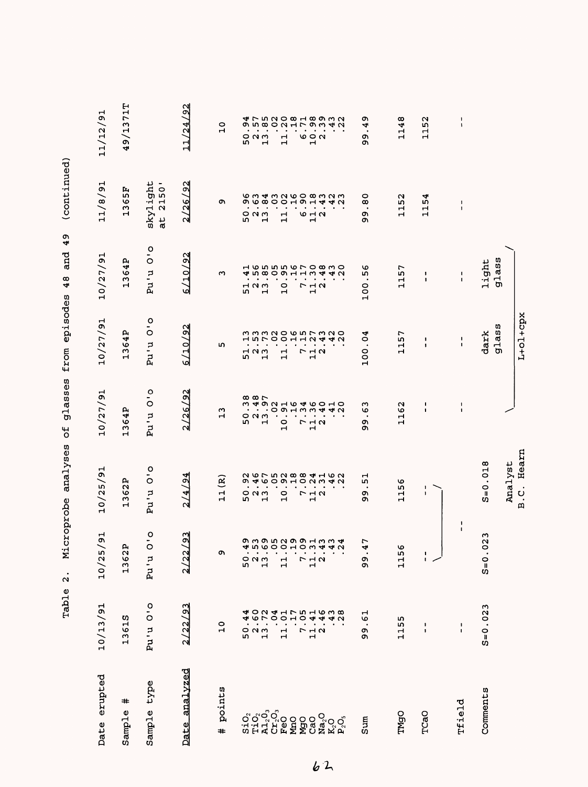|                                                        |                                                               |                                | L+01+cpx              |                                          | Hearn<br>B.C.                                |                                                                               |                                    |                                                  |
|--------------------------------------------------------|---------------------------------------------------------------|--------------------------------|-----------------------|------------------------------------------|----------------------------------------------|-------------------------------------------------------------------------------|------------------------------------|--------------------------------------------------|
|                                                        |                                                               | glass                          | glass                 |                                          | Analyst                                      |                                                                               |                                    |                                                  |
|                                                        |                                                               | light                          | dark                  |                                          | $S = 0.018$                                  | w<br>$S = 0.02$                                                               | $S = 0.023$                        | Comments                                         |
| $\mathbf{I}$<br>$\mathbf{I}$                           | $\frac{1}{1}$                                                 | $\frac{1}{1}$                  | $\frac{1}{1}$         | $\overline{\phantom{a}}$<br>$\mathbf{1}$ |                                              | $\frac{1}{1}$                                                                 | $\frac{1}{1}$                      | Tfield                                           |
| 1152                                                   | 1154                                                          | 1<br>$\pmb{\mathsf{i}}$        | 1<br>1                | л.<br>$\mathbf{1}$                       | 1<br>$\mathbf 1$                             | ŧ.                                                                            | 1<br>$\mathbf{I}$                  | TCaO                                             |
| 1148                                                   | 1152                                                          | 1157                           | 1157                  | 1162                                     | 1156                                         | 1156                                                                          | 1155                               | TMgO                                             |
|                                                        |                                                               |                                |                       |                                          |                                              |                                                                               |                                    |                                                  |
| o<br>4<br>$\bullet$<br>99                              | 0<br>$\bar{\infty}$<br>c<br>c                                 | 56<br>100                      | 100.04                | S<br>ю<br>$\bullet$<br>თ<br>Ō            | 51<br>$\bullet$<br>99                        | r<br>÷<br>$\ddot{5}$                                                          | $\frac{1}{6}$<br>99                | Sum                                              |
|                                                        |                                                               |                                |                       |                                          |                                              | $\mathbf{\Omega}$                                                             | 438                                | $K_2O_3$                                         |
| $\begin{smallmatrix} 6 & 0 \\ 7 & 0 \end{smallmatrix}$ | 5<br>0.00000191440<br>0.0000191440<br>0.000000001010<br>6.1.7 | 16555670830165500113412<br>712 | r <sub>1</sub> 2      | $\frac{1}{2}$                            | $\begin{array}{c}\n7 \\ 1 \\ 2\n\end{array}$ | a w o w y o w y w w 4<br>O w o w y o w y w w 4<br>$\frac{1}{1}$ $\frac{1}{2}$ | $7.41$<br>$2.46$<br>$\frac{11}{2}$ | CaO<br>Na <sub>2</sub> O                         |
|                                                        |                                                               |                                |                       | r                                        |                                              |                                                                               | 17                                 | <b>DBW</b>                                       |
| $\frac{1}{1}$                                          |                                                               | $\frac{1}{2}$                  | 11                    | $\overline{10}$                          | $\frac{0}{1}$                                | $\mathbf{1}$                                                                  | $\overline{0}$<br>$\frac{1}{1}$    |                                                  |
|                                                        |                                                               | Н                              |                       |                                          | Ч                                            |                                                                               | .72<br>$\overline{0}$              | o o o o<br>sin d o o<br>sin d u e g<br>sin d u g |
| 52<br>52<br>52                                         |                                                               | 7 N W<br>m                     | 52<br>52<br>52        | 52<br>52<br>52                           | 523<br>52                                    | 50.1                                                                          | $\overline{6}$<br>523<br>13        |                                                  |
| $\frac{0}{1}$                                          | o,                                                            | w                              | L۲                    | w<br>н                                   | 11(R)                                        | Ō                                                                             | $\overline{10}$                    | points<br>$\ddot{}$                              |
| 11/24/92                                               | /92<br>2/26/                                                  | 6/10/92                        | 6/10/92               | 2/26/92                                  | 2/4/94                                       | 23<br>$\overline{2}$<br>$\mathsf{N}$                                          | 22/93                              | analyzed<br>Date                                 |
|                                                        | skylight<br>2150'<br>$\frac{1}{6}$                            | $\frac{1}{2}$<br>pu'u          | $\frac{1}{2}$<br>pu'u | $\frac{1}{2}$<br>Pu'u                    | $\overline{O}$<br>Pu'u                       | $\frac{1}{2}$<br>Pu'u                                                         | Pu'u O'o                           | Sample type                                      |
| 49/1371T                                               | 1365F                                                         | 1364P                          | 1364P                 | 1364P                                    | 1362P                                        | 1362P                                                                         | 1361S                              | #<br>Sample                                      |
| 11/12/91                                               | 11/8/91                                                       | 10/27/91                       | 10/27/91              | 10/27/91                                 | 10/25/91                                     | $\overline{5}$<br>10/25/                                                      | 10/13/91                           | Date erupted                                     |
|                                                        |                                                               |                                |                       |                                          |                                              |                                                                               |                                    |                                                  |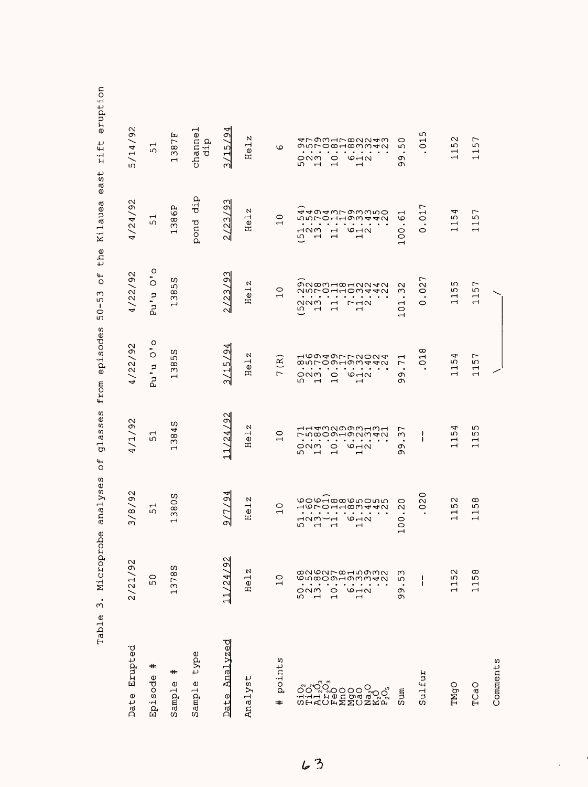|                                                            | Microprobe<br>$\ddot{ }$<br>Table                                                                                                                                                                                                                                                                                                                                                     | analyses                                                                                                                                                                                 | ses<br>S)<br>đ<br>Ğ<br><b>b</b>                                                                                                                                                                                                                                | episodes<br>from                                                                                                                                                                                                           | the<br>$\overline{t}$<br>ω<br>ഗ<br>$\mathbf{I}$<br>$\circ$<br>ഗ                                                                                                                                              | ർ<br>0<br>Kilauea                                                                                                                                                                                                                                                                                                        | eruption<br>rift<br>5t                                                                                                                                                                                                                                             |
|------------------------------------------------------------|---------------------------------------------------------------------------------------------------------------------------------------------------------------------------------------------------------------------------------------------------------------------------------------------------------------------------------------------------------------------------------------|------------------------------------------------------------------------------------------------------------------------------------------------------------------------------------------|----------------------------------------------------------------------------------------------------------------------------------------------------------------------------------------------------------------------------------------------------------------|----------------------------------------------------------------------------------------------------------------------------------------------------------------------------------------------------------------------------|--------------------------------------------------------------------------------------------------------------------------------------------------------------------------------------------------------------|--------------------------------------------------------------------------------------------------------------------------------------------------------------------------------------------------------------------------------------------------------------------------------------------------------------------------|--------------------------------------------------------------------------------------------------------------------------------------------------------------------------------------------------------------------------------------------------------------------|
| Erupted<br>Date                                            | 2/21/92                                                                                                                                                                                                                                                                                                                                                                               | $\sim$<br>c<br>${}^{\circ}$<br>$\sum_{i=1}^{\infty}$                                                                                                                                     | 4/1/92                                                                                                                                                                                                                                                         | 4/22/92                                                                                                                                                                                                                    | 4/22/92                                                                                                                                                                                                      | 4/24/92                                                                                                                                                                                                                                                                                                                  | 5/14/92                                                                                                                                                                                                                                                            |
| #<br>Episode                                               | $\circ$<br>ഗ                                                                                                                                                                                                                                                                                                                                                                          | ᆏ<br>ഗ                                                                                                                                                                                   | $\mathbf \tau$<br>ഗ                                                                                                                                                                                                                                            | $\circ$<br>$\circ$<br>$\vec{c}$<br>p.<br>P                                                                                                                                                                                 | $\circ$<br>۰<br>$\circ$<br>Pu'u                                                                                                                                                                              | ⊣<br>ഗ                                                                                                                                                                                                                                                                                                                   | $\mathrel{\mathsf{H}}$<br>ഹ                                                                                                                                                                                                                                        |
| $\,{}^+$<br>Φ<br>Sampl                                     | w<br>$^\infty$<br>37<br>$\blacksquare$                                                                                                                                                                                                                                                                                                                                                | S<br>$\circ$<br>$\infty$<br>S<br>ᆏ                                                                                                                                                       | S<br>4<br>$\frac{8}{3}$<br>$\mathbf{\mathbf{t}}$                                                                                                                                                                                                               | w<br>ഗ<br>$\infty$<br>$\sim$<br>$\mathbf \blacksquare$                                                                                                                                                                     | S<br>ഗ<br>$\infty$<br>S<br>$\overline{\phantom{0}}$                                                                                                                                                          | д<br>Q<br>$\infty$<br>ω<br>$\mathbf{\mathbf{t}}$                                                                                                                                                                                                                                                                         | 7 E<br>$\infty$<br>$\infty$<br>$\blacksquare$                                                                                                                                                                                                                      |
| type<br>Sample                                             |                                                                                                                                                                                                                                                                                                                                                                                       |                                                                                                                                                                                          |                                                                                                                                                                                                                                                                |                                                                                                                                                                                                                            |                                                                                                                                                                                                              | dip<br>pond                                                                                                                                                                                                                                                                                                              | channel<br>dip                                                                                                                                                                                                                                                     |
| <u>Analyzed</u><br>Date                                    | 1/24/92                                                                                                                                                                                                                                                                                                                                                                               | ◅<br>G<br>$\overline{C}$<br>ച                                                                                                                                                            | $\mathrel{\sim}$<br>124/9                                                                                                                                                                                                                                      | ↤<br>$\sigma$<br>/15/<br>m                                                                                                                                                                                                 | Μ<br>/23/9<br>N١                                                                                                                                                                                             | Μ<br>G<br>$\omega$<br>$\mathbf{\Omega}$<br>$\sim$                                                                                                                                                                                                                                                                        | ჟ<br>Ō<br>ഥ<br>$\overline{\phantom{0}}$<br>പ                                                                                                                                                                                                                       |
| Analyst                                                    | Z<br>$\vec{e}$<br>Ξ                                                                                                                                                                                                                                                                                                                                                                   | N<br>$\overline{\phantom{0}}$<br>$\omega$<br>H                                                                                                                                           | N<br>$\vec{e}$<br>Ξ                                                                                                                                                                                                                                            | И<br>Н<br>Φ<br>Ξ                                                                                                                                                                                                           | N<br>$\overline{\phantom{0}}$<br>He                                                                                                                                                                          | N<br>$\vec{e}$<br>H                                                                                                                                                                                                                                                                                                      | N<br>$\overline{\phantom{0}}$<br>$\pmb{\upsilon}$<br>Ξ                                                                                                                                                                                                             |
| points<br>$\textcolor{blue}{\textcolor{blue}{\textbf{+}}}$ | $\circ$<br>$\blacksquare$                                                                                                                                                                                                                                                                                                                                                             | $\circ$                                                                                                                                                                                  | 0<br>$\overline{ }$                                                                                                                                                                                                                                            | $\widehat{\mathbf{R}}$<br>$\overline{ }$                                                                                                                                                                                   | O<br>$\mathbf{\mathbf{\mathbf{\mathsf{H}}}}$                                                                                                                                                                 | 0<br>$\overline{\phantom{0}}$                                                                                                                                                                                                                                                                                            | $\circ$                                                                                                                                                                                                                                                            |
| LO,<br>2                                                   | <b>∞NGUL∞HUQW</b><br>Gwaoouyuu40<br>$\blacksquare$<br>$\bullet$<br>$\blacksquare$<br>$\bullet$ . $\bullet$<br>$\bullet$<br>$\bullet$<br>$\cdot$<br>ONM<br>$\circ$<br>$\circ$ $\rightarrow$ $\circ$<br>ഗ<br>$\blacksquare$<br>$\blacksquare$<br>$\overline{\phantom{0}}$                                                                                                               | HONOHHOMAAN<br>. .<br>$\bullet$<br>$\bullet$<br>$\bullet$<br>$\bullet$<br>$\bullet$<br>٠<br>٠<br>$O - N$<br>⊣∾ท∽⊣<br>ഗ<br>$\mathbf{\mathbf{\mathbf{\mathsf{H}}}}$<br>$\overline{ }$<br>ᆏ | rn∞oondamaa<br>$\bullet$<br>$\bullet$<br>$\bullet$<br>$\bullet$<br>$\bullet$<br>$\bullet$<br>$\bullet$<br>$\bullet$<br>٠<br>$\circ$ $\neg \circ$<br>ONM<br>$\circ$<br>ഗ<br>$\blacksquare$<br>$\mathbf{\mathbf{\mathbf{\mathsf{H}}}}$<br>$\mathbf \blacksquare$ | HOOAQLLOOOA<br>850000000000<br>$\bullet$<br>$\cdot$<br>$\bullet$<br>$\bullet$<br>$\bullet$<br>$\bullet$<br>$\bullet$<br>٠<br>೦೧<br>$\circ$<br>$6 - 2$<br>ഗ<br>$\blacksquare$<br>$\blacksquare$<br>$\overline{\phantom{0}}$ | 000000000000<br><b>NULOHHOW440</b><br>$\bullet$<br>$\bullet$<br>$\bullet$<br>$\bullet$<br>٠<br>٠<br>NNM<br>$\Gamma$ $\vdash$ H $\sim$<br>$\overline{\phantom{0}}$<br>ഗ<br>$\overline{\phantom{0}}$<br>⊣<br>ᆏ | aagawrowwwo<br>nnronnomaan<br>$\bullet$<br>٠<br>$\bullet$<br>$\bullet$<br>$\bullet$<br>$\bullet$<br>$\bullet$<br>$\bullet$<br>٠<br>$\circ$ $\rightarrow$<br>പവന<br>$\mathbf{\mathbf{\mathbf{\mathsf{H}}}}$<br>ഗ<br>$\blacksquare$<br>$\mathbf{\mathbf{\mathbf{\mathsf{H}}}}$<br>$\mathbf{\mathbf{\mathsf{r}}}\mathbf{ }$ | 47931780043<br>onromamman<br>$\bullet$<br>$\bullet$<br>$\bullet$<br>$\bullet$<br>$\bullet$<br>$\bullet$<br>$\blacksquare$<br>ONM<br>$\circ$<br>$6 - 2$<br>$\overline{ }$<br>ഗ<br>$\mathbf{\mathbf{\mathbf{\mathbf{\mathbf{\mathbf{\mathbf{-}}}}}}}$<br>$\mathbf -$ |
| Sum                                                        | ω<br>ιΩ<br>$\bullet$<br>σ<br>Ō                                                                                                                                                                                                                                                                                                                                                        | 0<br>$\sim$<br>$\circ$<br>0<br>↽                                                                                                                                                         | ┌<br>ω<br>$\bullet$<br>σ<br>თ                                                                                                                                                                                                                                  | ⊣<br>$\overline{r}$<br>$\bullet$<br>σ<br>σ١                                                                                                                                                                                | $\scriptstyle\sim$<br>ω<br>$\bullet$<br>$\mathbf{\mathbf{\mathsf{H}}}$<br>$\circ$<br>$\mathbf{H}$                                                                                                            | Н<br>6<br>$\bullet$<br>100                                                                                                                                                                                                                                                                                               | 0<br>ഹ<br>٠<br>Ō<br>c                                                                                                                                                                                                                                              |
| Sulfur                                                     | J<br>$\begin{array}{c} \rule{0pt}{2.5ex} \rule{0pt}{2.5ex} \rule{0pt}{2.5ex} \rule{0pt}{2.5ex} \rule{0pt}{2.5ex} \rule{0pt}{2.5ex} \rule{0pt}{2.5ex} \rule{0pt}{2.5ex} \rule{0pt}{2.5ex} \rule{0pt}{2.5ex} \rule{0pt}{2.5ex} \rule{0pt}{2.5ex} \rule{0pt}{2.5ex} \rule{0pt}{2.5ex} \rule{0pt}{2.5ex} \rule{0pt}{2.5ex} \rule{0pt}{2.5ex} \rule{0pt}{2.5ex} \rule{0pt}{2.5ex} \rule{0$ | 0<br>$\overline{O}$                                                                                                                                                                      | ı<br>ı                                                                                                                                                                                                                                                         | ∞<br>$\overline{c}$                                                                                                                                                                                                        | 027<br>$\circ$                                                                                                                                                                                               | 017<br>O                                                                                                                                                                                                                                                                                                                 | ഗ<br>$\overline{C}$                                                                                                                                                                                                                                                |
| TMgO                                                       | $\scriptstyle\sim$<br>ഗ<br>$\overline{\phantom{0}}$<br>$\mathbf{\mathbf{t}}$                                                                                                                                                                                                                                                                                                          | $\mathbf{\sim}$<br>ഗ<br>$\blacksquare$                                                                                                                                                   | P<br>ഗ<br>$\mathbf \blacksquare$                                                                                                                                                                                                                               | Þ<br>ഗ<br>$\mathord{\text{--}}$                                                                                                                                                                                            | ഗ<br>ഗ<br>$\overline{\phantom{0}}$<br>$\mathbf{\mathbf{\mathsf{H}}}$                                                                                                                                         | Þ<br>ഗ<br>$\overline{\phantom{0}}$                                                                                                                                                                                                                                                                                       | $\sim$<br>ഗ<br>$\blacksquare$<br>$\blacksquare$                                                                                                                                                                                                                    |
| TCaO                                                       | $\infty$<br>ഗ<br>$\mathbf \tau$<br>$\overline{ }$                                                                                                                                                                                                                                                                                                                                     | $\infty$<br>ഗ<br>$\mathbf{\mathbf{\mathbf{\mathsf{H}}}}$<br>$\blacksquare$                                                                                                               | ഗ<br>ഗ<br>$\mathbf{\mathbf{\mathbf{\mathsf{H}}}}$<br>$\overline{\phantom{0}}$                                                                                                                                                                                  | $\overline{ }$<br>j۵<br>$\mathbf{\mathbf{\mathsf{H}}}$<br>$\overline{\phantom{0}}$                                                                                                                                         | 57<br>$\overline{\phantom{0}}$<br>$\mathbf{\mathbf{\mathbf{\mathsf{H}}}}$                                                                                                                                    | 57<br>$\mathbf{\mathbf{\mathsf{H}}}$<br>$\mathbf{\mathbf{\mathsf{\mathsf{H}}}}$                                                                                                                                                                                                                                          | $\overline{ }$<br>ഗ<br>$\blacksquare$                                                                                                                                                                                                                              |
| Comments                                                   |                                                                                                                                                                                                                                                                                                                                                                                       |                                                                                                                                                                                          |                                                                                                                                                                                                                                                                |                                                                                                                                                                                                                            |                                                                                                                                                                                                              |                                                                                                                                                                                                                                                                                                                          |                                                                                                                                                                                                                                                                    |

 $63$ 

 $\ddot{\phantom{a}}$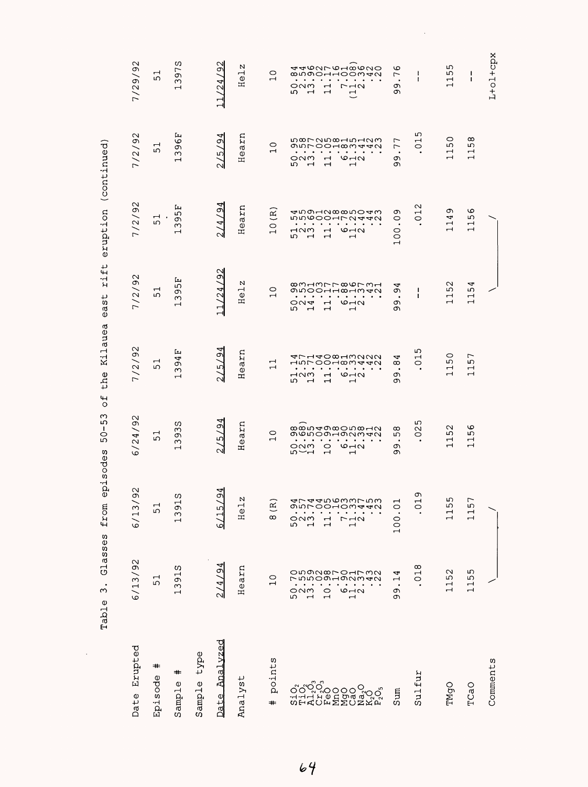|                                                            | $\ddot{\sigma}$<br>5<br>$\bullet$<br>$\infty$<br>Table                                                                                                                     | episode<br>from<br>sses                                                                                                                                                                                                                             | ω<br>ഗ<br>$\mathbf{I}$<br>$\circ$<br>ю,<br>w                                                                                                                                                                 | Kilauea<br>the<br>$\overline{\mathsf{C}}$                                                                                                                                                                                                                                                         | rift<br>$\frac{1}{5}$<br>Θã                                                                                                                                                                    | eruption                                                                                                                                                                                                                                                                                          | (continued)                                                                                                                                                                                   |                                                                                                                                                                           |
|------------------------------------------------------------|----------------------------------------------------------------------------------------------------------------------------------------------------------------------------|-----------------------------------------------------------------------------------------------------------------------------------------------------------------------------------------------------------------------------------------------------|--------------------------------------------------------------------------------------------------------------------------------------------------------------------------------------------------------------|---------------------------------------------------------------------------------------------------------------------------------------------------------------------------------------------------------------------------------------------------------------------------------------------------|------------------------------------------------------------------------------------------------------------------------------------------------------------------------------------------------|---------------------------------------------------------------------------------------------------------------------------------------------------------------------------------------------------------------------------------------------------------------------------------------------------|-----------------------------------------------------------------------------------------------------------------------------------------------------------------------------------------------|---------------------------------------------------------------------------------------------------------------------------------------------------------------------------|
| Erupted<br>Date                                            | 6/13/92                                                                                                                                                                    | $\mathbf{\sim}$<br>Ō<br>6/13                                                                                                                                                                                                                        | 6/24/92                                                                                                                                                                                                      | 7/2/92                                                                                                                                                                                                                                                                                            | 7/2/92                                                                                                                                                                                         | 7/2/92                                                                                                                                                                                                                                                                                            | 7/2/92                                                                                                                                                                                        | 92<br>7/29/                                                                                                                                                               |
| #<br>Episode                                               | $\overline{\phantom{0}}$<br>ю,                                                                                                                                             | $\overline{51}$                                                                                                                                                                                                                                     | $\overline{5}$                                                                                                                                                                                               | 51                                                                                                                                                                                                                                                                                                | $\mathbf{\mathbf{u}}$<br>ഗ                                                                                                                                                                     | $\overline{\phantom{0}}$<br>ഗ                                                                                                                                                                                                                                                                     | $\overline{\phantom{0}}$<br>ഗ                                                                                                                                                                 | $\mathbf{\mathbf{\mathsf{u}}}$<br>ഗ                                                                                                                                       |
| =#<br>$\mathbb O$<br>ampl<br>S                             | w<br>$\overline{5}$<br>$\infty$<br>$\mathbf -$                                                                                                                             | ω<br>ᆏ<br>c<br>$\sim$<br>$\overline{\phantom{0}}$                                                                                                                                                                                                   | w<br>$\infty$<br>ö<br>$\infty$<br>$\overline{\phantom{0}}$                                                                                                                                                   | Ŀц<br>4<br>ω<br>$\infty$<br>$\mathbf{\mathbf{\mathsf{H}}}$                                                                                                                                                                                                                                        | Ŀц<br>LO.<br>Ō<br>$\mathsf{C}$<br>$\overline{ }$                                                                                                                                               | بتأ<br>ഗ<br>c<br>$\sim$<br>$\mathbf{\mathbf{\mathsf{H}}}$                                                                                                                                                                                                                                         | Ŀц<br>قا<br>c<br>ω<br>$\mathbf{\mathbf{\mathsf{\mathsf{H}}}}$                                                                                                                                 | ပာ<br>57.<br>$\infty$<br>$\mathbf{\mathbf{r}}$                                                                                                                            |
| type<br>Sample                                             |                                                                                                                                                                            |                                                                                                                                                                                                                                                     |                                                                                                                                                                                                              |                                                                                                                                                                                                                                                                                                   |                                                                                                                                                                                                |                                                                                                                                                                                                                                                                                                   |                                                                                                                                                                                               |                                                                                                                                                                           |
| <u>Analvzed</u><br>Date                                    | 194                                                                                                                                                                        | $\frac{3}{4}$<br>6/15                                                                                                                                                                                                                               | $\zeta$<br>ഹ<br>$\sim$                                                                                                                                                                                       | ף<br>Ō<br>ഹ്<br>$\sim$                                                                                                                                                                                                                                                                            | $\mathfrak{D}$<br>11/24                                                                                                                                                                        | 14/94<br>$\sim$                                                                                                                                                                                                                                                                                   | 4<br>Ō<br>ru)<br>$\sim$                                                                                                                                                                       | $\overline{92}$<br>/24<br>$\vec{1}$                                                                                                                                       |
| Analyst                                                    | Hearn                                                                                                                                                                      | N<br>Hel                                                                                                                                                                                                                                            | Hearn                                                                                                                                                                                                        | Hearn                                                                                                                                                                                                                                                                                             | N<br>$\vec{\circ}$<br>H                                                                                                                                                                        | Hearn                                                                                                                                                                                                                                                                                             | arn<br>$H\Theta$                                                                                                                                                                              | N<br>Hel                                                                                                                                                                  |
| points<br>$\textcolor{blue}{\textcolor{blue}{\textbf{+}}}$ | 0<br>$\overline{\phantom{0}}$                                                                                                                                              | $\widetilde{\mathbb{E}}$<br>$\infty$                                                                                                                                                                                                                | $\circ$<br>$\overline{\phantom{0}}$                                                                                                                                                                          | ⊣<br>$\overline{\phantom{0}}$                                                                                                                                                                                                                                                                     | $\circ$<br>$\overline{\phantom{0}}$                                                                                                                                                            | $(\mathbb{R})$<br>$\circ$<br>$\overline{\phantom{0}}$                                                                                                                                                                                                                                             | $\circ$<br>$\mathbf{\mathbf{\mathsf{H}}}$                                                                                                                                                     | $\circ$<br>$\overline{\phantom{0}}$                                                                                                                                       |
| ៷៝៹៹៝<br>៷៝៹៸៓៰៝៰៰៰៰៓<br>៝៹៹៹៝៹៓៰៰៰៰៰៓                     | ONON XO-OHNON<br>nnoghannan<br>$\bullet$<br>$\bullet$<br>$\bullet$<br>ONM<br>$\overline{C}$<br>$\frac{6}{2}$<br>ςμ<br>$\overline{\phantom{0}}$<br>$\overline{\phantom{0}}$ | すてすすらのろろてらる<br>0010m440<br>கமா<br>$\bullet$ . $\bullet$<br>$\bullet$<br>$\bullet$<br>$\bullet$<br>$\bullet$<br>$7 - 10$<br>೦೧ಗ<br>$\overline{\phantom{0}}$<br>5<br>$\overline{\phantom{0}}$<br>$\overline{\phantom{0}}$<br>$\overline{\phantom{0}}$ | ®®N40®ON®HN<br>g chong an an an<br>$\bullet$<br>$\bullet$<br>$\bullet$ . $\bullet$<br>$\bullet$<br>$\sigma$ $\sim$<br>n<br>22<br>23<br>$\circ$<br>$\overline{\phantom{0}}$<br>$\mathbf{\mathbf{\mathsf{H}}}$ | AL4400HWUUU<br>1500180440<br>$\bullet$<br>$\bullet$ .<br><br>$\bullet$<br>$\bullet$ . $\bullet$<br>$\mathbf{r}$ , and $\mathbf{r}$ , and $\mathbf{r}$<br>$\neg \land \land$<br>O <sub>1</sub><br>$\mathbf{\mathbf{\mathsf{H}}}$<br>ഗ<br>$\overline{a}$<br>$\mathbf -$<br>$\overline{\phantom{0}}$ | <b>∞MHMLL∞QLWH</b><br>ONOOHHOHM4N<br>.<br>$ON$ $d$<br>$\overline{\phantom{0}}$<br>$\circ$ $\rightarrow$ $\circ$<br>ഗ<br>$\overline{a}$<br>$\overline{\phantom{0}}$<br>$\overline{\phantom{0}}$ | <del>⊲</del> na⊣µ∞∞n⊝⊣w<br>mm6004rN440<br>$\bullet$ .<br><br><br><br><br><br><br><br><br><br><br><br><br>$\bullet$<br>$\blacksquare$<br>$\bullet$ . $\bullet$<br>MOM<br>O <sub>1</sub><br>$\overline{\phantom{0}}$<br>ഗ<br>$\overline{a}$<br>$\overline{\phantom{0}}$<br>$\overline{\phantom{0}}$ | grucooumu440<br>$\sim$ $\sim$<br>$\bullet$<br>ONM<br>$\overline{\phantom{a}}$<br>O <sub>1</sub><br>ഗ<br>$\overline{a}$<br>$\mathbf{\mathbf{\mathbf{\mathsf{H}}}}$<br>$\overline{\phantom{0}}$ | <b>AARUMLAHWONO</b><br>8500HHOOM40<br>ONM<br>$\overline{\phantom{0}}$<br>$r \rightarrow \infty$<br>LO.<br>$\overline{a}$<br>$\overline{\phantom{0}}$<br>$\overline{\cup}$ |
| Sum                                                        | 4<br>H<br>$\bullet$<br>c<br>σ                                                                                                                                              | $\overline{\phantom{a}}$<br>100.0                                                                                                                                                                                                                   | $\infty$<br>ഗ<br>$\bullet$<br>Ō<br>თ                                                                                                                                                                         | 4<br>$\infty$<br>$\bullet$<br>Ō<br>Ō                                                                                                                                                                                                                                                              | 4<br>Ō<br>$\bullet$<br>Ō<br>Ō                                                                                                                                                                  | Ō<br>$\circ$<br>$\bullet$<br>$\circ$<br>$\circ$<br>$\overline{\phantom{0}}$                                                                                                                                                                                                                       | $\overline{ }$<br>$\overline{ }$<br>$\bullet$<br>Ō<br>Ō                                                                                                                                       | G<br>$\overline{r}$<br>$\bullet$<br>Ō<br>Ō                                                                                                                                |
| Sulfur                                                     | 018                                                                                                                                                                        | Ō<br>$\overline{\phantom{0}}$<br>$\circ$<br>$\cdot$                                                                                                                                                                                                 | ഗ<br>$\sim$<br>$\circ$                                                                                                                                                                                       | ഹ<br>$\overline{\phantom{0}}$<br>$\circ$                                                                                                                                                                                                                                                          | ŧ<br>$\mathbf I$                                                                                                                                                                               | $\mathbf{\Omega}$<br>$\overline{\phantom{0}}$<br>$\circ$                                                                                                                                                                                                                                          | ഗ<br>$\overline{\phantom{0}}$<br>$\circ$                                                                                                                                                      | -1<br>$\mathbf{I}$                                                                                                                                                        |
| TMgO                                                       | $\sim$<br>5<br>$\overline{\phantom{0}}$<br>$\rightarrow$                                                                                                                   | w<br>115                                                                                                                                                                                                                                            | $\sim$<br>ഗ<br>$\mathbf{\mathbf{\mathsf{H}}}$<br>$\mathbf -$                                                                                                                                                 | $\circ$<br>ഗ<br>$\overline{\phantom{0}}$<br>$\overline{\phantom{0}}$                                                                                                                                                                                                                              | $\sim$<br>ம<br>$\overline{\phantom{0}}$<br>$\rightarrow$                                                                                                                                       | Ō<br>4<br>$\overline{\phantom{0}}$<br>$\overline{\phantom{0}}$                                                                                                                                                                                                                                    | $\circ$<br>ഗ<br>$\overline{\phantom{0}}$<br>$\overline{\phantom{0}}$                                                                                                                          | ഗ<br>LO,<br>$\mathbf{\mathbf{\mathbf{\mathsf{H}}}}$<br>$\rightarrow$                                                                                                      |
| TCaO                                                       | ഗ<br>Ю<br>$\overline{\phantom{0}}$<br>$\overline{\phantom{0}}$                                                                                                             | 15<br>$\rightarrow$                                                                                                                                                                                                                                 | ဖ<br>ഗ<br>$\overline{\phantom{0}}$<br>$\rightarrow$                                                                                                                                                          | 57<br>$\overline{\phantom{0}}$<br>$\overline{\phantom{0}}$                                                                                                                                                                                                                                        | 4<br>ഗ<br>$\frac{1}{2}$                                                                                                                                                                        | O<br>Ю<br>$\overline{\phantom{0}}$<br>$\overline{\phantom{0}}$                                                                                                                                                                                                                                    | $^{\circ}$<br>ഗ<br>$\overline{\phantom{0}}$<br>$\overline{\phantom{0}}$                                                                                                                       | ı<br>1                                                                                                                                                                    |
| Comments                                                   |                                                                                                                                                                            |                                                                                                                                                                                                                                                     |                                                                                                                                                                                                              |                                                                                                                                                                                                                                                                                                   |                                                                                                                                                                                                |                                                                                                                                                                                                                                                                                                   |                                                                                                                                                                                               | L+ol+cpx                                                                                                                                                                  |

 $\label{eq:2.1} \mathcal{L}(\mathcal{L}^{\text{max}}_{\mathcal{L}}(\mathcal{L}^{\text{max}}_{\mathcal{L}}))\leq \mathcal{L}(\mathcal{L}^{\text{max}}_{\mathcal{L}}(\mathcal{L}^{\text{max}}_{\mathcal{L}}))$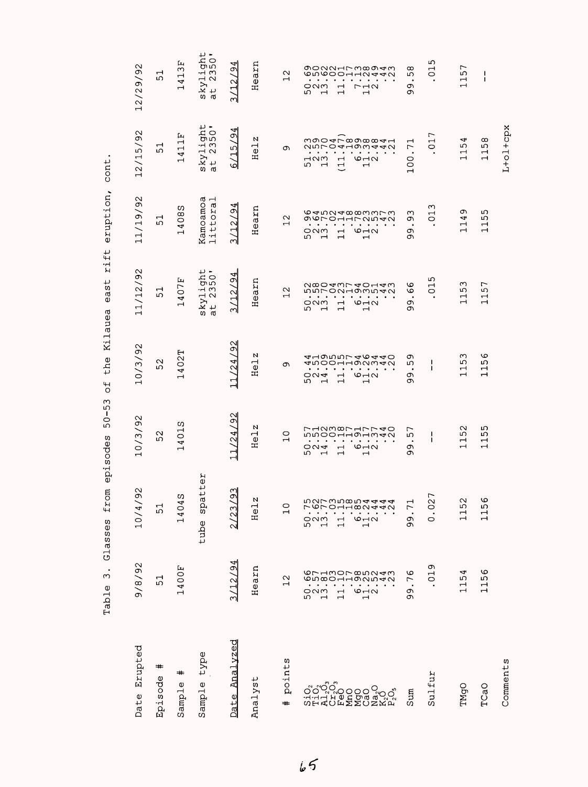Table 3. Glasses from episodes 50-53 of the Kilauea east rift eruption, cont. Table 3. Glasses from episodes 50-53 of the Kilauea east rift eruption, cont.

| Erupted<br>Date          | 9/8/92                                                                                                                                                     | $\sim$<br>10/4/9                                                                                                                                                                     | 10/3/92                                                                                                                                                                                                                                                                        | 10/3/92                                                                                                                                                                                                                                                                                                          | 11/12/92                                                                                                                                                                                                                                                               | 1/19/92<br>$\overline{\phantom{0}}$                                                                                                                                                                                                                                                                                                                                            | /92<br>.2/15/<br>$\mathbf{\mathbf{\mathbf{\mathbf{\mathbf{-}}}}}$                                                                                                                                                                                                                                                          | 12/29/92                                                                                                                                                                                                                                                                                                                                                         |
|--------------------------|------------------------------------------------------------------------------------------------------------------------------------------------------------|--------------------------------------------------------------------------------------------------------------------------------------------------------------------------------------|--------------------------------------------------------------------------------------------------------------------------------------------------------------------------------------------------------------------------------------------------------------------------------|------------------------------------------------------------------------------------------------------------------------------------------------------------------------------------------------------------------------------------------------------------------------------------------------------------------|------------------------------------------------------------------------------------------------------------------------------------------------------------------------------------------------------------------------------------------------------------------------|--------------------------------------------------------------------------------------------------------------------------------------------------------------------------------------------------------------------------------------------------------------------------------------------------------------------------------------------------------------------------------|----------------------------------------------------------------------------------------------------------------------------------------------------------------------------------------------------------------------------------------------------------------------------------------------------------------------------|------------------------------------------------------------------------------------------------------------------------------------------------------------------------------------------------------------------------------------------------------------------------------------------------------------------------------------------------------------------|
| $\,{}^{\ast}$<br>Episode | 51                                                                                                                                                         | 51                                                                                                                                                                                   | $\sim$<br>ഗ                                                                                                                                                                                                                                                                    | $\sim$<br>ഗ                                                                                                                                                                                                                                                                                                      | ᅱ<br>ഥ                                                                                                                                                                                                                                                                 | ᆏ<br>ഗ                                                                                                                                                                                                                                                                                                                                                                         | ᆏ<br>ഗ                                                                                                                                                                                                                                                                                                                     | ᆏ<br>ഗ                                                                                                                                                                                                                                                                                                                                                           |
| #<br>Sample              | 1400F                                                                                                                                                      | 1404S                                                                                                                                                                                | Ω<br>$\overline{\phantom{0}}$<br>$\circ$<br>4<br>Ч                                                                                                                                                                                                                             | е<br>$\mathbf{\sim}$<br>$\circ$<br>4<br>Ч                                                                                                                                                                                                                                                                        | ىتا<br>407)<br>$\overline{\phantom{0}}$                                                                                                                                                                                                                                | ω<br>$^\infty$<br>$\circ$<br>4<br>$\overline{\phantom{0}}$                                                                                                                                                                                                                                                                                                                     | Ŀц<br>$\overline{\phantom{0}}$<br>$\overline{\phantom{0}}$<br>4<br>$\overline{\phantom{0}}$                                                                                                                                                                                                                                | Ŀц<br>ω<br>$\overline{\phantom{0}}$<br>4<br>Н                                                                                                                                                                                                                                                                                                                    |
| type<br>Sample           |                                                                                                                                                            | tter<br>spa<br>tube                                                                                                                                                                  |                                                                                                                                                                                                                                                                                |                                                                                                                                                                                                                                                                                                                  | 301<br>$\frac{\text{skylin}}{\text{at}}$ 23                                                                                                                                                                                                                            | 4<br>$\overline{\phantom{0}}$<br>Kamoamo<br>ittora<br>$\overline{ }$                                                                                                                                                                                                                                                                                                           | ght<br>50'<br>$ky$ <sup>11</sup><br>S)<br>ದ                                                                                                                                                                                                                                                                                | ups:<br>⊶ ෆ<br>$ky1$<br>$t$ 2.<br>w<br>0.                                                                                                                                                                                                                                                                                                                        |
| Analyzed<br>Date         | 12/94                                                                                                                                                      | $\mathfrak{A}$<br>/2                                                                                                                                                                 | $\approx$<br>1/24<br>ᅱ                                                                                                                                                                                                                                                         | $\Im$<br>1/24<br>ᆐ                                                                                                                                                                                                                                                                                               | 4<br>σ<br>22<br>നി                                                                                                                                                                                                                                                     | d<br>σ<br>$\sim$<br>Ē<br>M                                                                                                                                                                                                                                                                                                                                                     | ₩<br>$\sigma$<br>ഗ<br>٣<br>৩                                                                                                                                                                                                                                                                                               | 4<br>Ō<br>12<br>ന∣                                                                                                                                                                                                                                                                                                                                               |
| Analyst                  | Hearn                                                                                                                                                      | Helz                                                                                                                                                                                 | N<br>$\vec{e}$<br>Ξ                                                                                                                                                                                                                                                            | N<br>ΓΘ<br>Ξ                                                                                                                                                                                                                                                                                                     | Hearn                                                                                                                                                                                                                                                                  | earn<br>노                                                                                                                                                                                                                                                                                                                                                                      | N<br>ΓĐ<br>Ξ                                                                                                                                                                                                                                                                                                               | Hearn                                                                                                                                                                                                                                                                                                                                                            |
| points<br>#              | $\frac{2}{1}$                                                                                                                                              | $\overline{C}$                                                                                                                                                                       | $\circ$<br>$\overline{\phantom{0}}$                                                                                                                                                                                                                                            | Ō                                                                                                                                                                                                                                                                                                                | $\mathbf{\Omega}$<br>$\overline{\phantom{0}}$                                                                                                                                                                                                                          | $\sim$<br>$\overline{\phantom{0}}$                                                                                                                                                                                                                                                                                                                                             | Ō                                                                                                                                                                                                                                                                                                                          | $\sim$<br>$\overline{\phantom{0}}$                                                                                                                                                                                                                                                                                                                               |
|                          | GL4WOLQUU4W<br><b>GNQOHHONN40</b><br>೦೧ಗ<br>ທ⊣໙<br>$\overline{\phantom{0}}$<br>ഗ<br>$\overline{\phantom{0}}$<br>$\overline{\phantom{0}}$<br>$\blacksquare$ | narmnonaaa<br><b>GLOHHOO440</b><br>$\circ$ $\dashv$<br>೦೧ಗ<br>$\mathbf{\mathbf{\mathsf{\mathsf{H}}}}$<br>ω<br>$\overline{\phantom{0}}$<br>$\overline{\phantom{0}}$<br>$\blacksquare$ | フ1238717740<br>nnoo-<br>$\bullet$ . $\bullet$<br>$\bullet$<br>$\bullet$<br>$\bullet$<br>$\bullet$<br>$\bullet$<br>$\bullet$<br>$\bullet$<br>$\bullet$<br>٠<br>$\circ$ $\rightarrow$<br>ついす<br>$\overline{\phantom{0}}$<br>ഗ<br>$\overline{\phantom{0}}$<br>ᆏ<br>$\blacksquare$ | す1955746440<br>45001100140<br>$\bullet$ . $\bullet$<br>$\bullet \quad \bullet \quad \bullet \quad \bullet \quad \bullet \quad \bullet$<br>$\bullet$<br>$\bullet$<br>$\bullet$<br>ON4<br>$\circ$ $\neg$<br>$\mathbf{\mathbf{\mathsf{H}}}$<br>ഹ<br>$\overline{\phantom{0}}$<br>ᆏ<br>$\mathbf{\mathbf{\mathsf{H}}}$ | N∞O 4Mr 4014M<br>nnron⊣omnan<br>$\cdots$<br>$\bullet$<br>$\bullet$<br>$\bullet$<br>$\bullet$<br>$\bullet$<br>٠<br>೦೧ಗ<br>$\overline{\phantom{a}}$<br>$\circ$ $\rightarrow$ $\circ$<br>ഗ<br>$\overline{ }$<br>$\mathbf{\mathbf{\mathbf{\mathsf{-}}}}$<br>$\blacksquare$ | wamawaman w<br>g quan da quan<br>$\bullet$<br>$\bullet$<br>$\bullet$<br>$\bullet$<br>$\begin{array}{cccccccccccccc} \bullet & \bullet & \bullet & \bullet & \bullet & \bullet & \bullet \end{array}$<br>$\bullet$<br>٠<br>$\circ$ $\rightarrow$ $\circ$<br>೦೧<br>$\overline{\phantom{0}}$<br>ഗ<br>$\overline{ }$<br>$\mathbf{\mathbf{\mathsf{H}}}$<br>$\overline{\phantom{0}}$ | mgoarggaaa+<br><b>QULO4100440</b><br>$\bullet$<br>$\bullet$<br>$\bullet$<br>$\bullet$ .<br><br><br><br><br><br><br><br><br><br><br><br><br><br><br>$\bullet$<br>$\bullet$<br>٠<br>M<br>$\circ$ $\neg$<br>$\overline{\phantom{0}}$<br>ഹ<br>$\overline{\phantom{0}}$<br>$\overline{\phantom{0}}$<br>$\overline{\phantom{0}}$ | gouaurwoodw<br><b>しいしつつしょうしょう</b><br>$\bullet$<br>$\begin{array}{cccccccccccccc} \bullet & \bullet & \bullet & \bullet & \bullet & \bullet \end{array}$<br>$\bullet$<br>$\bullet$<br>٠<br>$\bullet$<br>$\bullet$<br>೦೧<br>$\overline{\phantom{0}}$<br>$\Gamma \rightarrow \infty$<br>ഗ<br>$\overline{ }$<br>$\overline{\phantom{0}}$<br>$\overline{\phantom{a}}$ |
| Sum                      | ဖ<br>∼<br>$\bullet$<br>σ<br>σ                                                                                                                              | $\overline{.71}$<br>თ<br>თ                                                                                                                                                           | 冖<br>ഗ<br>$\bullet$<br>თ<br>ᡡ                                                                                                                                                                                                                                                  | Ō<br>ഗ<br>$\bullet$<br>σ<br>თ                                                                                                                                                                                                                                                                                    | ဖ<br>$\mathbf \circ$<br>$\bullet$<br>Ō<br>თ                                                                                                                                                                                                                            | ო<br>ᡡ<br>$\bullet$<br>Ō<br>თ                                                                                                                                                                                                                                                                                                                                                  | ᆏ<br>$\overline{ }$<br>$\bullet$<br>100                                                                                                                                                                                                                                                                                    | $\infty$<br>Ю<br>$\bullet$<br>Ō<br>Ō                                                                                                                                                                                                                                                                                                                             |
| Sulfur                   | Ō<br>$\overline{C}$                                                                                                                                        | $\overline{ }$<br>0.02                                                                                                                                                               | 1<br>1                                                                                                                                                                                                                                                                         | ı<br>1                                                                                                                                                                                                                                                                                                           | Ю<br>$\overline{\phantom{0}}$<br>$\circ$                                                                                                                                                                                                                               | S<br>$\overline{\phantom{0}}$<br>$\circ$<br>٠                                                                                                                                                                                                                                                                                                                                  | $\overline{ }$<br>$\frac{1}{\sqrt{2}}$                                                                                                                                                                                                                                                                                     | ഗ<br>$\mathbf{\mathbf{\mathsf{H}}}$<br>$\circ$<br>٠                                                                                                                                                                                                                                                                                                              |
| TMgO                     | ◅<br>ഗ<br>ų                                                                                                                                                | 1152                                                                                                                                                                                 | $\sim$<br>5<br>$\mathbf{\mathbf{\mathsf{H}}}$<br>$\overline{\phantom{0}}$                                                                                                                                                                                                      | S<br>5<br>$\overline{\phantom{0}}$<br>$\overline{\phantom{0}}$                                                                                                                                                                                                                                                   | ო<br>ω<br>ᆏ<br>$\blacksquare$                                                                                                                                                                                                                                          | Ō<br>↤<br>ᆏ<br>$\mathbf{\mathbf{\mathsf{\mathsf{H}}}}$                                                                                                                                                                                                                                                                                                                         | 4<br>Б<br>$\overline{\phantom{0}}$                                                                                                                                                                                                                                                                                         | $\overline{ }$<br>ഗ<br>$\overline{\phantom{0}}$<br>$\mathbf{\mathbf{\mathbf{\mathbf{\mathsf{H}}}}}$                                                                                                                                                                                                                                                              |
| TCaO                     | ဖ<br>Ю<br>$\frac{1}{11}$                                                                                                                                   | 1156                                                                                                                                                                                 | ഗ<br>ഗ<br>$\mathbf{\mathbf{\mathsf{\mathsf{H}}}}$<br>$\mathbf{\mathbf{\mathsf{H}}}$                                                                                                                                                                                            | $\circ$<br>ιΩ<br>Н<br>Н                                                                                                                                                                                                                                                                                          | $\overline{ }$<br>5<br>$\overline{\phantom{0}}$<br>$\overline{\phantom{0}}$                                                                                                                                                                                            | ഥ<br>ι∩<br>$\overline{\phantom{0}}$<br>$\mathbf{\mathbf{\mathsf{H}}}$                                                                                                                                                                                                                                                                                                          | $^\infty$<br>ഗ<br>$\overline{\phantom{0}}$<br>$\mathbf{\mathbf{\mathsf{-1}}}$                                                                                                                                                                                                                                              | I<br>ı                                                                                                                                                                                                                                                                                                                                                           |
| Comments                 |                                                                                                                                                            |                                                                                                                                                                                      |                                                                                                                                                                                                                                                                                |                                                                                                                                                                                                                                                                                                                  |                                                                                                                                                                                                                                                                        |                                                                                                                                                                                                                                                                                                                                                                                | $L + o1 + cpx$                                                                                                                                                                                                                                                                                                             |                                                                                                                                                                                                                                                                                                                                                                  |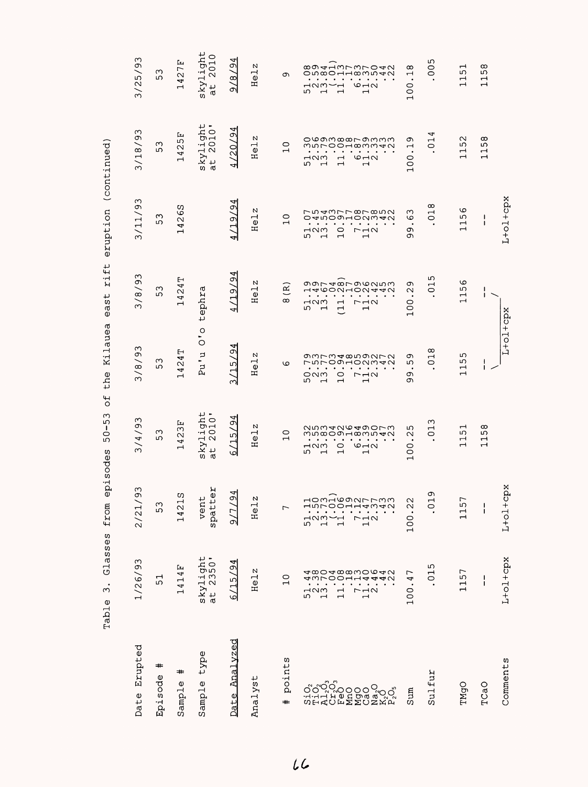| Erupted<br>Date         | 1/26/93                                                                                             | 93<br>2/21                                                                               | 3/4/93                                                                                                                                                                                                         | 3/8/93                                                                                                                                                                                        | 3/8/93                                                                                                                                                                                                                                                   | 3/11/93                                                                                                                                                                                      | 3/18/93                                                                                                                                              | 3/25/93                                                                                                                                                                                        |
|-------------------------|-----------------------------------------------------------------------------------------------------|------------------------------------------------------------------------------------------|----------------------------------------------------------------------------------------------------------------------------------------------------------------------------------------------------------------|-----------------------------------------------------------------------------------------------------------------------------------------------------------------------------------------------|----------------------------------------------------------------------------------------------------------------------------------------------------------------------------------------------------------------------------------------------------------|----------------------------------------------------------------------------------------------------------------------------------------------------------------------------------------------|------------------------------------------------------------------------------------------------------------------------------------------------------|------------------------------------------------------------------------------------------------------------------------------------------------------------------------------------------------|
| #<br>Episode            | 51                                                                                                  | 53                                                                                       | ω<br>5                                                                                                                                                                                                         | 53                                                                                                                                                                                            | 53                                                                                                                                                                                                                                                       | ς<br>ഗ                                                                                                                                                                                       | ω<br>5                                                                                                                                               | 53                                                                                                                                                                                             |
| ≠<br>Sample             | 1414F                                                                                               | ω<br>1421                                                                                | بعآ<br>4231<br>$\mathbf{\mathbf{\mathsf{H}}}$                                                                                                                                                                  | 1424T                                                                                                                                                                                         | 424T<br>$\overline{\phantom{0}}$                                                                                                                                                                                                                         | S9<br>42<br>$\mathbf{\mathbf{t}}$                                                                                                                                                            | بتآ<br>4251<br>$\mathord{\dashrightarrow}$                                                                                                           | 1427F                                                                                                                                                                                          |
| type<br>Sample          | skylight<br>at 2350'                                                                                | άP<br>vent<br>spatto                                                                     | skylight<br>at 2010'                                                                                                                                                                                           | $\frac{1}{2}$<br>Pu'u                                                                                                                                                                         | tephra                                                                                                                                                                                                                                                   |                                                                                                                                                                                              | skylight<br>at 2010'                                                                                                                                 | skylight<br>2010<br>$\vec{a}$                                                                                                                                                                  |
| <u>Analyzed</u><br>Date | /94<br>$\frac{5}{1}$<br>ھا                                                                          | $\frac{94}{3}$<br>$\sqrt{7}$<br>$\sim$                                                   | Ó<br>(15)<br>ہ                                                                                                                                                                                                 | 3/15/9                                                                                                                                                                                        | ⊸<br>(19/9)                                                                                                                                                                                                                                              | 19/94<br>4                                                                                                                                                                                   | /94<br>120<br>◅                                                                                                                                      | 18/94<br>ച                                                                                                                                                                                     |
| Analyst                 | Helz                                                                                                | и<br>He <sub>1</sub>                                                                     | N<br>Hel:                                                                                                                                                                                                      | Helz                                                                                                                                                                                          | Helz                                                                                                                                                                                                                                                     | Helz                                                                                                                                                                                         | Helz                                                                                                                                                 | Helz                                                                                                                                                                                           |
| points<br>$\ddot{}$     | $\overline{C}$                                                                                      |                                                                                          | 0<br>$\overline{\phantom{0}}$                                                                                                                                                                                  | G                                                                                                                                                                                             | $\overline{\mathbf{R}}$<br>$^\infty$                                                                                                                                                                                                                     | $\overline{C}$                                                                                                                                                                               | $\overline{C}$                                                                                                                                       | c                                                                                                                                                                                              |
|                         | 4 ∞0 4 ∞∞w0 ∞ 4 V<br>すうてのの1<br>エユムムク<br>52<br>52<br>13<br>$\frac{1}{2}$<br>$\overline{\phantom{0}}$ | mAGONLLWW<br>$\frac{1}{5}$<br>$\frac{2}{1}$<br>$\overline{11}$<br>$\frac{1}{1}$ $\alpha$ | N n m 4 N v 4 9 0 L w<br>mn∞oonamn40<br>$\bullet$<br>$\bullet$<br>$\bullet$<br>$\circ$<br>$\circ$ $\rightarrow$<br>⊣ഢ<br>5<br>$\overline{\phantom{0}}$<br>$\overline{\phantom{0}}$<br>$\overline{\phantom{0}}$ | gwrw4∞ngara<br>しちてのことのとうしろ<br>$\bullet$<br>٠<br>$\bullet$<br>$\bullet$<br>$\circ$<br>೦೧<br>しコク<br>ഗ<br>$\overline{\phantom{0}}$<br>$\mathbf{\mathbf{\mathsf{r}}}$<br>$\overline{\phantom{0}}$ | goramronouw<br>HAROONHOU44U<br>$\bullet$<br>$\bullet$<br>$\bullet$<br>$\bullet$<br>$\bullet$<br>⊣വന<br>$\Gamma$ $\rightarrow$ $\sim$<br>$\overline{\phantom{0}}$<br>$\overline{\mathbb{C}}$<br>ഗ<br>$\overline{\phantom{0}}$<br>$\overline{\phantom{0}}$ | rnawrroronn<br>04000HONW40<br>$\bullet$<br>M <sub>0</sub><br>$\circ$<br>$\Gamma \rightarrow \infty$<br>5<br>$\overline{\phantom{0}}$<br>$\overline{\phantom{0}}$<br>$\overline{\phantom{0}}$ | ovamœœrammm<br>mnroodwwwd<br>$\circ$ $\rightarrow$ $\circ$<br>52<br>5<br>1<br>$\overline{\phantom{0}}$<br>$\overline{\phantom{0}}$<br>$\blacksquare$ | 8941mrmro40<br>on∞o⊣⊣∞wn40<br>$\bullet$<br>$\bullet$<br>$\bullet$<br>$\circ$ $\rightarrow$ $\circ$<br>പവന-<br>∽⊣<br>5<br>$\rightarrow$<br>$\overline{\phantom{0}}$<br>$\overline{\phantom{0}}$ |
| Sum                     | 100.47                                                                                              | 100.22                                                                                   | ഗ<br>$\sim$<br>100.2                                                                                                                                                                                           | Ō<br>ഗ<br>٠<br>c<br>σ                                                                                                                                                                         | σ<br>$\sim$<br>$\cdot$<br>100                                                                                                                                                                                                                            | ო<br>ف<br>$\cdot$<br>c<br>ᡡ                                                                                                                                                                  | σ<br>$\overline{\phantom{0}}$<br>100.                                                                                                                | $\infty$<br>$\overline{\phantom{0}}$<br>100.                                                                                                                                                   |
| Sulfur                  | .015                                                                                                | c<br>Ξ.                                                                                  | 013                                                                                                                                                                                                            | 018                                                                                                                                                                                           | 015                                                                                                                                                                                                                                                      | $\infty$<br>$\overline{C}$                                                                                                                                                                   | ↵<br>$\overline{C}$                                                                                                                                  | 005                                                                                                                                                                                            |
| TMgO                    | 1157                                                                                                | 1157                                                                                     | <b>151</b><br>$\rightarrow$                                                                                                                                                                                    | 5<br>$-15$<br>$\overline{\phantom{0}}$                                                                                                                                                        | $\circ$<br>115(                                                                                                                                                                                                                                          | $\circ$<br>ഗ<br>$\overline{\phantom{0}}$<br>$\overline{\phantom{0}}$                                                                                                                         | 52<br>$\overline{\phantom{0}}$<br>$\overline{\phantom{0}}$                                                                                           | 51<br>$\overline{\phantom{0}}$<br>$\overline{\phantom{0}}$                                                                                                                                     |
| TCaO                    | I<br>ı                                                                                              | $\frac{1}{1}$                                                                            | .158<br>$\overline{\phantom{0}}$                                                                                                                                                                               | $\mathbf{I}$<br>L                                                                                                                                                                             | ı<br>ı                                                                                                                                                                                                                                                   | I<br>T                                                                                                                                                                                       | $\infty$<br>ഗ<br>H<br>$\overline{\phantom{0}}$                                                                                                       | $\infty$<br>ഗ<br>$\overline{\phantom{0}}$<br>$\overline{\phantom{0}}$                                                                                                                          |
| Comments                | $L+o1+cpx$                                                                                          | $L+o1+cpx$                                                                               |                                                                                                                                                                                                                | $L+oL+cpx$                                                                                                                                                                                    |                                                                                                                                                                                                                                                          | $L+oL+cpx$                                                                                                                                                                                   |                                                                                                                                                      |                                                                                                                                                                                                |

Table 3. Glasses from episodes 50-53 of the Kilauea east rift eruption (continued) Table 3. Glasses from episodes 50-53 of the Kilauea east rift eruption (continued)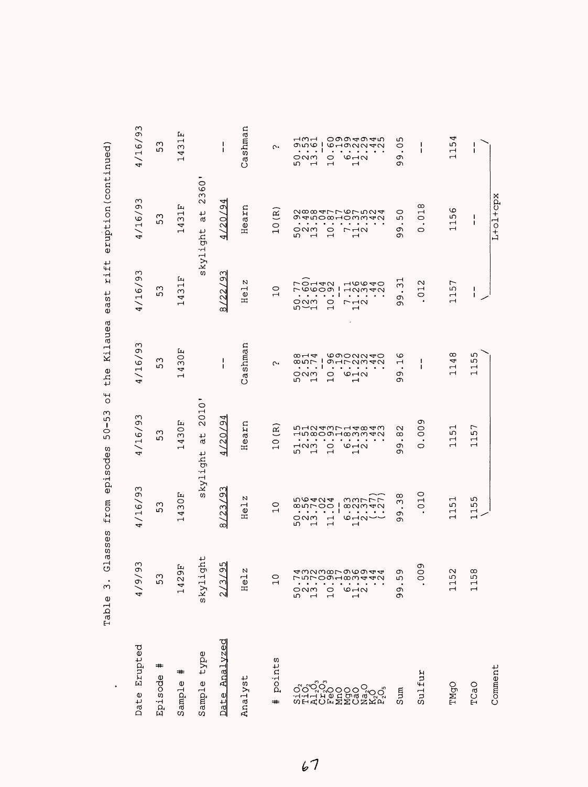|                                                                                                          | のりつけい<br>า<br>1dJ15                                                                                                                                                                                          | TIME Entrones                                                                                                                                                                                                                                                                                                                                                                                                                                                                                                                                 | $\vec{c}$<br>ここっ                                                                                                                                                                                                                                                                                                                                                                                                                                                                                                                                     | LIIE NIIdued                                                                                                                                                                                                                                                                                                                                                                                                                                                                                                                                                                                                     | $-1 - 1$<br>しのひ                                                                                                                                                                                                                                                                                                                                                                                                                                                                            | ernbernschiftlichen                                                                                                                                                                                                                                                                                                                                                                                                                            |                                                                                                                                                                                                                                                                                                                                     |
|----------------------------------------------------------------------------------------------------------|--------------------------------------------------------------------------------------------------------------------------------------------------------------------------------------------------------------|-----------------------------------------------------------------------------------------------------------------------------------------------------------------------------------------------------------------------------------------------------------------------------------------------------------------------------------------------------------------------------------------------------------------------------------------------------------------------------------------------------------------------------------------------|------------------------------------------------------------------------------------------------------------------------------------------------------------------------------------------------------------------------------------------------------------------------------------------------------------------------------------------------------------------------------------------------------------------------------------------------------------------------------------------------------------------------------------------------------|------------------------------------------------------------------------------------------------------------------------------------------------------------------------------------------------------------------------------------------------------------------------------------------------------------------------------------------------------------------------------------------------------------------------------------------------------------------------------------------------------------------------------------------------------------------------------------------------------------------|--------------------------------------------------------------------------------------------------------------------------------------------------------------------------------------------------------------------------------------------------------------------------------------------------------------------------------------------------------------------------------------------------------------------------------------------------------------------------------------------|------------------------------------------------------------------------------------------------------------------------------------------------------------------------------------------------------------------------------------------------------------------------------------------------------------------------------------------------------------------------------------------------------------------------------------------------|-------------------------------------------------------------------------------------------------------------------------------------------------------------------------------------------------------------------------------------------------------------------------------------------------------------------------------------|
| Erupted<br>Date                                                                                          | 93<br>(6/6)                                                                                                                                                                                                  | 4/16/93                                                                                                                                                                                                                                                                                                                                                                                                                                                                                                                                       | 4/16/93                                                                                                                                                                                                                                                                                                                                                                                                                                                                                                                                              | 4/16/93                                                                                                                                                                                                                                                                                                                                                                                                                                                                                                                                                                                                          | 4/16/93                                                                                                                                                                                                                                                                                                                                                                                                                                                                                    | 4/16/93                                                                                                                                                                                                                                                                                                                                                                                                                                        | 4/16/93                                                                                                                                                                                                                                                                                                                             |
| #<br>Episode                                                                                             | $\infty$<br>ما                                                                                                                                                                                               | S<br>ഗ                                                                                                                                                                                                                                                                                                                                                                                                                                                                                                                                        | $\sim$<br>ഗ                                                                                                                                                                                                                                                                                                                                                                                                                                                                                                                                          | $\sim$<br>ഗ                                                                                                                                                                                                                                                                                                                                                                                                                                                                                                                                                                                                      | ω<br>5                                                                                                                                                                                                                                                                                                                                                                                                                                                                                     | $\sim$<br>ഗ                                                                                                                                                                                                                                                                                                                                                                                                                                    | $\sim$<br>ഗ                                                                                                                                                                                                                                                                                                                         |
| #<br>Sample                                                                                              | Ŀц<br>$\sigma$<br>42<br>$\overline{\phantom{0}}$                                                                                                                                                             | Ŀц<br>$\circ$<br>$\infty$<br>4<br>$\overline{\phantom{0}}$                                                                                                                                                                                                                                                                                                                                                                                                                                                                                    | Fт<br>$\circ$<br>$\infty$<br>4<br>$\overline{\phantom{0}}$                                                                                                                                                                                                                                                                                                                                                                                                                                                                                           | Ŀц<br>$\circ$<br>ω<br>4<br>ᆏ                                                                                                                                                                                                                                                                                                                                                                                                                                                                                                                                                                                     | بعبا<br>$\overline{\phantom{0}}$<br>ω<br>4<br>ᆏ                                                                                                                                                                                                                                                                                                                                                                                                                                            | Ŀц<br>$\frac{1}{3}$<br>4<br>$\overline{\phantom{0}}$                                                                                                                                                                                                                                                                                                                                                                                           | Ŀ<br>$\overline{\phantom{0}}$<br>ω<br>4<br>$\mathbf{\mathbf{\mathsf{H}}}$                                                                                                                                                                                                                                                           |
| type<br>Sample                                                                                           | ght<br>sky1                                                                                                                                                                                                  | skylight                                                                                                                                                                                                                                                                                                                                                                                                                                                                                                                                      | 2010'<br>$\frac{1}{d}$                                                                                                                                                                                                                                                                                                                                                                                                                                                                                                                               |                                                                                                                                                                                                                                                                                                                                                                                                                                                                                                                                                                                                                  |                                                                                                                                                                                                                                                                                                                                                                                                                                                                                            | 360<br>$\mathbf{\Omega}$<br>ب<br>൯<br>skylight                                                                                                                                                                                                                                                                                                                                                                                                 | ۰                                                                                                                                                                                                                                                                                                                                   |
| Analyzed<br>Date                                                                                         | ഗ്വ<br>ञ<br>ო                                                                                                                                                                                                | Μ<br>8/23/9                                                                                                                                                                                                                                                                                                                                                                                                                                                                                                                                   | 4/20/94                                                                                                                                                                                                                                                                                                                                                                                                                                                                                                                                              | ı<br>I.                                                                                                                                                                                                                                                                                                                                                                                                                                                                                                                                                                                                          | C<br>8/22/9                                                                                                                                                                                                                                                                                                                                                                                                                                                                                | 4/20/94                                                                                                                                                                                                                                                                                                                                                                                                                                        | $\mathbf{I}$                                                                                                                                                                                                                                                                                                                        |
| Analyst                                                                                                  | N<br>⊣<br>$\frac{1}{2}$                                                                                                                                                                                      | N<br>Hel                                                                                                                                                                                                                                                                                                                                                                                                                                                                                                                                      | Hearn                                                                                                                                                                                                                                                                                                                                                                                                                                                                                                                                                | Cashman                                                                                                                                                                                                                                                                                                                                                                                                                                                                                                                                                                                                          | N<br>$\vec{e}$<br>$\mathbf{\Xi}$                                                                                                                                                                                                                                                                                                                                                                                                                                                           | Hearn                                                                                                                                                                                                                                                                                                                                                                                                                                          | Cashman                                                                                                                                                                                                                                                                                                                             |
| points<br>#                                                                                              | $\overline{ }$                                                                                                                                                                                               | $\circ$<br>$\overline{\phantom{0}}$                                                                                                                                                                                                                                                                                                                                                                                                                                                                                                           | $\widetilde{\epsilon}$<br>$\overline{a}$                                                                                                                                                                                                                                                                                                                                                                                                                                                                                                             | $\mathfrak{c}$                                                                                                                                                                                                                                                                                                                                                                                                                                                                                                                                                                                                   | $\overline{C}$                                                                                                                                                                                                                                                                                                                                                                                                                                                                             | $\widetilde{\Xi}$<br>$\overline{C}$                                                                                                                                                                                                                                                                                                                                                                                                            | $\sim$                                                                                                                                                                                                                                                                                                                              |
| Comment<br>Sulfur<br>៷៝៲៷៝៸៓៰៓៰៰៓៰៓៰៓<br>៷៝៲៓៰៓៰៓៰៰៓៰៓៰៓៰៓<br>៰៹៓៰៓៰៓៓៓៰៓៰៓៰៓៓៓៓៓<br>TMgO<br>TCaO<br>Sum | σ<br>awaworonoaa<br>$\sim$<br>$^{\circ}$<br>$\circ$<br>Ō<br>ഗ<br>ц,<br>115<br>$\Box$<br>$\circ$ $\neg$ $\circ$<br>೦೧<br>$\circ$<br>σ<br>c<br>ഗ<br>$\overline{\phantom{0}}$<br>$\overline{ }$<br>$\mathbf{H}$ | 0<br>$\infty$<br>155<br>うら424<br>$\overline{\phantom{0}}$<br>ううててて<br>$\mathbf{\mathbf{\mathsf{H}}}$<br>Μ<br>ഗ<br>0.0000<br>$\infty$ $\sim$ $\sim$<br>$\circ$<br>$\blacksquare$<br>$\bullet$ . $\bullet$<br>$\overline{\phantom{0}}$<br>$\ddotsc$<br>٠<br>$\bullet$<br>$\cdots$<br>$\bullet$<br>თ<br>$\overline{\phantom{0}}$<br>ONM<br>$\overline{\phantom{0}}$<br>$\overline{\phantom{0}}$<br>$\circ$ un $\sim$<br>თ<br>ഗ<br>$\mathbf{\mathbf{\mathbf{\mathsf{H}}}}$<br>$\mathbf{\mathbf{\mathbf{\mathsf{H}}}}$<br>$\overline{\phantom{0}}$ | c<br>$\overline{0}$<br>57<br>$\overline{\phantom{0}}$<br>ndaanrdaaa<br>$\mathbf{\sim}$<br>ഗ<br>Hn∞OのH∞MM4N<br>$\infty$<br>$\overline{\phantom{0}}$<br>$\overline{\phantom{0}}$<br>$\bullet$<br>$\bullet$ . $\bullet$<br>$\cdots$ .<br><br><br><br><br><br>$\bullet$<br>٠<br>$\overline{\phantom{0}}$<br>$\mathbf{\mathbf{r}}$<br>$-10w$<br>$\circ$<br>$\circ$ $\neg$ $\circ$<br>$\circ$<br>თ<br>ഗ<br>$\overline{\phantom{0}}$<br>თ<br>$\mathbf{\mathbf{\mathbf{\mathsf{H}}}}$<br>$\mathbf{\mathbf{\mathbf{\mathbf{\mathbf{\mathbf{\mathbf{-1}}}}}}}$ | $\infty$<br>ഗ<br><b>COONNAO</b><br>$\infty$ $\rightarrow$ $\infty$<br>G<br>ص<br>4<br>$0.000 - 1$<br>1<br>9120940<br>$\overline{ }$<br>п<br>$\overline{\phantom{0}}$<br>$\overline{\phantom{0}}$<br>$\cdot$ $\cdot$ 1<br>$\bullet$<br>$\cdot$ $\cdot$ $\cdot$<br>$\cdot$<br>$\ddot{\phantom{1}}$<br>$\bullet$<br>$\mathbf{\mathbf{\mathbf{\mathsf{-}}}}$<br>$\mathbf{\mathbf{\mathbf{\mathbf{\mathbf{\mathbf{\mathsf{H}}}}}}}$<br>ONM<br>$6 - 2$<br>Ō<br>0<br>Ō<br>ഗ<br>$\mathbf{\mathbf{\mathbf{\mathsf{H}}}}$<br>$\overline{\phantom{0}}$<br>$\mathbf{\mathbf{\mathbf{\mathbf{\mathbf{\mathbf{\mathsf{H}}}}}}}$ | $\overline{31}$<br>$\overline{ }$<br>ての142<br>$\overline{u}$<br>$\scriptstyle\sim$<br>مآ<br>$\mathbf{\mathbf{\mathbf{\mathsf{H}}}}$<br>$\mathbf{I}$<br>rooon<br>12342<br>ш<br>$\bullet$<br>0<br>$\overline{\phantom{0}}$<br>$\mathbf{I}$<br>$\ddotsc$<br>$\bullet$ . $\bullet$<br>٠<br>$\bullet$<br>$\bullet$<br>c<br>$\blacksquare$<br>೦೧<br>$\circ$<br>$7 - 10$<br>თ<br>$n$ $\sim$ $-$<br>$\overline{\phantom{0}}$<br>$\mathbf{\mathbf{\mathbf{\mathbf{\mathbf{\mathbf{\mathbf{-}}}}}}}$ | $L+oL+cpx$<br>$\infty$<br>O<br>N∞∞ 4rr 6r n M4<br>0<br>$\mathbf{\mathbf{\mathsf{H}}}$<br>ما<br>ı<br>g4n0∞H0ww40<br>$\circ$<br>ഗ<br>$\overline{\phantom{0}}$<br>$\mathbf{I}$<br>$\bullet$<br>$\bullet$<br>$\bullet$<br>٠<br>$\mathbf{\mathbf{\mathbf{\mathsf{H}}}}$<br>೦೧<br>$\circ$<br>σ<br>$r \rightarrow \infty$<br>$\circ$<br>ഗ<br>Ō<br>$\mathbf{\mathbf{\mathbf{\mathbf{\mathbf{\mathbf{\mathbf{-}}}}}}}$<br>ᆏ<br>$\overline{\phantom{0}}$ | 4<br>⊣ന⊣<br>oののすのす <i>v</i> o<br>ഗ<br>ഹ<br>J<br>ا ھەمە<br>ı<br><b>GHONNAN</b><br>$\circ$<br>$\blacksquare$<br>$\mathbf{I}$<br>1<br>$\sim$ 1<br>$\bullet$<br>$\bullet$<br>$\cdots$<br>$\overline{\phantom{0}}$<br>೦೧<br>$\circ$ $\sim$<br>თ<br>0<br>ഗ<br>$\overline{ }$<br>$\overline{\phantom{0}}$<br>$\overline{\phantom{0}}$<br>თ |
|                                                                                                          |                                                                                                                                                                                                              |                                                                                                                                                                                                                                                                                                                                                                                                                                                                                                                                               |                                                                                                                                                                                                                                                                                                                                                                                                                                                                                                                                                      |                                                                                                                                                                                                                                                                                                                                                                                                                                                                                                                                                                                                                  |                                                                                                                                                                                                                                                                                                                                                                                                                                                                                            |                                                                                                                                                                                                                                                                                                                                                                                                                                                |                                                                                                                                                                                                                                                                                                                                     |

Glasses from episodes 50-53 of the Kilauea east rift eruption (continued) Table 3. Glasses from episodes 50-53 of the Kilauea east rift eruption(continued) Table 3.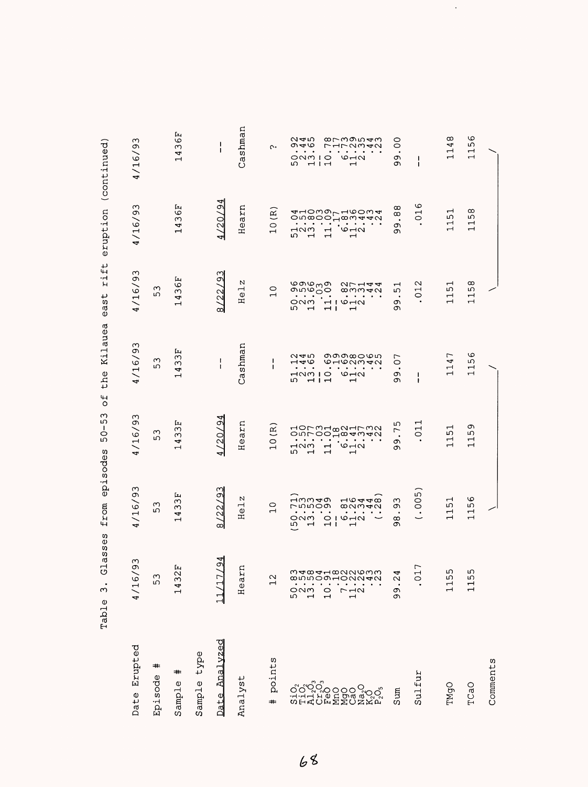|                | Glas<br>٠<br>ω<br>Table                                        | episodes<br>from<br>sses                                                                                                                              | $\circ$<br>ო<br>5<br>$\frac{1}{\circ}$<br>5                                                                                                                                        | Kilauea<br>the<br>$\overline{+}$                                                                                                            | rift<br>east                                                                                                                                                                                   | eruption                                                                                                                                                                                                           | (continued)                                                                                                                            |
|----------------|----------------------------------------------------------------|-------------------------------------------------------------------------------------------------------------------------------------------------------|------------------------------------------------------------------------------------------------------------------------------------------------------------------------------------|---------------------------------------------------------------------------------------------------------------------------------------------|------------------------------------------------------------------------------------------------------------------------------------------------------------------------------------------------|--------------------------------------------------------------------------------------------------------------------------------------------------------------------------------------------------------------------|----------------------------------------------------------------------------------------------------------------------------------------|
| Date Erupted   | ω<br>Ō<br>4/16                                                 | 4/16/93                                                                                                                                               | 4/16/93                                                                                                                                                                            | 4/16/93                                                                                                                                     | 4/16/93                                                                                                                                                                                        | 4/16/93                                                                                                                                                                                                            | 4/16/93                                                                                                                                |
| ≠<br>Episode   | 53                                                             | ო<br>ഗ                                                                                                                                                | ო<br>ഗ                                                                                                                                                                             | S<br>ഹ                                                                                                                                      | ო<br>ഗ                                                                                                                                                                                         |                                                                                                                                                                                                                    |                                                                                                                                        |
| ⋕<br>Sample    | Ŀц<br>$\mathcal{L}$<br>143                                     | Ŀц<br>ω<br>ω<br>Þ<br>$\overline{\phantom{0}}$                                                                                                         | Ŀч<br>ω<br>ω<br>4<br>$\overline{\phantom{0}}$                                                                                                                                      | Ŀч<br>ω<br>ω<br>4<br>$\mathrel{\dashv}$                                                                                                     | Ŀ<br>$\circ$<br>$\infty$<br>4<br>$\mathrel{\dashv}$                                                                                                                                            | 36F<br>4<br>H                                                                                                                                                                                                      | Ŀц<br>$\circ$<br>$\omega$<br>4<br>$\mathord{\dashrightarrow}$                                                                          |
| type<br>Sample |                                                                |                                                                                                                                                       |                                                                                                                                                                                    |                                                                                                                                             |                                                                                                                                                                                                |                                                                                                                                                                                                                    |                                                                                                                                        |
| Date Analyzed  | 4<br>$\tilde{\mathcal{Q}}$<br>╮                                | ო<br>$\sigma$<br>/22,<br>œΙ                                                                                                                           | /20/9<br>4                                                                                                                                                                         | 1<br>ı                                                                                                                                      | Μ<br>$\sigma$<br>/22/<br>œΙ                                                                                                                                                                    | ◅<br>/20/9<br>ᆌ                                                                                                                                                                                                    | J.<br>J.                                                                                                                               |
| Analyst        | En<br>Hea                                                      | N<br>Hel                                                                                                                                              | Hearn                                                                                                                                                                              | Cashman                                                                                                                                     | N<br>$\vec{c}$<br>Ξ                                                                                                                                                                            | Hearn                                                                                                                                                                                                              | Cashman                                                                                                                                |
| points<br>#    | 12                                                             | $\circ$<br>$\rightarrow$                                                                                                                              | $\widetilde{R}$<br>$\overline{C}$                                                                                                                                                  | ı<br>ı                                                                                                                                      | $\circ$<br>$\rightarrow$                                                                                                                                                                       | $\widetilde{\mathbf{R}}$<br>$\overline{C}$                                                                                                                                                                         | ᢉ                                                                                                                                      |
|                | mandunnow<br>∞<br>n<br>Day<br>$\frac{0}{1}$<br>$\frac{1}{2}$ . | ⊣നന⊲ത<br>$-0.440$<br>rnnoo<br>$\infty$ $\sim$ $\sim$<br>$\blacksquare$<br>$\bullet$<br>つへの<br>$O1$ $O1$ $O1$<br>م<br>$\overline{1}$<br>$\blacksquare$ | 40rm4∞a⊣rwa<br>onroo jeannan<br>$\circ$ $\rightarrow$ $\circ$<br>$\neg$<br>$\overline{\phantom{0}}$<br>ഗ<br>$\overline{\phantom{0}}$<br>$\overline{\phantom{0}}$<br>$\blacksquare$ | തതയെധന<br>へすい<br><b>GHONMAN</b><br>$\frac{1}{2}$<br>$\bullet$<br>$\circ$ $\neg$ $\circ$<br>MOMIO<br>$-1 -$<br>ഗ<br>$\overline{\phantom{0}}$ | დოდ <sub>ო</sub> თ<br>თოდებ<br>27144<br>$\omega$ mm $\rightarrow$<br>$\ddot{\phantom{1}}$ .<br>ONM<br>H10H<br>ഗ<br>$\overline{ }$<br>$\overline{1}$<br>$\mathbf{\mathbf{\mathbf{\mathsf{H}}}}$ | 41000LH60w4<br>ow@oo'd@w440<br>M <sub>0</sub><br>$\circ$ $\neg$<br>$\overline{\phantom{0}}$<br>$\overline{\phantom{0}}$<br>ഗ<br>$\mathbf{\mathbf{\mathsf{\mathsf{H}}}}$<br>$\mathbf{\mathbf{\mathbf{\mathsf{H}}}}$ | ∞rmのn <del>a</del> m<br>ぺんか<br>०४७<br>さりろうし<br>Γ,<br>$\circ$ $\neg$<br>ONMIO<br>ഗ<br>$-1 -$<br>$\mathbf{\mathbf{\mathbf{\mathsf{H}}}}$ |
| Sum            | ₩<br>ر.<br>`<br>99                                             | ო<br>σ<br>$\bullet$<br>$\infty$<br>ത                                                                                                                  | ഗ<br>$\overline{ }$<br>$\dot{\circ}$<br>ᡡ                                                                                                                                          | ┌<br>$\circ$<br>$\bullet$<br>Ō<br>ᡡ                                                                                                         | $\overline{\phantom{0}}$<br>ഗ<br>$\bullet$<br>თ<br>თ                                                                                                                                           | $\infty$<br>$^\infty$<br>$\bullet$<br>Ō<br>ᡡ                                                                                                                                                                       | OO<br>$\bullet$<br>Ō<br>თ                                                                                                              |
| Sulfur         | 17<br>$\circ$                                                  | (0.005)                                                                                                                                               | $\mathbf{\mathbf{\mathsf{u}}}$<br>$\overline{C}$                                                                                                                                   | -1<br>1                                                                                                                                     | $\scriptstyle\sim$<br>$\overline{C}$<br>$\bullet$                                                                                                                                              | ဖ<br>$\overline{C}$                                                                                                                                                                                                | J.<br>ı                                                                                                                                |
| TMgO           | ഗ<br>115                                                       | ᆏ<br>ഗ<br>$\overline{\phantom{0}}$<br>ᆏ                                                                                                               | 1151                                                                                                                                                                               | ┌<br>4<br>$\mathbf{\mathbf{r}}$<br>$\overline{\phantom{0}}$                                                                                 | ⊣<br>ഗ<br>↤<br>$\overline{\phantom{0}}$                                                                                                                                                        | ↤<br>w<br>$\overline{\phantom{0}}$<br>$\mathbf{r}$                                                                                                                                                                 | ∞<br>4<br>$\mathbf{\mathbf{\mathbf{\mathsf{H}}}}$<br>$\overline{\phantom{0}}$                                                          |
| TCaO           | ഗ<br>115                                                       | O<br>ഗ<br>$\overline{\phantom{0}}$<br>$\overline{\phantom{0}}$                                                                                        | Ō<br>ഹ<br>$\overline{\phantom{0}}$<br>$\overline{\phantom{0}}$                                                                                                                     | ဖ<br>ഗ<br>$\mathbf{\mathbf{\mathsf{H}}}$<br>$\overline{\phantom{0}}$                                                                        | $^\infty$<br>ഗ<br>$\overline{\phantom{0}}$<br>$\overline{\phantom{0}}$                                                                                                                         | $\infty$<br>ഗ<br>$\overline{\phantom{0}}$<br>$\overline{\phantom{0}}$                                                                                                                                              | $\circ$<br>ഗ<br>$\overline{1}$                                                                                                         |
| Comments       |                                                                |                                                                                                                                                       |                                                                                                                                                                                    |                                                                                                                                             |                                                                                                                                                                                                |                                                                                                                                                                                                                    |                                                                                                                                        |

 $\ddot{\phantom{0}}$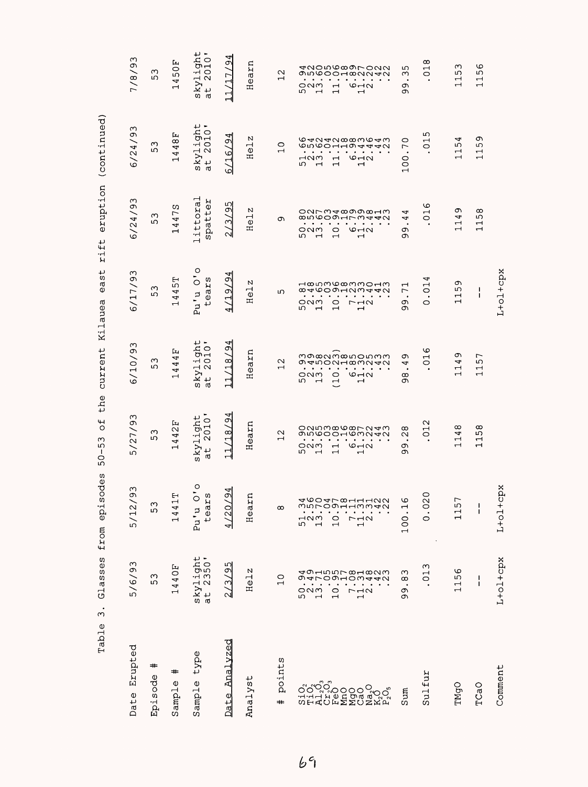| Erupted<br>Date         | 5/6/93                                                                                                                                               | $\infty$<br>5/12/9                                                                           | /27/93<br>ທີ                                                                                                                                                                                                                                                                                            | 6/10/93                                                                                                                                                                                                                                | 6/17/93                                                                                                                                                                                                                                                        | 6/24/93                                                                                                                                                                                                                                                                                    | S<br>Ō<br>6/24/                                                                                                                                                                                              | 7/8/93                                                                                                                                                                                                                         |
|-------------------------|------------------------------------------------------------------------------------------------------------------------------------------------------|----------------------------------------------------------------------------------------------|---------------------------------------------------------------------------------------------------------------------------------------------------------------------------------------------------------------------------------------------------------------------------------------------------------|----------------------------------------------------------------------------------------------------------------------------------------------------------------------------------------------------------------------------------------|----------------------------------------------------------------------------------------------------------------------------------------------------------------------------------------------------------------------------------------------------------------|--------------------------------------------------------------------------------------------------------------------------------------------------------------------------------------------------------------------------------------------------------------------------------------------|--------------------------------------------------------------------------------------------------------------------------------------------------------------------------------------------------------------|--------------------------------------------------------------------------------------------------------------------------------------------------------------------------------------------------------------------------------|
| #<br>Episode            | ო<br>ة                                                                                                                                               | 53                                                                                           | ω<br>ഗ                                                                                                                                                                                                                                                                                                  | ო<br>ഗ                                                                                                                                                                                                                                 | ω<br>ഹ                                                                                                                                                                                                                                                         | ო<br>ഗ                                                                                                                                                                                                                                                                                     | S<br>ഗ                                                                                                                                                                                                       | S<br>ഗ                                                                                                                                                                                                                         |
| #<br>Sample             | 1440F                                                                                                                                                | $\blacktriangleright$<br>$-441$<br>$\blacksquare$                                            | Ŀц<br>$\mathbf{\Omega}$<br>4<br>4                                                                                                                                                                                                                                                                       | Ŀ,<br>4<br>4<br>4<br>$\mathbf{\mathbf{\mathsf{\mathsf{H}}}}$                                                                                                                                                                           | Н<br>ഗ<br>4<br>4<br>$\overline{\phantom{0}}$                                                                                                                                                                                                                   | S<br>$\overline{ }$<br>4<br>4<br>$\blacksquare$                                                                                                                                                                                                                                            | Ŀц<br>$\infty$<br>4<br>4                                                                                                                                                                                     | Ŀ<br>$\circ$<br>ഗ<br>4<br>$\mathbf{\mathbf{\mathbf{\mathsf{H}}}}$                                                                                                                                                              |
| type<br>Sample          | skylight<br>at 2350'                                                                                                                                 | $\frac{1}{2}$<br>tears<br>Pu'u O                                                             | skylight<br>2010<br>4<br><b>rd</b>                                                                                                                                                                                                                                                                      | $\overline{\phantom{a}}$<br>$rac{9ht}{10}$<br>$\overline{a}$<br>$\begin{array}{c}$ skyl:<br>at 20                                                                                                                                      | $\circ$ , $\circ$<br>ears<br>$Pu$ 'u<br>$\overline{ }$                                                                                                                                                                                                         | ittoral<br>spatter                                                                                                                                                                                                                                                                         | ght<br>10'<br>$\overline{a}$ $\overline{a}$<br>$ky2$<br>t 2<br>w<br>đ                                                                                                                                        | skylight<br>at 2010'                                                                                                                                                                                                           |
| <u>Analvzed</u><br>Date | 95<br>$\sim$<br>$\sim$                                                                                                                               | $\overline{54}$<br>20<br>⊸                                                                   | $\mathcal{Q}$<br>/18<br>$\overline{ }$<br>ᆏ                                                                                                                                                                                                                                                             | 94<br>$\infty$<br>$\overline{\phantom{0}}$<br>$\blacksquare$                                                                                                                                                                           | ō<br>$\sigma$<br>$\tilde{z}$<br>↤                                                                                                                                                                                                                              | 5<br>σ<br>بن<br>$\sim$                                                                                                                                                                                                                                                                     | 4<br>6/16/9                                                                                                                                                                                                  | $\overline{94}$<br>/17<br>$\overline{1}$                                                                                                                                                                                       |
| Analyst                 | N<br>Hel                                                                                                                                             | Hearn                                                                                        | earn<br>Ξ                                                                                                                                                                                                                                                                                               | earn<br>Ξ.                                                                                                                                                                                                                             | N<br>$\overline{\phantom{0}}$<br>$\mathbf 0$<br>Ξ                                                                                                                                                                                                              | N<br>$\overline{\phantom{0}}$<br>Ф<br>出                                                                                                                                                                                                                                                    | N<br>$\vec{\theta}$<br>Ě,                                                                                                                                                                                    | arn<br>$\bar{\mathbf{0}}$<br>ᆂ                                                                                                                                                                                                 |
| points<br>#             | $\circ$<br>$\overline{ }$                                                                                                                            | $\infty$                                                                                     | $\mathbf{\Omega}$<br>$\overline{\phantom{0}}$                                                                                                                                                                                                                                                           | $\mathbf{\Omega}$<br>$\overline{\phantom{0}}$                                                                                                                                                                                          | ഗ                                                                                                                                                                                                                                                              | Ō                                                                                                                                                                                                                                                                                          | $\circ$<br>$\overline{\phantom{0}}$                                                                                                                                                                          | $\sim$<br>$\mathbf -$                                                                                                                                                                                                          |
|                         | 491404781804<br>の4709103442<br>೦೧<br>$\begin{array}{c}\n\Gamma \\ \vdots \\ \Gamma\n\end{array}$<br>$\overline{10}$<br>w<br>$\overline{\phantom{0}}$ | 4604r x Hund<br>mnroghhmwan<br>$\frac{1}{1}$<br>⊣ഢന<br>$\overline{C}$<br>ഗ<br>$\blacksquare$ | ONINMOVONNAM<br>grooougwaa<br>$\bullet$<br>$\bullet$<br>$\cdot$<br>٠<br>$\bullet$<br>$\bullet$<br>$\bullet$<br>$\bullet$<br>$\bullet$<br>$\bullet$<br>ONM<br>$\circ$ $\rightarrow$<br>$\overline{\phantom{0}}$<br>ഗ<br>$\overline{\phantom{0}}$<br>$\overline{\phantom{0}}$<br>$\overline{\phantom{0}}$ | maxamxnonnm<br>の4502183242<br>٠<br>$\bullet$<br>$\bullet$<br>$\bullet$<br>$\bullet$<br>$\bullet$<br>$\bullet$ .<br>$\bullet$<br>٠<br>$\circ$ $\neg \circ$<br>೦೧<br>0<br>ഗ<br>$\overline{\phantom{0}}$<br>$\overline{\phantom{0}}$<br>⊣ | H∞nMO∞MMOHM<br>84609109440<br>$\bullet$<br>٠<br>$\bullet$<br>$\bullet$<br>٠<br>$\bullet$<br>$\bullet$<br>$\bullet$<br>$\bullet$<br>$\bullet$<br>ONM<br>0<br>フュク<br>ഗ<br>$\overline{\phantom{0}}$<br>$\mathbf{\mathbf{\mathsf{H}}}$<br>$\overline{\phantom{0}}$ | ONNMAQOQQHW<br><b>∞µ©○の1rm44</b> N<br>$\bullet$<br>$\bullet$ . $\bullet$<br>$\bullet$<br>$\bullet$<br>$\bullet$<br>$\bullet$<br>٠<br>٠<br>$\circ$ $\rightarrow$ $\circ$<br>೦೧<br>0<br>ഗ<br>$\mathbf{\mathbf{\mathbf{\mathsf{H}}}}$<br>$\overline{\phantom{0}}$<br>$\overline{\phantom{0}}$ | Gauanwww.caw<br><b>GUGOHHO4440</b><br>$\bullet$<br>$\bullet$<br>٠<br>$\bullet$<br>$\bullet$<br>$\bullet$<br>$\circ$ $\neg$<br>⊣വന<br>Н<br>ഗ<br>$\mathbf{\mathbf{\mathsf{H}}}$<br>ᅱ<br>$\mathbf \blacksquare$ | AUONROQU-OUU<br>gwooouwydd<br>$\bullet$<br>$\bullet$<br>$\blacksquare$<br>٠<br>٠<br>$\bullet$<br>٠<br>೦೧<br>$\circ$ $\rightarrow$<br>$\mathrel{\mathsf{H}}$<br>ഗ<br>$\overline{\phantom{0}}$<br>$\mathbf{\mathbf{\mathsf{u}}}$ |
| Sum                     | Μ<br>$\infty$<br>$\cdot$<br>σ<br>Ō                                                                                                                   | .16<br>100                                                                                   | ∞<br>$\scriptstyle\sim$<br>$\bullet$<br>ന<br>ന                                                                                                                                                                                                                                                          | Ō<br>4<br>$\bullet$<br>$^\infty$<br>ᡡ                                                                                                                                                                                                  | $\mathbf \tau$<br>$\overline{ }$<br>$\bullet$<br>Ō<br>σ                                                                                                                                                                                                        | 4<br>4<br>$\bullet$<br>Ō<br>Ō                                                                                                                                                                                                                                                              | 0<br>$\overline{ }$<br>$\bullet$<br>$\circ$<br>Ō<br>$\mathbf{\mathbf{\mathsf{H}}}$                                                                                                                           | ഗ<br>ო<br>$\bullet$<br>ത<br>ᡡ                                                                                                                                                                                                  |
| Sulfur                  | ω<br>$\overline{C}$                                                                                                                                  | $\circ$<br>$\overline{0}$<br>$\circ$                                                         | $\sim$<br>$\overline{C}$                                                                                                                                                                                                                                                                                | ဖ<br>$\overline{C}$                                                                                                                                                                                                                    | Þ<br>$\overline{C}$<br>٠<br>$\circ$                                                                                                                                                                                                                            | ဖ<br>$\overline{\phantom{0}}$<br>$\circ$                                                                                                                                                                                                                                                   | ഗ<br>$\overline{\phantom{0}}$<br>$\circ$                                                                                                                                                                     | $^\infty$<br>$\mathbf{\mathbf{\mathsf{H}}}$<br>$\circ$                                                                                                                                                                         |
| TMgO                    | $\circ$<br>ഗ<br>$\overline{\phantom{0}}$<br>$\overline{\phantom{0}}$                                                                                 | 1157                                                                                         | $\infty$<br>4<br>$\overline{\phantom{0}}$<br>$\overline{\phantom{0}}$                                                                                                                                                                                                                                   | Ō<br>4<br>$\overline{\phantom{0}}$<br>$\mathbf{\mathbf{\mathsf{\mathsf{H}}}}$                                                                                                                                                          | Ō<br>ഗ<br>$\blacksquare$<br>$\blacksquare$                                                                                                                                                                                                                     | σ<br>4<br>$\overline{\phantom{0}}$<br>$\mathrel{\mathsf{H}}$                                                                                                                                                                                                                               | 4<br>ഗ<br>ᅱ<br>$\overline{\phantom{0}}$                                                                                                                                                                      | ო<br>ഗ<br>$\overline{\phantom{0}}$<br>$\overline{\phantom{0}}$                                                                                                                                                                 |
| TCaO                    | 1<br>ı                                                                                                                                               | $\mathbf{I}$<br>ı                                                                            | $\infty$<br>ഗ<br>$\mathbf{\mathbf{\mathsf{H}}}$<br>$\overline{ }$                                                                                                                                                                                                                                       | $\overline{ }$<br>ഗ<br>$\overline{ }$<br>$\mathbf{\mathbf{\mathbf{\mathbf{\mathsf{H}}}}}$                                                                                                                                              | ı<br>ı                                                                                                                                                                                                                                                         | $^\infty$<br>ഗ<br>$\mathbf{\mathbf{\mathbf{\mathsf{H}}}}$<br>$\mathbf{\mathbf{\mathsf{H}}}$                                                                                                                                                                                                | Ō<br>ഗ<br>$\overline{\phantom{0}}$<br>$\overline{ }$                                                                                                                                                         | ဖ<br>ഗ<br>$\overline{\phantom{0}}$<br>$\overline{\phantom{0}}$                                                                                                                                                                 |
| Comment                 | $L+oL+cpx$                                                                                                                                           | $L+oL+cpx$                                                                                   |                                                                                                                                                                                                                                                                                                         |                                                                                                                                                                                                                                        | $L+oL+cpx$                                                                                                                                                                                                                                                     |                                                                                                                                                                                                                                                                                            |                                                                                                                                                                                                              |                                                                                                                                                                                                                                |

Table 3. Glasses from episodes 50-53 of the current Kilauea east rift eruption (continued) Table 3. Glasses from episodes 50-53 of the current Kilauea east rift eruption (continued)

 $b<sup>c</sup>$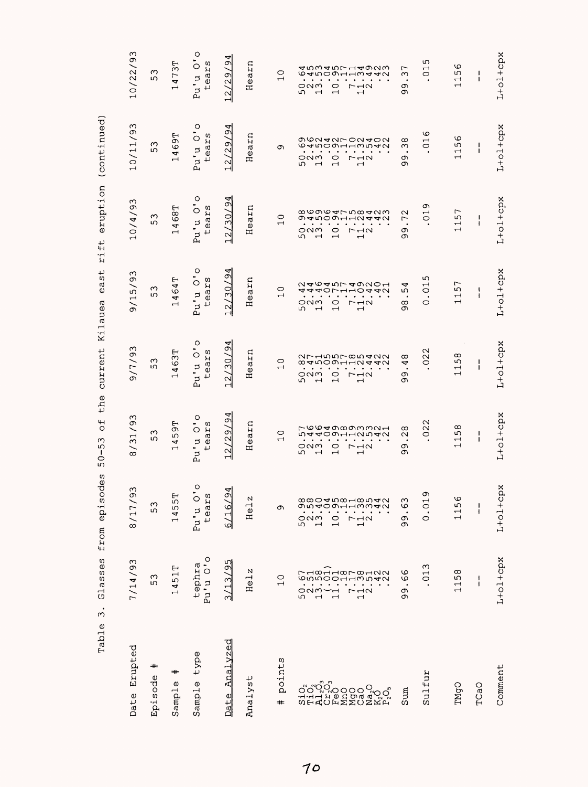| Erupted<br>Date                                 | 7/14/93                                                                                                                                              | $\Im$<br>8/17/                                                                                                                                                                                       | 8/31/93                                                                                                                                                              | 9/7/93                                                                                                                                                                                                                                             | 9/15/93                                                                                                                                                                   | 10/4/93                                                                                                                                                                       | 10/11/93                                                                                                                                                                                    | 10/22/93                                                                                                                           |
|-------------------------------------------------|------------------------------------------------------------------------------------------------------------------------------------------------------|------------------------------------------------------------------------------------------------------------------------------------------------------------------------------------------------------|----------------------------------------------------------------------------------------------------------------------------------------------------------------------|----------------------------------------------------------------------------------------------------------------------------------------------------------------------------------------------------------------------------------------------------|---------------------------------------------------------------------------------------------------------------------------------------------------------------------------|-------------------------------------------------------------------------------------------------------------------------------------------------------------------------------|---------------------------------------------------------------------------------------------------------------------------------------------------------------------------------------------|------------------------------------------------------------------------------------------------------------------------------------|
| #<br>Episode                                    | ω<br>ഗ                                                                                                                                               | 53                                                                                                                                                                                                   | ς<br>ഗ                                                                                                                                                               | 53                                                                                                                                                                                                                                                 | ς<br>ഗ                                                                                                                                                                    | Μ<br>ഗ                                                                                                                                                                        | Μ<br>ഗ                                                                                                                                                                                      | ς<br>ഗ                                                                                                                             |
| $\,{}^{\ast}\,$<br>$\pmb{\mathbb{O}}$<br>Sample | 51T<br>4<br>$\overline{\phantom{0}}$                                                                                                                 | н<br>455<br>$\overline{\phantom{0}}$                                                                                                                                                                 | 59T<br>4<br>$\overline{\phantom{0}}$                                                                                                                                 | 463T<br>$\overline{\phantom{0}}$                                                                                                                                                                                                                   | 464T<br>$\overline{\phantom{0}}$                                                                                                                                          | 68T<br>4<br>$\overline{\phantom{0}}$                                                                                                                                          | <b>169T</b><br>$\overline{\phantom{0}}$                                                                                                                                                     | 473T<br>$\overline{\phantom{0}}$                                                                                                   |
| type<br>Sample                                  | Pu'u O'o<br>tephra                                                                                                                                   | $\circ$<br>C)<br>tear<br>Pu'u                                                                                                                                                                        | Pu'u O'o<br>ears<br>$\overline{+}$                                                                                                                                   | Pu'u O'o<br>tears                                                                                                                                                                                                                                  | Pu'u O'o<br>tears                                                                                                                                                         | pu'u O'o<br>tears                                                                                                                                                             | pu'u O'o<br>tears                                                                                                                                                                           | Pu'u O'o<br>tears                                                                                                                  |
| Analyzed<br>Date                                | $-95$<br>ω.<br>∴.<br>$\infty$                                                                                                                        | $\frac{9}{4}$<br>$-16$<br>ی                                                                                                                                                                          | 94<br>/29/<br>12                                                                                                                                                     | $\overline{94}$<br>12/30/                                                                                                                                                                                                                          | $\overline{94}$<br>(30)<br>$\sim$                                                                                                                                         | 94<br>/30/<br>$\overline{2}$                                                                                                                                                  | 94<br>/29/<br>$\sim$                                                                                                                                                                        | 4<br>$\sigma$<br>12/29                                                                                                             |
| Analyst                                         | N<br>Hel.                                                                                                                                            | N<br>$\vec{e}$<br>Η                                                                                                                                                                                  | earn<br>Ξ                                                                                                                                                            | Hearn                                                                                                                                                                                                                                              | Hearn                                                                                                                                                                     | Hearn                                                                                                                                                                         | Hearn                                                                                                                                                                                       | Hearn                                                                                                                              |
| points<br>#                                     | $\circ$<br>$\overline{\phantom{0}}$                                                                                                                  | Ō                                                                                                                                                                                                    | $\circ$<br>$\overline{\phantom{0}}$                                                                                                                                  | $\circ$<br>$\overline{\phantom{0}}$                                                                                                                                                                                                                | $\circ$<br>$\overline{\phantom{0}}$                                                                                                                                       | $\circ$<br>$\overline{\phantom{0}}$                                                                                                                                           | Ō                                                                                                                                                                                           | $\circ$<br>$\overline{\phantom{0}}$                                                                                                |
|                                                 | r H∞HH∞r ∞HNN<br>conooaawaan<br>ธานี<br>ผ<br>$\overline{\phantom{a}}$<br>г<br>$\overline{c}$<br>$\overline{\phantom{0}}$<br>$\overline{\phantom{0}}$ | ر ی ب<br>$\omega_0$ ar $\sim$<br>の5409113342<br>$\bullet$<br>೦೧<br>$\circ$<br>$\overline{\mathcal{C}}$<br>r<br>ഗ<br>$\overline{\phantom{0}}$<br>$\overline{\phantom{0}}$<br>$\overline{\phantom{0}}$ | Ⴡ७७ᡆの∞の₥₥₼<br>54409112542<br>$\bullet$<br>೦೧ಗ<br>$\circ$<br>$\Gamma\rightarrow\infty$<br>ഗ<br>$\overline{\phantom{0}}$<br>$\blacksquare$<br>$\overline{\phantom{0}}$ | 27150000000<br>89900HHN440<br>$\bullet$<br>$\bullet$<br>ONM<br>$\circ$<br>$r \rightarrow \infty$<br>5<br>$\overline{\phantom{0}}$<br>$\mathbf{\mathbf{\mathbf{\mathbf{\mathbf{\mathbf{\mathbf{-}}}}}}}$<br>$\mathbf{\mathbf{\mathsf{\mathsf{H}}}}$ | 24645749201<br><b>4401</b><br>₩<br>٠<br>೦೧<br>$\circ$<br>$r \rightarrow \infty$<br>ما<br>$\overline{\phantom{0}}$<br>$\overline{\phantom{0}}$<br>$\overline{\phantom{0}}$ | <b>cococtruction</b><br>の4509112442<br>٠<br>٠<br>೦೧<br>$\circ$<br>$\Gamma \rightarrow \infty$<br>دی<br>$\overline{ }$<br>$\overline{\phantom{0}}$<br>$\overline{\phantom{0}}$ | の6242702402<br>canoourwwaa<br>$\bullet$<br>$\cdot$<br>೦೧<br>$\circ$<br>$\Gamma \rightarrow \infty$<br>ς<br>$\overline{\phantom{0}}$<br>$\overline{\phantom{0}}$<br>$\overline{\phantom{0}}$ | すらろすら714923<br>しゅうりつしょうしょう<br>೦೧ಗ<br>-⊣∾<br>0<br>r<br>ما<br>$\overline{ }$<br>$\overline{\phantom{0}}$<br>$\overline{\phantom{0}}$ |
| Sum                                             | ဖ<br>O<br>$\bullet$<br>თ<br>ω                                                                                                                        | ر م<br>Q<br>$\bullet$<br>თ<br>ω                                                                                                                                                                      | ∞<br>$\mathbf{\sim}$<br>$\bullet$<br>c<br>ω                                                                                                                          | ∞<br>4<br>$\bullet$<br>თ<br>ᡡ                                                                                                                                                                                                                      | ↵<br>ω<br>٠<br>$^{\circ}$<br>c                                                                                                                                            | $\mathbf{\Omega}$<br>$\overline{r}$<br>$\bullet$<br>c<br>თ                                                                                                                    | ∞<br>ω<br>$\bullet$<br>σ<br>თ                                                                                                                                                               | Γ<br>ω<br>$\bullet$<br>Φ<br>Φ١                                                                                                     |
| Sulfur                                          | m<br>$\overline{C}$                                                                                                                                  | $\sigma$<br>$\circ$<br>$\bullet$<br>$\circ$                                                                                                                                                          | $\mathbf{\sim}$<br>$\overline{0}$                                                                                                                                    | $\sim$<br>$\overline{0}$                                                                                                                                                                                                                           | ഗ<br>$\mathrel{\rightharpoonup}$<br>$\circ$<br>$\bullet$<br>$\circ$                                                                                                       | σ<br>$\overline{C}$                                                                                                                                                           | ဖ<br>$\overline{C}$                                                                                                                                                                         | 5<br>$\mathbf{\mathbf{\mathsf{H}}}$<br>$\circ$                                                                                     |
| TMgO                                            | $^\infty$<br>5<br>$\frac{11}{11}$                                                                                                                    | ١O<br>115                                                                                                                                                                                            | $\infty$<br>5<br>$\overline{\phantom{0}}$<br>$\mathrel{\mathsf{H}}$                                                                                                  | 1158                                                                                                                                                                                                                                               | 157<br>$\overline{\phantom{0}}$                                                                                                                                           | Γ<br>115                                                                                                                                                                      | ပ<br>5<br>$\frac{11}{11}$                                                                                                                                                                   | ဖ<br>5<br>$\overline{\phantom{0}}$<br>$\overline{\phantom{0}}$                                                                     |
| TCaO                                            | $\mathbf{I}$<br>Ł                                                                                                                                    | $\mathbf{I}$<br>$\mathbf{I}$                                                                                                                                                                         | J.<br>I.                                                                                                                                                             | 1<br>J.                                                                                                                                                                                                                                            | I.<br>$\mathbf{I}$                                                                                                                                                        | L<br>Ł                                                                                                                                                                        | J.<br>Ť                                                                                                                                                                                     | 1<br>1                                                                                                                             |
| Comment                                         | $L+o1+cpx$                                                                                                                                           | $L+0.1+CPX$                                                                                                                                                                                          | $L+o1+cpx$                                                                                                                                                           | $L+oL+cpx$                                                                                                                                                                                                                                         | $L+oL+cpx$                                                                                                                                                                | L+ol+cpx                                                                                                                                                                      | $L+o1+cpx$                                                                                                                                                                                  | $L+o1+cpx$                                                                                                                         |

Glasses from episodes 50-53 of the current Kilauea east rift eruption (continued) Table 3. Glasses from episodes 50-53 of the current Kilauea east rift eruption (continued) Table 3.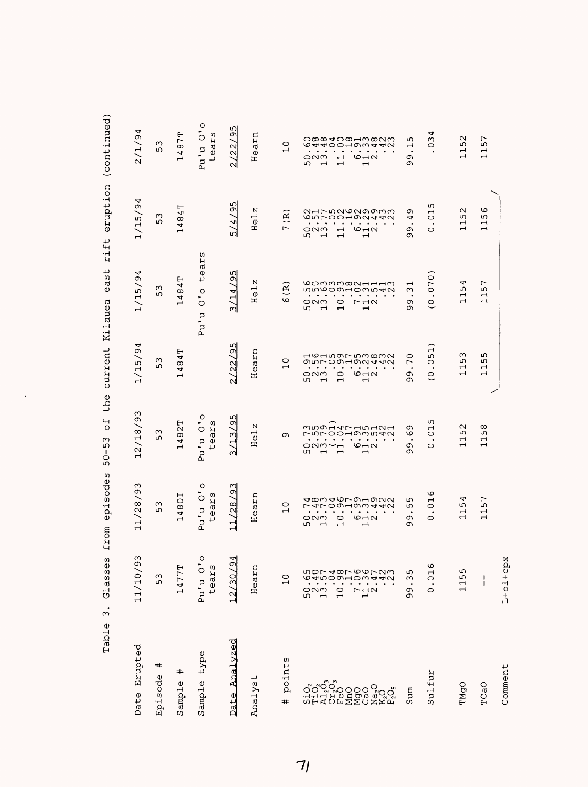| $\bullet$<br>ω<br>Table | S.<br>Glasse                                                                                    | episodes<br>from                                                                                                                                                                                                                 | the<br>5 <sup>o</sup><br>$\sim$<br>ഗ<br>$\overline{C}$<br>مآ                                                                                                                                                                                           | current                                                                                                                                                                                                                                                                              | east<br>Kilauea                                                                                                                                                                                                | eruption<br>rift                                                                                                                                                              | (continued)                                                                                                                                                                                                                 |
|-------------------------|-------------------------------------------------------------------------------------------------|----------------------------------------------------------------------------------------------------------------------------------------------------------------------------------------------------------------------------------|--------------------------------------------------------------------------------------------------------------------------------------------------------------------------------------------------------------------------------------------------------|--------------------------------------------------------------------------------------------------------------------------------------------------------------------------------------------------------------------------------------------------------------------------------------|----------------------------------------------------------------------------------------------------------------------------------------------------------------------------------------------------------------|-------------------------------------------------------------------------------------------------------------------------------------------------------------------------------|-----------------------------------------------------------------------------------------------------------------------------------------------------------------------------------------------------------------------------|
| Erupted<br>Date         | ω<br>11/10/9                                                                                    | 93<br>11/28/                                                                                                                                                                                                                     | ო<br>Ō<br>12/18                                                                                                                                                                                                                                        | ◅<br>1/15/9                                                                                                                                                                                                                                                                          | 4<br>9<br>1/15                                                                                                                                                                                                 | 4<br>Ö<br>1/15/                                                                                                                                                               | 4<br>2/1/9                                                                                                                                                                                                                  |
| =#<br>Episode           | 53                                                                                              | ω<br>ഗ                                                                                                                                                                                                                           | ω<br>ഗ                                                                                                                                                                                                                                                 | Μ<br>ഗ                                                                                                                                                                                                                                                                               | Μ<br>ഗ                                                                                                                                                                                                         | ω<br>5                                                                                                                                                                        | $\sim$<br>ഗ                                                                                                                                                                                                                 |
| #<br>Sample             | 1477T                                                                                           | 1480T                                                                                                                                                                                                                            | 482T<br>$\mathrel{\mathsf{H}}$                                                                                                                                                                                                                         | 4T<br>8<br>4<br>$\mathbf{\mathbf{\mathsf{\mathsf{H}}}}$                                                                                                                                                                                                                              | ⊢<br>4<br>8<br>4<br>$\mathord{\dashrightarrow}$                                                                                                                                                                | ⊢<br>$\overline{4}$<br>4<br>$\mathord{\dashrightarrow}$                                                                                                                       | 87T<br>4<br>$\overline{\phantom{0}}$                                                                                                                                                                                        |
| type<br>Sample          | Pu'u O'o<br>tears                                                                               | Pu'u O'o<br>tears                                                                                                                                                                                                                | Pu'u O'o<br>ears<br>↵                                                                                                                                                                                                                                  |                                                                                                                                                                                                                                                                                      | ear<br>↵<br>$\circ$<br>۰<br>$\circ$<br>Þ<br>۰<br>P.J                                                                                                                                                           | w                                                                                                                                                                             | Pu'u O'o<br>ears<br>$\downarrow$                                                                                                                                                                                            |
| Analyzed<br>Date        | ᆀ<br>12/30/9                                                                                    | ო<br>9<br>/28<br>$\overline{1}$                                                                                                                                                                                                  | ഗ<br>$\sigma$<br>3/13                                                                                                                                                                                                                                  | ഗ<br>Ō<br>22                                                                                                                                                                                                                                                                         | ഗ<br>$\bar{\mathcal{Q}}$<br>3/14                                                                                                                                                                               | 95<br>5/4/                                                                                                                                                                    | ഗ<br>Ō<br>/22<br>$\sim$                                                                                                                                                                                                     |
| Analyst                 | Hearn                                                                                           | Hearn                                                                                                                                                                                                                            | N<br>$\vec{e}$<br>Ξ                                                                                                                                                                                                                                    | Hearn                                                                                                                                                                                                                                                                                | N<br>He <sub>1</sub>                                                                                                                                                                                           | N<br>He1                                                                                                                                                                      | Hearn                                                                                                                                                                                                                       |
| points<br>$\text{+}$    | $\overline{C}$                                                                                  | $\circ$<br>$\overline{\phantom{0}}$                                                                                                                                                                                              | თ                                                                                                                                                                                                                                                      | $\circ$<br>$\overline{\phantom{0}}$                                                                                                                                                                                                                                                  | $\widetilde{\mathbf{R}}$<br>$\circ$                                                                                                                                                                            | $\mathbb{R}$<br>$\overline{C}$                                                                                                                                                | $\circ$<br>$\overline{\phantom{0}}$                                                                                                                                                                                         |
|                         | nor dør oor uw<br>ഗ⊝ത−<br>ついすう<br>n<br>D<br>D<br>D<br>D<br>$\frac{1}{1}$<br>$\overline{C}$<br>г | ৰ∞ণৰত⊦জনজনম<br>すてりつ193442<br>$\bullet$<br>$\bullet$<br>$\bullet$<br>$\bullet$<br><b>ONM</b><br>$\circ$ $\sim$<br>$\circ$<br>ഗ<br>$\overline{\phantom{0}}$<br>$\mathbf{\mathbf{\mathbf{\mathsf{H}}}}$<br>$\overline{\phantom{0}}$ | mngaaranana<br><u>- nroodownay</u><br>г<br>$\bullet$<br>$\bullet$<br>$\bullet$ . $\bullet$ . $\bullet$ . $\bullet$<br>$\bullet$<br>○∾⇒→<br>$\circ$ $\neg \circ$<br>ഗ<br>$\overline{\phantom{0}}$<br>$\overline{\phantom{0}}$<br>$\mathbf \blacksquare$ | нониогимата<br>のちて09192442<br>$\bullet$<br>$\bullet$<br>$\bullet$ .<br><br><br><br><br><br><br><br><br><br><br><br><br><br><br>$\circ$ $\neg$ $\circ$<br>$O$ $N$ $O$<br>O<br>5<br>$\mathbf{\mathbf{\mathsf{u}}}$<br>$\mathbf{\mathbf{\mathsf{H}}}$<br>$\mathbf{\mathbf{\mathbf{H}}}$ | 00mmm∞NHHHm<br>nnoon-onnan<br>$\bullet$<br>$\bullet \qquad \bullet \qquad \bullet \qquad \bullet$<br>೦೧ಗ<br>$\circ$<br>$P - 10$<br>5<br>$\blacksquare$<br>$\overline{\phantom{0}}$<br>$\overline{\phantom{0}}$ | NALMNONののMM<br>cwroonwaau<br>$\sim$ $\sim$<br>೦೧ಗ<br>O <sub>1</sub><br>$\rightarrow$<br>ഹ<br>$\overline{\phantom{0}}$<br>$\overline{\phantom{0}}$<br>$\overline{\phantom{0}}$ | o∞∞ Io∞Hm∞Nm<br>ဖ<br><b>stAOOHOW440</b><br>$\bullet$<br>$\bullet$ $\bullet$<br>$\circ$ $\sim$ $\sim$<br>೦೧<br>$\mathbf{\mathbf{\mathsf{H}}}$<br>ص<br>$\overline{\phantom{0}}$<br>$\overline{ }$<br>$\overline{\phantom{0}}$ |
| Sum                     | ഗ<br>w<br>$\bullet$<br>c<br>Ō                                                                   | ഗ<br>ഗ<br>$\bullet$<br>Ō<br>ᡡ                                                                                                                                                                                                    | Ō<br>ဖ<br>$\bullet$<br>Ō<br>ത                                                                                                                                                                                                                          | $\circ$<br>$\overline{ }$<br>$\bullet$<br>$\sigma$<br>Ō                                                                                                                                                                                                                              | $\overline{\phantom{0}}$<br>ω<br>$\cdot$<br>Ō<br>ᡡ                                                                                                                                                             | თ<br>4<br>$\bullet$<br>Ō<br>ᡡ                                                                                                                                                 | ഗ<br>$\overline{\phantom{0}}$<br>$\bullet$<br>Ō<br>ᡡ                                                                                                                                                                        |
| Sulfur                  | .016<br>$\circ$                                                                                 | ৩<br>$\overline{\phantom{0}}$<br>$\circ$<br>$\bullet$<br>$\circ$                                                                                                                                                                 | ഗ<br>$\overline{\phantom{0}}$<br>$\circ$<br>$\circ$                                                                                                                                                                                                    | .051<br>$\overline{C}$                                                                                                                                                                                                                                                               | (070)<br>$\circ$                                                                                                                                                                                               | ഗ<br>$\mathbf{\mathbf{\mathsf{\mathsf{H}}}}$<br>0<br>$\circ$                                                                                                                  | 4<br>ო<br>0                                                                                                                                                                                                                 |
| TMgO                    | ഗ<br>$\overline{115}$                                                                           | 4<br>5<br>$\overline{\phantom{0}}$<br>$\overline{\phantom{0}}$                                                                                                                                                                   | N<br>ഗ<br>$\overline{\phantom{0}}$<br>$\overline{\phantom{0}}$                                                                                                                                                                                         | ო<br>ഗ<br>$\mathbf{\mathbf{t}}$<br>$\overline{\phantom{0}}$                                                                                                                                                                                                                          | 4<br>5<br>$\mathbf{\mathbf{\mathsf{H}}}$<br>$\overline{\phantom{0}}$                                                                                                                                           | $\sim$<br>5<br>$\overline{\phantom{0}}$<br>$\overline{\phantom{0}}$                                                                                                           | $\mathbf{\sim}$<br>ഗ                                                                                                                                                                                                        |
| TCaO                    | ı<br>I                                                                                          | Γ<br>ഗ<br>$\overline{\phantom{0}}$<br>$\overline{\phantom{0}}$                                                                                                                                                                   | $\infty$<br>5<br>$\overline{\phantom{0}}$<br>$\overline{\phantom{0}}$                                                                                                                                                                                  | ഗ<br>ഗ<br>$\overline{\phantom{0}}$<br>$\rightarrow$                                                                                                                                                                                                                                  | ∼<br>5<br>$\overline{\phantom{0}}$<br>$\overline{\phantom{0}}$                                                                                                                                                 | o<br>ഗ<br>$\overline{\phantom{0}}$<br>$\overline{ }$                                                                                                                          | $\overline{ }$<br>5<br>$\mathbf{\mathbf{\mathsf{\mathsf{H}}}}$<br>$\overline{\phantom{0}}$                                                                                                                                  |
| Comment                 | $L+o1+cpx$                                                                                      |                                                                                                                                                                                                                                  |                                                                                                                                                                                                                                                        |                                                                                                                                                                                                                                                                                      |                                                                                                                                                                                                                |                                                                                                                                                                               |                                                                                                                                                                                                                             |

| able 3. Glasses from episodes 50-53 of the current Kilauea east rift eruption (continu |
|----------------------------------------------------------------------------------------|
|                                                                                        |
|                                                                                        |
|                                                                                        |
|                                                                                        |

 $\ddot{\phantom{0}}$ 

 $71$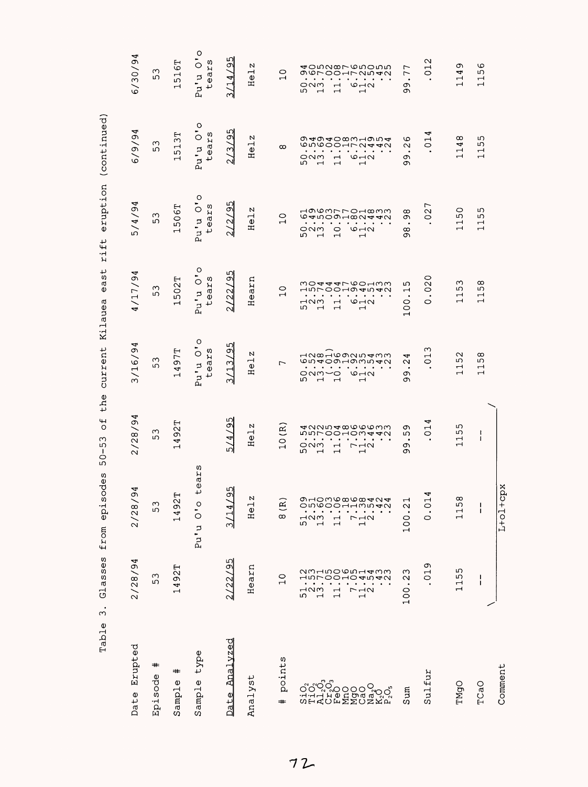| ω<br>Table                                                 | asses<br>J                                                                                                      | episodes<br>from                                                                                                                                                                                                           | the<br>$\overline{a}$<br>$50 - 53$                                                                                                                                | current                                                                                                                                            | east<br>Kilauea                                                                                                                                       | rift                                                                                                                                                             | eruption (continued)                                                                                                                                |                                                                                                                                                                |
|------------------------------------------------------------|-----------------------------------------------------------------------------------------------------------------|----------------------------------------------------------------------------------------------------------------------------------------------------------------------------------------------------------------------------|-------------------------------------------------------------------------------------------------------------------------------------------------------------------|----------------------------------------------------------------------------------------------------------------------------------------------------|-------------------------------------------------------------------------------------------------------------------------------------------------------|------------------------------------------------------------------------------------------------------------------------------------------------------------------|-----------------------------------------------------------------------------------------------------------------------------------------------------|----------------------------------------------------------------------------------------------------------------------------------------------------------------|
| Erupted<br>Date                                            | 2/28/94                                                                                                         | Þ<br>$\sigma$<br>2/28                                                                                                                                                                                                      | 2/28/94                                                                                                                                                           | 3/16/94                                                                                                                                            | 4/17/94                                                                                                                                               | 5/4/94                                                                                                                                                           | 4<br>6/9/9                                                                                                                                          | 6/30/94                                                                                                                                                        |
| #<br>Episode                                               | ო<br>ഗ                                                                                                          | 53                                                                                                                                                                                                                         | ო<br>ഗ                                                                                                                                                            | 53                                                                                                                                                 | 53                                                                                                                                                    | ς<br>ە                                                                                                                                                           | $\infty$<br>ιΩ                                                                                                                                      | 53                                                                                                                                                             |
| #<br>$\mathbf 0$<br>Sampl <sub>t</sub>                     | 1492T                                                                                                           | ⊢<br>1492                                                                                                                                                                                                                  | 492T<br>ᆏ                                                                                                                                                         | 497T<br>$\mathbf{r}$                                                                                                                               | 502T<br>ᆏ                                                                                                                                             | 1506T                                                                                                                                                            | 513T<br>ᆏ                                                                                                                                           | 516T<br>Ч                                                                                                                                                      |
| type<br>Sample                                             |                                                                                                                 | ear<br>4<br>$\circ$<br>Pu'u                                                                                                                                                                                                | w                                                                                                                                                                 | Pu'u O'o<br>tears                                                                                                                                  | Pu'u O'o<br>tears                                                                                                                                     | Pu'u O'o<br>tears                                                                                                                                                | pu'u O'o<br>tears                                                                                                                                   | Pu'u O'o<br>tears                                                                                                                                              |
| Analyzed<br>Date                                           | /95<br>2/22/                                                                                                    | 95<br>3/14                                                                                                                                                                                                                 | ഗ<br>$5/4/9$ .                                                                                                                                                    | ഗ<br>3/13/9                                                                                                                                        | 2/22/95                                                                                                                                               | 2/2/95                                                                                                                                                           | 13/95<br>$\sim$                                                                                                                                     | /14/95<br>നി                                                                                                                                                   |
| Analyst                                                    | Hearn                                                                                                           | N<br>Hel                                                                                                                                                                                                                   | Helz                                                                                                                                                              | N<br>He <sub>1</sub>                                                                                                                               | Hearn                                                                                                                                                 | Helz                                                                                                                                                             | Helz                                                                                                                                                | N<br>He <sub>1</sub>                                                                                                                                           |
| points<br>$\textcolor{blue}{\textcolor{blue}{\textbf{+}}}$ | $\circ$<br>$\overline{\phantom{0}}$                                                                             | $\widetilde{\mathbf{R}}$<br>$\infty$                                                                                                                                                                                       | 10(R)                                                                                                                                                             | $\overline{ }$                                                                                                                                     | $\circ$<br>$\overline{ }$                                                                                                                             | $\overline{C}$                                                                                                                                                   | $\infty$                                                                                                                                            | $\overline{C}$                                                                                                                                                 |
|                                                            | <b>23150001433</b><br>さきつけのこのよう<br>⊣ഢ<br>$\frac{1}{10}$<br>$\mathbf \tau$<br>г<br>ഗ<br>$\overline{\phantom{0}}$ | の1036868424<br>on woodd yn dy<br>$\bullet$<br>٠<br>$\neg$<br>$\overline{1}$<br>$\mathbf{\mathbf{\mathsf{\mathsf{H}}}}$<br>ഗ<br>$\overline{\phantom{0}}$<br>$\mathbf{\mathbf{\mathbf{\mathbf{\mathbf{\mathbf{-1}}}}}}$<br>ᆏ | লমমানকততততলত<br>nnroo-omaan<br>ONM<br>$\overline{\phantom{0}}$<br>レコク<br>w<br>$\overline{\phantom{0}}$<br>$\mathbf{\mathbf{r}}$<br>$\mathbf{\mathbf{\mathsf{H}}}$ | nampoannam<br><b>७</b> m400н0мм4и<br>$\bullet$<br>onm~o<br>$O - N$<br>ъ.<br>$\overline{ }$<br>$\overline{\phantom{0}}$<br>$\overline{\phantom{0}}$ | modddroonww<br>1500104540<br>⊣ഢ<br>$O - N$<br>$\overline{\phantom{0}}$<br>ഗ<br>$\overline{ }$<br>$\overline{\phantom{0}}$<br>$\overline{\phantom{0}}$ | HOWMLLOH00M<br>G4mOQH00A440<br>$\circ$<br>೦೧ಗ<br>$\circ$ $\neg$ $\circ$<br>w<br>$\overline{\phantom{0}}$<br>$\overline{\phantom{0}}$<br>$\overline{\phantom{0}}$ | @4@40@w4@m4<br><b>しちんりひよりひょう</b><br>೦೧<br>$\overline{\phantom{0}}$<br>$\circ$ $\neg$ $\sim$<br>w<br>$\overline{ }$<br>$\overline{\phantom{0}}$<br>ᆏ | 40muxron0mu<br>g Q L OO HL UN 4 U<br>ONM<br>$O \rightarrow N$<br>$\overline{\phantom{0}}$<br>ഗ<br>$\overline{ }$<br>$\overline{ }$<br>$\overline{\phantom{0}}$ |
| Sum                                                        | ო<br>$\mathbf{\sim}$<br>$\bullet$<br>100                                                                        | 100.2                                                                                                                                                                                                                      | ᡡ<br>ഗ<br>$\bullet$<br>Ō<br>σ                                                                                                                                     | 4<br>$\sim$<br>$\bullet$<br>Ō<br>თ                                                                                                                 | ഗ<br>$\mathbf{\mathbf{\mathbf{u}}}$<br>100.                                                                                                           | $^\infty$<br>თ<br>$\cdot$<br>$^{\circ}$<br>თ                                                                                                                     | ဖ<br>$\sim$<br>$\bullet$<br>Ō<br>თ                                                                                                                  | Γ<br>$\overline{ }$<br>$\bullet$<br>c<br>თ                                                                                                                     |
| Sulfur                                                     | 019                                                                                                             | Þ<br>0.01                                                                                                                                                                                                                  | 4<br>$\mathbf{\mathsf{H}}$<br>$\circ$                                                                                                                             | ო<br>$\overline{C}$                                                                                                                                | $\circ$<br>$\overline{O}$<br>O                                                                                                                        | $\overline{ }$<br>$\sim$<br>$\circ$                                                                                                                              | 4<br>$\overline{C}$                                                                                                                                 | $\sim$<br>$\overline{C}$                                                                                                                                       |
| TMgO                                                       | ഗ<br>ഗ<br>$\overline{ }$<br>$\overline{\phantom{0}}$                                                            | 115                                                                                                                                                                                                                        | ഗ<br>ഗ<br>$\overline{\phantom{0}}$<br>$\overline{\phantom{0}}$                                                                                                    | $\mathbf{\Omega}$<br>ഗ<br>$\overline{\phantom{0}}$<br>$\overline{\phantom{0}}$                                                                     | S<br>Ю<br>$\mathbf{\mathbf{\mathsf{H}}}$<br>$\overline{\phantom{0}}$                                                                                  | $\circ$<br>5<br>$\overline{\phantom{a}}$<br>$\overline{\phantom{0}}$                                                                                             | $\infty$<br>4<br>$\overline{\phantom{0}}$<br>$\overline{ }$                                                                                         | Ō<br>4<br>$\overline{\phantom{0}}$                                                                                                                             |
| TCaO                                                       | ı<br>ı                                                                                                          | $\mathbf{I}$<br>I                                                                                                                                                                                                          | t<br>1                                                                                                                                                            | $^\infty$<br>S<br>$\overline{\phantom{0}}$<br>$\overline{ }$                                                                                       | $^\infty$<br>ഗ<br>$\overline{\square}$                                                                                                                | ഗ<br>ഗ<br>$\mathbb{I}$                                                                                                                                           | ഗ<br>ഗ<br>$\overline{\overline{u}}$                                                                                                                 | $\circ$<br>ഗ<br>$\overline{\square}$                                                                                                                           |
| Comment                                                    |                                                                                                                 | $L+o1+cpx$                                                                                                                                                                                                                 |                                                                                                                                                                   |                                                                                                                                                    |                                                                                                                                                       |                                                                                                                                                                  |                                                                                                                                                     |                                                                                                                                                                |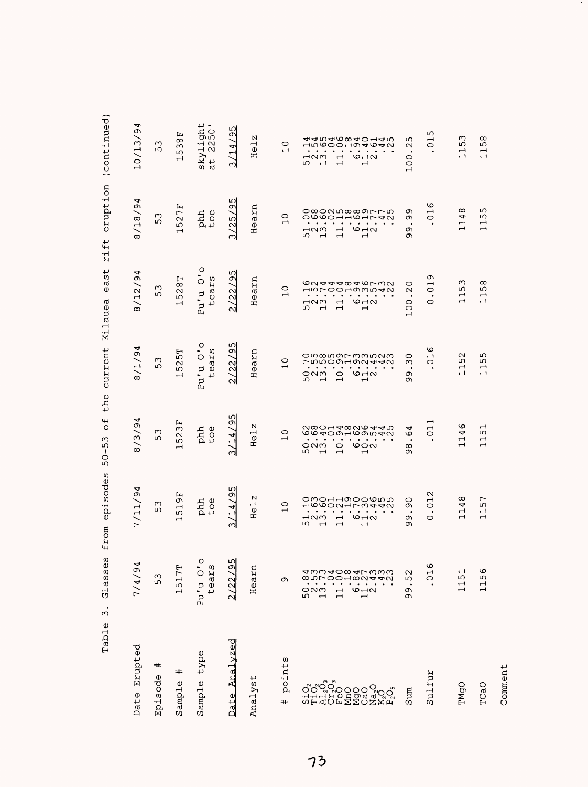|                  |                                                                                                               |                                                                                                                                                                                                                                                                                                  |                                                                                                                                                                                                                                                                                                                   |                                                                                                                                                                                                              | ر<br>3<br>さりりょう                                                                                                                                                                                                                                                                                                                      | りょう                                                                                                                                                                                                                                                                           | )<br>)<br>;<br>ł<br>」<br>-<br>))                                                                                                                                                                                                                                     |
|------------------|---------------------------------------------------------------------------------------------------------------|--------------------------------------------------------------------------------------------------------------------------------------------------------------------------------------------------------------------------------------------------------------------------------------------------|-------------------------------------------------------------------------------------------------------------------------------------------------------------------------------------------------------------------------------------------------------------------------------------------------------------------|--------------------------------------------------------------------------------------------------------------------------------------------------------------------------------------------------------------|--------------------------------------------------------------------------------------------------------------------------------------------------------------------------------------------------------------------------------------------------------------------------------------------------------------------------------------|-------------------------------------------------------------------------------------------------------------------------------------------------------------------------------------------------------------------------------------------------------------------------------|----------------------------------------------------------------------------------------------------------------------------------------------------------------------------------------------------------------------------------------------------------------------|
| Erupted<br>Date  | 4<br>6/7/7                                                                                                    | 4<br>7/11/9                                                                                                                                                                                                                                                                                      | 8/3/94                                                                                                                                                                                                                                                                                                            | 4<br>8/1/9                                                                                                                                                                                                   | /94<br>/12,<br>$\infty$                                                                                                                                                                                                                                                                                                              | 4<br>Ō<br>/18<br>$\infty$                                                                                                                                                                                                                                                     | 10/13/94                                                                                                                                                                                                                                                             |
| #<br>Episode     | 53                                                                                                            | ო<br>ഹ                                                                                                                                                                                                                                                                                           | ო<br>ഹ                                                                                                                                                                                                                                                                                                            | ო<br>5                                                                                                                                                                                                       | $\infty$<br>ഗ                                                                                                                                                                                                                                                                                                                        | $\infty$<br>ഗ                                                                                                                                                                                                                                                                 | $\infty$<br>ഗ                                                                                                                                                                                                                                                        |
| ≠<br>Sample      | н<br>517<br>$\mathbf{H}$                                                                                      | Ŀ,<br>σ<br>51<br>ᆏ                                                                                                                                                                                                                                                                               | بترآ<br>ς<br>$\mathbf{\Omega}$<br>ഗ<br>ᆏ                                                                                                                                                                                                                                                                          | Н<br>ഥ<br>$\mathbf{\sim}$<br>ഗ<br>Н                                                                                                                                                                          | Н<br>${}^{\infty}$<br>$\sim$<br>ഗ<br>$\overline{\phantom{0}}$                                                                                                                                                                                                                                                                        | بتآ<br>$\overline{ }$<br>$\sim$<br>ഗ<br>$\mathbf{\mathbf{\mathsf{r}}}\mathbf{\mathsf{r}}$                                                                                                                                                                                     | بعآ<br>${}^{\circ}$<br>$\sim$<br>ഗ<br>$\overline{\phantom{0}}$                                                                                                                                                                                                       |
| type<br>Sample   | $\circ$<br>$\blacksquare$<br>tears<br>Pu'u O'                                                                 | phh<br>toe                                                                                                                                                                                                                                                                                       | $_{\rm phh}$<br>$\rm ^{o}_{\rm o}$<br>$\overline{\phantom{0}}$                                                                                                                                                                                                                                                    | Pu'u O'o<br>ears<br>↵                                                                                                                                                                                        | $\circ$ , $\circ$<br>ears<br>Pu'u<br>↵                                                                                                                                                                                                                                                                                               | phh<br>toe                                                                                                                                                                                                                                                                    | skylight<br>at 2250'                                                                                                                                                                                                                                                 |
| Analvzed<br>Date | 95<br>22<br>$\sim$                                                                                            | ഗ<br>$\overline{9}$<br>(14)<br>ന                                                                                                                                                                                                                                                                 | ഗ<br>ō<br>/14/<br>നി                                                                                                                                                                                                                                                                                              | /95<br>/22<br>$\sim$                                                                                                                                                                                         | /95<br>/22<br>$\sim$                                                                                                                                                                                                                                                                                                                 | ഗ<br>୍ବ<br>125<br>നി                                                                                                                                                                                                                                                          | /14/95<br>M                                                                                                                                                                                                                                                          |
| Analyst          | $\mathbf{C}$<br>Hear                                                                                          | N<br>$\vec{e}$<br>Ξ                                                                                                                                                                                                                                                                              | N<br>$\overline{\phantom{0}}$<br>$\pmb{\omega}$<br>Ξ                                                                                                                                                                                                                                                              | earn<br>Ξ                                                                                                                                                                                                    | earn<br>Η                                                                                                                                                                                                                                                                                                                            | Hearn                                                                                                                                                                                                                                                                         | N<br>$\vec{e}$<br>Ξ                                                                                                                                                                                                                                                  |
| points<br>#      | Ō                                                                                                             | $\circ$<br>$\rightarrow$                                                                                                                                                                                                                                                                         | $\circ$<br>$\rightarrow$                                                                                                                                                                                                                                                                                          | $\circ$<br>$\overline{\phantom{0}}$                                                                                                                                                                          | 0<br>$\rightarrow$                                                                                                                                                                                                                                                                                                                   | $\circ$<br>$\overline{\phantom{0}}$                                                                                                                                                                                                                                           | 0<br>$\overline{\phantom{0}}$                                                                                                                                                                                                                                        |
|                  | <b>母MM母○∞母</b> 下MMM<br>850000000000<br>೦೧<br>ທ⊣໙<br>ഹ<br>$\overline{\phantom{0}}$<br>$\overline{\phantom{0}}$ | OMOHHOOOOMM<br>HOOONHLMAAN<br>$\bullet$<br>$\bullet$ . $\bullet$<br>$\bullet$<br>$\bullet$<br>$\cdots$<br>$\bullet$<br>$\bullet$<br>٠<br>⊣ഢ<br>$\circ$ $\rightarrow$ $\sim$<br>$\overline{\phantom{0}}$<br>ഗ<br>$\overline{\phantom{0}}$<br>$\overline{\phantom{0}}$<br>$\overline{\phantom{0}}$ | Q@OH4@QQ440<br>しゅうこうこうしょう<br>$\bullet$<br>$\cdot$ $\cdot$<br>$\bullet$ . $\bullet$<br>$\begin{array}{cccccccccccccc} \bullet & \bullet & \bullet & \bullet & \bullet & \bullet \end{array}$<br>٠<br>٠<br>$\circ \circ \circ$<br>೦೧<br>$\circ$<br>ഗ<br>$\rightarrow$<br>$\overline{ }$<br>$\overline{\phantom{0}}$ | OUQUONMUNU<br>r nnoo dhan 440<br>$\bullet$<br>$\bullet$<br>$\bullet$<br>$\cdots$<br>. .<br>$\bullet$<br>$\bullet$<br>ONM<br>$\circ$ $\sim$<br>$\circ$<br>ഗ<br>$\overline{ }$<br>$\mathbf{H}$<br>$\mathbf{H}$ | <b>COSSSS</b> COS<br>HULOOHQWU4U<br>$\bullet$<br>$\bullet$ . $\bullet$<br>$\bullet$ .<br><br><br><br><br><br><br><br><br><br><br><br>$\bullet$<br>$\bullet$<br>$\bullet$<br>$\circ$ $\rightarrow$ $\sim$<br>⊣ഢന<br>$\overline{\phantom{0}}$<br>ഗ<br>$\overline{\phantom{0}}$<br>$\overline{\phantom{0}}$<br>$\overline{\phantom{0}}$ | O∞ONIN∞∞のトトい<br>OOOOHHOHN4N<br>$\bullet$<br>$\cdots$<br>$\bullet$ $\bullet$<br>$\bullet$<br>$\bullet$<br>$\bullet$<br>$\circ$ $\rightarrow$ $\sim$<br>⊣ഢ<br>$\overline{\phantom{a}}$<br>ഗ<br>$\overline{\phantom{0}}$<br>$\overline{\phantom{0}}$<br>$\overline{\phantom{0}}$ | <b>44040∞40⊣40</b><br>HNOOOHO4040<br>٠<br>$\bullet$<br>٠<br>$\bullet$<br>$\bullet$<br>$\bullet$<br>$\cdots$<br><b>HNW</b><br>$\circ$ $\rightarrow$ $\sim$<br>$\overline{\phantom{0}}$<br>ഗ<br>$\overline{\phantom{a}}$<br>$\overline{\phantom{0}}$<br>$\overline{ }$ |
| SumS             | 52<br>$\bullet$<br>ω<br>ω                                                                                     | 0<br>ω<br>٠<br>Ō<br>თ                                                                                                                                                                                                                                                                            | ₩<br>৩<br>$\bullet$<br>∞<br>ω                                                                                                                                                                                                                                                                                     | 0<br>ო<br>$\bullet$<br>თ<br>თ                                                                                                                                                                                | 0<br>$\scriptstyle\sim$<br>$\bullet$<br>0<br>0<br>$\mathord{\dashrightarrow}$                                                                                                                                                                                                                                                        | თ<br>ω<br>$\bullet$<br>Ō<br>c                                                                                                                                                                                                                                                 | ഗ<br>$\sim$<br>$\bullet$<br>$\circ$<br>$\circ$<br>$\overline{\phantom{0}}$                                                                                                                                                                                           |
| Sulfur           | G<br>$\overline{C}$                                                                                           | $\sim$<br>$\mathord{\text{--}}$<br>0<br>$\bullet$<br>$\circ$                                                                                                                                                                                                                                     | ⊣<br>$\overline{C}$                                                                                                                                                                                                                                                                                               | ဖ<br>$\overline{\phantom{0}}$<br>$\circ$                                                                                                                                                                     | Ō<br>$\mathrel{\rightharpoonup}$<br>$\circ$<br>$\bullet$<br>$\circ$                                                                                                                                                                                                                                                                  | $\circ$<br>$\overline{\phantom{0}}$<br>0<br>٠                                                                                                                                                                                                                                 | ഗ<br>$\overline{\phantom{0}}$<br>$\circ$                                                                                                                                                                                                                             |
| TMgO             | 151<br>$\overline{\phantom{0}}$                                                                               | $^{\circ}$<br>4<br>$\overline{\phantom{0}}$<br>$\overline{\phantom{0}}$                                                                                                                                                                                                                          | ဖ<br>4<br>$\overline{\phantom{0}}$<br>$\overline{\phantom{0}}$                                                                                                                                                                                                                                                    | $\sim$<br>ഗ<br>$\overline{\phantom{0}}$<br>$\overline{\phantom{0}}$                                                                                                                                          | S<br>5<br>$\overline{\phantom{0}}$<br>$\mathbf{H}$                                                                                                                                                                                                                                                                                   | $^\infty$<br>4<br>$\mathbf{H}$<br>$\overline{\phantom{0}}$                                                                                                                                                                                                                    | Μ<br>ഹ<br>$\overline{\phantom{0}}$<br>$\overline{\phantom{0}}$                                                                                                                                                                                                       |
| TCaO             | 1156                                                                                                          | $\overline{ }$<br>ഗ<br>$\overline{\phantom{0}}$<br>$\overline{\phantom{0}}$                                                                                                                                                                                                                      | $\overline{\phantom{0}}$<br>ഹ<br>$\overline{\phantom{0}}$<br>$\overline{\phantom{0}}$                                                                                                                                                                                                                             | ഗ<br>ഗ<br>$\overline{\phantom{0}}$<br>$\overline{\phantom{0}}$                                                                                                                                               | $^\infty$<br>ഗ<br>$\overline{\phantom{0}}$<br>$\overline{\phantom{0}}$                                                                                                                                                                                                                                                               | ഗ<br>ഗ<br>$\overline{\phantom{0}}$<br>$\overline{\phantom{0}}$                                                                                                                                                                                                                | $\infty$<br>ഗ<br>$\overline{\phantom{0}}$<br>$\overline{\phantom{0}}$                                                                                                                                                                                                |
| Comment          |                                                                                                               |                                                                                                                                                                                                                                                                                                  |                                                                                                                                                                                                                                                                                                                   |                                                                                                                                                                                                              |                                                                                                                                                                                                                                                                                                                                      |                                                                                                                                                                                                                                                                               |                                                                                                                                                                                                                                                                      |

 $\cdot$ 

Table 3. Glasses from episodes 50-53 of the current Kilauea east rift eruption (continued) Table 3. Glasses from episodes 50-53 of the current Kilauea east rift eruption (continued)

 $73$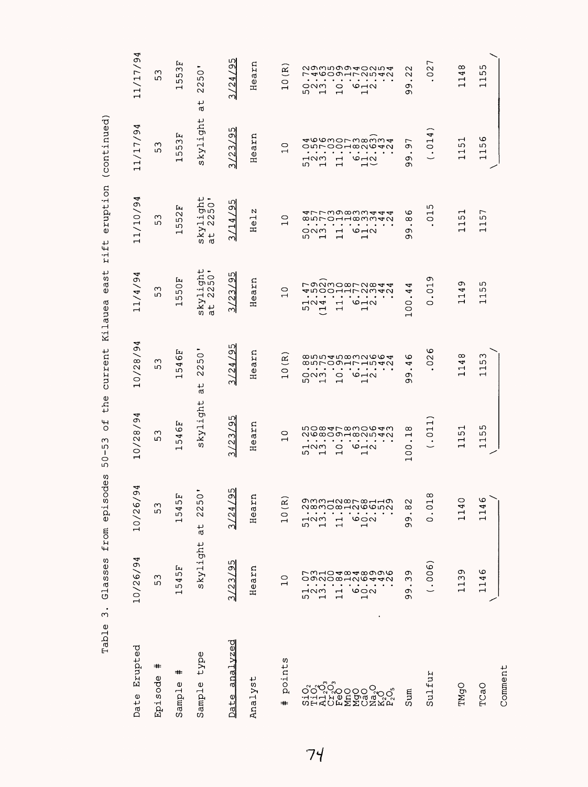| Erupted<br>Date               | 10/26/94                                                                                                                                                                                                                                             | 4<br>თ<br>10/26/                                                                                                                                                                                                                                                                                                      | $\overline{94}$<br>$\infty$<br>$\mathbf{\Omega}$<br>╲<br>$\frac{1}{2}$                                                                                                                                                                                                                                                                                                                                                                                                                               | 4<br>თ<br>$\infty$<br>$\mathbf{\sim}$<br>╲<br>$\frac{1}{1}$                                                                                                                                                                                                                                                                            | 4<br>11/4/9                                                                                                                                                                                                                                                                                                                                                                                                                                                                                            | 11/10/94                                                                                                                                                                                                                                                                                                                                                                                                                                         | 11/17/94                                                                                                                                                                                                                                                                                                                                                                                                                                           | 11/17/94                                                                                                                                                                                                                                                                                                                                                                |
|-------------------------------|------------------------------------------------------------------------------------------------------------------------------------------------------------------------------------------------------------------------------------------------------|-----------------------------------------------------------------------------------------------------------------------------------------------------------------------------------------------------------------------------------------------------------------------------------------------------------------------|------------------------------------------------------------------------------------------------------------------------------------------------------------------------------------------------------------------------------------------------------------------------------------------------------------------------------------------------------------------------------------------------------------------------------------------------------------------------------------------------------|----------------------------------------------------------------------------------------------------------------------------------------------------------------------------------------------------------------------------------------------------------------------------------------------------------------------------------------|--------------------------------------------------------------------------------------------------------------------------------------------------------------------------------------------------------------------------------------------------------------------------------------------------------------------------------------------------------------------------------------------------------------------------------------------------------------------------------------------------------|--------------------------------------------------------------------------------------------------------------------------------------------------------------------------------------------------------------------------------------------------------------------------------------------------------------------------------------------------------------------------------------------------------------------------------------------------|----------------------------------------------------------------------------------------------------------------------------------------------------------------------------------------------------------------------------------------------------------------------------------------------------------------------------------------------------------------------------------------------------------------------------------------------------|-------------------------------------------------------------------------------------------------------------------------------------------------------------------------------------------------------------------------------------------------------------------------------------------------------------------------------------------------------------------------|
| #<br>Episode                  | ო<br>ഗ                                                                                                                                                                                                                                               | $\infty$<br>ഗ                                                                                                                                                                                                                                                                                                         | ო<br>ഗ                                                                                                                                                                                                                                                                                                                                                                                                                                                                                               | ო<br>ഗ                                                                                                                                                                                                                                                                                                                                 | ო<br>ഗ                                                                                                                                                                                                                                                                                                                                                                                                                                                                                                 | ო<br>ഗ                                                                                                                                                                                                                                                                                                                                                                                                                                           | ო<br>ഗ                                                                                                                                                                                                                                                                                                                                                                                                                                             | ო<br>ഗ                                                                                                                                                                                                                                                                                                                                                                  |
| =#<br>Φ<br>Sample             | Ŀц<br>ഗ<br>4<br>ഗ<br>$\mathbf{\mathbf{\mathsf{H}}}$                                                                                                                                                                                                  | Ŀц<br>ഗ<br>4<br>ഗ<br>$\overline{\phantom{0}}$                                                                                                                                                                                                                                                                         | Ŀц<br>ဖ<br>4<br>ഗ<br>$\overline{\phantom{0}}$                                                                                                                                                                                                                                                                                                                                                                                                                                                        | Ŀч<br>ဖ<br>4<br>ഗ<br>$\mathbf{\mathbf{\mathsf{\mathsf{H}}}}$                                                                                                                                                                                                                                                                           | Ŀч<br>$\circ$<br>ഗ<br>ഗ<br>$\overline{\phantom{0}}$                                                                                                                                                                                                                                                                                                                                                                                                                                                    | Ŀц<br>$\sim$<br>ഗ<br>ഗ<br>ᆏ                                                                                                                                                                                                                                                                                                                                                                                                                      | Ŀц<br>$\infty$<br>ഗ<br>ഗ<br>ᆏ                                                                                                                                                                                                                                                                                                                                                                                                                      | Ŀч<br>$\infty$<br>ഗ<br>ഗ<br>$\overline{\phantom{0}}$                                                                                                                                                                                                                                                                                                                    |
| type<br>Sample                | skylight                                                                                                                                                                                                                                             | ٠<br>$\circ$<br>ഗ<br>$\mathbf{\Omega}$<br>$\sim$<br>↵                                                                                                                                                                                                                                                                 | kylight<br>S)                                                                                                                                                                                                                                                                                                                                                                                                                                                                                        | $\circ$<br>ഗ<br>$\sim$<br>$\sim$<br>t,<br><b>rd</b>                                                                                                                                                                                                                                                                                    | - ب<br>້<br>ສິດ<br>$\cdot$ H $\sim$<br>skyl:<br>at 2:                                                                                                                                                                                                                                                                                                                                                                                                                                                  | - ب<br>50 <sub>5</sub><br>$\cdot \rightarrow \infty$<br>$ky1$<br>t 2<br>W)<br>್                                                                                                                                                                                                                                                                                                                                                                  | skylight                                                                                                                                                                                                                                                                                                                                                                                                                                           | $\bullet$<br>$\circ$<br>ഗ<br>$\mathbf{\sim}$<br>$\mathbf{\sim}$<br>↵<br><b>rd</b>                                                                                                                                                                                                                                                                                       |
| analvzed<br>Date              | 55<br>$\infty$<br>$\overline{c}$<br>ന                                                                                                                                                                                                                | 95<br>4<br>$\mathcal{A}$<br>ന്                                                                                                                                                                                                                                                                                        | ഗ<br>Ō,<br>ω<br>$\overline{2}$<br>നി                                                                                                                                                                                                                                                                                                                                                                                                                                                                 | ഗ<br>Ō,<br>بت<br>$\leq$<br>M                                                                                                                                                                                                                                                                                                           | ഗ<br>ە<br>ო<br>$\overline{c}$<br>ന                                                                                                                                                                                                                                                                                                                                                                                                                                                                     | ഗ<br>Ō<br>4<br>ビ<br>ന                                                                                                                                                                                                                                                                                                                                                                                                                            | ഗ<br>σ<br>ω<br>$\tilde{C}$<br>നി                                                                                                                                                                                                                                                                                                                                                                                                                   | ഗ<br>Φ<br>4<br>$\mathbf{\Omega}$<br>$\infty$                                                                                                                                                                                                                                                                                                                            |
| Analyst                       | ξ<br>a<br>O<br>Ξ                                                                                                                                                                                                                                     | $\mathbf{a}$<br>ear<br>Ξ                                                                                                                                                                                                                                                                                              | Ξ<br>4<br>Ф<br>Ξ                                                                                                                                                                                                                                                                                                                                                                                                                                                                                     | ξ<br>ιQ<br>Ф<br>Ξ                                                                                                                                                                                                                                                                                                                      | En<br>u,<br>Ф<br>Ξ                                                                                                                                                                                                                                                                                                                                                                                                                                                                                     | N<br>ᆏ<br>Φ<br>Ξ                                                                                                                                                                                                                                                                                                                                                                                                                                 | ξn<br><b>U</b><br>Ф<br>Ξ                                                                                                                                                                                                                                                                                                                                                                                                                           | ξn<br><b>LQ</b><br>$\pmb{\omega}$<br>Ξ                                                                                                                                                                                                                                                                                                                                  |
| points<br>⋕                   | $\circ$<br>$\mathbf{\mathbf{\mathsf{H}}}$                                                                                                                                                                                                            | $\widetilde{\Xi}$<br>$\circ$<br>$\mathbf{\mathbf{\mathbf{\mathbf{\mathbf{\mathbf{\mathbf{\mathbf{+}}}}}}}$                                                                                                                                                                                                            | $\circ$<br>$\overline{\phantom{0}}$                                                                                                                                                                                                                                                                                                                                                                                                                                                                  | $\widetilde{\mathbf{R}}$<br>$\circ$<br>$\overline{\phantom{0}}$                                                                                                                                                                                                                                                                        | 0<br>$\overline{\phantom{0}}$                                                                                                                                                                                                                                                                                                                                                                                                                                                                          | 0<br>ᆏ                                                                                                                                                                                                                                                                                                                                                                                                                                           | 0<br>$\overline{\phantom{0}}$                                                                                                                                                                                                                                                                                                                                                                                                                      | $\widetilde{\mathbf{R}}$<br>$\circ$<br>$\overline{\phantom{0}}$                                                                                                                                                                                                                                                                                                         |
| Sulfur<br>TMgO<br>TCaO<br>Sum | .006<br>৩<br>Ō<br>rwhodwadwa<br>Ō<br>113<br>4<br>omnoxanw <del>a</del> n<br>ო<br>$\overline{\phantom{0}}$<br>$\cdot$ $\cdot$ $\cdot$<br>$\bullet$<br>⊣ഢ<br>$\frac{1}{2}$<br>c<br>$\overline{\phantom{a}}$<br>w<br>Ō<br>$\overline{\phantom{0}}$<br>ᆏ | $\infty$<br>gwwydor chyg<br>140<br>৩<br>$\sim$<br>$\overline{c}$ .<br>4<br>$\infty$<br>N∞mo∞⊣N©©inN<br>Н<br>$\bullet$ .<br><br><br><br><br><br><br><br><br><br><br><br><br><br><br>.<br>$\bullet$<br>⊣ഢന<br>$\circ$<br>c<br>$\circ$<br>$\Xi$<br>ഗ<br>$\overline{\phantom{0}}$<br>$\overline{\phantom{a}}$<br>$\sigma$ | 011<br>ഗ<br>nomarmonom<br>$\mathbf{\mathbf{\mathsf{\mathsf{H}}}}$<br>$^{\circ}$<br>ഗ<br>ഹ<br>NO∞OOH∞NIAN<br>$\mathbf{\mathbf{\mathsf{H}}}$<br>⊣<br>$\overline{\phantom{0}}$<br>$\cdots$<br>.<br>$\bullet$<br>٠<br>٠<br>$\circ$ $\neg$<br>$\mathbf{\mathbf{\mathbf{\mathbf{\mathbf{\mathbf{\mathbf{-}}}}}}}$<br>$\overline{\phantom{0}}$<br>M <sub>N</sub><br>$\circ$<br>OO<br>$\check{ }$<br>ഗ<br>$\overline{a}$<br>$\overline{\phantom{0}}$<br>$\overline{\phantom{0}}$<br>$\overline{\phantom{0}}$ | ဖ<br>ω<br>$\infty$<br>∞…→™∞w∞∞<br>ဖ<br>$\sim$<br>4<br>ഗ<br>O<br>8500Hr H540<br>4<br>$\overline{\phantom{0}}$<br>$\overline{\phantom{0}}$<br>$\sim$<br>$\bullet$<br>٠<br>٠<br>$\circ$ $\neg$<br>ᆏ<br>ONM<br>$\circ$<br>Ō<br>$\overline{\phantom{0}}$<br>ഗ<br>$\overline{\phantom{0}}$<br>$\rightarrow$<br>Ō<br>$\overline{\phantom{a}}$ | ᡡ<br>ᡡ<br>ronmoxrnxt<br>ഗ<br>$\mathrel{\mathsf{H}}$<br>┙<br>ഗ<br>$\circ$<br>4<br>すちOO1172342<br>ף<br>$\overline{\phantom{0}}$<br>$\overline{\phantom{0}}$<br>$\cdot$ $\cdot$ $\cdot$<br>$\bullet\qquad\bullet\qquad$<br>$\cdots$<br>٠<br>$\bullet$<br>$\bullet$<br>٠<br>$\overline{1}$<br>$\circ$ $\neg$ $\circ$<br>$\mathbf -$<br>ᆏ<br>$\overline{\phantom{a}}$<br>0<br>$\circ$<br>ഗ<br>$\overline{\phantom{a}}$<br>$\overline{\phantom{0}}$<br>$\overline{\phantom{0}}$<br>$\circ$<br>$\overline{ }$ | ഗ<br>す7739833444<br>$\mathbf{\mathbf{\mathsf{\mathbf{\mathsf{H}}}}}$<br>┌<br>$\circ$<br>$\overline{\phantom{0}}$<br>ഗ<br>LO.<br>85000000000<br>$\infty$<br>0<br>$\overline{\phantom{0}}$<br>$\overline{\phantom{0}}$<br>$\cdots$<br>.<br>$\bullet$<br>$\circ$ $\rightarrow$ $\sim$<br>c<br>$\mathbf{\mathbf{\mathbf{\mathsf{H}}}}$<br>ᆏ<br>೦೧<br>$\overline{\phantom{0}}$<br>ഗ<br>$\overline{ }$<br>$\overline{\phantom{0}}$<br>$\mathbf -$<br>თ | 4<br>ဖ<br>400mormomm4<br>$\frac{1}{10}$<br>$\mathbf{\mathbf{\mathbf{\mathsf{H}}}}$<br>$\overline{ }$<br>Ю<br>ഗ<br>onroodmaara<br>c<br>$\overline{\phantom{0}}$<br>$\overline{\phantom{a}}$<br>$\cdots$<br>$\bullet$<br>$\mathbf{\mathbf{\mathbf{\mathsf{-}}}}$<br>$\overline{\phantom{0}}$<br>⊣ഢ<br>$6 - 2$<br>c<br>$\overline{\phantom{0}}$<br>ー<br>Ю<br>$\overline{\phantom{a}}$<br>$\overline{\phantom{0}}$<br>$\mathord{\dashrightarrow}$<br>თ | L<br>$\infty$<br>ഗ<br>agwroug dann d<br>$\sim$<br>$\sim$<br>ص<br>4<br>フォ609172542<br>$\sim$<br>0<br>$\overline{\phantom{0}}$<br>H<br>.<br>$\bullet$<br>$\bullet$ $\bullet$<br>$\bullet$<br>٠<br>ᆏ<br>$\mathbf{\mathbf{\mathsf{H}}}$<br>೦೧<br>$\circ$<br>$\circ$ $\sim$ $\sim$<br>σ<br>m.<br>$\overline{ }$<br>$\overline{\phantom{0}}$<br>$\overline{\phantom{0}}$<br>の |
| Comment                       |                                                                                                                                                                                                                                                      |                                                                                                                                                                                                                                                                                                                       |                                                                                                                                                                                                                                                                                                                                                                                                                                                                                                      |                                                                                                                                                                                                                                                                                                                                        |                                                                                                                                                                                                                                                                                                                                                                                                                                                                                                        |                                                                                                                                                                                                                                                                                                                                                                                                                                                  |                                                                                                                                                                                                                                                                                                                                                                                                                                                    |                                                                                                                                                                                                                                                                                                                                                                         |

Table 3. Glasses from episodes 50-53 of the current Kilauea east rift eruption (continued) Table 3. Glasses from episodes 50-53 of the current Kilauea east rift eruption (continued)

 $74$